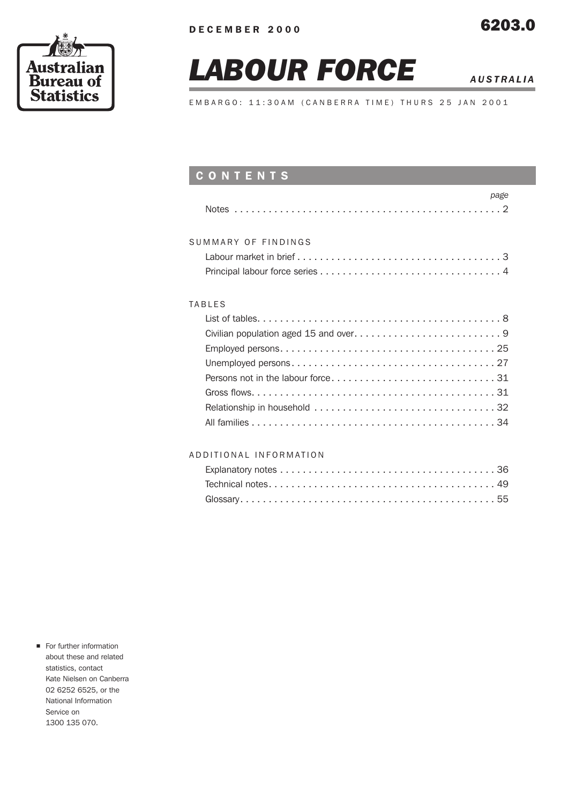

# *LABOUR FORCE AUSTRALIA*

EMBARGO: 11:30AM (CANBERRA TIME) THURS 25 JAN 2001

# CONTENTS

| page                |
|---------------------|
|                     |
|                     |
| SUMMARY OF FINDINGS |
|                     |
|                     |
|                     |
| TABLES              |
|                     |
|                     |
|                     |
|                     |
|                     |
|                     |
|                     |
|                     |

### ADDITIONAL INFORMATION

**n** For further information about these and related statistics, contact Kate Nielsen on Canberra 02 6252 6525, or the National Information Service on 1300 135 070.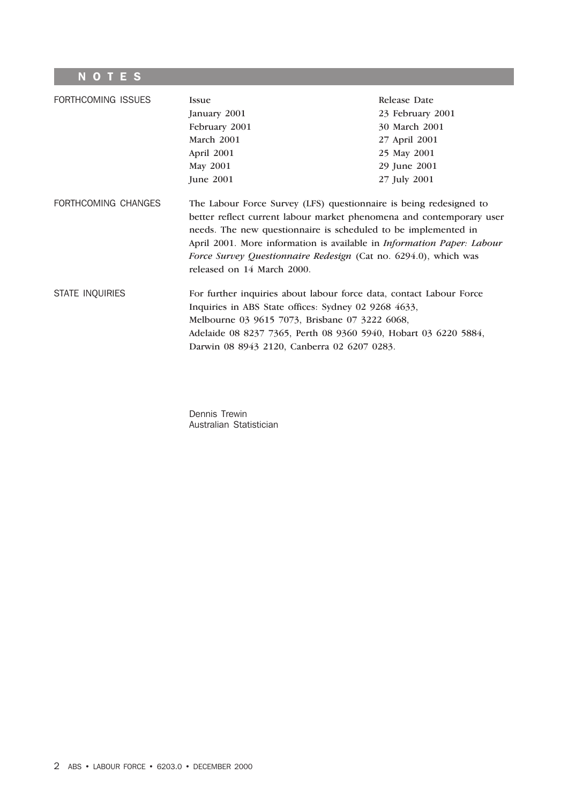# **NOTES**

| FORTHCOMING ISSUES     | <b>Issue</b><br>January 2001<br>February 2001<br>March 2001<br>April 2001<br>May 2001<br>June 2001                                                                                                                                                                                                                                                                                             | Release Date<br>23 February 2001<br>30 March 2001<br>27 April 2001<br>25 May 2001<br>29 June 2001<br>27 July 2001 |
|------------------------|------------------------------------------------------------------------------------------------------------------------------------------------------------------------------------------------------------------------------------------------------------------------------------------------------------------------------------------------------------------------------------------------|-------------------------------------------------------------------------------------------------------------------|
| FORTHCOMING CHANGES    | The Labour Force Survey (LFS) questionnaire is being redesigned to<br>better reflect current labour market phenomena and contemporary user<br>needs. The new questionnaire is scheduled to be implemented in<br>April 2001. More information is available in <i>Information Paper: Labour</i><br>Force Survey Questionnaire Redesign (Cat no. 6294.0), which was<br>released on 14 March 2000. |                                                                                                                   |
| <b>STATE INQUIRIES</b> | For further inquiries about labour force data, contact Labour Force<br>Inquiries in ABS State offices: Sydney 02 9268 4633,<br>Melbourne 03 9615 7073, Brisbane 07 3222 6068,<br>Adelaide 08 8237 7365, Perth 08 9360 5940, Hobart 03 6220 5884,<br>Darwin 08 8943 2120, Canberra 02 6207 0283.                                                                                                |                                                                                                                   |

Dennis Trewin Australian Statistician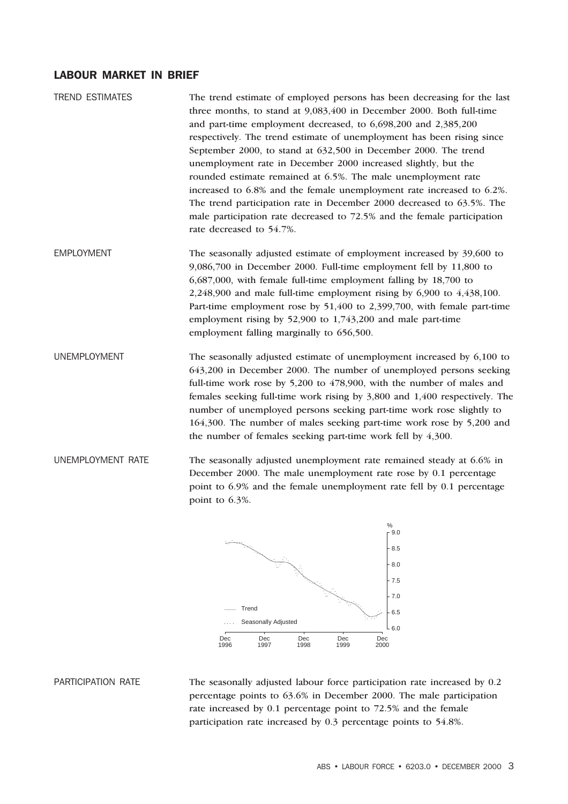#### LABOUR MARKET IN BRIEF

TREND ESTIMATES The trend estimate of employed persons has been decreasing for the last three months, to stand at 9,083,400 in December 2000. Both full-time and part-time employment decreased, to 6,698,200 and 2,385,200 respectively. The trend estimate of unemployment has been rising since September 2000, to stand at 632,500 in December 2000. The trend unemployment rate in December 2000 increased slightly, but the rounded estimate remained at 6.5%. The male unemployment rate increased to 6.8% and the female unemployment rate increased to 6.2%. The trend participation rate in December 2000 decreased to 63.5%. The male participation rate decreased to 72.5% and the female participation rate decreased to 54.7%.

EMPLOYMENT The seasonally adjusted estimate of employment increased by 39,600 to 9,086,700 in December 2000. Full-time employment fell by 11,800 to 6,687,000, with female full-time employment falling by 18,700 to 2,248,900 and male full-time employment rising by 6,900 to 4,438,100. Part-time employment rose by 51,400 to 2,399,700, with female part-time employment rising by 52,900 to 1,743,200 and male part-time employment falling marginally to 656,500.

UNEMPLOYMENT The seasonally adjusted estimate of unemployment increased by 6,100 to 643,200 in December 2000. The number of unemployed persons seeking full-time work rose by 5,200 to 478,900, with the number of males and females seeking full-time work rising by 3,800 and 1,400 respectively. The number of unemployed persons seeking part-time work rose slightly to 164,300. The number of males seeking part-time work rose by 5,200 and the number of females seeking part-time work fell by 4,300.

UNEMPLOYMENT RATE The seasonally adjusted unemployment rate remained steady at 6.6% in December 2000. The male unemployment rate rose by 0.1 percentage point to 6.9% and the female unemployment rate fell by 0.1 percentage point to 6.3%.



PARTICIPATION RATE The seasonally adjusted labour force participation rate increased by 0.2 percentage points to 63.6% in December 2000. The male participation rate increased by 0.1 percentage point to 72.5% and the female participation rate increased by 0.3 percentage points to 54.8%.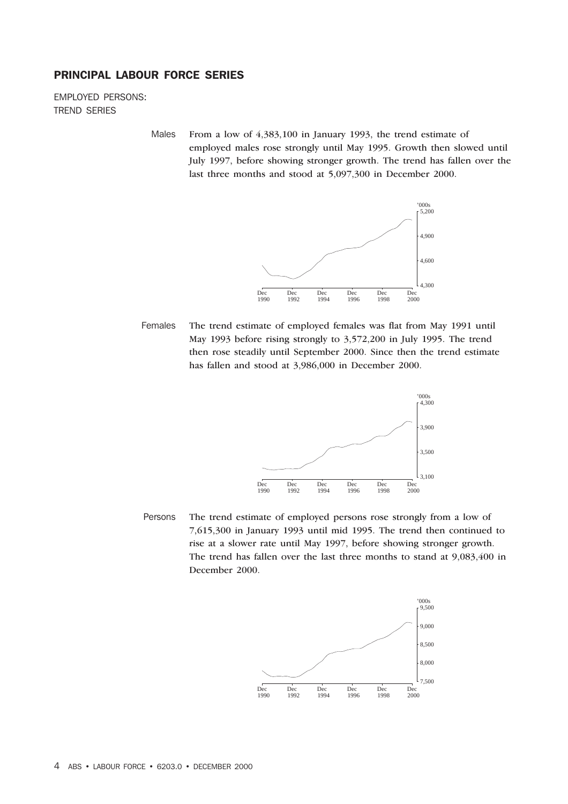#### PRINCIPAL LABOUR FORCE SERIES

EMPLOYED PERSONS: TREND SERIES

> Males From a low of 4,383,100 in January 1993, the trend estimate of employed males rose strongly until May 1995. Growth then slowed until July 1997, before showing stronger growth. The trend has fallen over the last three months and stood at 5,097,300 in December 2000.



Females The trend estimate of employed females was flat from May 1991 until May 1993 before rising strongly to 3,572,200 in July 1995. The trend then rose steadily until September 2000. Since then the trend estimate has fallen and stood at 3,986,000 in December 2000.



Persons The trend estimate of employed persons rose strongly from a low of 7,615,300 in January 1993 until mid 1995. The trend then continued to rise at a slower rate until May 1997, before showing stronger growth. The trend has fallen over the last three months to stand at 9,083,400 in December 2000.

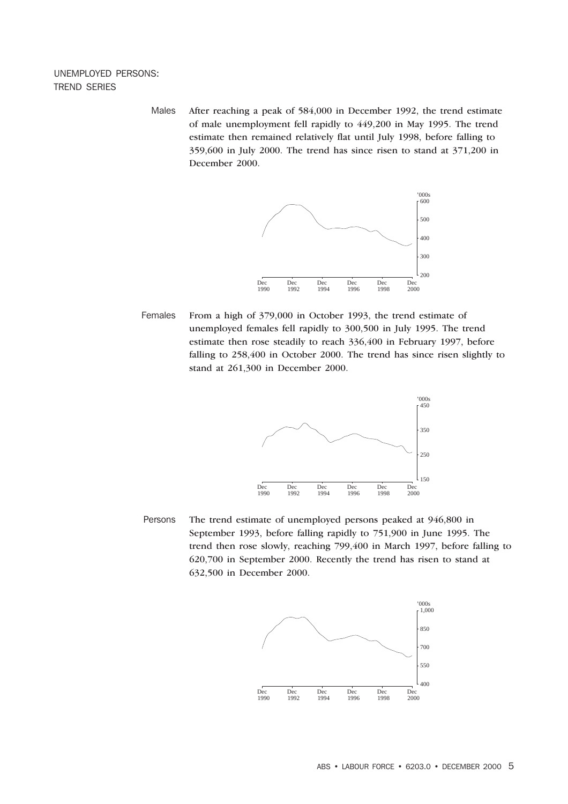#### UNEMPLOYED PERSONS: TREND SERIES

Males After reaching a peak of 584,000 in December 1992, the trend estimate of male unemployment fell rapidly to 449,200 in May 1995. The trend estimate then remained relatively flat until July 1998, before falling to 359,600 in July 2000. The trend has since risen to stand at 371,200 in December 2000.



Females From a high of 379,000 in October 1993, the trend estimate of unemployed females fell rapidly to 300,500 in July 1995. The trend estimate then rose steadily to reach 336,400 in February 1997, before falling to 258,400 in October 2000. The trend has since risen slightly to stand at 261,300 in December 2000.



Persons The trend estimate of unemployed persons peaked at 946,800 in September 1993, before falling rapidly to 751,900 in June 1995. The trend then rose slowly, reaching 799,400 in March 1997, before falling to 620,700 in September 2000. Recently the trend has risen to stand at 632,500 in December 2000.

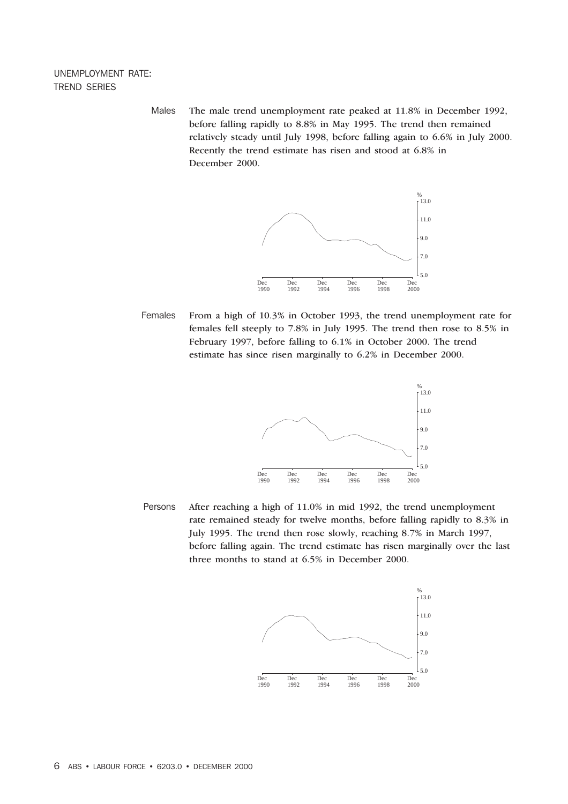#### UNEMPLOYMENT RATE: TREND SERIES

Males The male trend unemployment rate peaked at 11.8% in December 1992, before falling rapidly to 8.8% in May 1995. The trend then remained relatively steady until July 1998, before falling again to 6.6% in July 2000. Recently the trend estimate has risen and stood at 6.8% in December 2000.



Females From a high of 10.3% in October 1993, the trend unemployment rate for females fell steeply to 7.8% in July 1995. The trend then rose to 8.5% in February 1997, before falling to 6.1% in October 2000. The trend estimate has since risen marginally to 6.2% in December 2000.



Persons After reaching a high of 11.0% in mid 1992, the trend unemployment rate remained steady for twelve months, before falling rapidly to 8.3% in July 1995. The trend then rose slowly, reaching 8.7% in March 1997, before falling again. The trend estimate has risen marginally over the last three months to stand at 6.5% in December 2000.

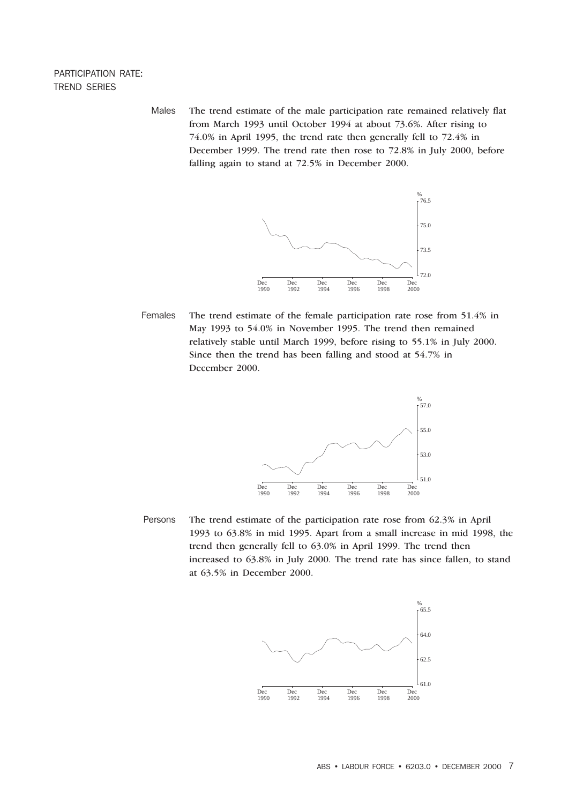#### PARTICIPATION RATE: TREND SERIES

Males The trend estimate of the male participation rate remained relatively flat from March 1993 until October 1994 at about 73.6%. After rising to 74.0% in April 1995, the trend rate then generally fell to 72.4% in December 1999. The trend rate then rose to 72.8% in July 2000, before falling again to stand at 72.5% in December 2000.



Females The trend estimate of the female participation rate rose from 51.4% in May 1993 to 54.0% in November 1995. The trend then remained relatively stable until March 1999, before rising to 55.1% in July 2000. Since then the trend has been falling and stood at 54.7% in December 2000.



Persons The trend estimate of the participation rate rose from 62.3% in April 1993 to 63.8% in mid 1995. Apart from a small increase in mid 1998, the trend then generally fell to 63.0% in April 1999. The trend then increased to 63.8% in July 2000. The trend rate has since fallen, to stand at 63.5% in December 2000.

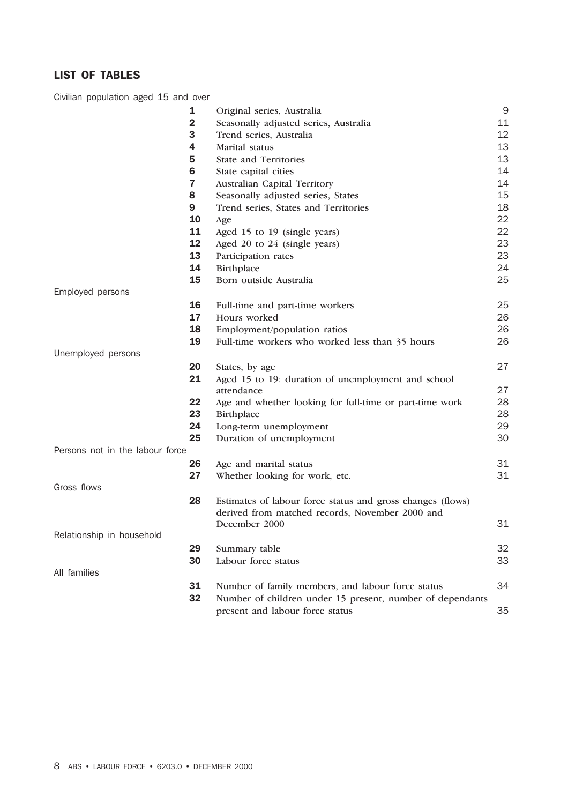# LIST OF TABLES

Civilian population aged 15 and over

|                                 | 1            | Original series, Australia                                 | $\mathsf 9$ |
|---------------------------------|--------------|------------------------------------------------------------|-------------|
|                                 | $\mathbf{2}$ | Seasonally adjusted series, Australia                      | 11          |
|                                 | 3            | Trend series, Australia                                    | 12          |
|                                 | 4            | Marital status                                             | 13          |
|                                 | 5            | <b>State and Territories</b>                               | 13          |
|                                 | 6            | State capital cities                                       | 14          |
|                                 | 7            | Australian Capital Territory                               | 14          |
|                                 | 8            | Seasonally adjusted series, States                         | 15          |
|                                 | 9            | Trend series, States and Territories                       | 18          |
|                                 | 10           | Age                                                        | 22          |
|                                 | 11           | Aged 15 to 19 (single years)                               | 22          |
|                                 | 12           | Aged 20 to 24 (single years)                               | 23          |
|                                 | 13           | Participation rates                                        | 23          |
|                                 | 14           | Birthplace                                                 | 24          |
|                                 | 15           | Born outside Australia                                     | 25          |
| Employed persons                |              |                                                            |             |
|                                 | 16           | Full-time and part-time workers                            | 25          |
|                                 | 17           | Hours worked                                               | 26          |
|                                 | 18           | Employment/population ratios                               | 26          |
|                                 | 19           | Full-time workers who worked less than 35 hours            | 26          |
| Unemployed persons              |              |                                                            |             |
|                                 | 20           | States, by age                                             | 27          |
|                                 | 21           | Aged 15 to 19: duration of unemployment and school         |             |
|                                 |              | attendance                                                 | 27          |
|                                 | 22           | Age and whether looking for full-time or part-time work    | 28          |
|                                 | 23           | Birthplace                                                 | 28          |
|                                 | 24           | Long-term unemployment                                     | 29          |
|                                 | 25           | Duration of unemployment                                   | 30          |
| Persons not in the labour force |              |                                                            |             |
|                                 | 26           | Age and marital status                                     | 31          |
|                                 | 27           | Whether looking for work, etc.                             | 31          |
| Gross flows                     |              |                                                            |             |
|                                 | 28           | Estimates of labour force status and gross changes (flows) |             |
|                                 |              | derived from matched records, November 2000 and            |             |
|                                 |              | December 2000                                              | 31          |
| Relationship in household       |              |                                                            |             |
|                                 | 29           | Summary table                                              | 32          |
|                                 | 30           | Labour force status                                        | 33          |
| All families                    |              |                                                            |             |
|                                 | 31           | Number of family members, and labour force status          | 34          |
|                                 | 32           | Number of children under 15 present, number of dependants  |             |
|                                 |              | present and labour force status                            | 35          |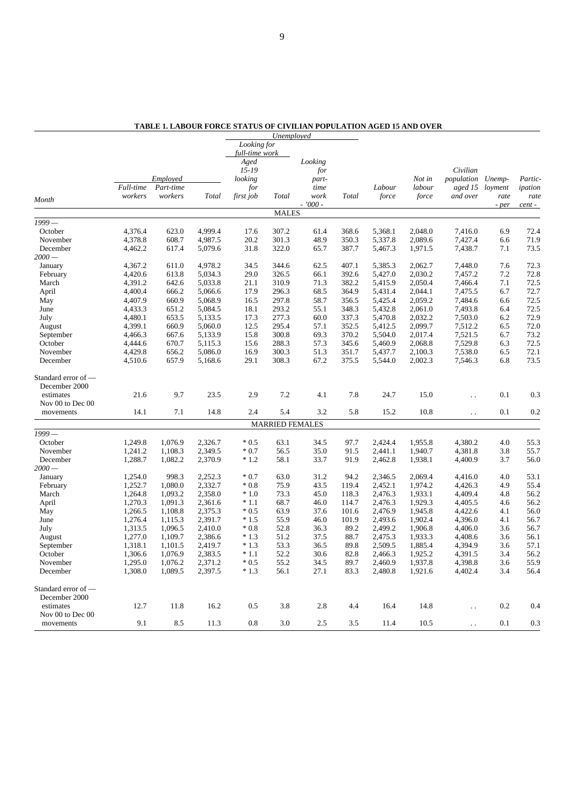|                      |           |                |                    |                | Unemployed             |           |                |                    |         |                      |            |         |
|----------------------|-----------|----------------|--------------------|----------------|------------------------|-----------|----------------|--------------------|---------|----------------------|------------|---------|
|                      |           |                |                    | Looking for    |                        |           |                |                    |         |                      |            |         |
|                      |           |                |                    | full-time work |                        |           |                |                    |         |                      |            |         |
|                      |           |                |                    | Aged           |                        | Looking   |                |                    |         |                      |            |         |
|                      |           |                |                    | $15 - 19$      |                        | for       |                |                    |         | Civilian             |            |         |
|                      |           | Employed       |                    | looking        |                        | part-     |                |                    | Not in  | population Unemp-    |            | Partic- |
|                      | Full-time | Part-time      |                    | for            |                        | time      |                | Labour             | labour  | aged 15              | loyment    | ipation |
| Month                | workers   | workers        | Total              | first job      | Total                  | work      | Total          | force              | force   | and over             | rate       | rate    |
|                      |           |                |                    |                | <b>MALES</b>           | $-7000 -$ |                |                    |         |                      | - per      | cent-   |
| $1999-$              |           |                |                    |                |                        |           |                |                    |         |                      |            |         |
| October              | 4,376.4   | 623.0          | 4,999.4            | 17.6           | 307.2                  | 61.4      | 368.6          | 5,368.1            | 2,048.0 | 7,416.0              | 6.9        | 72.4    |
| November             | 4,378.8   | 608.7          | 4,987.5            | 20.2           | 301.3                  | 48.9      | 350.3          | 5,337.8            | 2,089.6 | 7,427.4              | 6.6        | 71.9    |
| December             | 4,462.2   | 617.4          | 5,079.6            | 31.8           | 322.0                  | 65.7      | 387.7          | 5,467.3            | 1,971.5 | 7,438.7              | 7.1        | 73.5    |
| $2000-$              |           |                |                    |                |                        |           |                |                    |         |                      |            |         |
| January              | 4,367.2   | 611.0          | 4,978.2            | 34.5           | 344.6                  | 62.5      | 407.1          | 5,385.3            | 2,062.7 | 7,448.0              | 7.6        | 72.3    |
| February             | 4,420.6   | 613.8          | 5,034.3            | 29.0           | 326.5                  | 66.1      | 392.6          | 5,427.0            | 2,030.2 | 7,457.2              | 7.2        | 72.8    |
| March                | 4,391.2   | 642.6          | 5,033.8            | 21.1           | 310.9                  | 71.3      | 382.2          | 5,415.9            | 2,050.4 | 7,466.4              | 7.1        | 72.5    |
| April                | 4,400.4   | 666.2          | 5,066.6            | 17.9           | 296.3                  | 68.5      | 364.9          | 5,431.4            | 2,044.1 | 7.475.5              | 6.7        | 72.7    |
| May                  | 4,407.9   | 660.9          | 5,068.9            | 16.5           | 297.8                  | 58.7      | 356.5          | 5,425.4            | 2,059.2 | 7,484.6              | 6.6        | 72.5    |
| June                 | 4,433.3   | 651.2          | 5,084.5            | 18.1           | 293.2                  | 55.1      | 348.3          | 5,432.8            | 2,061.0 | 7,493.8              | 6.4        | 72.5    |
| July                 | 4,480.1   | 653.5          | 5,133.5            | 17.3           | 277.3                  | 60.0      | 337.3          | 5,470.8            | 2,032.2 | 7,503.0              | 6.2        | 72.9    |
| August               | 4,399.1   | 660.9          | 5,060.0            | 12.5           | 295.4                  | 57.1      | 352.5          | 5,412.5            | 2,099.7 | 7,512.2              | 6.5        | 72.0    |
| September            | 4,466.3   | 667.6          | 5,133.9            | 15.8           | 300.8                  | 69.3      | 370.2          | 5,504.0            | 2,017.4 | 7,521.5              | 6.7        | 73.2    |
|                      |           | 670.7          | 5,115.3            |                | 288.3                  | 57.3      | 345.6          | 5,460.9            |         | 7,529.8              | 6.3        | 72.5    |
| October              | 4,444.6   |                |                    | 15.6           |                        | 51.3      |                |                    | 2,068.8 |                      |            | 72.1    |
| November<br>December | 4,429.8   | 656.2<br>657.9 | 5,086.0<br>5,168.6 | 16.9<br>29.1   | 300.3<br>308.3         | 67.2      | 351.7<br>375.5 | 5,437.7<br>5,544.0 | 2,100.3 | 7,538.0              | 6.5<br>6.8 | 73.5    |
|                      | 4,510.6   |                |                    |                |                        |           |                |                    | 2,002.3 | 7,546.3              |            |         |
| Standard error of —  |           |                |                    |                |                        |           |                |                    |         |                      |            |         |
| December 2000        |           |                |                    |                |                        |           |                |                    |         |                      |            |         |
| estimates            | 21.6      | 9.7            | 23.5               | 2.9            | 7.2                    | 4.1       | 7.8            | 24.7               | 15.0    | $\ddot{\phantom{a}}$ | 0.1        | 0.3     |
| Nov 00 to Dec 00     |           |                |                    |                |                        |           |                |                    |         |                      |            |         |
| movements            | 14.1      | 7.1            | 14.8               | 2.4            | 5.4                    | 3.2       | 5.8            | 15.2               | 10.8    | $\ddot{\phantom{0}}$ | 0.1        | 0.2     |
|                      |           |                |                    |                | <b>MARRIED FEMALES</b> |           |                |                    |         |                      |            |         |
| $1999-$              |           |                |                    |                |                        |           |                |                    |         |                      |            |         |
| October              | 1,249.8   | 1,076.9        | 2,326.7            | $*0.5$         | 63.1                   | 34.5      | 97.7           | 2,424.4            | 1,955.8 | 4,380.2              | 4.0        | 55.3    |
| November             | 1,241.2   | 1,108.3        | 2,349.5            | $*0.7$         | 56.5                   | 35.0      | 91.5           | 2,441.1            | 1,940.7 | 4,381.8              | 3.8        | 55.7    |
| December             | 1,288.7   | 1,082.2        | 2,370.9            | $*1.2$         | 58.1                   | 33.7      | 91.9           | 2,462.8            | 1,938.1 | 4,400.9              | 3.7        | 56.0    |
| $2000-$              |           |                |                    |                |                        |           |                |                    |         |                      |            |         |
| January              | 1,254.0   | 998.3          | 2,252.3            | $*0.7$         | 63.0                   | 31.2      | 94.2           | 2,346.5            | 2,069.4 | 4,416.0              | 4.0        | 53.1    |
| February             | 1,252.7   | 1,080.0        | 2,332.7            | $*0.8$         | 75.9                   | 43.5      | 119.4          | 2,452.1            | 1,974.2 | 4,426.3              | 4.9        | 55.4    |
| March                | 1,264.8   | 1,093.2        | 2,358.0            | $*1.0$         | 73.3                   | 45.0      | 118.3          | 2,476.3            | 1,933.1 | 4,409.4              | 4.8        | 56.2    |
| April                | 1,270.3   | 1,091.3        | 2,361.6            | $*1.1$         | 68.7                   | 46.0      | 114.7          | 2,476.3            | 1,929.3 | 4,405.5              | 4.6        | 56.2    |
| May                  | 1,266.5   | 1,108.8        | 2,375.3            | $*0.5$         | 63.9                   | 37.6      | 101.6          | 2,476.9            | 1,945.8 | 4,422.6              | 4.1        | 56.0    |
| June                 | 1,276.4   | 1,115.3        | 2,391.7            | $*1.5$         | 55.9                   | 46.0      | 101.9          | 2,493.6            | 1,902.4 | 4,396.0              | 4.1        | 56.7    |
| July                 | 1,313.5   | 1,096.5        | 2,410.0            | $*0.8$         | 52.8                   | 36.3      | 89.2           | 2,499.2            | 1,906.8 | 4,406.0              | 3.6        | 56.7    |
| August               | 1,277.0   | 1,109.7        | 2,386.6            | $*1.3$         | 51.2                   | 37.5      | 88.7           | 2,475.3            | 1,933.3 | 4,408.6              | 3.6        | 56.1    |
| September            | 1,318.1   | 1,101.5        | 2,419.7            | $*1.3$         | 53.3                   | 36.5      | 89.8           | 2,509.5            | 1,885.4 | 4,394.9              | 3.6        | 57.1    |
| October              | 1,306.6   | 1,076.9        | 2,383.5            | $*1.1$         | 52.2                   | 30.6      | 82.8           | 2,466.3            | 1,925.2 | 4,391.5              | 3.4        | 56.2    |
| November             |           | 1,076.2        | 2,371.2            |                | 55.2                   | 34.5      | 89.7           | 2,460.9            |         |                      | 3.6        | 55.9    |
|                      | 1,295.0   |                |                    | $*0.5$         |                        |           |                |                    | 1,937.8 | 4,398.8              |            |         |
| December             | 1,308.0   | 1,089.5        | 2,397.5            | $*1.3$         | 56.1                   | 27.1      | 83.3           | 2,480.8            | 1,921.6 | 4,402.4              | 3.4        | 56.4    |
| Standard error of —  |           |                |                    |                |                        |           |                |                    |         |                      |            |         |
| December 2000        |           |                |                    |                |                        |           |                |                    |         |                      |            |         |
| estimates            | 12.7      | 11.8           | 16.2               | 0.5            | 3.8                    | 2.8       | 4.4            | 16.4               | 14.8    | $\ddot{\phantom{0}}$ | 0.2        | 0.4     |
| Nov 00 to Dec 00     |           |                |                    |                |                        |           |                |                    |         |                      |            |         |
| movements            | 9.1       | 8.5            | 11.3               | 0.8            | 3.0                    | 2.5       | 3.5            | 11.4               | 10.5    |                      | 0.1        | 0.3     |

**TABLE 1. LABOUR FORCE STATUS OF CIVILIAN POPULATION AGED 15 AND OVER**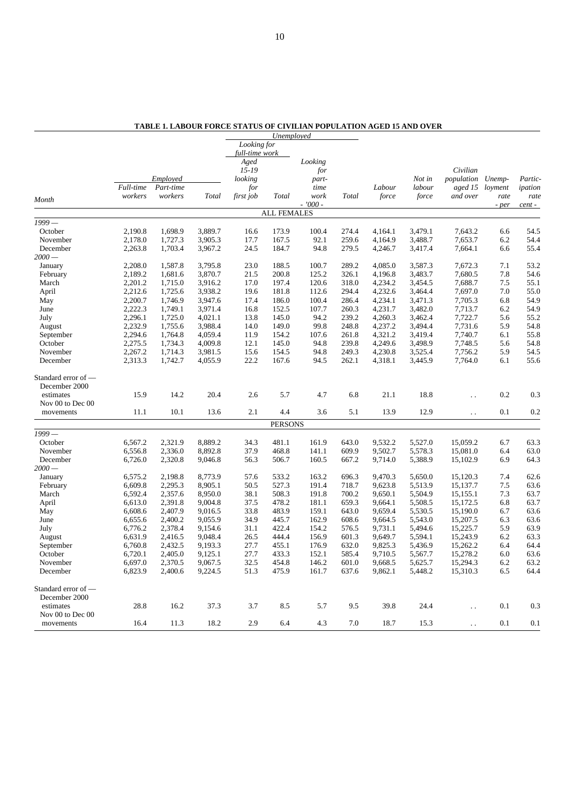|                               |           |           |         |                   | Unemployed         |               |              |         |         |                      |                   |         |
|-------------------------------|-----------|-----------|---------|-------------------|--------------------|---------------|--------------|---------|---------|----------------------|-------------------|---------|
|                               |           |           |         | Looking for       |                    |               |              |         |         |                      |                   |         |
|                               |           |           |         | full-time work    |                    |               |              |         |         |                      |                   |         |
|                               |           |           |         | Aged<br>$15 - 19$ |                    | Looking       |              |         |         | Civilian             |                   |         |
|                               |           | Employed  |         | looking           |                    | for           |              |         | Not in  | population           |                   | Partic- |
|                               | Full-time | Part-time |         | for               |                    | part-<br>time |              | Labour  | labour  | aged 15              | Unemp-<br>loyment | ipation |
|                               | workers   | workers   | Total   | first job         | Total              | work          | <b>Total</b> | force   | force   | and over             | rate              | rate    |
| Month                         |           |           |         |                   |                    | $-7000 -$     |              |         |         |                      | - per             | cent -  |
|                               |           |           |         |                   | <b>ALL FEMALES</b> |               |              |         |         |                      |                   |         |
| $1999-$                       |           |           |         |                   |                    |               |              |         |         |                      |                   |         |
| October                       | 2,190.8   | 1,698.9   | 3,889.7 | 16.6              | 173.9              | 100.4         | 274.4        | 4,164.1 | 3,479.1 | 7,643.2              | 6.6               | 54.5    |
| November                      | 2,178.0   | 1,727.3   | 3,905.3 | 17.7              | 167.5              | 92.1          | 259.6        | 4,164.9 | 3,488.7 | 7,653.7              | 6.2               | 54.4    |
| December                      | 2,263.8   | 1,703.4   | 3,967.2 | 24.5              | 184.7              | 94.8          | 279.5        | 4,246.7 | 3,417.4 | 7,664.1              | 6.6               | 55.4    |
| $2000-$                       |           |           |         |                   |                    |               |              |         |         |                      |                   |         |
| January                       | 2,208.0   | 1,587.8   | 3,795.8 | 23.0              | 188.5              | 100.7         | 289.2        | 4,085.0 | 3,587.3 | 7,672.3              | 7.1               | 53.2    |
| February                      | 2,189.2   | 1,681.6   | 3,870.7 | 21.5              | 200.8              | 125.2         | 326.1        | 4,196.8 | 3,483.7 | 7,680.5              | 7.8               | 54.6    |
| March                         | 2,201.2   | 1,715.0   | 3,916.2 | 17.0              | 197.4              | 120.6         | 318.0        | 4,234.2 | 3,454.5 | 7,688.7              | 7.5               | 55.1    |
| April                         | 2,212.6   | 1,725.6   | 3,938.2 | 19.6              | 181.8              | 112.6         | 294.4        | 4,232.6 | 3,464.4 | 7,697.0              | 7.0               | 55.0    |
| May                           | 2,200.7   | 1,746.9   | 3,947.6 | 17.4              | 186.0              | 100.4         | 286.4        | 4,234.1 | 3,471.3 | 7,705.3              | 6.8               | 54.9    |
| June                          | 2,222.3   | 1,749.1   | 3,971.4 | 16.8              | 152.5              | 107.7         | 260.3        | 4,231.7 | 3,482.0 | 7,713.7              | 6.2               | 54.9    |
| July                          | 2,296.1   | 1,725.0   | 4,021.1 | 13.8              | 145.0              | 94.2          | 239.2        | 4,260.3 | 3,462.4 | 7,722.7              | 5.6               | 55.2    |
| August                        | 2,232.9   | 1,755.6   | 3,988.4 | 14.0              | 149.0              | 99.8          | 248.8        | 4,237.2 | 3,494.4 | 7,731.6              | 5.9               | 54.8    |
| September                     | 2,294.6   | 1,764.8   | 4,059.4 | 11.9              | 154.2              | 107.6         | 261.8        | 4,321.2 | 3,419.4 | 7,740.7              | 6.1               | 55.8    |
| October                       | 2,275.5   | 1,734.3   | 4,009.8 | 12.1              | 145.0              | 94.8          | 239.8        | 4,249.6 | 3,498.9 | 7,748.5              | 5.6               | 54.8    |
| November                      | 2,267.2   | 1,714.3   | 3,981.5 | 15.6              | 154.5              | 94.8          | 249.3        | 4,230.8 | 3,525.4 | 7,756.2              | 5.9               | 54.5    |
| December                      | 2,313.3   | 1,742.7   | 4,055.9 | 22.2              | 167.6              | 94.5          | 262.1        | 4,318.1 | 3,445.9 | 7,764.0              | 6.1               | 55.6    |
| Standard error of —           |           |           |         |                   |                    |               |              |         |         |                      |                   |         |
| December 2000                 |           |           |         |                   |                    |               |              |         |         |                      |                   |         |
| estimates                     | 15.9      | 14.2      | 20.4    | 2.6               | 5.7                | 4.7           | 6.8          | 21.1    | 18.8    |                      | 0.2               | 0.3     |
| Nov 00 to Dec 00              |           |           |         |                   |                    |               |              |         |         | Ϋ.                   |                   |         |
| movements                     | 11.1      | 10.1      | 13.6    | 2.1               | 4.4                | 3.6           | 5.1          | 13.9    | 12.9    |                      | 0.1               | 0.2     |
|                               |           |           |         |                   |                    |               |              |         |         | $\ddot{\phantom{a}}$ |                   |         |
| $1999-$                       |           |           |         |                   | <b>PERSONS</b>     |               |              |         |         |                      |                   |         |
| October                       | 6,567.2   | 2,321.9   | 8,889.2 | 34.3              | 481.1              | 161.9         | 643.0        | 9,532.2 | 5,527.0 | 15,059.2             | 6.7               | 63.3    |
| November                      | 6,556.8   | 2,336.0   | 8,892.8 | 37.9              | 468.8              | 141.1         | 609.9        | 9,502.7 | 5,578.3 | 15,081.0             | 6.4               | 63.0    |
| December                      | 6,726.0   | 2,320.8   | 9,046.8 | 56.3              | 506.7              | 160.5         | 667.2        | 9,714.0 | 5,388.9 | 15,102.9             | 6.9               | 64.3    |
| $2000-$                       |           |           |         |                   |                    |               |              |         |         |                      |                   |         |
| January                       | 6,575.2   | 2,198.8   | 8,773.9 | 57.6              | 533.2              | 163.2         | 696.3        | 9,470.3 | 5,650.0 | 15,120.3             | 7.4               | 62.6    |
| February                      | 6,609.8   | 2,295.3   | 8,905.1 | 50.5              | 527.3              | 191.4         | 718.7        | 9,623.8 | 5,513.9 | 15,137.7             | 7.5               | 63.6    |
| March                         | 6,592.4   | 2,357.6   | 8,950.0 | 38.1              | 508.3              | 191.8         | 700.2        | 9,650.1 | 5,504.9 | 15,155.1             | 7.3               | 63.7    |
| April                         | 6,613.0   | 2,391.8   | 9,004.8 | 37.5              | 478.2              | 181.1         | 659.3        | 9,664.1 | 5,508.5 | 15,172.5             | 6.8               | 63.7    |
| May                           | 6,608.6   | 2,407.9   | 9,016.5 | 33.8              | 483.9              | 159.1         | 643.0        | 9,659.4 | 5,530.5 | 15,190.0             | 6.7               | 63.6    |
| June                          | 6,655.6   | 2,400.2   | 9,055.9 | 34.9              | 445.7              | 162.9         | 608.6        | 9,664.5 | 5,543.0 | 15,207.5             | 6.3               | 63.6    |
| July                          | 6,776.2   | 2,378.4   | 9,154.6 | 31.1              | 422.4              | 154.2         | 576.5        | 9,731.1 | 5,494.6 | 15,225.7             | 5.9               | 63.9    |
| August                        | 6,631.9   | 2,416.5   | 9,048.4 | 26.5              | 444.4              | 156.9         | 601.3        | 9,649.7 | 5,594.1 | 15,243.9             | 6.2               | 63.3    |
| September                     | 6,760.8   | 2,432.5   | 9,193.3 | 27.7              | 455.1              | 176.9         | 632.0        | 9,825.3 | 5,436.9 | 15,262.2             | 6.4               | 64.4    |
| October                       | 6,720.1   | 2,405.0   | 9,125.1 | 27.7              | 433.3              | 152.1         | 585.4        | 9,710.5 | 5,567.7 | 15,278.2             | 6.0               | 63.6    |
| November                      | 6,697.0   | 2,370.5   | 9,067.5 | 32.5              | 454.8              | 146.2         | 601.0        | 9,668.5 | 5,625.7 | 15,294.3             | 6.2               | 63.2    |
| December                      | 6,823.9   | 2,400.6   | 9,224.5 | 51.3              | 475.9              | 161.7         | 637.6        | 9,862.1 | 5,448.2 | 15,310.3             | 6.5               | 64.4    |
|                               |           |           |         |                   |                    |               |              |         |         |                      |                   |         |
| Standard error of -           |           |           |         |                   |                    |               |              |         |         |                      |                   |         |
| December 2000                 |           |           |         |                   |                    |               |              |         |         |                      |                   |         |
| estimates                     | 28.8      | 16.2      | 37.3    | 3.7               | 8.5                | 5.7           | 9.5          | 39.8    | 24.4    |                      | 0.1               | 0.3     |
| Nov 00 to Dec 00<br>movements | 16.4      | 11.3      | 18.2    | 2.9               | 6.4                | 4.3           | 7.0          | 18.7    | 15.3    | $\ddot{\phantom{a}}$ | 0.1               | 0.1     |
|                               |           |           |         |                   |                    |               |              |         |         |                      |                   |         |

**TABLE 1. LABOUR FORCE STATUS OF CIVILIAN POPULATION AGED 15 AND OVER**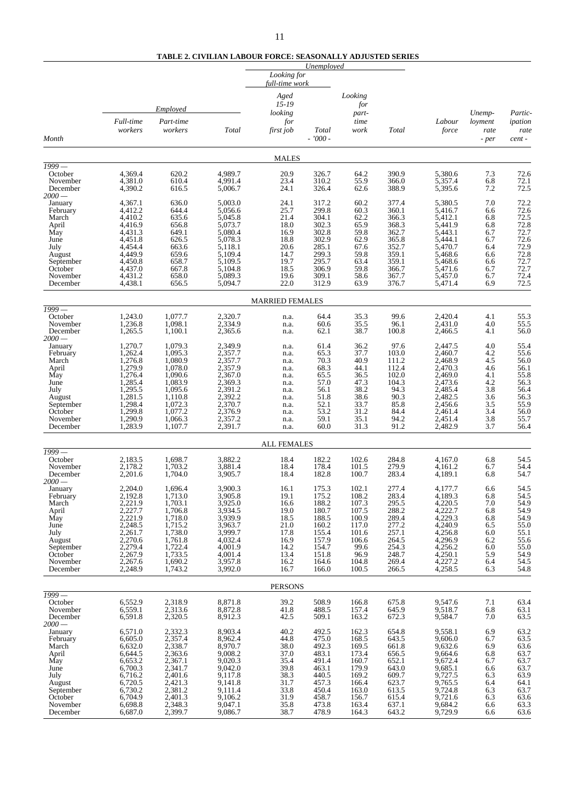#### **TABLE 2. CIVILIAN LABOUR FORCE: SEASONALLY ADJUSTED SERIES**

|                      |                               |                      |                    | Looking for<br>full-time work | Unemployed         |                |                |                    |                   |                    |
|----------------------|-------------------------------|----------------------|--------------------|-------------------------------|--------------------|----------------|----------------|--------------------|-------------------|--------------------|
|                      |                               | Employed             |                    | Aged<br>$15 - 19$             |                    | Looking<br>for |                |                    |                   |                    |
|                      | Full-time                     | Part-time            |                    | looking<br>for                |                    | part-<br>time  |                | Labour             | Unemp-<br>loyment | Partic-<br>ipation |
| Month                | workers                       | workers              | Total              | first job                     | Total<br>$-7000 -$ | work           | <b>Total</b>   | force              | rate<br>- per     | rate<br>cent-      |
|                      |                               |                      |                    | <b>MALES</b>                  |                    |                |                |                    |                   |                    |
| $1999-$<br>October   | 4,369.4                       | 620.2                | 4,989.7            | 20.9                          | 326.7              | 64.2           | 390.9          | 5,380.6            | 7.3               | 72.6               |
| November             | 4,381.0                       | 610.4                | 4,991.4            | 23.4                          | 310.2              | 55.9           | 366.0          | 5,357.4            | 6.8               | 72.1               |
| December<br>$2000-$  | 4,390.2                       | 616.5                | 5,006.7            | 24.1                          | 326.4              | 62.6           | 388.9          | 5,395.6            | 7.2               | 72.5               |
| January              | 4,367.1                       | 636.0                | 5,003.0            | 24.1                          | 317.2              | 60.2           | 377.4          | 5,380.5            | 7.0               | 72.2               |
| February             | 4,412.2<br>4,410.2            | 644.4<br>635.6       | 5,056.6<br>5,045.8 | 25.7<br>21.4                  | 299.8<br>304.1     | 60.3<br>62.2   | 360.1<br>366.3 | 5,416.7<br>5,412.1 | 6.6               | 72.6<br>72.5       |
| March<br>April       | 4,416.9                       | 656.8                | 5,073.7            | 18.0                          | 302.3              | 65.9           | 368.3          | 5,441.9            | 6.8<br>6.8        |                    |
| May                  | 4,431.3                       | 649.1                | 5,080.4            | 16.9                          | 302.8              | 59.8           | 362.7          | 5,443.1            | 6.7               | 72.8<br>72.7       |
| June<br>July         | 4,451.8<br>4,454.4            | 626.5<br>663.6       | 5,078.3<br>5,118.1 | 18.8<br>20.6                  | 302.9<br>285.1     | 62.9<br>67.6   | 365.8<br>352.7 | 5,444.1<br>5,470.7 | 6.7<br>6.4        | 72.6<br>72.9       |
| August               | 4,449.9                       | 659.6                | 5,109.4            | 14.7                          | 299.3              | 59.8           | 359.1          | 5,468.6            | 6.6               | 72.8               |
| September<br>October | 4,450.8<br>4,437.0            | 658.7<br>667.8       | 5,109.5<br>5,104.8 | 19.7<br>18.5                  | 295.7<br>306.9     | 63.4<br>59.8   | 359.1<br>366.7 | 5,468.6<br>5,471.6 | 6.6<br>6.7        | 72.7<br>72.7       |
| November             | 4,431.2                       | 658.0                | 5,089.3            | 19.6                          | 309.1              | 58.6           | 367.7          | 5,457.0            | 6.7               | 72.4               |
| December             | 4,438.1                       | 656.5                | 5,094.7            | 22.0                          | 312.9              | 63.9           | 376.7          | 5,471.4            | 6.9               | 72.5               |
| $\sqrt{1999}$ —      |                               |                      |                    | <b>MARRIED FEMALES</b>        |                    |                |                |                    |                   |                    |
| October              | 1,243.0                       | 1,077.7              | 2,320.7            | n.a.                          | 64.4               | 35.3           | 99.6           | 2,420.4            | 4.1               | 55.3               |
| November<br>December | 1,236.8<br>1,265.5            | 1,098.1<br>1,100.1   | 2,334.9<br>2,365.6 | n.a.                          | 60.6<br>62.1       | 35.5<br>38.7   | 96.1<br>100.8  | 2,431.0<br>2,466.5 | 4.0<br>4.1        | 55.5<br>56.0       |
| $2000-$              |                               |                      |                    | n.a.                          |                    |                |                |                    |                   |                    |
| January              | 1,270.7                       | 1,079.3              | 2,349.9            | n.a.                          | 61.4               | 36.2           | 97.6           | 2,447.5            | 4.0               | 55.4               |
| February<br>March    | 1,262.4<br>1,276.8            | 1,095.3<br>1,080.9   | 2,357.7<br>2,357.7 | n.a.<br>n.a.                  | 65.3<br>70.3       | 37.7<br>40.9   | 103.0<br>111.2 | 2,460.7<br>2,468.9 | 4.2<br>4.5        | 55.6<br>56.0       |
| April                | 1,279.9                       | 1,078.0              | 2,357.9            | n.a.                          | 68.3               | 44.1           | 112.4          | 2,470.3            | 4.6               | 56.1               |
| May                  | 1,276.4<br>1,285.4            | 1,090.6<br>1,083.9   | 2,367.0<br>2,369.3 | n.a.                          | 65.5<br>57.0       | 36.5<br>47.3   | 102.0<br>104.3 | 2,469.0<br>2,473.6 | 4.1<br>4.2        | 55.8<br>56.3       |
| June<br>July         | 1,295.5                       | 1,095.6              | 2,391.2            | n.a.<br>n.a.                  | 56.1               | 38.2           | 94.3           | 2,485.4            | 3.8               | 56.4               |
| August               | 1,281.5                       | 1,110.8              | 2,392.2            | n.a.                          | 51.8               | 38.6           | 90.3           | 2,482.5            | 3.6               | 56.3               |
| September<br>October | 1,298.4<br>1,299.8            | 1,072.3<br>1,077.2   | 2,370.7<br>2,376.9 | n.a.<br>n.a.                  | 52.1<br>53.2       | 33.7<br>31.2   | 85.8<br>84.4   | 2,456.6<br>2,461.4 | 3.5<br>3.4        | 55.9<br>56.0       |
| November             | 1,290.9                       | 1,066.3              | 2,357.2            | n.a.                          | 59.1               | 35.1           | 94.2           | 2,451.4            | 3.8               | 55.7               |
| December             | 1,283.9                       | 1,107.7              | 2,391.7            | n.a.                          | 60.0               | 31.3           | 91.2           | 2,482.9            | 3.7               | 56.4               |
| 1999 -               |                               |                      |                    | <b>ALL FEMALES</b>            |                    |                |                |                    |                   |                    |
| October<br>November  | 2,183.5<br>2,178.2            | 1,698.7<br>1,703.2   | 3,882.2<br>3,881.4 | 18.4<br>18.4                  | 182.2<br>178.4     | 102.6<br>101.5 | 284.8<br>279.9 | 4,167.0<br>4.161.2 | 6.8<br>6.7        | 54.5<br>54.4       |
| December<br>$2000-$  | 2,201.6                       | 1,704.0              | 3,905.7            | 18.4                          | 182.8              | 100.7          | 283.4          | 4,189.1            | 6.8               | 54.7               |
| January              | 2.204.0                       | 1,696.4<br>1,713.0   | 3,900.3<br>3,905.8 | 16.1<br>19.1                  | 175.3              | 102.1<br>108.2 | 277.4<br>283.4 | 4,177.7<br>4,189.3 | 6.6               | 54.5<br>54.5       |
| February<br>March    | 2,192.8<br>2,221.9<br>2,227.7 | 1,703.1              | 3,925.0            | 16.6                          | 175.2<br>188.2     | 107.3          | 295.5          |                    | 6.8<br>7.0        | 54.9               |
| April                |                               | 1,706.8              | 3.934.5            | 19.0                          | 180.7              | 107.5          | 288.2          | 4,220.5<br>4,222.7 | 6.8               | 54.9               |
| May<br>June          | 2,221.9<br>2,248.5            | 1,718.0<br>1,715.2   | 3,939.9<br>3,963.7 | 18.5<br>21.0                  | 188.5<br>160.2     | 100.9<br>117.0 | 289.4<br>277.2 | 4,229.3<br>4,240.9 | 6.8<br>6.5        | 54.9<br>55.0       |
| July                 | 2,261.7                       | 1,738.0              | 3,999.7            | 17.8                          | 155.4              | 101.6          | 257.1          | 4,256.8            | 6.0               | 55.1               |
| August               | 2,270.6                       | 1,761.8              | 4,032.4            | 16.9                          | 157.9              | 106.6          | 264.5          | 4,296.9            | 6.2               | 55.6               |
| September<br>October | 2,279.4<br>2,267.9            | $1,722.4$<br>1,733.5 | 4,001.9<br>4,001.4 | 14.2<br>13.4                  | 154.7<br>151.8     | 99.6<br>96.9   | 254.3<br>248.7 | 4,256.2            | 6.0<br>5.9        | 55.0<br>54.9       |
| November             | 2,267.6                       | 1,690.2              | 3,957.8            | 16.2                          | 164.6              | 104.8          | 269.4          | 4,250.1<br>4,227.2 | 6.4               | 54.5               |
| December             | 2,248.9                       | 1,743.2              | 3,992.0            | 16.7                          | 166.0              | 100.5          | 266.5          | 4,258.5            | 6.3               | 54.8               |
| $\frac{1999}{\ }$    |                               |                      |                    | <b>PERSONS</b>                |                    |                |                |                    |                   |                    |
| October<br>November  | 6,552.9<br>6,559.1            | 2,318.9<br>2,313.6   | 8,871.8<br>8,872.8 | 39.2<br>41.8                  | 508.9<br>488.5     | 166.8<br>157.4 | 675.8<br>645.9 | 9,547.6<br>9,518.7 | 7.1<br>6.8        | 63.4<br>63.1       |
| December             | 6,591.8                       | 2,320.5              | 8,912.3            | 42.5                          | 509.1              | 163.2          | 672.3          | 9,584.7            | 7.0               | 63.5               |
| $2000-$              |                               |                      |                    |                               |                    |                |                |                    |                   |                    |
| January<br>February  | 6,571.0<br>6,605.0            | 2,332.3<br>2,357.4   | 8,903.4<br>8,962.4 | 40.2<br>44.8                  | 492.5<br>475.0     | 162.3<br>168.5 | 654.8<br>643.5 | 9,558.1<br>9,606.0 | 6.9<br>6.7        | $63.2$<br>$63.5$   |
| March                | 6,632.0                       | 2,338.7              | 8,970.7            | 38.0                          | 492.3              | 169.5          | 661.8          | 9,632.6            | 6.9               | 63.6               |
| April                | 6,644.5                       | 2,363.6              | 9,008.2            | 37.0                          | 483.1              | 173.4          | 656.5          | 9,664.6            | 6.8               | 63.7               |
| May<br>June          | 6,653.2<br>6,700.3            | 2,367.1<br>2,341.7   | 9,020.3<br>9,042.0 | 35.4<br>39.8                  | 491.4<br>463.1     | 160.7<br>179.9 | 652.1<br>643.0 | 9,672.4<br>9,685.1 | 6.7<br>6.6        | 63.7<br>63.7       |
| July                 | 6,716.2                       | 2,401.6              | 9,117.8            | 38.3                          | 440.5              | 169.2          | 609.7          | 9,727.5            | 6.3               | 63.9               |
| August               | 6,720.5                       | 2,421.3              | 9,141.8            | 31.7                          | 457.3              | 166.4          | 623.7          | 9,765.5            | 6.4               | 64.1               |
| September<br>October | 6,730.2<br>6,704.9            | 2,381.2<br>2,401.3   | 9,111.4<br>9,106.2 | 33.8<br>31.9                  | 450.4<br>458.7     | 163.0<br>156.7 | 613.5<br>615.4 | 9,724.8<br>9,721.6 | 6.3<br>6.3        | 63.7<br>63.6       |
| November             | 6,698.8                       | 2,348.3              | 9,047.1            | 35.8                          | 473.8              | 163.4          | 637.1          | 9,684.2            | 6.6               | 63.3               |
| December             | 6,687.0                       | 2,399.7              | 9,086.7            | 38.7                          | 478.9              | 164.3          | 643.2          | 9,729.9            | 6.6               | 63.6               |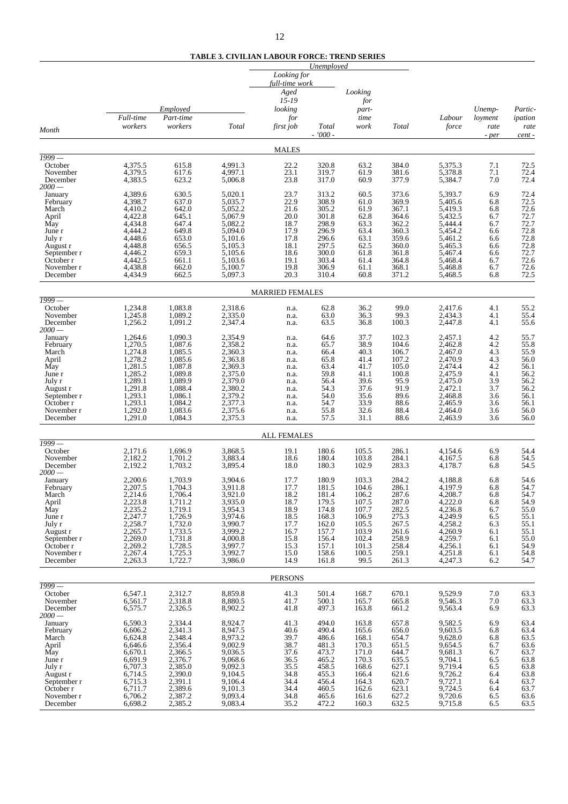**TABLE 3. CIVILIAN LABOUR FORCE: TREND SERIES**

|                            |                      |                      |                    |                                                               | Unemployed     |                         |                |                    |                 |                 |
|----------------------------|----------------------|----------------------|--------------------|---------------------------------------------------------------|----------------|-------------------------|----------------|--------------------|-----------------|-----------------|
| Month                      |                      | Employed             |                    | Looking for<br>full-time work<br>Aged<br>$15 - 19$<br>looking |                | Looking<br>for<br>part- |                |                    | Unemp-          | Partic-         |
|                            | Full-time<br>workers | Part-time<br>workers | Total              | for<br>first job                                              | <b>Total</b>   | time<br>work            | Total          | Labour<br>force    | loyment<br>rate | ipation<br>rate |
|                            |                      |                      |                    |                                                               | - '000 -       |                         |                |                    | - per           | cent -          |
|                            |                      |                      |                    | <b>MALES</b>                                                  |                |                         |                |                    |                 |                 |
| $\sqrt{1999}$ —<br>October | 4,375.5              | 615.8                | 4,991.3            | 22.2                                                          | 320.8          | 63.2                    | 384.0          | 5,375.3            | 7.1             | 72.5            |
| November<br>December       | 4,379.5<br>4,383.5   | 617.6<br>623.2       | 4,997.1<br>5,006.8 | 23.1<br>23.8                                                  | 319.7<br>317.0 | 61.9<br>60.9            | 381.6<br>377.9 | 5,378.8<br>5,384.7 | 7.1<br>7.0      | 72.4<br>72.4    |
| $2000-$                    | 4,389.6              | 630.5                | 5,020.1            | 23.7                                                          | 313.2          | 60.5                    | 373.6          | 5,393.7            | 6.9             | 72.4            |
| January<br>February        | 4,398.7              | 637.0                | 5,035.7            | 22.9                                                          | 308.9          | 61.0                    | 369.9          | 5,405.6            | 6.8             | 72.5            |
| March<br>April             | 4,410.2<br>4,422.8   | 642.0<br>645.1       | 5,052.2<br>5,067.9 | 21.6<br>20.0                                                  | 305.2<br>301.8 | 61.9<br>62.8            | 367.1<br>364.6 | 5,419.3<br>5,432.5 | 6.8<br>6.7      | 72.6<br>72.7    |
| May<br>June r              | 4,434.8<br>4,444.2   | 647.4<br>649.8       | 5,082.2<br>5,094.0 | 18.7<br>17.9                                                  | 298.9<br>296.9 | 63.3<br>63.4            | 362.2<br>360.3 | 5,444.4<br>5,454.2 | 6.7<br>6.6      | 72.7<br>72.8    |
| July r                     | 4,448.6              | 653.0                | 5,101.6            | 17.8                                                          | 296.6          | 63.1                    | 359.6          | 5,461.2            | 6.6             | 72.8            |
| August r<br>September r    | 4,448.8<br>4,446.2   | 656.5<br>659.3       | 5,105.3<br>5,105.6 | 18.1<br>18.6                                                  | 297.5<br>300.0 | 62.5<br>61.8            | 360.0<br>361.8 | 5,465.3<br>5,467.4 | 6.6<br>6.6      | 72.8<br>72.7    |
| October r<br>November r    | 4,442.5<br>4,438.8   | 661.1<br>662.0       | 5,103.6<br>5,100.7 | 19.1<br>19.8                                                  | 303.4<br>306.9 | 61.4<br>61.1            | 364.8<br>368.1 | 5,468.4<br>5,468.8 | 6.7<br>6.7      | 72.6<br>72.6    |
| December                   | 4,434.9              | 662.5                | 5,097.3            | 20.3                                                          | 310.4          | 60.8                    | 371.2          | 5,468.5            | 6.8             | 72.5            |
| $\sqrt{1999}$ —            |                      |                      |                    | <b>MARRIED FEMALES</b>                                        |                |                         |                |                    |                 |                 |
| October                    | 1,234.8              | 1,083.8              | 2,318.6            | n.a.                                                          | 62.8           | 36.2                    | 99.0           | 2,417.6            | 4.1             | 55.2            |
| November<br>December       | 1,245.8<br>1,256.2   | 1,089.2<br>1,091.2   | 2,335.0<br>2,347.4 | n.a.<br>n.a.                                                  | 63.0<br>63.5   | 36.3<br>36.8            | 99.3<br>100.3  | 2,434.3<br>2,447.8 | 4.1<br>4.1      | 55.4<br>55.6    |
| $2000-$<br>January         | 1,264.6              | 1,090.3              | 2,354.9            | n.a.                                                          | 64.6           | 37.7                    | 102.3          | 2.457.1            | 4.2             | 55.7            |
| February<br>March          | 1,270.5<br>1,274.8   | 1,087.6<br>1,085.5   | 2,358.2<br>2,360.3 | n.a.<br>n.a.                                                  | 65.7<br>66.4   | 38.9<br>40.3            | 104.6<br>106.7 | 2,462.8<br>2,467.0 | 4.2<br>4.3      | 55.8<br>55.9    |
| April                      | 1,278.2              | 1,085.6              | 2,363.8            | n.a.                                                          | 65.8           | 41.4                    | 107.2          | 2,470.9            | 4.3             | 56.0            |
| May<br>June r              | 1,281.5<br>1,285.2   | 1,087.8<br>1,089.8   | 2,369.3<br>2,375.0 | n.a.<br>n.a.                                                  | 63.4<br>59.8   | 41.7<br>41.1            | 105.0<br>100.8 | 2,474.4<br>2,475.9 | 4.2<br>4.1      | 56.1<br>56.2    |
| July r<br>August r         | 1,289.1<br>1,291.8   | 1,089.9<br>1,088.4   | 2,379.0<br>2,380.2 | n.a.<br>n.a.                                                  | 56.4<br>54.3   | 39.6<br>37.6            | 95.9<br>91.9   | 2,475.0<br>2,472.1 | 3.9<br>3.7      | 56.2<br>56.2    |
| September r                | 1,293.1              | 1,086.1              | 2,379.2            | n.a.                                                          | 54.0           | 35.6                    | 89.6           | 2,468.8            | 3.6             | 56.1            |
| October r<br>November r    | 1,293.1<br>1,292.0   | 1,084.2<br>1,083.6   | 2,377.3<br>2,375.6 | n.a.<br>n.a.                                                  | 54.7<br>55.8   | 33.9<br>32.6            | 88.6<br>88.4   | 2,465.9<br>2,464.0 | 3.6<br>3.6      | 56.1<br>56.0    |
| December                   | 1,291.0              | 1,084.3              | 2,375.3            | n.a.                                                          | 57.5           | 31.1                    | 88.6           | 2,463.9            | 3.6             | 56.0            |
|                            |                      |                      |                    | <b>ALL FEMALES</b>                                            |                |                         |                |                    |                 |                 |
| $1999-$<br>October         | 2,171.6              | 1,696.9              | 3,868.5            | 19.1                                                          | 180.6          | 105.5                   | 286.1          | 4,154.6            | 6.9             | 54.4            |
| November<br>December       | 2,182.2<br>2,192.2   | 1,701.2<br>1,703.2   | 3,883.4<br>3,895.4 | 18.6<br>18.0                                                  | 180.4<br>180.3 | 103.8<br>102.9          | 284.1<br>283.3 | 4,167.5<br>4,178.7 | 6.8<br>6.8      | 54.5<br>54.5    |
| $2000-$<br>January         | 2,200.6              | 1,703.9              | 3,904.6            | 17.7                                                          | 180.9          | 103.3                   | 284.2          | 4,188.8            | 6.8             | 54.6            |
| February                   | 2,207.5              | 1,704.3              | 3,911.8            | 17.7                                                          | 181.5          | 104.6                   | 286.1          | 4,197.9            | 6.8             | 54.7            |
| March<br>April             | 2,214.6<br>2,223.8   | 1,706.4<br>1,711.2   | 3,921.0<br>3,935.0 | 18.2<br>18.7                                                  | 181.4<br>179.5 | 106.2<br>107.5          | 287.6<br>287.0 | 4,208.7<br>4,222.0 | 6.8<br>6.8      | 54.7<br>54.9    |
| May<br>June r              | 2,235.2<br>2,247.7   | 1,719.1<br>1,726.9   | 3,954.3<br>3,974.6 | 18.9<br>18.5                                                  | 174.8<br>168.3 | 107.7<br>106.9          | 282.5<br>275.3 | 4,236.8<br>4,249.9 | 6.7<br>6.5      | 55.0<br>55.1    |
| July r                     | 2,258.7              | 1,732.0              | 3,990.7            | 17.7                                                          | 162.0          | 105.5                   | 267.5          | 4,258.2            | 6.3             | 55.1            |
| August r<br>September r    | 2,265.7<br>2,269.0   | 1,733.5<br>1,731.8   | 3,999.2<br>4,000.8 | 16.7<br>15.8                                                  | 157.7<br>156.4 | 103.9<br>102.4          | 261.6<br>258.9 | 4,260.9<br>4,259.7 | 6.1<br>6.1      | 55.1<br>55.0    |
| October r<br>November r    | 2,269.2<br>2,267.4   | 1,728.5<br>1,725.3   | 3,997.7<br>3,992.7 | 15.3<br>15.0                                                  | 157.1<br>158.6 | 101.3<br>100.5          | 258.4<br>259.1 | 4,256.1<br>4,251.8 | 6.1<br>6.1      | 54.9<br>54.8    |
| December                   | 2,263.3              | 1,722.7              | 3,986.0            | 14.9                                                          | 161.8          | 99.5                    | 261.3          | 4,247.3            | 6.2             | 54.7            |
|                            |                      |                      |                    | <b>PERSONS</b>                                                |                |                         |                |                    |                 |                 |
| $1999-$<br>October         | 6,547.1              | 2,312.7              | 8,859.8            | 41.3                                                          | 501.4          | 168.7                   | 670.1          | 9,529.9            | 7.0             | 63.3            |
| November<br>December       | 6,561.7<br>6,575.7   | 2,318.8<br>2,326.5   | 8,880.5<br>8,902.2 | 41.7<br>41.8                                                  | 500.1<br>497.3 | 165.7<br>163.8          | 665.8<br>661.2 | 9,546.3<br>9,563.4 | 7.0<br>6.9      | 63.3<br>63.3    |
| $2000-$                    |                      |                      |                    |                                                               |                |                         |                |                    |                 |                 |
| January<br>February        | 6,590.3<br>6,606.2   | 2,334.4<br>2,341.3   | 8,924.7<br>8,947.5 | 41.3<br>40.6                                                  | 494.0<br>490.4 | 163.8<br>165.6          | 657.8<br>656.0 | 9,582.5<br>9,603.5 | 6.9<br>6.8      | 63.4<br>63.4    |
| March<br>April             | 6,624.8<br>6,646.6   | 2,348.4<br>2,356.4   | 8,973.2<br>9,002.9 | 39.7<br>38.7                                                  | 486.6<br>481.3 | 168.1<br>170.3          | 654.7<br>651.5 | 9,628.0<br>9,654.5 | 6.8<br>6.7      | 63.5<br>63.6    |
| May<br>June r              | 6,670.1<br>6,691.9   | 2,366.5<br>2,376.7   | 9,036.5<br>9,068.6 | 37.6<br>36.5                                                  | 473.7<br>465.2 | 171.0<br>170.3          | 644.7<br>635.5 | 9,681.3<br>9,704.1 | 6.7<br>6.5      | 63.7            |
| July r                     | 6,707.3              | 2,385.0              | 9,092.3            | 35.5                                                          | 458.5          | 168.6                   | 627.1          | 9,719.4            | 6.5             | 63.8            |
| August r<br>September r    | 6,714.5<br>6,715.3   | 2,390.0<br>2,391.1   | 9,104.5<br>9,106.4 | 34.8<br>34.4                                                  | 455.3<br>456.4 | 166.4<br>164.3          | 621.6<br>620.7 | 9,726.2<br>9,727.1 | 6.4<br>6.4      | 63.8<br>63.7    |
| October r<br>November r    | 6,711.7<br>6,706.2   | 2,389.6<br>2,387.2   | 9,101.3<br>9,093.4 | 34.4<br>34.8                                                  | 460.5<br>465.6 | 162.6<br>161.6          | 623.1<br>627.2 | 9,724.5<br>9,720.6 | 6.4<br>6.5      | 63.7<br>63.6    |
| December                   | 6,698.2              | 2,385.2              | 9,083.4            | 35.2                                                          | 472.2          | 160.3                   | 632.5          | 9,715.8            | 6.5             | 63.5            |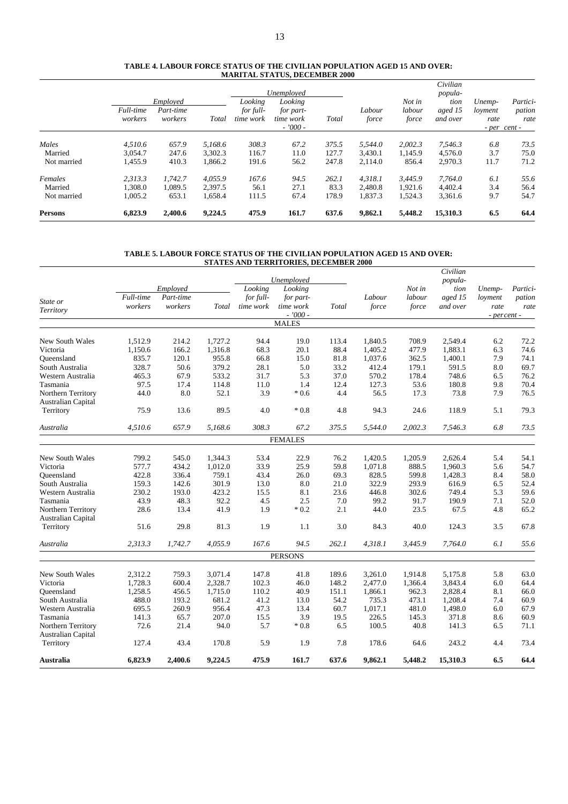#### **TABLE 4. LABOUR FORCE STATUS OF THE CIVILIAN POPULATION AGED 15 AND OVER: MARITAL STATUS, DECEMBER 2000**

|             |                      |                                  |         |                                   | Unemployed                                     |       |                 |                           | Civilian<br>popula-         |                           |                                            |
|-------------|----------------------|----------------------------------|---------|-----------------------------------|------------------------------------------------|-------|-----------------|---------------------------|-----------------------------|---------------------------|--------------------------------------------|
|             | Full-time<br>workers | Employed<br>Part-time<br>workers | Total   | Looking<br>for full-<br>time work | Looking<br>for part-<br>time work<br>$-7000 -$ | Total | Labour<br>force | Not in<br>labour<br>force | tion<br>aged 15<br>and over | Unemp-<br>loyment<br>rate | Partici-<br>pation<br>rate<br>- per cent - |
|             |                      |                                  |         |                                   |                                                |       |                 |                           |                             |                           |                                            |
| Males       | 4.510.6              | 657.9                            | 5.168.6 | 308.3                             | 67.2                                           | 375.5 | 5.544.0         | 2,002.3                   | 7,546.3                     | 6.8                       | 73.5                                       |
| Married     | 3.054.7              | 247.6                            | 3.302.3 | 116.7                             | 11.0                                           | 127.7 | 3.430.1         | 1.145.9                   | 4.576.0                     | 3.7                       | 75.0                                       |
| Not married | 1,455.9              | 410.3                            | 1,866.2 | 191.6                             | 56.2                                           | 247.8 | 2.114.0         | 856.4                     | 2,970.3                     | 11.7                      | 71.2                                       |
| Females     | 2.313.3              | 1.742.7                          | 4.055.9 | 167.6                             | 94.5                                           | 262.1 | 4.318.1         | 3.445.9                   | 7.764.0                     | 6.1                       | 55.6                                       |
| Married     | 1.308.0              | 1.089.5                          | 2.397.5 | 56.1                              | 27.1                                           | 83.3  | 2.480.8         | 1.921.6                   | 4.402.4                     | 3.4                       | 56.4                                       |
| Not married | 1,005.2              | 653.1                            | 1,658.4 | 111.5                             | 67.4                                           | 178.9 | 1,837.3         | 1,524.3                   | 3,361.6                     | 9.7                       | 54.7                                       |
| Persons     | 6,823.9              | 2,400.6                          | 9,224.5 | 475.9                             | 161.7                                          | 637.6 | 9,862.1         | 5,448.2                   | 15,310.3                    | 6.5                       | 64.4                                       |

#### **TABLE 5. LABOUR FORCE STATUS OF THE CIVILIAN POPULATION AGED 15 AND OVER: STATES AND TERRITORIES, DECEMBER 2000**

|                           |           |           |         |           |                           |       |         |         | Civilian |             |          |
|---------------------------|-----------|-----------|---------|-----------|---------------------------|-------|---------|---------|----------|-------------|----------|
|                           |           |           |         |           | Unemployed                |       |         |         | popula-  |             |          |
|                           |           | Employed  |         | Looking   | Looking                   |       |         | Not in  | tion     | Unemp-      | Partici- |
| State or                  | Full-time | Part-time |         | for full- | for part-                 |       | Labour  | labour  | aged 15  | loyment     | pation   |
| Territory                 | workers   | workers   | Total   | time work | time work                 | Total | force   | force   | and over | rate        | rate     |
|                           |           |           |         |           | $-7000 -$<br><b>MALES</b> |       |         |         |          | - percent - |          |
|                           |           |           |         |           |                           |       |         |         |          |             |          |
| <b>New South Wales</b>    | 1,512.9   | 214.2     | 1.727.2 | 94.4      | 19.0                      | 113.4 | 1.840.5 | 708.9   | 2.549.4  | 6.2         | 72.2     |
| Victoria                  | 1,150.6   | 166.2     | 1,316.8 | 68.3      | 20.1                      | 88.4  | 1,405.2 | 477.9   | 1,883.1  | 6.3         | 74.6     |
| Oueensland                | 835.7     | 120.1     | 955.8   | 66.8      | 15.0                      | 81.8  | 1,037.6 | 362.5   | 1,400.1  | 7.9         | 74.1     |
| South Australia           | 328.7     | 50.6      | 379.2   | 28.1      | 5.0                       | 33.2  | 412.4   | 179.1   | 591.5    | 8.0         | 69.7     |
| Western Australia         | 465.3     | 67.9      | 533.2   | 31.7      | 5.3                       | 37.0  | 570.2   | 178.4   | 748.6    | 6.5         | 76.2     |
| Tasmania                  | 97.5      | 17.4      | 114.8   | 11.0      | 1.4                       | 12.4  | 127.3   | 53.6    | 180.8    | 9.8         | 70.4     |
| Northern Territory        | 44.0      | 8.0       | 52.1    | 3.9       | $*0.6$                    | 4.4   | 56.5    | 17.3    | 73.8     | 7.9         | 76.5     |
| <b>Australian Capital</b> |           |           |         |           |                           |       |         |         |          |             |          |
| Territory                 | 75.9      | 13.6      | 89.5    | 4.0       | $*0.8$                    | 4.8   | 94.3    | 24.6    | 118.9    | 5.1         | 79.3     |
| Australia                 | 4,510.6   | 657.9     | 5,168.6 | 308.3     | 67.2                      | 375.5 | 5,544.0 | 2,002.3 | 7.546.3  | 6.8         | 73.5     |
|                           |           |           |         |           | <b>FEMALES</b>            |       |         |         |          |             |          |
|                           |           |           |         |           |                           |       |         |         |          |             |          |
| New South Wales           | 799.2     | 545.0     | 1,344.3 | 53.4      | 22.9                      | 76.2  | 1,420.5 | 1,205.9 | 2,626.4  | 5.4         | 54.1     |
| Victoria                  | 577.7     | 434.2     | 1,012.0 | 33.9      | 25.9                      | 59.8  | 1,071.8 | 888.5   | 1,960.3  | 5.6         | 54.7     |
| Oueensland                | 422.8     | 336.4     | 759.1   | 43.4      | 26.0                      | 69.3  | 828.5   | 599.8   | 1,428.3  | 8.4         | 58.0     |
| South Australia           | 159.3     | 142.6     | 301.9   | 13.0      | 8.0                       | 21.0  | 322.9   | 293.9   | 616.9    | 6.5         | 52.4     |
| Western Australia         | 230.2     | 193.0     | 423.2   | 15.5      | 8.1                       | 23.6  | 446.8   | 302.6   | 749.4    | 5.3         | 59.6     |
| Tasmania                  | 43.9      | 48.3      | 92.2    | 4.5       | 2.5                       | 7.0   | 99.2    | 91.7    | 190.9    | 7.1         | 52.0     |
| Northern Territory        | 28.6      | 13.4      | 41.9    | 1.9       | $*0.2$                    | 2.1   | 44.0    | 23.5    | 67.5     | 4.8         | 65.2     |
| Australian Capital        |           |           |         |           |                           |       |         |         |          |             |          |
| Territory                 | 51.6      | 29.8      | 81.3    | 1.9       | 1.1                       | 3.0   | 84.3    | 40.0    | 124.3    | 3.5         | 67.8     |
| Australia                 | 2,313.3   | 1,742.7   | 4,055.9 | 167.6     | 94.5                      | 262.1 | 4,318.1 | 3,445.9 | 7,764.0  | 6.1         | 55.6     |
|                           |           |           |         |           | <b>PERSONS</b>            |       |         |         |          |             |          |
| <b>New South Wales</b>    | 2,312.2   | 759.3     | 3,071.4 | 147.8     | 41.8                      | 189.6 | 3,261.0 | 1,914.8 | 5,175.8  | 5.8         | 63.0     |
| Victoria                  | 1,728.3   | 600.4     | 2,328.7 | 102.3     | 46.0                      | 148.2 | 2,477.0 | 1,366.4 | 3,843.4  | 6.0         | 64.4     |
| Oueensland                | 1,258.5   | 456.5     | 1,715.0 | 110.2     | 40.9                      | 151.1 | 1,866.1 | 962.3   | 2,828.4  | 8.1         | 66.0     |
| South Australia           | 488.0     | 193.2     | 681.2   | 41.2      | 13.0                      | 54.2  | 735.3   | 473.1   | 1,208.4  | 7.4         | 60.9     |
| Western Australia         | 695.5     | 260.9     | 956.4   | 47.3      | 13.4                      | 60.7  | 1,017.1 | 481.0   | 1,498.0  | 6.0         | 67.9     |
| Tasmania                  | 141.3     | 65.7      | 207.0   | 15.5      | 3.9                       | 19.5  | 226.5   | 145.3   | 371.8    | 8.6         | 60.9     |
| Northern Territory        | 72.6      | 21.4      | 94.0    | 5.7       | $*0.8$                    | 6.5   | 100.5   | 40.8    | 141.3    | 6.5         | 71.1     |
| Australian Capital        |           |           |         |           |                           |       |         |         |          |             |          |
| Territory                 | 127.4     | 43.4      | 170.8   | 5.9       | 1.9                       | 7.8   | 178.6   | 64.6    | 243.2    | 4.4         | 73.4     |
| Australia                 | 6,823.9   | 2,400.6   | 9,224.5 | 475.9     | 161.7                     | 637.6 | 9,862.1 | 5,448.2 | 15,310.3 | 6.5         | 64.4     |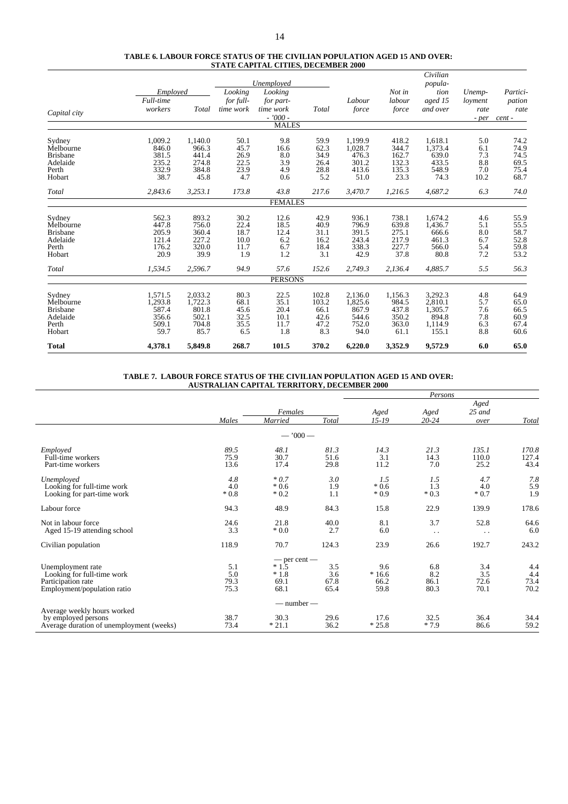#### **TABLE 6. LABOUR FORCE STATUS OF THE CIVILIAN POPULATION AGED 15 AND OVER: STATE CAPITAL CITIES, DECEMBER 2000**

|                 |                       |         |                      |                      |       |         |         | Civilian        |                   |                    |
|-----------------|-----------------------|---------|----------------------|----------------------|-------|---------|---------|-----------------|-------------------|--------------------|
|                 |                       |         |                      | Unemployed           |       |         | Not in  | popula-         |                   |                    |
|                 | Employed<br>Full-time |         | Looking<br>for full- | Looking<br>for part- |       | Labour  | labour  | tion<br>aged 15 | Unemp-<br>loyment | Partici-<br>pation |
|                 | workers               | Total   | time work            | time work            | Total | force   | force   | and over        | rate              | rate               |
| Capital city    |                       |         |                      | $-7000 -$            |       |         |         |                 | - per             | cent -             |
|                 |                       |         |                      | <b>MALES</b>         |       |         |         |                 |                   |                    |
| Sydney          | 1.009.2               | 1,140.0 | 50.1                 | 9.8                  | 59.9  | 1.199.9 | 418.2   | 1,618.1         | 5.0               | 74.2               |
| Melbourne       | 846.0                 | 966.3   | 45.7                 | 16.6                 | 62.3  | 1.028.7 | 344.7   | 1,373.4         | 6.1               | 74.9               |
| <b>Brisbane</b> | 381.5                 | 441.4   | 26.9                 | 8.0                  | 34.9  | 476.3   | 162.7   | 639.0           | 7.3               | 74.5               |
| Adelaide        | 235.2                 | 274.8   | 22.5                 | 3.9                  | 26.4  | 301.2   | 132.3   | 433.5           | 8.8               | 69.5               |
| Perth           | 332.9                 | 384.8   | 23.9                 | 4.9                  | 28.8  | 413.6   | 135.3   | 548.9           | 7.0               | 75.4               |
| Hobart          | 38.7                  | 45.8    | 4.7                  | 0.6                  | 5.2   | 51.0    | 23.3    | 74.3            | 10.2              | 68.7               |
| Total           | 2.843.6               | 3,253.1 | 173.8                | 43.8                 | 217.6 | 3,470.7 | 1,216.5 | 4,687.2         | 6.3               | 74.0               |
|                 |                       |         |                      | <b>FEMALES</b>       |       |         |         |                 |                   |                    |
| Sydney          | 562.3                 | 893.2   | 30.2                 | 12.6                 | 42.9  | 936.1   | 738.1   | 1,674.2         | 4.6               | 55.9               |
| Melbourne       | 447.8                 | 756.0   | 22.4                 | 18.5                 | 40.9  | 796.9   | 639.8   | 1,436.7         | 5.1               | 55.5               |
| <b>Brisbane</b> | 205.9                 | 360.4   | 18.7                 | 12.4                 | 31.1  | 391.5   | 275.1   | 666.6           | 8.0               | 58.7               |
| Adelaide        | 121.4                 | 227.2   | 10.0                 | 6.2                  | 16.2  | 243.4   | 217.9   | 461.3           | 6.7               | 52.8               |
| Perth           | 176.2                 | 320.0   | 11.7                 | 6.7                  | 18.4  | 338.3   | 227.7   | 566.0           | 5.4               | 59.8               |
| Hobart          | 20.9                  | 39.9    | 1.9                  | 1.2                  | 3.1   | 42.9    | 37.8    | 80.8            | 7.2               | 53.2               |
| Total           | 1,534.5               | 2,596.7 | 94.9                 | 57.6                 | 152.6 | 2,749.3 | 2,136.4 | 4,885.7         | 5.5               | 56.3               |
|                 |                       |         |                      | <b>PERSONS</b>       |       |         |         |                 |                   |                    |
| Sydney          | 1,571.5               | 2,033.2 | 80.3                 | 22.5                 | 102.8 | 2,136.0 | 1,156.3 | 3,292.3         | 4.8               | 64.9               |
| Melbourne       | 1,293.8               | 1,722.3 | 68.1                 | 35.1                 | 103.2 | 1,825.6 | 984.5   | 2,810.1         | 5.7               | 65.0               |
| <b>Brisbane</b> | 587.4                 | 801.8   | 45.6                 | 20.4                 | 66.1  | 867.9   | 437.8   | 1,305.7         | 7.6               | 66.5               |
| Adelaide        | 356.6                 | 502.1   | 32.5                 | 10.1                 | 42.6  | 544.6   | 350.2   | 894.8           | 7.8               | 60.9               |
| Perth           | 509.1                 | 704.8   | 35.5                 | 11.7                 | 47.2  | 752.0   | 363.0   | 1,114.9         | 6.3               | 67.4               |
| Hobart          | 59.7                  | 85.7    | 6.5                  | 1.8                  | 8.3   | 94.0    | 61.1    | 155.1           | 8.8               | 60.6               |
| <b>Total</b>    | 4,378.1               | 5,849.8 | 268.7                | 101.5                | 370.2 | 6,220.0 | 3,352.9 | 9,572.9         | 6.0               | 65.0               |

#### **TABLE 7. LABOUR FORCE STATUS OF THE CIVILIAN POPULATION AGED 15 AND OVER: AUSTRALIAN CAPITAL TERRITORY, DECEMBER 2000**

|                                          |        |                  |       |           | Persons              |                      |       |
|------------------------------------------|--------|------------------|-------|-----------|----------------------|----------------------|-------|
|                                          |        |                  |       |           |                      | Aged                 |       |
|                                          |        | Females          |       | Aged      | Aged                 | $25$ and             |       |
|                                          | Males  | Married          | Total | $15 - 19$ | $20 - 24$            | over                 | Total |
|                                          |        | $-7000-$         |       |           |                      |                      |       |
| Employed                                 | 89.5   | 48.1             | 81.3  | 14.3      | 21.3                 | 135.1                | 170.8 |
| Full-time workers                        | 75.9   | 30.7             | 51.6  | 3.1       | 14.3                 | 110.0                | 127.4 |
| Part-time workers                        | 13.6   | 17.4             | 29.8  | 11.2      | 7.0                  | 25.2                 | 43.4  |
| Unemployed                               | 4.8    | $*0.7$           | 3.0   | 1.5       | 1.5                  | 4.7                  | 7.8   |
| Looking for full-time work               | 4.0    | $*0.6$           | 1.9   | $*0.6$    | 1.3                  | 4.0                  | 5.9   |
| Looking for part-time work               | $*0.8$ | $*0.2$           | 1.1   | $*0.9$    | $*0.3$               | $*0.7$               | 1.9   |
| Labour force                             | 94.3   | 48.9             | 84.3  | 15.8      | 22.9                 | 139.9                | 178.6 |
| Not in labour force.                     | 24.6   | 21.8             | 40.0  | 8.1       | 3.7                  | 52.8                 | 64.6  |
| Aged 15-19 attending school              | 3.3    | $*0.0*$          | 2.7   | 6.0       | $\ddot{\phantom{0}}$ | $\ddot{\phantom{0}}$ | 6.0   |
| Civilian population                      | 118.9  | 70.7             | 124.3 | 23.9      | 26.6                 | 192.7                | 243.2 |
|                                          |        | $-$ per cent $-$ |       |           |                      |                      |       |
| Unemployment rate                        | 5.1    | $*1.5$           | 3.5   | 9.6       | 6.8                  | 3.4                  | 4.4   |
| Looking for full-time work               | 5.0    | $*1.8$           | 3.6   | $*16.6$   | 8.2                  | 3.5                  | 4.4   |
| Participation rate                       | 79.3   | 69.1             | 67.8  | 66.2      | 86.1                 | 72.6                 | 73.4  |
| Employment/population ratio              | 75.3   | 68.1             | 65.4  | 59.8      | 80.3                 | 70.1                 | 70.2  |
|                                          |        | $-$ number $-$   |       |           |                      |                      |       |
| Average weekly hours worked              |        |                  |       |           |                      |                      |       |
| by employed persons                      | 38.7   | 30.3             | 29.6  | 17.6      | 32.5                 | 36.4                 | 34.4  |
| Average duration of unemployment (weeks) | 73.4   | $*21.1$          | 36.2  | $*25.8$   | $*7.9$               | 86.6                 | 59.2  |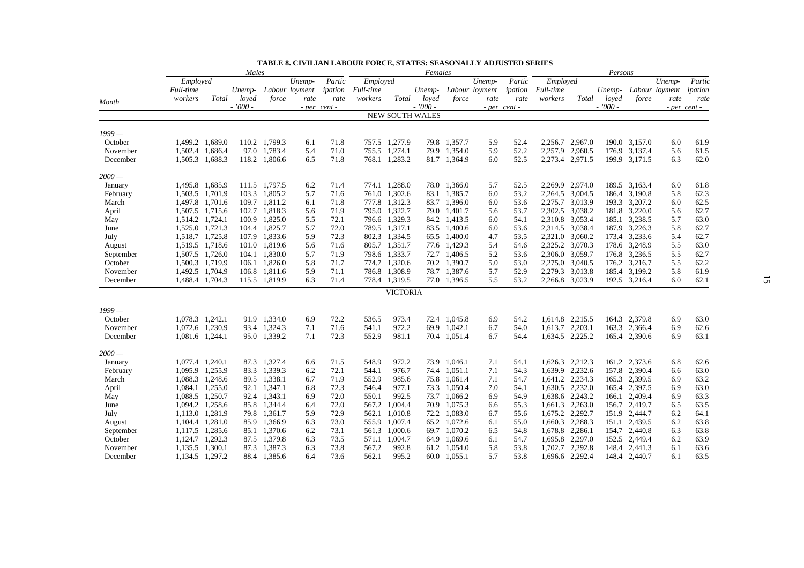| Employed<br>Employed<br>Partic<br>Unemp-<br>Partic<br>Unemp-<br>Partic<br>Employed<br>Unemp-<br>Full-time<br>Full-time<br>Full-time<br>ipation<br>Labour loyment<br>ipation<br>Labour loyment<br>Unemp-<br>Labour loyment<br>Unemp-<br>Unemp-<br>ipation<br>workers<br>Total<br>Total<br>Total<br>loyed<br>force<br>workers<br>loyed<br>force<br>rate<br>workers<br>loved<br>force<br>rate<br>rate<br>rate<br>rate<br>rate<br>Month<br>$-7000 -$<br>$-7000 -$<br>$-7000 -$<br>- per cent -<br>- per cent -<br>- per cent -<br><b>NEW SOUTH WALES</b><br>$1999-$<br>61.9<br>1,499.2 1,689.0<br>110.2 1,799.3<br>71.8<br>757.5 1,277.9<br>79.8 1,357.7<br>2,256.7 2,967.0<br>190.0 3,157.0<br>October<br>5.9<br>52.4<br>6.0<br>6.1<br>1,502.4 1,686.4<br>97.0 1.783.4<br>71.0<br>755.5 1,274.1<br>79.9 1,354.0<br>5.9<br>52.2<br>2,257.9<br>2,960.5<br>176.9 3,137.4<br>5.6<br>61.5<br>November<br>5.4<br>6.5<br>768.1 1,283.2<br>52.5<br>2,273.4 2,971.5<br>62.0<br>1,505.3 1,688.3<br>118.2 1,806.6<br>71.8<br>81.7 1,364.9<br>6.0<br>199.9 3,171.5<br>6.3<br>December<br>$2000 -$<br>111.5 1,797.5<br>774.1 1,288.0<br>78.0 1,366.0<br>52.5<br>2,269.9 2,974.0<br>61.8<br>1,495.8 1,685.9<br>6.2<br>71.4<br>5.7<br>189.5 3,163.4<br>6.0<br>January<br>1,503.5 1,701.9<br>103.3 1,805.2<br>71.6<br>761.0 1,302.6<br>83.1 1,385.7<br>53.2<br>62.3<br>5.7<br>6.0<br>2,264.5 3,004.5<br>186.4 3,190.8<br>5.8<br>February<br>1,497.8 1,701.6<br>53.6<br>193.3 3,207.2<br>62.5<br>109.7 1,811.2<br>71.8<br>777.8<br>1,312.3<br>83.7 1,396.0<br>2,275.7 3,013.9<br>6.0<br>March<br>6.1<br>6.0<br>102.7 1,818.3<br>71.9<br>795.0 1,322.7<br>79.0 1,401.7<br>53.7<br>2,302.5 3,038.2<br>181.8 3,220.0<br>62.7<br>April<br>1,507.5 1,715.6<br>5.6<br>5.6<br>5.6<br>1,514.2 1,724.1<br>100.9 1,825.0<br>5.5<br>72.1<br>796.6 1,329.3<br>84.2 1,413.5<br>54.1<br>185.1<br>3,238.5<br>5.7<br>63.0<br>6.0<br>2,310.8 3,053.4<br>May<br>1,525.0 1,721.3<br>104.4 1,825.7<br>72.0<br>789.5 1,317.1<br>83.5 1,400.6<br>53.6<br>187.9 3,226.3<br>5.8<br>62.7<br>5.7<br>6.0<br>2,314.5 3,038.4<br>June<br>62.7<br>107.9 1,833.6<br>5.9<br>72.3<br>802.3 1,334.5<br>65.5 1,400.0<br>53.5<br>173.4 3,233.6<br>5.4<br>1,518.7 1,725.8<br>4.7<br>2,321.0 3,060.2<br>July<br>1,519.5 1,718.6<br>101.0 1,819.6<br>5.6<br>71.6<br>805.7 1,351.7<br>77.6 1,429.3<br>5.4<br>54.6<br>2,325.2<br>3,070.3<br>178.6 3,248.9<br>5.5<br>63.0<br>August<br>1,507.5 1,726.0<br>104.1 1,830.0<br>798.6 1,333.7<br>72.7 1,406.5<br>62.7<br>September<br>5.7<br>71.9<br>5.2<br>53.6<br>2,306.0 3,059.7<br>176.8 3,236.5<br>5.5<br>70.2 1,390.7<br>53.0<br>5.5<br>62.2<br>October<br>1,500.3 1,719.9<br>106.1 1,826.0<br>5.8<br>71.7<br>774.7 1,320.6<br>5.0<br>2,275.0 3,040.5<br>176.2 3,216.7<br>November<br>1.492.5 1.704.9<br>106.8 1,811.6<br>5.9<br>71.1<br>786.8 1,308.9<br>78.7 1,387.6<br>5.7<br>52.9<br>2,279.3 3,013.8<br>185.4 3,199.2<br>5.8<br>61.9<br>53.2<br>1,488.4 1,704.3<br>115.5 1,819.9<br>6.3<br>71.4<br>778.4 1,319.5<br>77.0 1,396.5<br>5.5<br>2,266.8 3,023.9<br>192.5 3,216.4<br>6.0<br>62.1<br>December<br><b>VICTORIA</b><br>1,078.3 1,242.1<br>91.9 1,334.0<br>973.4<br>1,614.8 2,215.5<br>164.3 2,379.8<br>63.0<br>October<br>72.2<br>536.5<br>72.4 1,045.8<br>6.9<br>54.2<br>6.9<br>6.9<br>1.072.6 1.230.9<br>93.4 1.324.3<br>972.2<br>1.042.1<br>54.0<br>1.613.7 2.203.1<br>November<br>7.1<br>71.6<br>541.1<br>69.9<br>6.7<br>163.3 2,366.4<br>6.9<br>62.6<br>95.0 1,339.2<br>7.1<br>72.3<br>552.9<br>981.1<br>1,634.5 2,225.2<br>6.9<br>63.1<br>December<br>1,081.6 1,244.1<br>70.4 1,051.4<br>6.7<br>54.4<br>165.4 2,390.6<br>87.3 1,327.4<br>1,626.3 2,212.3<br>1,077.4 1,240.1<br>71.5<br>548.9<br>972.2<br>73.9 1.046.1<br>54.1<br>161.2 2,373.6<br>6.8<br>62.6<br>6.6<br>7.1<br>January<br>83.3 1.339.3<br>1,095.9 1,255.9<br>6.2<br>72.1<br>544.1<br>976.7<br>74.4 1.051.1<br>7.1<br>54.3<br>1,639.9 2,232.6<br>157.8 2,390.4<br>6.6<br>63.0<br>February<br>1,088.3 1,248.6<br>89.5 1,338.1<br>552.9<br>985.6<br>54.7<br>1,641.2 2,234.3<br>165.3 2,399.5<br>63.2<br>March<br>6.7<br>71.9<br>75.8 1,061.4<br>7.1<br>6.9<br>72.3<br>977.1<br>73.3 1,050.4<br>165.4 2,397.5<br>63.0<br>1,084.1 1,255.0<br>92.1 1,347.1<br>6.8<br>546.4<br>7.0<br>54.1<br>1,630.5 2,232.0<br>6.9<br>April<br>92.4 1.343.1<br>992.5<br>73.7<br>1,638.6 2,243.2<br>1,088.5 1,250.7<br>6.9<br>72.0<br>550.1<br>1.066.2<br>54.9<br>2.409.4<br>6.9<br>63.3<br>May<br>6.9<br>166.1<br>1,094.2 1,258.6<br>85.8 1,344.4<br>72.0<br>567.2<br>1,004.4<br>70.9 1,075.3<br>55.3<br>1,661.3 2,263.0<br>6.5<br>63.5<br>6.4<br>156.7 2,419.7<br>June<br>6.6<br>1,113.0 1,281.9<br>79.8 1,361.7<br>72.9<br>72.2 1,083.0<br>6.2<br>64.1<br>5.9<br>562.1<br>1,010.8<br>6.7<br>55.6<br>1,675.2 2,292.7<br>151.9 2,444.7<br>July<br>1,104.4 1,281.0<br>85.9 1,366.9<br>73.0<br>65.2 1,072.6<br>1,660.3 2,288.3<br>151.1 2,439.5<br>6.2<br>63.8<br>6.3<br>555.9<br>1,007.4<br>6.1<br>55.0<br>August<br>1,117.5 1,285.6<br>85.1 1,370.6<br>6.2<br>73.1<br>561.3 1,000.6<br>69.7 1,070.2<br>54.8<br>1,678.8 2,286.1<br>154.7 2,440.8<br>6.3<br>63.8<br>September<br>6.5<br>73.5<br>6.2<br>63.9<br>October<br>1,292.3<br>87.5 1,379.8<br>6.3<br>571.1<br>1,004.7<br>64.9 1,069.6<br>6.1<br>54.7<br>1,695.8 2,297.0<br>152.5 2,449.4<br>1,124.7<br>1,135.5 1,300.1<br>87.3 1,387.3<br>6.3<br>73.8<br>567.2<br>992.8<br>61.2 1,054.0<br>5.8<br>53.8<br>1,702.7 2,292.8<br>148.4 2,441.3<br>6.1<br>63.6<br>November<br>1,696.6 2,292.4 |          |  | Males |              |     |      |       |       | Females |     |      |  | Persons |     |      |
|---------------------------------------------------------------------------------------------------------------------------------------------------------------------------------------------------------------------------------------------------------------------------------------------------------------------------------------------------------------------------------------------------------------------------------------------------------------------------------------------------------------------------------------------------------------------------------------------------------------------------------------------------------------------------------------------------------------------------------------------------------------------------------------------------------------------------------------------------------------------------------------------------------------------------------------------------------------------------------------------------------------------------------------------------------------------------------------------------------------------------------------------------------------------------------------------------------------------------------------------------------------------------------------------------------------------------------------------------------------------------------------------------------------------------------------------------------------------------------------------------------------------------------------------------------------------------------------------------------------------------------------------------------------------------------------------------------------------------------------------------------------------------------------------------------------------------------------------------------------------------------------------------------------------------------------------------------------------------------------------------------------------------------------------------------------------------------------------------------------------------------------------------------------------------------------------------------------------------------------------------------------------------------------------------------------------------------------------------------------------------------------------------------------------------------------------------------------------------------------------------------------------------------------------------------------------------------------------------------------------------------------------------------------------------------------------------------------------------------------------------------------------------------------------------------------------------------------------------------------------------------------------------------------------------------------------------------------------------------------------------------------------------------------------------------------------------------------------------------------------------------------------------------------------------------------------------------------------------------------------------------------------------------------------------------------------------------------------------------------------------------------------------------------------------------------------------------------------------------------------------------------------------------------------------------------------------------------------------------------------------------------------------------------------------------------------------------------------------------------------------------------------------------------------------------------------------------------------------------------------------------------------------------------------------------------------------------------------------------------------------------------------------------------------------------------------------------------------------------------------------------------------------------------------------------------------------------------------------------------------------------------------------------------------------------------------------------------------------------------------------------------------------------------------------------------------------------------------------------------------------------------------------------------------------------------------------------------------------------------------------------------------------------------------------------------------------------------------------------------------------------------------------------------------------------------------------------------------------------------------------------------------------------------------------------------------------------------------------------------------------------------------------------------------------------------------------------------------------------------------------------------------------------------------------------------------------------------------------------------------------------------------------------------------------------------------------------------------------------------------------------------------------------------------------------------------------------------------------------------------|----------|--|-------|--------------|-----|------|-------|-------|---------|-----|------|--|---------|-----|------|
|                                                                                                                                                                                                                                                                                                                                                                                                                                                                                                                                                                                                                                                                                                                                                                                                                                                                                                                                                                                                                                                                                                                                                                                                                                                                                                                                                                                                                                                                                                                                                                                                                                                                                                                                                                                                                                                                                                                                                                                                                                                                                                                                                                                                                                                                                                                                                                                                                                                                                                                                                                                                                                                                                                                                                                                                                                                                                                                                                                                                                                                                                                                                                                                                                                                                                                                                                                                                                                                                                                                                                                                                                                                                                                                                                                                                                                                                                                                                                                                                                                                                                                                                                                                                                                                                                                                                                                                                                                                                                                                                                                                                                                                                                                                                                                                                                                                                                                                                                                                                                                                                                                                                                                                                                                                                                                                                                                                                                                                                                             |          |  |       |              |     |      |       |       |         |     |      |  |         |     |      |
|                                                                                                                                                                                                                                                                                                                                                                                                                                                                                                                                                                                                                                                                                                                                                                                                                                                                                                                                                                                                                                                                                                                                                                                                                                                                                                                                                                                                                                                                                                                                                                                                                                                                                                                                                                                                                                                                                                                                                                                                                                                                                                                                                                                                                                                                                                                                                                                                                                                                                                                                                                                                                                                                                                                                                                                                                                                                                                                                                                                                                                                                                                                                                                                                                                                                                                                                                                                                                                                                                                                                                                                                                                                                                                                                                                                                                                                                                                                                                                                                                                                                                                                                                                                                                                                                                                                                                                                                                                                                                                                                                                                                                                                                                                                                                                                                                                                                                                                                                                                                                                                                                                                                                                                                                                                                                                                                                                                                                                                                                             |          |  |       |              |     |      |       |       |         |     |      |  |         |     |      |
|                                                                                                                                                                                                                                                                                                                                                                                                                                                                                                                                                                                                                                                                                                                                                                                                                                                                                                                                                                                                                                                                                                                                                                                                                                                                                                                                                                                                                                                                                                                                                                                                                                                                                                                                                                                                                                                                                                                                                                                                                                                                                                                                                                                                                                                                                                                                                                                                                                                                                                                                                                                                                                                                                                                                                                                                                                                                                                                                                                                                                                                                                                                                                                                                                                                                                                                                                                                                                                                                                                                                                                                                                                                                                                                                                                                                                                                                                                                                                                                                                                                                                                                                                                                                                                                                                                                                                                                                                                                                                                                                                                                                                                                                                                                                                                                                                                                                                                                                                                                                                                                                                                                                                                                                                                                                                                                                                                                                                                                                                             |          |  |       |              |     |      |       |       |         |     |      |  |         |     |      |
|                                                                                                                                                                                                                                                                                                                                                                                                                                                                                                                                                                                                                                                                                                                                                                                                                                                                                                                                                                                                                                                                                                                                                                                                                                                                                                                                                                                                                                                                                                                                                                                                                                                                                                                                                                                                                                                                                                                                                                                                                                                                                                                                                                                                                                                                                                                                                                                                                                                                                                                                                                                                                                                                                                                                                                                                                                                                                                                                                                                                                                                                                                                                                                                                                                                                                                                                                                                                                                                                                                                                                                                                                                                                                                                                                                                                                                                                                                                                                                                                                                                                                                                                                                                                                                                                                                                                                                                                                                                                                                                                                                                                                                                                                                                                                                                                                                                                                                                                                                                                                                                                                                                                                                                                                                                                                                                                                                                                                                                                                             |          |  |       |              |     |      |       |       |         |     |      |  |         |     |      |
|                                                                                                                                                                                                                                                                                                                                                                                                                                                                                                                                                                                                                                                                                                                                                                                                                                                                                                                                                                                                                                                                                                                                                                                                                                                                                                                                                                                                                                                                                                                                                                                                                                                                                                                                                                                                                                                                                                                                                                                                                                                                                                                                                                                                                                                                                                                                                                                                                                                                                                                                                                                                                                                                                                                                                                                                                                                                                                                                                                                                                                                                                                                                                                                                                                                                                                                                                                                                                                                                                                                                                                                                                                                                                                                                                                                                                                                                                                                                                                                                                                                                                                                                                                                                                                                                                                                                                                                                                                                                                                                                                                                                                                                                                                                                                                                                                                                                                                                                                                                                                                                                                                                                                                                                                                                                                                                                                                                                                                                                                             |          |  |       |              |     |      |       |       |         |     |      |  |         |     |      |
|                                                                                                                                                                                                                                                                                                                                                                                                                                                                                                                                                                                                                                                                                                                                                                                                                                                                                                                                                                                                                                                                                                                                                                                                                                                                                                                                                                                                                                                                                                                                                                                                                                                                                                                                                                                                                                                                                                                                                                                                                                                                                                                                                                                                                                                                                                                                                                                                                                                                                                                                                                                                                                                                                                                                                                                                                                                                                                                                                                                                                                                                                                                                                                                                                                                                                                                                                                                                                                                                                                                                                                                                                                                                                                                                                                                                                                                                                                                                                                                                                                                                                                                                                                                                                                                                                                                                                                                                                                                                                                                                                                                                                                                                                                                                                                                                                                                                                                                                                                                                                                                                                                                                                                                                                                                                                                                                                                                                                                                                                             |          |  |       |              |     |      |       |       |         |     |      |  |         |     |      |
|                                                                                                                                                                                                                                                                                                                                                                                                                                                                                                                                                                                                                                                                                                                                                                                                                                                                                                                                                                                                                                                                                                                                                                                                                                                                                                                                                                                                                                                                                                                                                                                                                                                                                                                                                                                                                                                                                                                                                                                                                                                                                                                                                                                                                                                                                                                                                                                                                                                                                                                                                                                                                                                                                                                                                                                                                                                                                                                                                                                                                                                                                                                                                                                                                                                                                                                                                                                                                                                                                                                                                                                                                                                                                                                                                                                                                                                                                                                                                                                                                                                                                                                                                                                                                                                                                                                                                                                                                                                                                                                                                                                                                                                                                                                                                                                                                                                                                                                                                                                                                                                                                                                                                                                                                                                                                                                                                                                                                                                                                             |          |  |       |              |     |      |       |       |         |     |      |  |         |     |      |
|                                                                                                                                                                                                                                                                                                                                                                                                                                                                                                                                                                                                                                                                                                                                                                                                                                                                                                                                                                                                                                                                                                                                                                                                                                                                                                                                                                                                                                                                                                                                                                                                                                                                                                                                                                                                                                                                                                                                                                                                                                                                                                                                                                                                                                                                                                                                                                                                                                                                                                                                                                                                                                                                                                                                                                                                                                                                                                                                                                                                                                                                                                                                                                                                                                                                                                                                                                                                                                                                                                                                                                                                                                                                                                                                                                                                                                                                                                                                                                                                                                                                                                                                                                                                                                                                                                                                                                                                                                                                                                                                                                                                                                                                                                                                                                                                                                                                                                                                                                                                                                                                                                                                                                                                                                                                                                                                                                                                                                                                                             |          |  |       |              |     |      |       |       |         |     |      |  |         |     |      |
|                                                                                                                                                                                                                                                                                                                                                                                                                                                                                                                                                                                                                                                                                                                                                                                                                                                                                                                                                                                                                                                                                                                                                                                                                                                                                                                                                                                                                                                                                                                                                                                                                                                                                                                                                                                                                                                                                                                                                                                                                                                                                                                                                                                                                                                                                                                                                                                                                                                                                                                                                                                                                                                                                                                                                                                                                                                                                                                                                                                                                                                                                                                                                                                                                                                                                                                                                                                                                                                                                                                                                                                                                                                                                                                                                                                                                                                                                                                                                                                                                                                                                                                                                                                                                                                                                                                                                                                                                                                                                                                                                                                                                                                                                                                                                                                                                                                                                                                                                                                                                                                                                                                                                                                                                                                                                                                                                                                                                                                                                             |          |  |       |              |     |      |       |       |         |     |      |  |         |     |      |
|                                                                                                                                                                                                                                                                                                                                                                                                                                                                                                                                                                                                                                                                                                                                                                                                                                                                                                                                                                                                                                                                                                                                                                                                                                                                                                                                                                                                                                                                                                                                                                                                                                                                                                                                                                                                                                                                                                                                                                                                                                                                                                                                                                                                                                                                                                                                                                                                                                                                                                                                                                                                                                                                                                                                                                                                                                                                                                                                                                                                                                                                                                                                                                                                                                                                                                                                                                                                                                                                                                                                                                                                                                                                                                                                                                                                                                                                                                                                                                                                                                                                                                                                                                                                                                                                                                                                                                                                                                                                                                                                                                                                                                                                                                                                                                                                                                                                                                                                                                                                                                                                                                                                                                                                                                                                                                                                                                                                                                                                                             |          |  |       |              |     |      |       |       |         |     |      |  |         |     |      |
|                                                                                                                                                                                                                                                                                                                                                                                                                                                                                                                                                                                                                                                                                                                                                                                                                                                                                                                                                                                                                                                                                                                                                                                                                                                                                                                                                                                                                                                                                                                                                                                                                                                                                                                                                                                                                                                                                                                                                                                                                                                                                                                                                                                                                                                                                                                                                                                                                                                                                                                                                                                                                                                                                                                                                                                                                                                                                                                                                                                                                                                                                                                                                                                                                                                                                                                                                                                                                                                                                                                                                                                                                                                                                                                                                                                                                                                                                                                                                                                                                                                                                                                                                                                                                                                                                                                                                                                                                                                                                                                                                                                                                                                                                                                                                                                                                                                                                                                                                                                                                                                                                                                                                                                                                                                                                                                                                                                                                                                                                             |          |  |       |              |     |      |       |       |         |     |      |  |         |     |      |
|                                                                                                                                                                                                                                                                                                                                                                                                                                                                                                                                                                                                                                                                                                                                                                                                                                                                                                                                                                                                                                                                                                                                                                                                                                                                                                                                                                                                                                                                                                                                                                                                                                                                                                                                                                                                                                                                                                                                                                                                                                                                                                                                                                                                                                                                                                                                                                                                                                                                                                                                                                                                                                                                                                                                                                                                                                                                                                                                                                                                                                                                                                                                                                                                                                                                                                                                                                                                                                                                                                                                                                                                                                                                                                                                                                                                                                                                                                                                                                                                                                                                                                                                                                                                                                                                                                                                                                                                                                                                                                                                                                                                                                                                                                                                                                                                                                                                                                                                                                                                                                                                                                                                                                                                                                                                                                                                                                                                                                                                                             |          |  |       |              |     |      |       |       |         |     |      |  |         |     |      |
|                                                                                                                                                                                                                                                                                                                                                                                                                                                                                                                                                                                                                                                                                                                                                                                                                                                                                                                                                                                                                                                                                                                                                                                                                                                                                                                                                                                                                                                                                                                                                                                                                                                                                                                                                                                                                                                                                                                                                                                                                                                                                                                                                                                                                                                                                                                                                                                                                                                                                                                                                                                                                                                                                                                                                                                                                                                                                                                                                                                                                                                                                                                                                                                                                                                                                                                                                                                                                                                                                                                                                                                                                                                                                                                                                                                                                                                                                                                                                                                                                                                                                                                                                                                                                                                                                                                                                                                                                                                                                                                                                                                                                                                                                                                                                                                                                                                                                                                                                                                                                                                                                                                                                                                                                                                                                                                                                                                                                                                                                             |          |  |       |              |     |      |       |       |         |     |      |  |         |     |      |
|                                                                                                                                                                                                                                                                                                                                                                                                                                                                                                                                                                                                                                                                                                                                                                                                                                                                                                                                                                                                                                                                                                                                                                                                                                                                                                                                                                                                                                                                                                                                                                                                                                                                                                                                                                                                                                                                                                                                                                                                                                                                                                                                                                                                                                                                                                                                                                                                                                                                                                                                                                                                                                                                                                                                                                                                                                                                                                                                                                                                                                                                                                                                                                                                                                                                                                                                                                                                                                                                                                                                                                                                                                                                                                                                                                                                                                                                                                                                                                                                                                                                                                                                                                                                                                                                                                                                                                                                                                                                                                                                                                                                                                                                                                                                                                                                                                                                                                                                                                                                                                                                                                                                                                                                                                                                                                                                                                                                                                                                                             |          |  |       |              |     |      |       |       |         |     |      |  |         |     |      |
|                                                                                                                                                                                                                                                                                                                                                                                                                                                                                                                                                                                                                                                                                                                                                                                                                                                                                                                                                                                                                                                                                                                                                                                                                                                                                                                                                                                                                                                                                                                                                                                                                                                                                                                                                                                                                                                                                                                                                                                                                                                                                                                                                                                                                                                                                                                                                                                                                                                                                                                                                                                                                                                                                                                                                                                                                                                                                                                                                                                                                                                                                                                                                                                                                                                                                                                                                                                                                                                                                                                                                                                                                                                                                                                                                                                                                                                                                                                                                                                                                                                                                                                                                                                                                                                                                                                                                                                                                                                                                                                                                                                                                                                                                                                                                                                                                                                                                                                                                                                                                                                                                                                                                                                                                                                                                                                                                                                                                                                                                             |          |  |       |              |     |      |       |       |         |     |      |  |         |     |      |
|                                                                                                                                                                                                                                                                                                                                                                                                                                                                                                                                                                                                                                                                                                                                                                                                                                                                                                                                                                                                                                                                                                                                                                                                                                                                                                                                                                                                                                                                                                                                                                                                                                                                                                                                                                                                                                                                                                                                                                                                                                                                                                                                                                                                                                                                                                                                                                                                                                                                                                                                                                                                                                                                                                                                                                                                                                                                                                                                                                                                                                                                                                                                                                                                                                                                                                                                                                                                                                                                                                                                                                                                                                                                                                                                                                                                                                                                                                                                                                                                                                                                                                                                                                                                                                                                                                                                                                                                                                                                                                                                                                                                                                                                                                                                                                                                                                                                                                                                                                                                                                                                                                                                                                                                                                                                                                                                                                                                                                                                                             |          |  |       |              |     |      |       |       |         |     |      |  |         |     |      |
|                                                                                                                                                                                                                                                                                                                                                                                                                                                                                                                                                                                                                                                                                                                                                                                                                                                                                                                                                                                                                                                                                                                                                                                                                                                                                                                                                                                                                                                                                                                                                                                                                                                                                                                                                                                                                                                                                                                                                                                                                                                                                                                                                                                                                                                                                                                                                                                                                                                                                                                                                                                                                                                                                                                                                                                                                                                                                                                                                                                                                                                                                                                                                                                                                                                                                                                                                                                                                                                                                                                                                                                                                                                                                                                                                                                                                                                                                                                                                                                                                                                                                                                                                                                                                                                                                                                                                                                                                                                                                                                                                                                                                                                                                                                                                                                                                                                                                                                                                                                                                                                                                                                                                                                                                                                                                                                                                                                                                                                                                             |          |  |       |              |     |      |       |       |         |     |      |  |         |     |      |
|                                                                                                                                                                                                                                                                                                                                                                                                                                                                                                                                                                                                                                                                                                                                                                                                                                                                                                                                                                                                                                                                                                                                                                                                                                                                                                                                                                                                                                                                                                                                                                                                                                                                                                                                                                                                                                                                                                                                                                                                                                                                                                                                                                                                                                                                                                                                                                                                                                                                                                                                                                                                                                                                                                                                                                                                                                                                                                                                                                                                                                                                                                                                                                                                                                                                                                                                                                                                                                                                                                                                                                                                                                                                                                                                                                                                                                                                                                                                                                                                                                                                                                                                                                                                                                                                                                                                                                                                                                                                                                                                                                                                                                                                                                                                                                                                                                                                                                                                                                                                                                                                                                                                                                                                                                                                                                                                                                                                                                                                                             |          |  |       |              |     |      |       |       |         |     |      |  |         |     |      |
|                                                                                                                                                                                                                                                                                                                                                                                                                                                                                                                                                                                                                                                                                                                                                                                                                                                                                                                                                                                                                                                                                                                                                                                                                                                                                                                                                                                                                                                                                                                                                                                                                                                                                                                                                                                                                                                                                                                                                                                                                                                                                                                                                                                                                                                                                                                                                                                                                                                                                                                                                                                                                                                                                                                                                                                                                                                                                                                                                                                                                                                                                                                                                                                                                                                                                                                                                                                                                                                                                                                                                                                                                                                                                                                                                                                                                                                                                                                                                                                                                                                                                                                                                                                                                                                                                                                                                                                                                                                                                                                                                                                                                                                                                                                                                                                                                                                                                                                                                                                                                                                                                                                                                                                                                                                                                                                                                                                                                                                                                             |          |  |       |              |     |      |       |       |         |     |      |  |         |     |      |
|                                                                                                                                                                                                                                                                                                                                                                                                                                                                                                                                                                                                                                                                                                                                                                                                                                                                                                                                                                                                                                                                                                                                                                                                                                                                                                                                                                                                                                                                                                                                                                                                                                                                                                                                                                                                                                                                                                                                                                                                                                                                                                                                                                                                                                                                                                                                                                                                                                                                                                                                                                                                                                                                                                                                                                                                                                                                                                                                                                                                                                                                                                                                                                                                                                                                                                                                                                                                                                                                                                                                                                                                                                                                                                                                                                                                                                                                                                                                                                                                                                                                                                                                                                                                                                                                                                                                                                                                                                                                                                                                                                                                                                                                                                                                                                                                                                                                                                                                                                                                                                                                                                                                                                                                                                                                                                                                                                                                                                                                                             |          |  |       |              |     |      |       |       |         |     |      |  |         |     |      |
|                                                                                                                                                                                                                                                                                                                                                                                                                                                                                                                                                                                                                                                                                                                                                                                                                                                                                                                                                                                                                                                                                                                                                                                                                                                                                                                                                                                                                                                                                                                                                                                                                                                                                                                                                                                                                                                                                                                                                                                                                                                                                                                                                                                                                                                                                                                                                                                                                                                                                                                                                                                                                                                                                                                                                                                                                                                                                                                                                                                                                                                                                                                                                                                                                                                                                                                                                                                                                                                                                                                                                                                                                                                                                                                                                                                                                                                                                                                                                                                                                                                                                                                                                                                                                                                                                                                                                                                                                                                                                                                                                                                                                                                                                                                                                                                                                                                                                                                                                                                                                                                                                                                                                                                                                                                                                                                                                                                                                                                                                             |          |  |       |              |     |      |       |       |         |     |      |  |         |     |      |
|                                                                                                                                                                                                                                                                                                                                                                                                                                                                                                                                                                                                                                                                                                                                                                                                                                                                                                                                                                                                                                                                                                                                                                                                                                                                                                                                                                                                                                                                                                                                                                                                                                                                                                                                                                                                                                                                                                                                                                                                                                                                                                                                                                                                                                                                                                                                                                                                                                                                                                                                                                                                                                                                                                                                                                                                                                                                                                                                                                                                                                                                                                                                                                                                                                                                                                                                                                                                                                                                                                                                                                                                                                                                                                                                                                                                                                                                                                                                                                                                                                                                                                                                                                                                                                                                                                                                                                                                                                                                                                                                                                                                                                                                                                                                                                                                                                                                                                                                                                                                                                                                                                                                                                                                                                                                                                                                                                                                                                                                                             |          |  |       |              |     |      |       |       |         |     |      |  |         |     |      |
|                                                                                                                                                                                                                                                                                                                                                                                                                                                                                                                                                                                                                                                                                                                                                                                                                                                                                                                                                                                                                                                                                                                                                                                                                                                                                                                                                                                                                                                                                                                                                                                                                                                                                                                                                                                                                                                                                                                                                                                                                                                                                                                                                                                                                                                                                                                                                                                                                                                                                                                                                                                                                                                                                                                                                                                                                                                                                                                                                                                                                                                                                                                                                                                                                                                                                                                                                                                                                                                                                                                                                                                                                                                                                                                                                                                                                                                                                                                                                                                                                                                                                                                                                                                                                                                                                                                                                                                                                                                                                                                                                                                                                                                                                                                                                                                                                                                                                                                                                                                                                                                                                                                                                                                                                                                                                                                                                                                                                                                                                             |          |  |       |              |     |      |       |       |         |     |      |  |         |     |      |
|                                                                                                                                                                                                                                                                                                                                                                                                                                                                                                                                                                                                                                                                                                                                                                                                                                                                                                                                                                                                                                                                                                                                                                                                                                                                                                                                                                                                                                                                                                                                                                                                                                                                                                                                                                                                                                                                                                                                                                                                                                                                                                                                                                                                                                                                                                                                                                                                                                                                                                                                                                                                                                                                                                                                                                                                                                                                                                                                                                                                                                                                                                                                                                                                                                                                                                                                                                                                                                                                                                                                                                                                                                                                                                                                                                                                                                                                                                                                                                                                                                                                                                                                                                                                                                                                                                                                                                                                                                                                                                                                                                                                                                                                                                                                                                                                                                                                                                                                                                                                                                                                                                                                                                                                                                                                                                                                                                                                                                                                                             |          |  |       |              |     |      |       |       |         |     |      |  |         |     |      |
|                                                                                                                                                                                                                                                                                                                                                                                                                                                                                                                                                                                                                                                                                                                                                                                                                                                                                                                                                                                                                                                                                                                                                                                                                                                                                                                                                                                                                                                                                                                                                                                                                                                                                                                                                                                                                                                                                                                                                                                                                                                                                                                                                                                                                                                                                                                                                                                                                                                                                                                                                                                                                                                                                                                                                                                                                                                                                                                                                                                                                                                                                                                                                                                                                                                                                                                                                                                                                                                                                                                                                                                                                                                                                                                                                                                                                                                                                                                                                                                                                                                                                                                                                                                                                                                                                                                                                                                                                                                                                                                                                                                                                                                                                                                                                                                                                                                                                                                                                                                                                                                                                                                                                                                                                                                                                                                                                                                                                                                                                             | 1999 —   |  |       |              |     |      |       |       |         |     |      |  |         |     |      |
|                                                                                                                                                                                                                                                                                                                                                                                                                                                                                                                                                                                                                                                                                                                                                                                                                                                                                                                                                                                                                                                                                                                                                                                                                                                                                                                                                                                                                                                                                                                                                                                                                                                                                                                                                                                                                                                                                                                                                                                                                                                                                                                                                                                                                                                                                                                                                                                                                                                                                                                                                                                                                                                                                                                                                                                                                                                                                                                                                                                                                                                                                                                                                                                                                                                                                                                                                                                                                                                                                                                                                                                                                                                                                                                                                                                                                                                                                                                                                                                                                                                                                                                                                                                                                                                                                                                                                                                                                                                                                                                                                                                                                                                                                                                                                                                                                                                                                                                                                                                                                                                                                                                                                                                                                                                                                                                                                                                                                                                                                             |          |  |       |              |     |      |       |       |         |     |      |  |         |     |      |
|                                                                                                                                                                                                                                                                                                                                                                                                                                                                                                                                                                                                                                                                                                                                                                                                                                                                                                                                                                                                                                                                                                                                                                                                                                                                                                                                                                                                                                                                                                                                                                                                                                                                                                                                                                                                                                                                                                                                                                                                                                                                                                                                                                                                                                                                                                                                                                                                                                                                                                                                                                                                                                                                                                                                                                                                                                                                                                                                                                                                                                                                                                                                                                                                                                                                                                                                                                                                                                                                                                                                                                                                                                                                                                                                                                                                                                                                                                                                                                                                                                                                                                                                                                                                                                                                                                                                                                                                                                                                                                                                                                                                                                                                                                                                                                                                                                                                                                                                                                                                                                                                                                                                                                                                                                                                                                                                                                                                                                                                                             |          |  |       |              |     |      |       |       |         |     |      |  |         |     |      |
|                                                                                                                                                                                                                                                                                                                                                                                                                                                                                                                                                                                                                                                                                                                                                                                                                                                                                                                                                                                                                                                                                                                                                                                                                                                                                                                                                                                                                                                                                                                                                                                                                                                                                                                                                                                                                                                                                                                                                                                                                                                                                                                                                                                                                                                                                                                                                                                                                                                                                                                                                                                                                                                                                                                                                                                                                                                                                                                                                                                                                                                                                                                                                                                                                                                                                                                                                                                                                                                                                                                                                                                                                                                                                                                                                                                                                                                                                                                                                                                                                                                                                                                                                                                                                                                                                                                                                                                                                                                                                                                                                                                                                                                                                                                                                                                                                                                                                                                                                                                                                                                                                                                                                                                                                                                                                                                                                                                                                                                                                             |          |  |       |              |     |      |       |       |         |     |      |  |         |     |      |
|                                                                                                                                                                                                                                                                                                                                                                                                                                                                                                                                                                                                                                                                                                                                                                                                                                                                                                                                                                                                                                                                                                                                                                                                                                                                                                                                                                                                                                                                                                                                                                                                                                                                                                                                                                                                                                                                                                                                                                                                                                                                                                                                                                                                                                                                                                                                                                                                                                                                                                                                                                                                                                                                                                                                                                                                                                                                                                                                                                                                                                                                                                                                                                                                                                                                                                                                                                                                                                                                                                                                                                                                                                                                                                                                                                                                                                                                                                                                                                                                                                                                                                                                                                                                                                                                                                                                                                                                                                                                                                                                                                                                                                                                                                                                                                                                                                                                                                                                                                                                                                                                                                                                                                                                                                                                                                                                                                                                                                                                                             | $2000 -$ |  |       |              |     |      |       |       |         |     |      |  |         |     |      |
|                                                                                                                                                                                                                                                                                                                                                                                                                                                                                                                                                                                                                                                                                                                                                                                                                                                                                                                                                                                                                                                                                                                                                                                                                                                                                                                                                                                                                                                                                                                                                                                                                                                                                                                                                                                                                                                                                                                                                                                                                                                                                                                                                                                                                                                                                                                                                                                                                                                                                                                                                                                                                                                                                                                                                                                                                                                                                                                                                                                                                                                                                                                                                                                                                                                                                                                                                                                                                                                                                                                                                                                                                                                                                                                                                                                                                                                                                                                                                                                                                                                                                                                                                                                                                                                                                                                                                                                                                                                                                                                                                                                                                                                                                                                                                                                                                                                                                                                                                                                                                                                                                                                                                                                                                                                                                                                                                                                                                                                                                             |          |  |       |              |     |      |       |       |         |     |      |  |         |     |      |
|                                                                                                                                                                                                                                                                                                                                                                                                                                                                                                                                                                                                                                                                                                                                                                                                                                                                                                                                                                                                                                                                                                                                                                                                                                                                                                                                                                                                                                                                                                                                                                                                                                                                                                                                                                                                                                                                                                                                                                                                                                                                                                                                                                                                                                                                                                                                                                                                                                                                                                                                                                                                                                                                                                                                                                                                                                                                                                                                                                                                                                                                                                                                                                                                                                                                                                                                                                                                                                                                                                                                                                                                                                                                                                                                                                                                                                                                                                                                                                                                                                                                                                                                                                                                                                                                                                                                                                                                                                                                                                                                                                                                                                                                                                                                                                                                                                                                                                                                                                                                                                                                                                                                                                                                                                                                                                                                                                                                                                                                                             |          |  |       |              |     |      |       |       |         |     |      |  |         |     |      |
|                                                                                                                                                                                                                                                                                                                                                                                                                                                                                                                                                                                                                                                                                                                                                                                                                                                                                                                                                                                                                                                                                                                                                                                                                                                                                                                                                                                                                                                                                                                                                                                                                                                                                                                                                                                                                                                                                                                                                                                                                                                                                                                                                                                                                                                                                                                                                                                                                                                                                                                                                                                                                                                                                                                                                                                                                                                                                                                                                                                                                                                                                                                                                                                                                                                                                                                                                                                                                                                                                                                                                                                                                                                                                                                                                                                                                                                                                                                                                                                                                                                                                                                                                                                                                                                                                                                                                                                                                                                                                                                                                                                                                                                                                                                                                                                                                                                                                                                                                                                                                                                                                                                                                                                                                                                                                                                                                                                                                                                                                             |          |  |       |              |     |      |       |       |         |     |      |  |         |     |      |
|                                                                                                                                                                                                                                                                                                                                                                                                                                                                                                                                                                                                                                                                                                                                                                                                                                                                                                                                                                                                                                                                                                                                                                                                                                                                                                                                                                                                                                                                                                                                                                                                                                                                                                                                                                                                                                                                                                                                                                                                                                                                                                                                                                                                                                                                                                                                                                                                                                                                                                                                                                                                                                                                                                                                                                                                                                                                                                                                                                                                                                                                                                                                                                                                                                                                                                                                                                                                                                                                                                                                                                                                                                                                                                                                                                                                                                                                                                                                                                                                                                                                                                                                                                                                                                                                                                                                                                                                                                                                                                                                                                                                                                                                                                                                                                                                                                                                                                                                                                                                                                                                                                                                                                                                                                                                                                                                                                                                                                                                                             |          |  |       |              |     |      |       |       |         |     |      |  |         |     |      |
|                                                                                                                                                                                                                                                                                                                                                                                                                                                                                                                                                                                                                                                                                                                                                                                                                                                                                                                                                                                                                                                                                                                                                                                                                                                                                                                                                                                                                                                                                                                                                                                                                                                                                                                                                                                                                                                                                                                                                                                                                                                                                                                                                                                                                                                                                                                                                                                                                                                                                                                                                                                                                                                                                                                                                                                                                                                                                                                                                                                                                                                                                                                                                                                                                                                                                                                                                                                                                                                                                                                                                                                                                                                                                                                                                                                                                                                                                                                                                                                                                                                                                                                                                                                                                                                                                                                                                                                                                                                                                                                                                                                                                                                                                                                                                                                                                                                                                                                                                                                                                                                                                                                                                                                                                                                                                                                                                                                                                                                                                             |          |  |       |              |     |      |       |       |         |     |      |  |         |     |      |
|                                                                                                                                                                                                                                                                                                                                                                                                                                                                                                                                                                                                                                                                                                                                                                                                                                                                                                                                                                                                                                                                                                                                                                                                                                                                                                                                                                                                                                                                                                                                                                                                                                                                                                                                                                                                                                                                                                                                                                                                                                                                                                                                                                                                                                                                                                                                                                                                                                                                                                                                                                                                                                                                                                                                                                                                                                                                                                                                                                                                                                                                                                                                                                                                                                                                                                                                                                                                                                                                                                                                                                                                                                                                                                                                                                                                                                                                                                                                                                                                                                                                                                                                                                                                                                                                                                                                                                                                                                                                                                                                                                                                                                                                                                                                                                                                                                                                                                                                                                                                                                                                                                                                                                                                                                                                                                                                                                                                                                                                                             |          |  |       |              |     |      |       |       |         |     |      |  |         |     |      |
|                                                                                                                                                                                                                                                                                                                                                                                                                                                                                                                                                                                                                                                                                                                                                                                                                                                                                                                                                                                                                                                                                                                                                                                                                                                                                                                                                                                                                                                                                                                                                                                                                                                                                                                                                                                                                                                                                                                                                                                                                                                                                                                                                                                                                                                                                                                                                                                                                                                                                                                                                                                                                                                                                                                                                                                                                                                                                                                                                                                                                                                                                                                                                                                                                                                                                                                                                                                                                                                                                                                                                                                                                                                                                                                                                                                                                                                                                                                                                                                                                                                                                                                                                                                                                                                                                                                                                                                                                                                                                                                                                                                                                                                                                                                                                                                                                                                                                                                                                                                                                                                                                                                                                                                                                                                                                                                                                                                                                                                                                             |          |  |       |              |     |      |       |       |         |     |      |  |         |     |      |
|                                                                                                                                                                                                                                                                                                                                                                                                                                                                                                                                                                                                                                                                                                                                                                                                                                                                                                                                                                                                                                                                                                                                                                                                                                                                                                                                                                                                                                                                                                                                                                                                                                                                                                                                                                                                                                                                                                                                                                                                                                                                                                                                                                                                                                                                                                                                                                                                                                                                                                                                                                                                                                                                                                                                                                                                                                                                                                                                                                                                                                                                                                                                                                                                                                                                                                                                                                                                                                                                                                                                                                                                                                                                                                                                                                                                                                                                                                                                                                                                                                                                                                                                                                                                                                                                                                                                                                                                                                                                                                                                                                                                                                                                                                                                                                                                                                                                                                                                                                                                                                                                                                                                                                                                                                                                                                                                                                                                                                                                                             |          |  |       |              |     |      |       |       |         |     |      |  |         |     |      |
|                                                                                                                                                                                                                                                                                                                                                                                                                                                                                                                                                                                                                                                                                                                                                                                                                                                                                                                                                                                                                                                                                                                                                                                                                                                                                                                                                                                                                                                                                                                                                                                                                                                                                                                                                                                                                                                                                                                                                                                                                                                                                                                                                                                                                                                                                                                                                                                                                                                                                                                                                                                                                                                                                                                                                                                                                                                                                                                                                                                                                                                                                                                                                                                                                                                                                                                                                                                                                                                                                                                                                                                                                                                                                                                                                                                                                                                                                                                                                                                                                                                                                                                                                                                                                                                                                                                                                                                                                                                                                                                                                                                                                                                                                                                                                                                                                                                                                                                                                                                                                                                                                                                                                                                                                                                                                                                                                                                                                                                                                             |          |  |       |              |     |      |       |       |         |     |      |  |         |     |      |
|                                                                                                                                                                                                                                                                                                                                                                                                                                                                                                                                                                                                                                                                                                                                                                                                                                                                                                                                                                                                                                                                                                                                                                                                                                                                                                                                                                                                                                                                                                                                                                                                                                                                                                                                                                                                                                                                                                                                                                                                                                                                                                                                                                                                                                                                                                                                                                                                                                                                                                                                                                                                                                                                                                                                                                                                                                                                                                                                                                                                                                                                                                                                                                                                                                                                                                                                                                                                                                                                                                                                                                                                                                                                                                                                                                                                                                                                                                                                                                                                                                                                                                                                                                                                                                                                                                                                                                                                                                                                                                                                                                                                                                                                                                                                                                                                                                                                                                                                                                                                                                                                                                                                                                                                                                                                                                                                                                                                                                                                                             |          |  |       |              |     |      |       |       |         |     |      |  |         |     |      |
|                                                                                                                                                                                                                                                                                                                                                                                                                                                                                                                                                                                                                                                                                                                                                                                                                                                                                                                                                                                                                                                                                                                                                                                                                                                                                                                                                                                                                                                                                                                                                                                                                                                                                                                                                                                                                                                                                                                                                                                                                                                                                                                                                                                                                                                                                                                                                                                                                                                                                                                                                                                                                                                                                                                                                                                                                                                                                                                                                                                                                                                                                                                                                                                                                                                                                                                                                                                                                                                                                                                                                                                                                                                                                                                                                                                                                                                                                                                                                                                                                                                                                                                                                                                                                                                                                                                                                                                                                                                                                                                                                                                                                                                                                                                                                                                                                                                                                                                                                                                                                                                                                                                                                                                                                                                                                                                                                                                                                                                                                             |          |  |       |              |     |      |       |       |         |     |      |  |         |     |      |
| 1,134.5 1,297.2<br>60.0 1,055.1<br>148.4 2,440.7                                                                                                                                                                                                                                                                                                                                                                                                                                                                                                                                                                                                                                                                                                                                                                                                                                                                                                                                                                                                                                                                                                                                                                                                                                                                                                                                                                                                                                                                                                                                                                                                                                                                                                                                                                                                                                                                                                                                                                                                                                                                                                                                                                                                                                                                                                                                                                                                                                                                                                                                                                                                                                                                                                                                                                                                                                                                                                                                                                                                                                                                                                                                                                                                                                                                                                                                                                                                                                                                                                                                                                                                                                                                                                                                                                                                                                                                                                                                                                                                                                                                                                                                                                                                                                                                                                                                                                                                                                                                                                                                                                                                                                                                                                                                                                                                                                                                                                                                                                                                                                                                                                                                                                                                                                                                                                                                                                                                                                            | December |  |       | 88.4 1,385.6 | 6.4 | 73.6 | 562.1 | 995.2 |         | 5.7 | 53.8 |  |         | 6.1 | 63.5 |

**TABLE 8. CIVILIAN LABOUR FORCE, STATES: SEASONALLY ADJUSTED SERIES**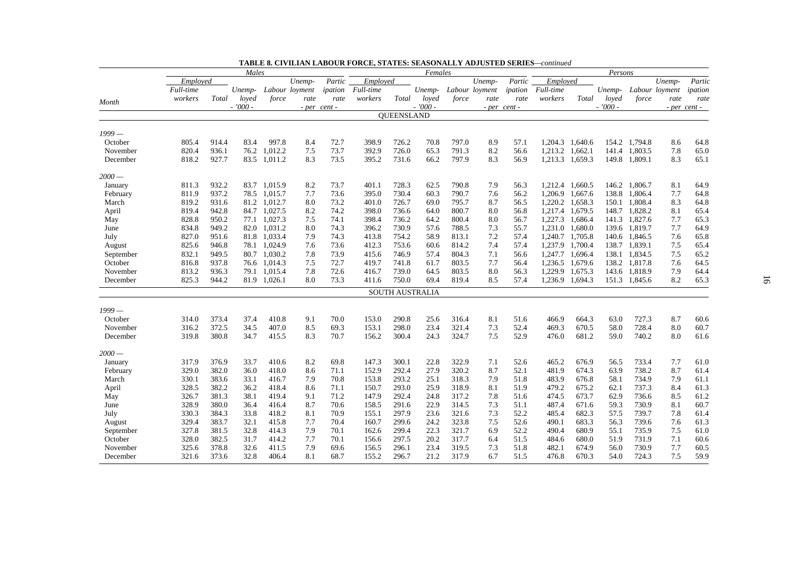|           |           |       | Males     |              |                |              |           |            | Females                |       |                |              |           |                 | Persons   |               |                |              |
|-----------|-----------|-------|-----------|--------------|----------------|--------------|-----------|------------|------------------------|-------|----------------|--------------|-----------|-----------------|-----------|---------------|----------------|--------------|
|           | Emploved  |       |           |              | Unemp-         | Partic       | Employed  |            |                        |       | Unemp-         | Partic       | Employed  |                 |           |               | Unemp-         | Partic       |
|           | Full-time |       | Unemp-    |              | Labour loyment | ipation      | Full-time |            | Unemp-                 |       | Labour loyment | ipation      | Full-time |                 | Unemp-    |               | Labour loyment | ipation      |
| Month     | workers   | Total | loved     | force        | rate           | rate         | workers   | Total      | loved                  | force | rate           | rate         | workers   | Total           | loved     | force         | rate           | rate         |
|           |           |       | $-7000 -$ |              |                | - per cent - |           |            | $-7000 -$              |       |                | - per cent - |           |                 | $-7000 -$ |               |                | - per cent - |
|           |           |       |           |              |                |              |           | QUEENSLAND |                        |       |                |              |           |                 |           |               |                |              |
| 1999 —    |           |       |           |              |                |              |           |            |                        |       |                |              |           |                 |           |               |                |              |
| October   | 805.4     | 914.4 | 83.4      | 997.8        | 8.4            | 72.7         | 398.9     | 726.2      | 70.8                   | 797.0 | 8.9            | 57.1         |           | 1,204.3 1,640.6 |           | 154.2 1,794.8 | 8.6            | 64.8         |
| November  | 820.4     | 936.1 | 76.2      | 1.012.2      | 7.5            | 73.7         | 392.9     | 726.0      | 65.3                   | 791.3 | 8.2            | 56.6         | 1,213.2   | 1,662.1         | 141.4     | 1.803.5       | 7.8            | 65.0         |
| December  | 818.2     | 927.7 |           | 83.5 1,011.2 | 8.3            | 73.5         | 395.2     | 731.6      | 66.2                   | 797.9 | 8.3            | 56.9         |           | 1,213.3 1,659.3 |           | 149.8 1,809.1 | 8.3            | 65.1         |
| 2000 —    |           |       |           |              |                |              |           |            |                        |       |                |              |           |                 |           |               |                |              |
| January   | 811.3     | 932.2 |           | 83.7 1,015.9 | 8.2            | 73.7         | 401.1     | 728.3      | 62.5                   | 790.8 | 7.9            | 56.3         |           | 1,212.4 1,660.5 | 146.2     | 1,806.7       | 8.1            | 64.9         |
| February  | 811.9     | 937.2 |           | 78.5 1,015.7 | 7.7            | 73.6         | 395.0     | 730.4      | 60.3                   | 790.7 | 7.6            | 56.2         |           | 1,206.9 1,667.6 | 138.8     | 1,806.4       | 7.7            | 64.8         |
| March     | 819.2     | 931.6 | 81.2      | 1,012.7      | 8.0            | 73.2         | 401.0     | 726.7      | 69.0                   | 795.7 | 8.7            | 56.5         | 1,220.2   | 1,658.3         | 150.1     | 1,808.4       | 8.3            | 64.8         |
| April     | 819.4     | 942.8 |           | 84.7 1,027.5 | 8.2            | 74.2         | 398.0     | 736.6      | 64.0                   | 800.7 | 8.0            | 56.8         |           | 1,217.4 1,679.5 |           | 148.7 1,828.2 | 8.1            | 65.4         |
| May       | 828.8     | 950.2 |           | 77.1 1,027.3 | 7.5            | 74.1         | 398.4     | 736.2      | 64.2                   | 800.4 | 8.0            | 56.7         |           | 1,227.3 1,686.4 | 141.3     | 1,827.6       | 7.7            | 65.3         |
| June      | 834.8     | 949.2 |           | 82.0 1,031.2 | 8.0            | 74.3         | 396.2     | 730.9      | 57.6                   | 788.5 | 7.3            | 55.7         |           | 1,231.0 1,680.0 | 139.6     | 1,819.7       | 7.7            | 64.9         |
| July      | 827.0     | 951.6 |           | 81.8 1,033.4 | 7.9            | 74.3         | 413.8     | 754.2      | 58.9                   | 813.1 | 7.2            | 57.4         |           | 1,240.7 1,705.8 |           | 140.6 1,846.5 | 7.6            | 65.8         |
| August    | 825.6     | 946.8 | 78.1      | 1,024.9      | 7.6            | 73.6         | 412.3     | 753.6      | 60.6                   | 814.2 | 7.4            | 57.4         | 1,237.9   | 1,700.4         | 138.7     | 1,839.1       | 7.5            | 65.4         |
| September | 832.1     | 949.5 |           | 80.7 1.030.2 | 7.8            | 73.9         | 415.6     | 746.9      | 57.4                   | 804.3 | 7.1            | 56.6         |           | 1,247.7 1,696.4 | 138.1     | 1,834.5       | 7.5            | 65.2         |
| October   | 816.8     | 937.8 |           | 76.6 1,014.3 | 7.5            | 72.7         | 419.7     | 741.8      | 61.7                   | 803.5 | 7.7            | 56.4         |           | 1,236.5 1,679.6 |           | 138.2 1,817.8 | 7.6            | 64.5         |
| November  | 813.2     | 936.3 |           | 79.1 1,015.4 | 7.8            | 72.6         | 416.7     | 739.0      | 64.5                   | 803.5 | 8.0            | 56.3         | 1,229.9   | 1,675.3         |           | 143.6 1,818.9 | 7.9            | 64.4         |
| December  | 825.3     | 944.2 |           | 81.9 1,026.1 | 8.0            | 73.3         | 411.6     | 750.0      | 69.4                   | 819.4 | 8.5            | 57.4         |           | 1,236.9 1,694.3 |           | 151.3 1,845.6 | 8.2            | 65.3         |
|           |           |       |           |              |                |              |           |            | <b>SOUTH AUSTRALIA</b> |       |                |              |           |                 |           |               |                |              |
|           |           |       |           |              |                |              |           |            |                        |       |                |              |           |                 |           |               |                |              |
| $1999-$   |           |       |           |              |                |              |           |            |                        |       |                |              |           |                 |           |               |                |              |
| October   | 314.0     | 373.4 | 37.4      | 410.8        | 9.1            | 70.0         | 153.0     | 290.8      | 25.6                   | 316.4 | 8.1            | 51.6         | 466.9     | 664.3           | 63.0      | 727.3         | 8.7            | 60.6         |
| November  | 316.2     | 372.5 | 34.5      | 407.0        | 8.5            | 69.3         | 153.1     | 298.0      | 23.4                   | 321.4 | 7.3            | 52.4         | 469.3     | 670.5           | 58.0      | 728.4         | 8.0            | 60.7         |
| December  | 319.8     | 380.8 | 34.7      | 415.5        | 8.3            | 70.7         | 156.2     | 300.4      | 24.3                   | 324.7 | 7.5            | 52.9         | 476.0     | 681.2           | 59.0      | 740.2         | 8.0            | 61.6         |
| $2000 -$  |           |       |           |              |                |              |           |            |                        |       |                |              |           |                 |           |               |                |              |
| January   | 317.9     | 376.9 | 33.7      | 410.6        | 8.2            | 69.8         | 147.3     | 300.1      | 22.8                   | 322.9 | 7.1            | 52.6         | 465.2     | 676.9           | 56.5      | 733.4         | 7.7            | 61.0         |
| February  | 329.0     | 382.0 | 36.0      | 418.0        | 8.6            | 71.1         | 152.9     | 292.4      | 27.9                   | 320.2 | 8.7            | 52.1         | 481.9     | 674.3           | 63.9      | 738.2         | 8.7            | 61.4         |
| March     | 330.1     | 383.6 | 33.1      | 416.7        | 7.9            | 70.8         | 153.8     | 293.2      | 25.1                   | 318.3 | 7.9            | 51.8         | 483.9     | 676.8           | 58.1      | 734.9         | 7.9            | 61.1         |
| April     | 328.5     | 382.2 | 36.2      | 418.4        | 8.6            | 71.1         | 150.7     | 293.0      | 25.9                   | 318.9 | 8.1            | 51.9         | 479.2     | 675.2           | 62.1      | 737.3         | 8.4            | 61.3         |
| May       | 326.7     | 381.3 | 38.1      | 419.4        | 9.1            | 71.2         | 147.9     | 292.4      | 24.8                   | 317.2 | 7.8            | 51.6         | 474.5     | 673.7           | 62.9      | 736.6         | 8.5            | 61.2         |
| June      | 328.9     | 380.0 | 36.4      | 416.4        | 8.7            | 70.6         | 158.5     | 291.6      | 22.9                   | 314.5 | 7.3            | 51.1         | 487.4     | 671.6           | 59.3      | 730.9         | 8.1            | 60.7         |
| July      | 330.3     | 384.3 | 33.8      | 418.2        | 8.1            | 70.9         | 155.1     | 297.9      | 23.6                   | 321.6 | 7.3            | 52.2         | 485.4     | 682.3           | 57.5      | 739.7         | 7.8            | 61.4         |
| August    | 329.4     | 383.7 | 32.1      | 415.8        | 7.7            | 70.4         | 160.7     | 299.6      | 24.2                   | 323.8 | 7.5            | 52.6         | 490.1     | 683.3           | 56.3      | 739.6         | 7.6            | 61.3         |
| September | 327.8     | 381.5 | 32.8      | 414.3        | 7.9            | 70.1         | 162.6     | 299.4      | 22.3                   | 321.7 | 6.9            | 52.2         | 490.4     | 680.9           | 55.1      | 735.9         | 7.5            | 61.0         |
| October   | 328.0     | 382.5 | 31.7      | 414.2        | 7.7            | 70.1         | 156.6     | 297.5      | 20.2                   | 317.7 | 6.4            | 51.5         | 484.6     | 680.0           | 51.9      | 731.9         | 7.1            | 60.6         |
| November  | 325.6     | 378.8 | 32.6      | 411.5        | 7.9            | 69.6         | 156.5     | 296.1      | 23.4                   | 319.5 | 7.3            | 51.8         | 482.1     | 674.9           | 56.0      | 730.9         | 7.7            | 60.5         |
| December  | 321.6     | 373.6 | 32.8      | 406.4        | 8.1            | 68.7         | 155.2     | 296.7      | 21.2                   | 317.9 | 6.7            | 51.5         | 476.8     | 670.3           | 54.0      | 724.3         | 7.5            | 59.9         |

| <b>TABLE 8. CIVILIAN LABOUR FORCE. STATES: SEASONALLY ADJUSTED SERIES—continued</b> |  |  |  |
|-------------------------------------------------------------------------------------|--|--|--|
|-------------------------------------------------------------------------------------|--|--|--|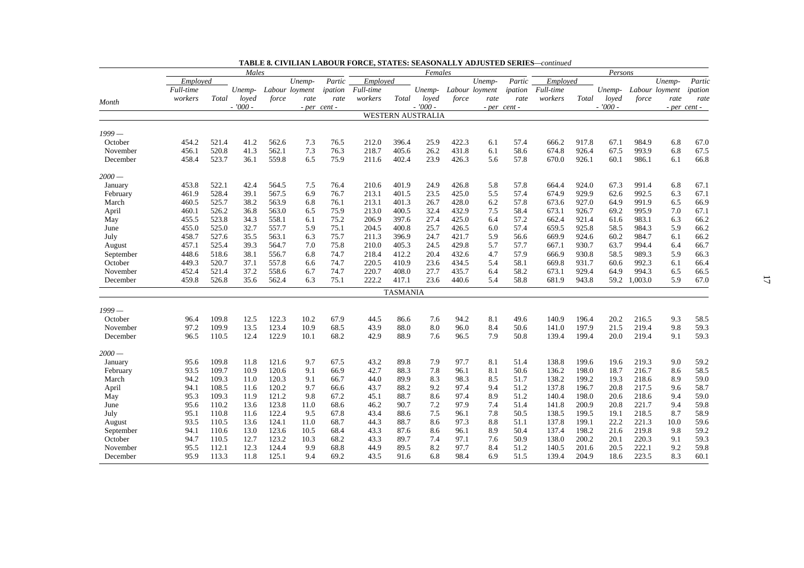|           |           |       | Males     |       |                |              |           |                 | Females                  |       |                |              |           |       | Persons   |         |                |              |
|-----------|-----------|-------|-----------|-------|----------------|--------------|-----------|-----------------|--------------------------|-------|----------------|--------------|-----------|-------|-----------|---------|----------------|--------------|
|           | Employed  |       |           |       | Unemp-         | Partic       | Employed  |                 |                          |       | Unemp-         | Partic       | Employed  |       |           |         | Unemp-         | Partic       |
|           | Full-time |       | Unemp-    |       | Labour loyment | ipation      | Full-time |                 | Unemp-                   |       | Labour loyment | ipation      | Full-time |       | Unemp-    |         | Labour loyment | ipation      |
| Month     | workers   | Total | loved     | force | rate           | rate         | workers   | Total           | loved                    | force | rate           | rate         | workers   | Total | loved     | force   | rate           | rate         |
|           |           |       | $-7000 -$ |       |                | - per cent - |           |                 | $-7000 -$                |       |                | - per cent - |           |       | $-7000 -$ |         |                | - per cent - |
|           |           |       |           |       |                |              |           |                 | <b>WESTERN AUSTRALIA</b> |       |                |              |           |       |           |         |                |              |
| 1999 —    |           |       |           |       |                |              |           |                 |                          |       |                |              |           |       |           |         |                |              |
| October   | 454.2     | 521.4 | 41.2      | 562.6 | 7.3            | 76.5         | 212.0     | 396.4           | 25.9                     | 422.3 | 6.1            | 57.4         | 666.2     | 917.8 | 67.1      | 984.9   | 6.8            | 67.0         |
| November  | 456.1     | 520.8 | 41.3      | 562.1 | 7.3            | 76.3         | 218.7     | 405.6           | 26.2                     | 431.8 | 6.1            | 58.6         | 674.8     | 926.4 | 67.5      | 993.9   | 6.8            | 67.5         |
| December  | 458.4     | 523.7 | 36.1      | 559.8 | 6.5            | 75.9         | 211.6     | 402.4           | 23.9                     | 426.3 | 5.6            | 57.8         | 670.0     | 926.1 | 60.1      | 986.1   | 6.1            | 66.8         |
| $2000-$   |           |       |           |       |                |              |           |                 |                          |       |                |              |           |       |           |         |                |              |
| January   | 453.8     | 522.1 | 42.4      | 564.5 | 7.5            | 76.4         | 210.6     | 401.9           | 24.9                     | 426.8 | 5.8            | 57.8         | 664.4     | 924.0 | 67.3      | 991.4   | 6.8            | 67.1         |
| February  | 461.9     | 528.4 | 39.1      | 567.5 | 6.9            | 76.7         | 213.1     | 401.5           | 23.5                     | 425.0 | 5.5            | 57.4         | 674.9     | 929.9 | 62.6      | 992.5   | 6.3            | 67.1         |
| March     | 460.5     | 525.7 | 38.2      | 563.9 | 6.8            | 76.1         | 213.1     | 401.3           | 26.7                     | 428.0 | 6.2            | 57.8         | 673.6     | 927.0 | 64.9      | 991.9   | 6.5            | 66.9         |
| April     | 460.1     | 526.2 | 36.8      | 563.0 | 6.5            | 75.9         | 213.0     | 400.5           | 32.4                     | 432.9 | 7.5            | 58.4         | 673.1     | 926.7 | 69.2      | 995.9   | 7.0            | 67.1         |
| May       | 455.5     | 523.8 | 34.3      | 558.1 | 6.1            | 75.2         | 206.9     | 397.6           | 27.4                     | 425.0 | 6.4            | 57.2         | 662.4     | 921.4 | 61.6      | 983.1   | 6.3            | 66.2         |
| June      | 455.0     | 525.0 | 32.7      | 557.7 | 5.9            | 75.1         | 204.5     | 400.8           | 25.7                     | 426.5 | 6.0            | 57.4         | 659.5     | 925.8 | 58.5      | 984.3   | 5.9            | 66.2         |
| July      | 458.7     | 527.6 | 35.5      | 563.1 | 6.3            | 75.7         | 211.3     | 396.9           | 24.7                     | 421.7 | 5.9            | 56.6         | 669.9     | 924.6 | 60.2      | 984.7   | 6.1            | 66.2         |
| August    | 457.1     | 525.4 | 39.3      | 564.7 | 7.0            | 75.8         | 210.0     | 405.3           | 24.5                     | 429.8 | 5.7            | 57.7         | 667.1     | 930.7 | 63.7      | 994.4   | 6.4            | 66.7         |
| September | 448.6     | 518.6 | 38.1      | 556.7 | 6.8            | 74.7         | 218.4     | 412.2           | 20.4                     | 432.6 | 4.7            | 57.9         | 666.9     | 930.8 | 58.5      | 989.3   | 5.9            | 66.3         |
| October   | 449.3     | 520.7 | 37.1      | 557.8 | 6.6            | 74.7         | 220.5     | 410.9           | 23.6                     | 434.5 | 5.4            | 58.1         | 669.8     | 931.7 | 60.6      | 992.3   | 6.1            | 66.4         |
| November  | 452.4     | 521.4 | 37.2      | 558.6 | 6.7            | 74.7         | 220.7     | 408.0           | 27.7                     | 435.7 | 6.4            | 58.2         | 673.1     | 929.4 | 64.9      | 994.3   | 6.5            | 66.5         |
| December  | 459.8     | 526.8 | 35.6      | 562.4 | 6.3            | 75.1         | 222.2     | 417.1           | 23.6                     | 440.6 | 5.4            | 58.8         | 681.9     | 943.8 | 59.2      | 1,003.0 | 5.9            | 67.0         |
|           |           |       |           |       |                |              |           | <b>TASMANIA</b> |                          |       |                |              |           |       |           |         |                |              |
| $1999-$   |           |       |           |       |                |              |           |                 |                          |       |                |              |           |       |           |         |                |              |
| October   | 96.4      | 109.8 | 12.5      | 122.3 | 10.2           | 67.9         | 44.5      | 86.6            | 7.6                      | 94.2  | 8.1            | 49.6         | 140.9     | 196.4 | 20.2      | 216.5   | 9.3            | 58.5         |
| November  | 97.2      | 109.9 | 13.5      | 123.4 | 10.9           | 68.5         | 43.9      | 88.0            | 8.0                      | 96.0  | 8.4            | 50.6         | 141.0     | 197.9 | 21.5      | 219.4   | 9.8            | 59.3         |
| December  | 96.5      | 110.5 | 12.4      | 122.9 | 10.1           | 68.2         | 42.9      | 88.9            | 7.6                      | 96.5  | 7.9            | 50.8         | 139.4     | 199.4 | 20.0      | 219.4   | 9.1            | 59.3         |
| $2000-$   |           |       |           |       |                |              |           |                 |                          |       |                |              |           |       |           |         |                |              |
| January   | 95.6      | 109.8 | 11.8      | 121.6 | 9.7            | 67.5         | 43.2      | 89.8            | 7.9                      | 97.7  | 8.1            | 51.4         | 138.8     | 199.6 | 19.6      | 219.3   | 9.0            | 59.2         |
| February  | 93.5      | 109.7 | 10.9      | 120.6 | 9.1            | 66.9         | 42.7      | 88.3            | 7.8                      | 96.1  | 8.1            | 50.6         | 136.2     | 198.0 | 18.7      | 216.7   | 8.6            | 58.5         |
| March     | 94.2      | 109.3 | 11.0      | 120.3 | 9.1            | 66.7         | 44.0      | 89.9            | 8.3                      | 98.3  | 8.5            | 51.7         | 138.2     | 199.2 | 19.3      | 218.6   | 8.9            | 59.0         |
| April     | 94.1      | 108.5 | 11.6      | 120.2 | 9.7            | 66.6         | 43.7      | 88.2            | 9.2                      | 97.4  | 9.4            | 51.2         | 137.8     | 196.7 | 20.8      | 217.5   | 9.6            | 58.7         |
| May       | 95.3      | 109.3 | 11.9      | 121.2 | 9.8            | 67.2         | 45.1      | 88.7            | 8.6                      | 97.4  | 8.9            | 51.2         | 140.4     | 198.0 | 20.6      | 218.6   | 9.4            | 59.0         |
| June      | 95.6      | 110.2 | 13.6      | 123.8 | 11.0           | 68.6         | 46.2      | 90.7            | 7.2                      | 97.9  | 7.4            | 51.4         | 141.8     | 200.9 | 20.8      | 221.7   | 9.4            | 59.8         |
| July      | 95.1      | 110.8 | 11.6      | 122.4 | 9.5            | 67.8         | 43.4      | 88.6            | 7.5                      | 96.1  | 7.8            | 50.5         | 138.5     | 199.5 | 19.1      | 218.5   | 8.7            | 58.9         |
| August    | 93.5      | 110.5 | 13.6      | 124.1 | 11.0           | 68.7         | 44.3      | 88.7            | 8.6                      | 97.3  | 8.8            | 51.1         | 137.8     | 199.1 | 22.2      | 221.3   | 10.0           | 59.6         |
| September | 94.1      | 110.6 | 13.0      | 123.6 | 10.5           | 68.4         | 43.3      | 87.6            | 8.6                      | 96.1  | 8.9            | 50.4         | 137.4     | 198.2 | 21.6      | 219.8   | 9.8            | 59.2         |
| October   | 94.7      | 110.5 | 12.7      | 123.2 | 10.3           | 68.2         | 43.3      | 89.7            | 7.4                      | 97.1  | 7.6            | 50.9         | 138.0     | 200.2 | 20.1      | 220.3   | 9.1            | 59.3         |
| November  | 95.5      | 112.1 | 12.3      | 124.4 | 9.9            | 68.8         | 44.9      | 89.5            | 8.2                      | 97.7  | 8.4            | 51.2         | 140.5     | 201.6 | 20.5      | 222.1   | 9.2            | 59.8         |
| December  | 95.9      | 113.3 | 11.8      | 125.1 | 9.4            | 69.2         | 43.5      | 91.6            | 6.8                      | 98.4  | 6.9            | 51.5         | 139.4     | 204.9 | 18.6      | 223.5   | 8.3            | 60.1         |

**TABLE 8. CIVILIAN LABOUR FORCE, STATES: SEASONALLY ADJUSTED SERIES***—continued*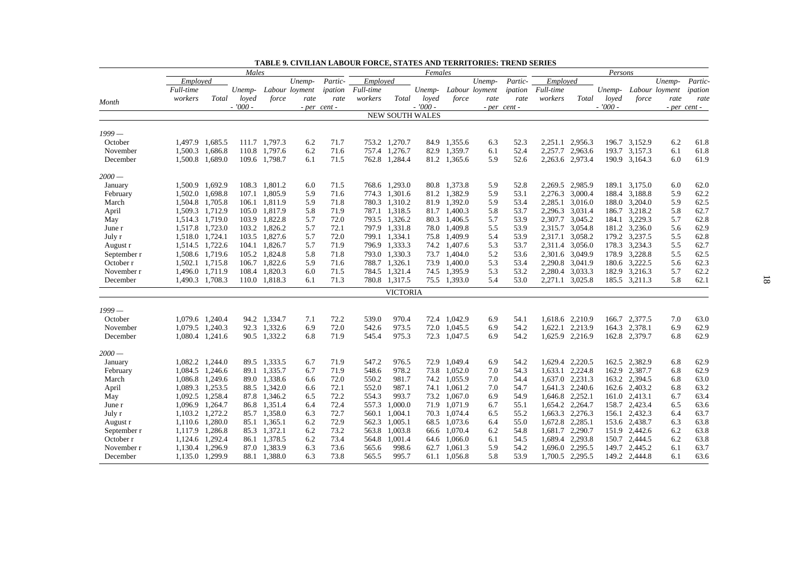|             |                 |                 | Males     |               |                |              |           |                        | Females   |                              |                |              |           |                 | Persons   |               |                |              |
|-------------|-----------------|-----------------|-----------|---------------|----------------|--------------|-----------|------------------------|-----------|------------------------------|----------------|--------------|-----------|-----------------|-----------|---------------|----------------|--------------|
|             | Employed        |                 |           |               | Unemp-         | Partic-      | Employed  |                        |           |                              | Unemp-         | Partic-      | Employed  |                 |           |               | Unemp-         | Partic-      |
|             | Full-time       |                 | Unemp-    |               | Labour loyment | ipation      | Full-time |                        | Unemp-    |                              | Labour loyment | ipation      | Full-time |                 | Unemp-    |               | Labour loyment | ipation      |
| Month       | workers         | Total           | loyed     | force         | rate           | rate         | workers   | Total                  | loyed     | force                        | rate           | rate         | workers   | Total           | loved     | force         | rate           | rate         |
|             |                 |                 | $-7000 -$ |               |                | - per cent - |           |                        | $-7000 -$ |                              |                | - per cent - |           |                 | $-7000 -$ |               |                | - per cent - |
|             |                 |                 |           |               |                |              |           | <b>NEW SOUTH WALES</b> |           |                              |                |              |           |                 |           |               |                |              |
| $1999-$     |                 |                 |           |               |                |              |           |                        |           |                              |                |              |           |                 |           |               |                |              |
| October     | 1,497.9 1,685.5 |                 |           | 111.7 1,797.3 | 6.2            | 71.7         |           | 753.2 1,270.7          |           | 84.9 1,355.6                 | 6.3            | 52.3         |           | 2,251.1 2,956.3 |           | 196.7 3,152.9 | 6.2            | 61.8         |
| November    | 1,500.3 1,686.8 |                 |           | 110.8 1.797.6 | 6.2            | 71.6         | 757.4     | 1,276.7                |           | 82.9 1,359.7                 | 6.1            | 52.4         | 2,257.7   | 2,963.6         | 193.7     | 3,157.3       | 6.1            | 61.8         |
| December    | 1,500.8 1,689.0 |                 |           | 109.6 1,798.7 | 6.1            | 71.5         |           | 762.8 1,284.4          |           | 81.2 1,365.6                 | 5.9            | 52.6         |           | 2,263.6 2,973.4 |           | 190.9 3,164.3 | 6.0            | 61.9         |
|             |                 |                 |           |               |                |              |           |                        |           |                              |                |              |           |                 |           |               |                |              |
| $2000 -$    |                 |                 |           |               |                |              |           |                        |           |                              |                |              |           |                 |           |               |                |              |
| January     | 1,500.9 1,692.9 |                 |           | 108.3 1,801.2 | 6.0            | 71.5         |           | 768.6 1,293.0          |           | 80.8 1,373.8                 | 5.9            | 52.8         |           | 2,269.5 2,985.9 |           | 189.1 3,175.0 | 6.0            | 62.0         |
| February    | 1,502.0 1,698.8 |                 |           | 107.1 1,805.9 | 5.9            | 71.6         |           | 774.3 1,301.6          |           | 81.2 1,382.9                 | 5.9            | 53.1         |           | 2,276.3 3,000.4 |           | 188.4 3,188.8 | 5.9            | 62.2         |
| March       | 1,504.8 1,705.8 |                 |           | 106.1 1,811.9 | 5.9            | 71.8         |           | 780.3 1,310.2          |           | 81.9 1,392.0                 | 5.9            | 53.4         | 2,285.1   | 3,016.0         |           | 188.0 3,204.0 | 5.9            | 62.5         |
| April       | 1,509.3 1,712.9 |                 |           | 105.0 1,817.9 | 5.8            | 71.9         |           | 787.1 1,318.5          |           | 81.7 1,400.3                 | 5.8            | 53.7         |           | 2,296.3 3,031.4 |           | 186.7 3,218.2 | 5.8            | 62.7         |
| May         | 1,514.3 1,719.0 |                 |           | 103.9 1,822.8 | 5.7            | 72.0         |           | 793.5 1,326.2          | 80.3      | 1,406.5                      | 5.7            | 53.9         |           | 2,307.7 3,045.2 | 184.1     | 3,229.3       | 5.7            | 62.8         |
| June r      | 1,517.8 1,723.0 |                 |           | 103.2 1,826.2 | 5.7            | 72.1         |           | 797.9 1,331.8          |           | 78.0 1,409.8                 | 5.5            | 53.9         |           | 2,315.7 3,054.8 |           | 181.2 3,236.0 | 5.6            | 62.9         |
| July r      | 1,518.0 1,724.1 |                 |           | 103.5 1,827.6 | 5.7            | 72.0         |           | 799.1 1,334.1          |           | 75.8 1,409.9                 | 5.4            | 53.9         | 2,317.1   | 3,058.2         |           | 179.2 3,237.5 | 5.5            | 62.8         |
| August r    | 1,514.5 1,722.6 |                 |           | 104.1 1,826.7 | 5.7            | 71.9         |           | 796.9 1,333.3          | 74.2      | 1,407.6                      | 5.3            | 53.7         | 2,311.4   | 3,056.0         |           | 178.3 3,234.3 | 5.5            | 62.7         |
| September r |                 | 1,508.6 1,719.6 |           | 105.2 1,824.8 | 5.8            | 71.8         |           | 793.0 1,330.3          |           | 73.7 1,404.0                 | 5.2            | 53.6         |           | 2,301.6 3,049.9 |           | 178.9 3,228.8 | 5.5            | 62.5         |
| October r   | 1,502.1 1,715.8 |                 |           | 106.7 1,822.6 | 5.9            | 71.6         |           | 788.7 1,326.1          |           | 73.9 1,400.0                 | 5.3            | 53.4         |           | 2,290.8 3,041.9 |           | 180.6 3,222.5 | 5.6            | 62.3         |
| November r  | 1,496.0 1,711.9 |                 |           | 108.4 1.820.3 | 6.0            | 71.5         |           | 784.5 1,321.4          |           | 74.5 1.395.9                 | 5.3            | 53.2         | 2.280.4   | 3,033.3         | 182.9     | 3,216.3       | 5.7            | 62.2         |
| December    | 1,490.3 1,708.3 |                 |           | 110.0 1,818.3 | 6.1            | 71.3         |           | 780.8 1,317.5          |           | 75.5 1,393.0                 | 5.4            | 53.0         |           | 2,271.1 3,025.8 |           | 185.5 3,211.3 | 5.8            | 62.1         |
|             |                 |                 |           |               |                |              |           | <b>VICTORIA</b>        |           |                              |                |              |           |                 |           |               |                |              |
| 1999 —      |                 |                 |           |               |                |              |           |                        |           |                              |                |              |           |                 |           |               |                |              |
| October     | 1,079.6 1,240.4 |                 |           | 94.2 1,334.7  | 7.1            | 72.2         | 539.0     | 970.4                  |           | 72.4 1,042.9                 | 6.9            | 54.1         |           | 1,618.6 2,210.9 |           | 166.7 2,377.5 | 7.0            | 63.0         |
| November    |                 | 1.079.5 1.240.3 |           | 92.3 1.332.6  | 6.9            | 72.0         | 542.6     | 973.5                  |           | 72.0 1.045.5                 | 6.9            | 54.2         | 1.622.1   | 2,213.9         |           | 164.3 2,378.1 | 6.9            | 62.9         |
| December    | 1,080.4 1,241.6 |                 |           | 90.5 1,332.2  | 6.8            | 71.9         | 545.4     | 975.3                  |           | 72.3 1,047.5                 | 6.9            | 54.2         |           | 1,625.9 2,216.9 |           | 162.8 2,379.7 | 6.8            | 62.9         |
| $2000 -$    |                 |                 |           |               |                |              |           |                        |           |                              |                |              |           |                 |           |               |                |              |
|             | 1,082.2 1,244.0 |                 |           | 89.5 1,333.5  | 6.7            | 71.9         | 547.2     | 976.5                  |           | 72.9 1.049.4                 | 6.9            | 54.2         |           | 1.629.4 2.220.5 |           | 162.5 2.382.9 | 6.8            | 62.9         |
| January     |                 | 1.084.5 1.246.6 |           | 89.1 1.335.7  | 6.7            | 71.9         | 548.6     | 978.2                  |           | 73.8 1.052.0                 | 7.0            | 54.3         | 1.633.1   | 2,224.8         | 162.9     | 2,387.7       | 6.8            | 62.9         |
| February    |                 |                 |           | 89.0 1,338.6  |                | 72.0         | 550.2     | 981.7                  |           | 74.2 1,055.9                 |                | 54.4         |           | 1,637.0 2,231.3 |           | 163.2 2,394.5 |                | 63.0         |
| March       | 1,089.3 1,253.5 | 1,086.8 1,249.6 |           | 88.5 1,342.0  | 6.6            |              |           | 987.1                  |           |                              | 7.0            |              |           |                 |           |               | 6.8            | 63.2         |
| April       | 1,092.5 1,258.4 |                 |           | 87.8 1.346.2  | 6.6            | 72.1<br>72.2 | 552.0     |                        |           | 74.1 1,061.2<br>73.2 1.067.0 | 7.0            | 54.7         |           | 1,641.3 2,240.6 |           | 162.6 2,403.2 | 6.8            |              |
| May         |                 |                 |           |               | 6.5            |              | 554.3     | 993.7                  |           |                              | 6.9            | 54.9         | 1,646.8   | 2,252.1         | 161.0     | 2,413.1       | 6.7            | 63.4         |
| June r      | 1,096.9 1,264.7 |                 |           | 86.8 1,351.4  | 6.4            | 72.4         | 557.3     | 1,000.0                |           | 71.9 1.071.9                 | 6.7            | 55.1         |           | 1,654.2 2,264.7 |           | 158.7 2,423.4 | 6.5            | 63.6         |
| July r      | 1,103.2 1,272.2 |                 |           | 85.7 1,358.0  | 6.3            | 72.7         | 560.1     | 1,004.1                |           | 70.3 1,074.4                 | 6.5            | 55.2         |           | 1,663.3 2,276.3 | 156.1     | 2,432.3       | 6.4            | 63.7         |
| August r    | 1,110.6 1,280.0 |                 |           | 85.1 1,365.1  | 6.2            | 72.9         | 562.3     | 1,005.1                |           | 68.5 1,073.6                 | 6.4            | 55.0         |           | 1,672.8 2,285.1 |           | 153.6 2,438.7 | 6.3            | 63.8         |
| September r | 1,117.9 1,286.8 |                 |           | 85.3 1,372.1  | 6.2            | 73.2         |           | 563.8 1,003.8          |           | 66.6 1.070.4                 | 6.2            | 54.8         |           | 1,681.7 2,290.7 |           | 151.9 2,442.6 | 6.2            | 63.8         |
| October r   | 1.124.6         | 1,292.4         |           | 86.1 1,378.5  | 6.2            | 73.4         | 564.8     | 1,001.4                |           | 64.6 1,066.0                 | 6.1            | 54.5         |           | 1,689.4 2,293.8 |           | 150.7 2,444.5 | 6.2            | 63.8         |
| November r  | 1,130.4 1,296.9 |                 |           | 87.0 1,383.9  | 6.3            | 73.6         | 565.6     | 998.6                  | 62.7      | 1,061.3                      | 5.9            | 54.2         |           | 1,696.0 2,295.5 |           | 149.7 2,445.2 | 6.1            | 63.7         |
| December    |                 | 1,135.0 1,299.9 |           | 88.1 1,388.0  | 6.3            | 73.8         | 565.5     | 995.7                  |           | 61.1 1,056.8                 | 5.8            | 53.9         |           | 1,700.5 2,295.5 |           | 149.2 2,444.8 | 6.1            | 63.6         |

|  | <b>TABLE 9. CIVILIAN LABOUR FORCE, STATES AND TERRITORIES: TREND SERIES</b> |  |  |  |  |
|--|-----------------------------------------------------------------------------|--|--|--|--|
|--|-----------------------------------------------------------------------------|--|--|--|--|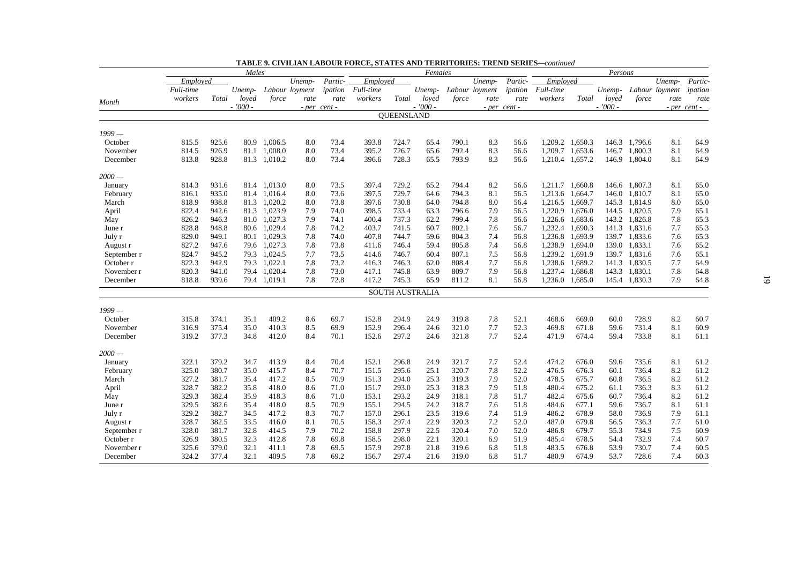|             |           |       | Males     |              |                |              |           |            | Females                |       |                |              |                 |                 | Persons   |               |                |              |
|-------------|-----------|-------|-----------|--------------|----------------|--------------|-----------|------------|------------------------|-------|----------------|--------------|-----------------|-----------------|-----------|---------------|----------------|--------------|
|             | Emploved  |       |           |              | Unemp-         | Partic-      | Employed  |            |                        |       | Unemp-         | Partic-      | Employed        |                 |           |               | Unemp-         | Partic-      |
|             | Full-time |       | Unemp-    |              | Labour loyment | ipation      | Full-time |            | Unemp-                 |       | Labour loyment | ipation      | Full-time       |                 | Unemp-    |               | Labour loyment | ipation      |
|             | workers   | Total | loyed     | force        | rate           | rate         | workers   | Total      | loyed                  | force | rate           | rate         | workers         | Total           | loved     | force         | rate           | rate         |
| Month       |           |       | $-7000 -$ |              |                | - per cent - |           |            | $-7000 -$              |       |                | - per cent - |                 |                 | $-7000 -$ |               |                | - per cent - |
|             |           |       |           |              |                |              |           | QUEENSLAND |                        |       |                |              |                 |                 |           |               |                |              |
| $1999-$     |           |       |           |              |                |              |           |            |                        |       |                |              |                 |                 |           |               |                |              |
| October     | 815.5     | 925.6 |           | 80.9 1,006.5 | 8.0            | 73.4         | 393.8     | 724.7      | 65.4                   | 790.1 | 8.3            | 56.6         |                 | 1,209.2 1,650.3 |           | 146.3 1,796.6 | 8.1            | 64.9         |
| November    | 814.5     | 926.9 | 81.1      | 1,008.0      | 8.0            | 73.4         | 395.2     | 726.7      | 65.6                   | 792.4 | 8.3            | 56.6         | 1,209.7         | 1,653.6         | 146.7     | 1,800.3       | 8.1            | 64.9         |
| December    | 813.8     | 928.8 |           | 81.3 1,010.2 | 8.0            | 73.4         | 396.6     | 728.3      | 65.5                   | 793.9 | 8.3            | 56.6         |                 | 1,210.4 1,657.2 |           | 146.9 1,804.0 | 8.1            | 64.9         |
| 2000 —      |           |       |           |              |                |              |           |            |                        |       |                |              |                 |                 |           |               |                |              |
| January     | 814.3     | 931.6 |           | 81.4 1,013.0 | 8.0            | 73.5         | 397.4     | 729.2      | 65.2                   | 794.4 | 8.2            | 56.6         |                 | 1,211.7 1,660.8 |           | 146.6 1,807.3 | 8.1            | 65.0         |
| February    | 816.1     | 935.0 |           | 81.4 1,016.4 | 8.0            | 73.6         | 397.5     | 729.7      | 64.6                   | 794.3 | 8.1            | 56.5         |                 | 1,213.6 1,664.7 | 146.0     | 1,810.7       | 8.1            | 65.0         |
| March       | 818.9     | 938.8 | 81.3      | 1.020.2      | 8.0            | 73.8         | 397.6     | 730.8      | 64.0                   | 794.8 | 8.0            | 56.4         | 1,216.5 1,669.7 |                 | 145.3     | 1,814.9       | 8.0            | 65.0         |
| April       | 822.4     | 942.6 |           | 81.3 1,023.9 | 7.9            | 74.0         | 398.5     | 733.4      | 63.3                   | 796.6 | 7.9            | 56.5         |                 | 1,220.9 1,676.0 |           | 144.5 1,820.5 | 7.9            | 65.1         |
| May         | 826.2     | 946.3 | 81.0      | 1,027.3      | 7.9            | 74.1         | 400.4     | 737.3      | 62.2                   | 799.4 | 7.8            | 56.6         |                 | 1,226.6 1,683.6 | 143.2     | 1,826.8       | 7.8            | 65.3         |
| June r      | 828.8     | 948.8 |           | 80.6 1,029.4 | 7.8            | 74.2         | 403.7     | 741.5      | 60.7                   | 802.1 | 7.6            | 56.7         | 1,232.4         | 1,690.3         | 141.3     | 1,831.6       | 7.7            | 65.3         |
| July r      | 829.0     | 949.1 |           | 80.1 1,029.3 | 7.8            | 74.0         | 407.8     | 744.7      | 59.6                   | 804.3 | 7.4            | 56.8         |                 | 1,236.8 1,693.9 |           | 139.7 1,833.6 | 7.6            | 65.3         |
| August r    | 827.2     | 947.6 |           | 79.6 1,027.3 | 7.8            | 73.8         | 411.6     | 746.4      | 59.4                   | 805.8 | 7.4            | 56.8         | 1,238.9         | 1,694.0         | 139.0     | 1,833.1       | 7.6            | 65.2         |
| September r | 824.7     | 945.2 |           | 79.3 1,024.5 | 7.7            | 73.5         | 414.6     | 746.7      | 60.4                   | 807.1 | 7.5            | 56.8         |                 | 1,239.2 1,691.9 | 139.7     | 1,831.6       | 7.6            | 65.1         |
| October r   | 822.3     | 942.9 |           | 79.3 1,022.1 | 7.8            | 73.2         | 416.3     | 746.3      | 62.0                   | 808.4 | 7.7            | 56.8         |                 | 1,238.6 1,689.2 | 141.3     | 1,830.5       | 7.7            | 64.9         |
| November r  | 820.3     | 941.0 |           | 79.4 1.020.4 | 7.8            | 73.0         | 417.1     | 745.8      | 63.9                   | 809.7 | 7.9            | 56.8         | 1.237.4         | 1,686.8         | 143.3     | 1,830.1       | 7.8            | 64.8         |
| December    | 818.8     | 939.6 |           | 79.4 1,019.1 | 7.8            | 72.8         | 417.2     | 745.3      | 65.9                   | 811.2 | 8.1            | 56.8         |                 | 1,236.0 1,685.0 |           | 145.4 1,830.3 | 7.9            | 64.8         |
|             |           |       |           |              |                |              |           |            | <b>SOUTH AUSTRALIA</b> |       |                |              |                 |                 |           |               |                |              |
| 1999 —      |           |       |           |              |                |              |           |            |                        |       |                |              |                 |                 |           |               |                |              |
| October     | 315.8     | 374.1 | 35.1      | 409.2        | 8.6            | 69.7         | 152.8     | 294.9      | 24.9                   | 319.8 | 7.8            | 52.1         | 468.6           | 669.0           | 60.0      | 728.9         | 8.2            | 60.7         |
| November    | 316.9     | 375.4 | 35.0      | 410.3        | 8.5            | 69.9         | 152.9     | 296.4      | 24.6                   | 321.0 | 7.7            | 52.3         | 469.8           | 671.8           | 59.6      | 731.4         | 8.1            | 60.9         |
| December    | 319.2     | 377.3 | 34.8      | 412.0        | 8.4            | 70.1         | 152.6     | 297.2      | 24.6                   | 321.8 | 7.7            | 52.4         | 471.9           | 674.4           | 59.4      | 733.8         | 8.1            | 61.1         |
| $2000 -$    |           |       |           |              |                |              |           |            |                        |       |                |              |                 |                 |           |               |                |              |
| January     | 322.1     | 379.2 | 34.7      | 413.9        | 8.4            | 70.4         | 152.1     | 296.8      | 24.9                   | 321.7 | 7.7            | 52.4         | 474.2           | 676.0           | 59.6      | 735.6         | 8.1            | 61.2         |
| February    | 325.0     | 380.7 | 35.0      | 415.7        | 8.4            | 70.7         | 151.5     | 295.6      | 25.1                   | 320.7 | 7.8            | 52.2         | 476.5           | 676.3           | 60.1      | 736.4         | 8.2            | 61.2         |
| March       | 327.2     | 381.7 | 35.4      | 417.2        | 8.5            | 70.9         | 151.3     | 294.0      | 25.3                   | 319.3 | 7.9            | 52.0         | 478.5           | 675.7           | 60.8      | 736.5         | 8.2            | 61.2         |
| April       | 328.7     | 382.2 | 35.8      | 418.0        | 8.6            | 71.0         | 151.7     | 293.0      | 25.3                   | 318.3 | 7.9            | 51.8         | 480.4           | 675.2           | 61.1      | 736.3         | 8.3            | 61.2         |
| May         | 329.3     | 382.4 | 35.9      | 418.3        | 8.6            | 71.0         | 153.1     | 293.2      | 24.9                   | 318.1 | 7.8            | 51.7         | 482.4           | 675.6           | 60.7      | 736.4         | 8.2            | 61.2         |
| June r      | 329.5     | 382.6 | 35.4      | 418.0        | 8.5            | 70.9         | 155.1     | 294.5      | 24.2                   | 318.7 | 7.6            | 51.8         | 484.6           | 677.1           | 59.6      | 736.7         | 8.1            | 61.1         |
| July r      | 329.2     | 382.7 | 34.5      | 417.2        | 8.3            | 70.7         | 157.0     | 296.1      | 23.5                   | 319.6 | 7.4            | 51.9         | 486.2           | 678.9           | 58.0      | 736.9         | 7.9            | 61.1         |
| August r    | 328.7     | 382.5 | 33.5      | 416.0        | 8.1            | 70.5         | 158.3     | 297.4      | 22.9                   | 320.3 | 7.2            | 52.0         | 487.0           | 679.8           | 56.5      | 736.3         | 7.7            | 61.0         |
| September r | 328.0     | 381.7 | 32.8      | 414.5        | 7.9            | 70.2         | 158.8     | 297.9      | 22.5                   | 320.4 | 7.0            | 52.0         | 486.8           | 679.7           | 55.3      | 734.9         | 7.5            | 60.9         |
| October r   | 326.9     | 380.5 | 32.3      | 412.8        | 7.8            | 69.8         | 158.5     | 298.0      | 22.1                   | 320.1 | 6.9            | 51.9         | 485.4           | 678.5           | 54.4      | 732.9         | 7.4            | 60.7         |
| November r  | 325.6     | 379.0 | 32.1      | 411.1        | 7.8            | 69.5         | 157.9     | 297.8      | 21.8                   | 319.6 | 6.8            | 51.8         | 483.5           | 676.8           | 53.9      | 730.7         | 7.4            | 60.5         |
| December    | 324.2     | 377.4 | 32.1      | 409.5        | 7.8            | 69.2         | 156.7     | 297.4      | 21.6                   | 319.0 | 6.8            | 51.7         | 480.9           | 674.9           | 53.7      | 728.6         | 7.4            | 60.3         |

|  | <b>TABLE 9. CIVILIAN LABOUR FORCE. STATES AND TERRITORIES: TREND SERIES—continued</b> |  |  |  |  |
|--|---------------------------------------------------------------------------------------|--|--|--|--|
|--|---------------------------------------------------------------------------------------|--|--|--|--|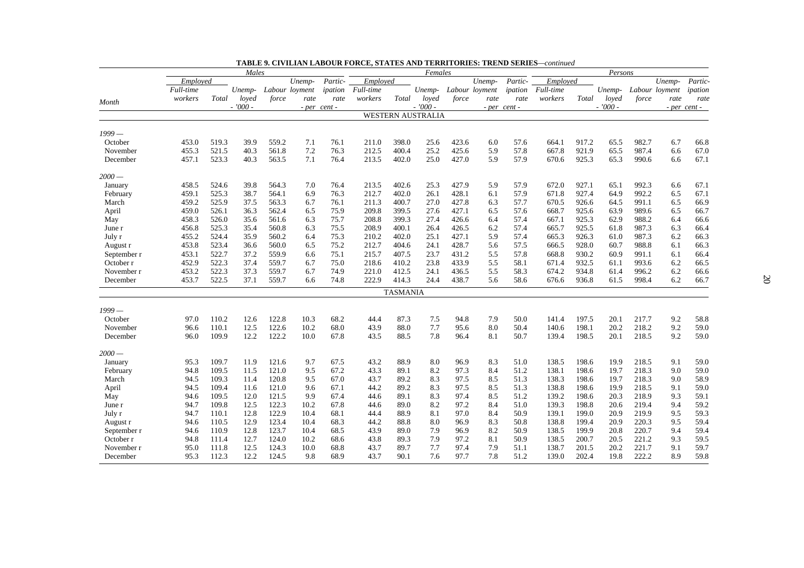|                   |           |       | Males        |       |                |              |           |                 | Females                  |              |                |              |                |                | Persons      |                |                |              |
|-------------------|-----------|-------|--------------|-------|----------------|--------------|-----------|-----------------|--------------------------|--------------|----------------|--------------|----------------|----------------|--------------|----------------|----------------|--------------|
|                   | Emploved  |       |              |       | Unemp-         | Partic-      | Employed  |                 |                          |              | Unemp-         | Partic-      | Employed       |                |              |                | Unemp-         | Partic-      |
|                   | Full-time |       | Unemp-       |       | Labour loyment | ipation      | Full-time |                 | Unemp-                   |              | Labour loyment | ipation      | Full-time      |                | Unemp-       |                | Labour loyment | ipation      |
| Month             | workers   | Total | loved        | force | rate           | rate         | workers   | Total           | loved                    | force        | rate           | rate         | workers        | Total          | loyed        | force          | rate           | rate         |
|                   |           |       | $-7000 -$    |       |                | - per cent - |           |                 | $-7000 -$                |              |                | - per cent - |                |                | $-7000 -$    |                |                | - per cent - |
|                   |           |       |              |       |                |              |           |                 | <b>WESTERN AUSTRALIA</b> |              |                |              |                |                |              |                |                |              |
| 1999 —            |           |       |              |       |                |              |           |                 |                          |              |                |              |                |                |              |                |                |              |
| October           | 453.0     | 519.3 | 39.9         | 559.2 | 7.1            | 76.1         | 211.0     | 398.0           | 25.6                     | 423.6        | 6.0            | 57.6         | 664.1          | 917.2          | 65.5         | 982.7          | 6.7            | 66.8         |
| November          | 455.3     | 521.5 | 40.3         | 561.8 | 7.2            | 76.3         | 212.5     | 400.4           | 25.2                     | 425.6        | 5.9            | 57.8         | 667.8          | 921.9          | 65.5         | 987.4          | 6.6            | 67.0         |
| December          | 457.1     | 523.3 | 40.3         | 563.5 | 7.1            | 76.4         | 213.5     | 402.0           | 25.0                     | 427.0        | 5.9            | 57.9         | 670.6          | 925.3          | 65.3         | 990.6          | 6.6            | 67.1         |
|                   |           |       |              |       |                |              |           |                 |                          |              |                |              |                |                |              |                |                |              |
| 2000 —            |           |       |              |       |                |              |           |                 |                          |              |                |              |                |                |              |                |                |              |
| January           | 458.5     | 524.6 | 39.8         | 564.3 | 7.0            | 76.4         | 213.5     | 402.6           | 25.3                     | 427.9        | 5.9            | 57.9         | 672.0          | 927.1          | 65.1         | 992.3          | 6.6            | 67.1         |
| February          | 459.1     | 525.3 | 38.7         | 564.1 | 6.9            | 76.3         | 212.7     | 402.0           | 26.1                     | 428.1        | 6.1            | 57.9         | 671.8          | 927.4          | 64.9         | 992.2          | 6.5            | 67.1         |
| March             | 459.2     | 525.9 | 37.5         | 563.3 | 6.7            | 76.1         | 211.3     | 400.7           | 27.0                     | 427.8        | 6.3            | 57.7         | 670.5          | 926.6          | 64.5         | 991.1          | 6.5            | 66.9         |
| April             | 459.0     | 526.1 | 36.3         | 562.4 | 6.5            | 75.9         | 209.8     | 399.5           | 27.6                     | 427.1        | 6.5            | 57.6         | 668.7          | 925.6          | 63.9         | 989.6          | 6.5            | 66.7         |
| May               | 458.3     | 526.0 | 35.6         | 561.6 | 6.3            | 75.7         | 208.8     | 399.3           | 27.4                     | 426.6        | 6.4            | 57.4         | 667.1          | 925.3          | 62.9         | 988.2          | 6.4            | 66.6         |
| June r            | 456.8     | 525.3 | 35.4         | 560.8 | 6.3            | 75.5         | 208.9     | 400.1           | 26.4                     | 426.5        | 6.2            | 57.4         | 665.7          | 925.5          | 61.8         | 987.3          | 6.3            | 66.4         |
| July r            | 455.2     | 524.4 | 35.9         | 560.2 | 6.4            | 75.3         | 210.2     | 402.0           | 25.1                     | 427.1        | 5.9            | 57.4         | 665.3          | 926.3          | 61.0         | 987.3          | 6.2            | 66.3         |
| August r          | 453.8     | 523.4 | 36.6         | 560.0 | 6.5            | 75.2         | 212.7     | 404.6           | 24.1                     | 428.7        | 5.6            | 57.5         | 666.5          | 928.0          | 60.7         | 988.8          | 6.1            | 66.3         |
| September r       | 453.1     | 522.7 | 37.2         | 559.9 | 6.6            | 75.1         | 215.7     | 407.5           | 23.7                     | 431.2        | 5.5            | 57.8         | 668.8          | 930.2          | 60.9         | 991.1          | 6.1            | 66.4         |
| October r         | 452.9     | 522.3 | 37.4         | 559.7 | 6.7            | 75.0         | 218.6     | 410.2           | 23.8                     | 433.9        | 5.5            | 58.1         | 671.4          | 932.5          | 61.1         | 993.6          | 6.2            | 66.5         |
| November r        | 453.2     | 522.3 | 37.3         | 559.7 | 6.7            | 74.9         | 221.0     | 412.5           | 24.1                     | 436.5        | 5.5            | 58.3         | 674.2          | 934.8          | 61.4         | 996.2          | 6.2            | 66.6         |
| December          | 453.7     | 522.5 | 37.1         | 559.7 | 6.6            | 74.8         | 222.9     | 414.3           | 24.4                     | 438.7        | 5.6            | 58.6         | 676.6          | 936.8          | 61.5         | 998.4          | 6.2            | 66.7         |
|                   |           |       |              |       |                |              |           | <b>TASMANIA</b> |                          |              |                |              |                |                |              |                |                |              |
| 1999 —            |           |       |              |       |                |              |           |                 |                          |              |                |              |                |                |              |                |                |              |
| October           | 97.0      | 110.2 | 12.6         | 122.8 | 10.3           | 68.2         | 44.4      | 87.3            | 7.5                      | 94.8         | 7.9            | 50.0         | 141.4          | 197.5          | 20.1         | 217.7          | 9.2            | 58.8         |
| November          | 96.6      | 110.1 | 12.5         | 122.6 | 10.2           | 68.0         | 43.9      | 88.0            | 7.7                      | 95.6         | 8.0            | 50.4         | 140.6          | 198.1          | 20.2         | 218.2          | 9.2            | 59.0         |
| December          | 96.0      | 109.9 | 12.2         | 122.2 | 10.0           | 67.8         | 43.5      | 88.5            | 7.8                      | 96.4         | 8.1            | 50.7         | 139.4          | 198.5          | 20.1         | 218.5          | 9.2            | 59.0         |
| $2000 -$          |           |       |              |       |                |              |           |                 |                          |              |                |              |                |                |              |                |                |              |
|                   | 95.3      | 109.7 | 11.9         | 121.6 | 9.7            | 67.5         | 43.2      | 88.9            | 8.0                      | 96.9         | 8.3            | 51.0         | 138.5          | 198.6          | 19.9         | 218.5          | 9.1            | 59.0         |
| January           | 94.8      | 109.5 | 11.5         | 121.0 | 9.5            | 67.2         | 43.3      | 89.1            | 8.2                      | 97.3         | 8.4            | 51.2         | 138.1          | 198.6          | 19.7         | 218.3          | 9.0            | 59.0         |
| February<br>March | 94.5      | 109.3 | 11.4         | 120.8 | 9.5            | 67.0         | 43.7      | 89.2            | 8.3                      | 97.5         | 8.5            | 51.3         | 138.3          | 198.6          | 19.7         | 218.3          | 9.0            | 58.9         |
|                   | 94.5      | 109.4 | 11.6         | 121.0 | 9.6            | 67.1         | 44.2      | 89.2            | 8.3                      | 97.5         | 8.5            | 51.3         | 138.8          | 198.6          | 19.9         | 218.5          | 9.1            | 59.0         |
| April             |           | 109.5 | 12.0         | 121.5 | 9.9            | 67.4         | 44.6      | 89.1            | 8.3                      | 97.4         | 8.5            | 51.2         | 139.2          | 198.6          | 20.3         | 218.9          | 9.3            | 59.1         |
| May               | 94.6      |       |              | 122.3 |                |              |           |                 | 8.2                      |              |                |              |                |                |              |                |                | 59.2         |
| June r            | 94.7      | 109.8 | 12.5<br>12.8 | 122.9 | 10.2<br>10.4   | 67.8<br>68.1 | 44.6      | 89.0<br>88.9    | 8.1                      | 97.2<br>97.0 | 8.4<br>8.4     | 51.0<br>50.9 | 139.3<br>139.1 | 198.8<br>199.0 | 20.6<br>20.9 | 219.4<br>219.9 | 9.4<br>9.5     | 59.3         |
| July r            | 94.7      | 110.1 |              |       |                |              | 44.4      |                 |                          |              |                |              |                |                |              |                |                |              |
| August r          | 94.6      | 110.5 | 12.9         | 123.4 | 10.4           | 68.3         | 44.2      | 88.8            | 8.0                      | 96.9         | 8.3            | 50.8         | 138.8          | 199.4          | 20.9         | 220.3          | 9.5            | 59.4         |
| September r       | 94.6      | 110.9 | 12.8         | 123.7 | 10.4           | 68.5         | 43.9      | 89.0            | 7.9                      | 96.9         | 8.2            | 50.9         | 138.5          | 199.9          | 20.8         | 220.7          | 9.4            | 59.4         |
| October r         | 94.8      | 111.4 | 12.7         | 124.0 | 10.2           | 68.6         | 43.8      | 89.3            | 7.9                      | 97.2         | 8.1            | 50.9         | 138.5          | 200.7          | 20.5         | 221.2          | 9.3            | 59.5         |
| November r        | 95.0      | 111.8 | 12.5         | 124.3 | 10.0           | 68.8         | 43.7      | 89.7            | 7.7                      | 97.4         | 7.9            | 51.1         | 138.7          | 201.5          | 20.2         | 221.7          | 9.1            | 59.7         |
| December          | 95.3      | 112.3 | 12.2         | 124.5 | 9.8            | 68.9         | 43.7      | 90.1            | 7.6                      | 97.7         | 7.8            | 51.2         | 139.0          | 202.4          | 19.8         | 222.2          | 8.9            | 59.8         |

| <b>TABLE 9. CIVILIAN LABOUR FORCE. STATES AND TERRITORIES: TREND SERIES—continued</b> |  |  |  |  |  |  |  |
|---------------------------------------------------------------------------------------|--|--|--|--|--|--|--|
|---------------------------------------------------------------------------------------|--|--|--|--|--|--|--|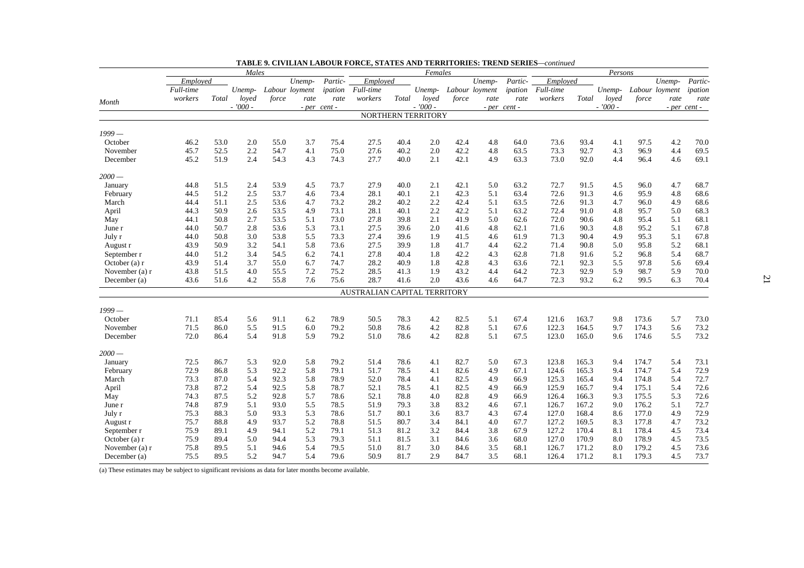|                      |           |       | Males     |       |                |                  |                              |       | Females            |       |                |                  |           |       | Persons   |       |                |                  |
|----------------------|-----------|-------|-----------|-------|----------------|------------------|------------------------------|-------|--------------------|-------|----------------|------------------|-----------|-------|-----------|-------|----------------|------------------|
|                      | Employed  |       |           |       | Unemp-         | Partic-          | Employed                     |       |                    |       | Unemp-         | Partic-          | Employed  |       |           |       | Unemp-         | Partic-          |
|                      | Full-time |       | Unemp-    |       | Labour loyment | ipation          | Full-time                    |       | Unemp-             |       | Labour loyment | ipation          | Full-time |       | Unemp-    |       | Labour loyment | ipation          |
| Month                | workers   | Total | loyed     | force | rate           | rate             | workers                      | Total | loved              | force | rate           | rate             | workers   | Total | loved     | force | rate           | rate             |
|                      |           |       | $-7000 -$ |       |                | $- per$ cent $-$ |                              |       | $-7000 -$          |       |                | $- per$ cent $-$ |           |       | $-7000 -$ |       |                | $-$ per cent $-$ |
|                      |           |       |           |       |                |                  |                              |       | NORTHERN TERRITORY |       |                |                  |           |       |           |       |                |                  |
| $1999-$              |           |       |           |       |                |                  |                              |       |                    |       |                |                  |           |       |           |       |                |                  |
| October              | 46.2      | 53.0  | 2.0       | 55.0  | 3.7            | 75.4             | 27.5                         | 40.4  | 2.0                | 42.4  | 4.8            | 64.0             | 73.6      | 93.4  | 4.1       | 97.5  | 4.2            | 70.0             |
|                      | 45.7      | 52.5  | 2.2       | 54.7  | 4.1            | 75.0             | 27.6                         | 40.2  | 2.0                | 42.2  | 4.8            | 63.5             | 73.3      | 92.7  | 4.3       | 96.9  | 4.4            | 69.5             |
| November<br>December | 45.2      | 51.9  | 2.4       | 54.3  | 4.3            | 74.3             | 27.7                         | 40.0  | 2.1                | 42.1  | 4.9            | 63.3             | 73.0      | 92.0  | 4.4       | 96.4  | 4.6            | 69.1             |
|                      |           |       |           |       |                |                  |                              |       |                    |       |                |                  |           |       |           |       |                |                  |
| $2000 -$             |           |       |           |       |                |                  |                              |       |                    |       |                |                  |           |       |           |       |                |                  |
| January              | 44.8      | 51.5  | 2.4       | 53.9  | 4.5            | 73.7             | 27.9                         | 40.0  | 2.1                | 42.1  | 5.0            | 63.2             | 72.7      | 91.5  | 4.5       | 96.0  | 4.7            | 68.7             |
| February             | 44.5      | 51.2  | 2.5       | 53.7  | 4.6            | 73.4             | 28.1                         | 40.1  | 2.1                | 42.3  | 5.1            | 63.4             | 72.6      | 91.3  | 4.6       | 95.9  | 4.8            | 68.6             |
| March                | 44.4      | 51.1  | 2.5       | 53.6  | 4.7            | 73.2             | 28.2                         | 40.2  | 2.2                | 42.4  | 5.1            | 63.5             | 72.6      | 91.3  | 4.7       | 96.0  | 4.9            | 68.6             |
| April                | 44.3      | 50.9  | 2.6       | 53.5  | 4.9            | 73.1             | 28.1                         | 40.1  | 2.2                | 42.2  | 5.1            | 63.2             | 72.4      | 91.0  | 4.8       | 95.7  | 5.0            | 68.3             |
| May                  | 44.1      | 50.8  | 2.7       | 53.5  | 5.1            | 73.0             | 27.8                         | 39.8  | 2.1                | 41.9  | 5.0            | 62.6             | 72.0      | 90.6  | 4.8       | 95.4  | 5.1            | 68.1             |
| June r               | 44.0      | 50.7  | 2.8       | 53.6  | 5.3            | 73.1             | 27.5                         | 39.6  | 2.0                | 41.6  | 4.8            | 62.1             | 71.6      | 90.3  | 4.8       | 95.2  | 5.1            | 67.8             |
| July r               | 44.0      | 50.8  | 3.0       | 53.8  | 5.5            | 73.3             | 27.4                         | 39.6  | 1.9                | 41.5  | 4.6            | 61.9             | 71.3      | 90.4  | 4.9       | 95.3  | 5.1            | 67.8             |
| August r             | 43.9      | 50.9  | 3.2       | 54.1  | 5.8            | 73.6             | 27.5                         | 39.9  | 1.8                | 41.7  | 4.4            | 62.2             | 71.4      | 90.8  | 5.0       | 95.8  | 5.2            | 68.1             |
| September r          | 44.0      | 51.2  | 3.4       | 54.5  | 6.2            | 74.1             | 27.8                         | 40.4  | 1.8                | 42.2  | 4.3            | 62.8             | 71.8      | 91.6  | 5.2       | 96.8  | 5.4            | 68.7             |
| October $(a)$ r      | 43.9      | 51.4  | 3.7       | 55.0  | 6.7            | 74.7             | 28.2                         | 40.9  | 1.8                | 42.8  | 4.3            | 63.6             | 72.1      | 92.3  | 5.5       | 97.8  | 5.6            | 69.4             |
| November (a) r       | 43.8      | 51.5  | 4.0       | 55.5  | 7.2            | 75.2             | 28.5                         | 41.3  | 1.9                | 43.2  | 4.4            | 64.2             | 72.3      | 92.9  | 5.9       | 98.7  | 5.9            | 70.0             |
| December (a)         | 43.6      | 51.6  | 4.2       | 55.8  | 7.6            | 75.6             | 28.7                         | 41.6  | 2.0                | 43.6  | 4.6            | 64.7             | 72.3      | 93.2  | 6.2       | 99.5  | 6.3            | 70.4             |
|                      |           |       |           |       |                |                  | AUSTRALIAN CAPITAL TERRITORY |       |                    |       |                |                  |           |       |           |       |                |                  |
| 1999 —               |           |       |           |       |                |                  |                              |       |                    |       |                |                  |           |       |           |       |                |                  |
| October              | 71.1      | 85.4  | 5.6       | 91.1  | 6.2            | 78.9             | 50.5                         | 78.3  | 4.2                | 82.5  | 5.1            | 67.4             | 121.6     | 163.7 | 9.8       | 173.6 | 5.7            | 73.0             |
| November             | 71.5      | 86.0  | 5.5       | 91.5  | 6.0            | 79.2             | 50.8                         | 78.6  | 4.2                | 82.8  | 5.1            | 67.6             | 122.3     | 164.5 | 9.7       | 174.3 | 5.6            | 73.2             |
| December             | 72.0      | 86.4  | 5.4       | 91.8  | 5.9            | 79.2             | 51.0                         | 78.6  | 4.2                | 82.8  | 5.1            | 67.5             | 123.0     | 165.0 | 9.6       | 174.6 | 5.5            | 73.2             |
| 2000 —               |           |       |           |       |                |                  |                              |       |                    |       |                |                  |           |       |           |       |                |                  |
| January              | 72.5      | 86.7  | 5.3       | 92.0  | 5.8            | 79.2             | 51.4                         | 78.6  | 4.1                | 82.7  | 5.0            | 67.3             | 123.8     | 165.3 | 9.4       | 174.7 | 5.4            | 73.1             |
| February             | 72.9      | 86.8  | 5.3       | 92.2  | 5.8            | 79.1             | 51.7                         | 78.5  | 4.1                | 82.6  | 4.9            | 67.1             | 124.6     | 165.3 | 9.4       | 174.7 | 5.4            | 72.9             |
| March                | 73.3      | 87.0  | 5.4       | 92.3  | 5.8            | 78.9             | 52.0                         | 78.4  | 4.1                | 82.5  | 4.9            | 66.9             | 125.3     | 165.4 | 9.4       | 174.8 | 5.4            | 72.7             |
| April                | 73.8      | 87.2  | 5.4       | 92.5  | 5.8            | 78.7             | 52.1                         | 78.5  | 4.1                | 82.5  | 4.9            | 66.9             | 125.9     | 165.7 | 9.4       | 175.1 | 5.4            | 72.6             |
| May                  | 74.3      | 87.5  | 5.2       | 92.8  | 5.7            | 78.6             | 52.1                         | 78.8  | 4.0                | 82.8  | 4.9            | 66.9             | 126.4     | 166.3 | 9.3       | 175.5 | 5.3            | 72.6             |
| June r               | 74.8      | 87.9  | 5.1       | 93.0  | 5.5            | 78.5             | 51.9                         | 79.3  | 3.8                | 83.2  | 4.6            | 67.1             | 126.7     | 167.2 | 9.0       | 176.2 | 5.1            | 72.7             |
| July r               | 75.3      | 88.3  | 5.0       | 93.3  | 5.3            | 78.6             | 51.7                         | 80.1  | 3.6                | 83.7  | 4.3            | 67.4             | 127.0     | 168.4 | 8.6       | 177.0 | 4.9            | 72.9             |
| August r             | 75.7      | 88.8  | 4.9       | 93.7  | 5.2            | 78.8             | 51.5                         | 80.7  | 3.4                | 84.1  | 4.0            | 67.7             | 127.2     | 169.5 | 8.3       | 177.8 | 4.7            | 73.2             |
| September r          | 75.9      | 89.1  | 4.9       | 94.1  | 5.2            | 79.1             | 51.3                         | 81.2  | 3.2                | 84.4  | 3.8            | 67.9             | 127.2     | 170.4 | 8.1       | 178.4 | 4.5            | 73.4             |
| October (a) r        | 75.9      | 89.4  | 5.0       | 94.4  | 5.3            | 79.3             | 51.1                         | 81.5  | 3.1                | 84.6  | 3.6            | 68.0             | 127.0     | 170.9 | 8.0       | 178.9 | 4.5            | 73.5             |
| November (a) r       | 75.8      | 89.5  | 5.1       | 94.6  | 5.4            | 79.5             | 51.0                         | 81.7  | 3.0                | 84.6  | 3.5            | 68.1             | 126.7     | 171.2 | 8.0       | 179.2 | 4.5            | 73.6             |
| December (a)         | 75.5      | 89.5  | 5.2       | 94.7  | 5.4            | 79.6             | 50.9                         | 81.7  | 2.9                | 84.7  | 3.5            | 68.1             | 126.4     | 171.2 | 8.1       | 179.3 | 4.5            | 73.7             |
|                      |           |       |           |       |                |                  |                              |       |                    |       |                |                  |           |       |           |       |                |                  |

**TABLE 9. CIVILIAN LABOUR FORCE, STATES AND TERRITORIES: TREND SERIES***—continued*

(a) These estimates may be subject to significant revisions as data for later months become available.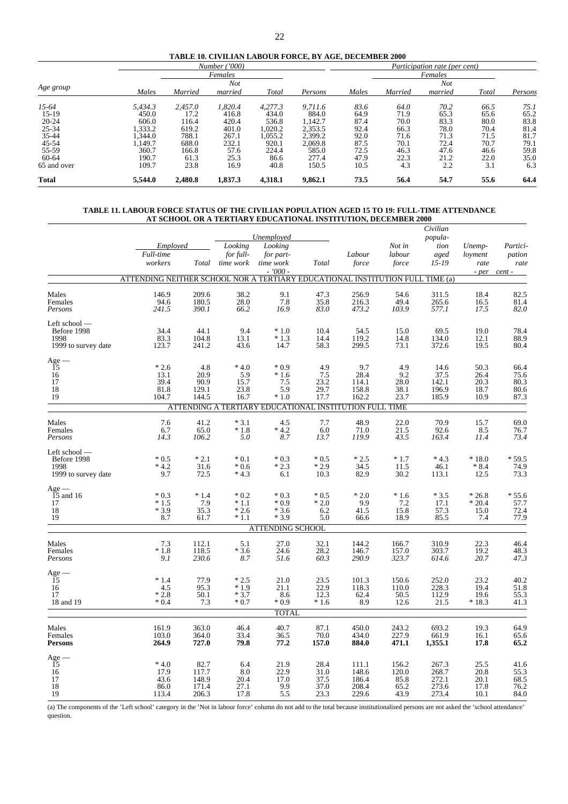|  |  | <b>TABLE 10. CIVILIAN LABOUR FORCE. BY AGE. DECEMBER 2000</b> |  |  |
|--|--|---------------------------------------------------------------|--|--|
|--|--|---------------------------------------------------------------|--|--|

|              |         |         | Number ('000) |         |         |       |         | Participation rate (per cent) |       |         |
|--------------|---------|---------|---------------|---------|---------|-------|---------|-------------------------------|-------|---------|
|              |         |         | Females       |         |         |       |         | Females                       |       |         |
|              |         |         | <b>Not</b>    |         |         |       |         | <b>Not</b>                    |       |         |
| Age group    | Males   | Married | married       | Total   | Persons | Males | Married | married                       | Total | Persons |
| $15-64$      | 5,434.3 | 2.457.0 | 1.820.4       | 4,277.3 | 9.711.6 | 83.6  | 64.0    | 70.2                          | 66.5  | 75.1    |
| $15-19$      | 450.0   | 17.2    | 416.8         | 434.0   | 884.0   | 64.9  | 71.9    | 65.3                          | 65.6  | 65.2    |
| $20 - 24$    | 606.0   | 116.4   | 420.4         | 536.8   | 1,142.7 | 87.4  | 70.0    | 83.3                          | 80.0  | 83.8    |
| $25 - 34$    | .333.2  | 619.2   | 401.0         | 1,020.2 | 2,353.5 | 92.4  | 66.3    | 78.0                          | 70.4  | 81.4    |
| $35 - 44$    | .344.0  | 788.1   | 267.1         | 1,055.2 | 2,399.2 | 92.0  | 71.6    | 71.3                          | 71.5  | 81.7    |
| 45-54        | .149.7  | 688.0   | 232.1         | 920.1   | 2.069.8 | 87.5  | 70.1    | 72.4                          | 70.7  | 79.1    |
| 55-59        | 360.7   | 166.8   | 57.6          | 224.4   | 585.0   | 72.5  | 46.3    | 47.6                          | 46.6  | 59.8    |
| 60-64        | 190.7   | 61.3    | 25.3          | 86.6    | 277.4   | 47.9  | 22.3    | 21.2                          | 22.0  | 35.0    |
| 65 and over  | 109.7   | 23.8    | 16.9          | 40.8    | 150.5   | 10.5  | 4.3     | 2.2                           | 3.1   | 6.3     |
| <b>Total</b> | 5,544.0 | 2,480.8 | 1,837.3       | 4,318.1 | 9,862.1 | 73.5  | 56.4    | 54.7                          | 55.6  | 64.4    |

#### **TABLE 11. LABOUR FORCE STATUS OF THE CIVILIAN POPULATION AGED 15 TO 19: FULL-TIME ATTENDANCE AT SCHOOL OR A TERTIARY EDUCATIONAL INSTITUTION, DECEMBER 2000**

|                                                             | Employed                                                                      |                                          | Looking                               | Unemployed<br>Looking                                                                              |                                      |                                           | Not in                                 | Civilian<br>popula-<br>tion                      | Unemp-                                   | Partici-<br>pation                            |
|-------------------------------------------------------------|-------------------------------------------------------------------------------|------------------------------------------|---------------------------------------|----------------------------------------------------------------------------------------------------|--------------------------------------|-------------------------------------------|----------------------------------------|--------------------------------------------------|------------------------------------------|-----------------------------------------------|
|                                                             | Full-time<br>workers                                                          |                                          | for full-<br>Total time work          | for part-<br>time work<br>$-7000 -$                                                                | Total                                | Labour<br>force                           | labour<br>$\it force$                  | aged<br>$15 - 19$                                | loyment<br>rate<br>$-per$                | rate<br>cent -                                |
|                                                             | ATTENDING NEITHER SCHOOL NOR A TERTIARY EDUCATIONAL INSTITUTION FULL TIME (a) |                                          |                                       |                                                                                                    |                                      |                                           |                                        |                                                  |                                          |                                               |
| Males<br>Females<br>Persons                                 | 146.9<br>94.6<br>241.5                                                        | 209.6<br>180.5<br>390.1                  | 38.2<br>28.0<br>66.2                  | 9.1<br>7.8<br>16.9                                                                                 | 47.3<br>35.8<br>83.0                 | 256.9<br>216.3<br>473.2                   | 54.6<br>49.4<br>103.9                  | 311.5<br>265.6<br>577.1                          | 18.4<br>16.5<br>17.5                     | 82.5<br>81.4<br>82.0                          |
| Left school -<br>Before 1998<br>1998<br>1999 to survey date | 34.4<br>83.3<br>123.7                                                         | 44.1<br>104.8<br>241.2                   | 9.4<br>13.1<br>43.6                   | $*1.0$<br>$*1.3$<br>14.7                                                                           | 10.4<br>14.4<br>58.3                 | 54.5<br>119.2<br>299.5                    | 15.0<br>14.8<br>73.1                   | 69.5<br>134.0<br>372.6                           | 19.0<br>12.1<br>19.5                     | 78.4<br>88.9<br>80.4                          |
| ${\rm Age} \, - \,$ 15<br>16<br>17<br>18<br>19              | $*2.6$<br>13.1<br>39.4<br>81.8<br>104.7                                       | 4.8<br>20.9<br>90.9<br>129.1<br>144.5    | $*4.0$<br>5.9<br>15.7<br>23.8<br>16.7 | $*0.9$<br>$*1.6$<br>7.5<br>5.9<br>$*1.0$<br>ATTENDING A TERTIARY EDUCATIONAL INSTITUTION FULL TIME | 4.9<br>7.5<br>23.2<br>29.7<br>17.7   | 9.7<br>28.4<br>114.1<br>158.8<br>162.2    | 4.9<br>9.2<br>28.0<br>38.1<br>23.7     | 14.6<br>37.5<br>142.1<br>196.9<br>185.9          | 50.3<br>26.4<br>20.3<br>18.7<br>10.9     | 66.4<br>75.6<br>80.3<br>80.6<br>87.3          |
|                                                             |                                                                               |                                          |                                       |                                                                                                    |                                      |                                           |                                        |                                                  |                                          |                                               |
| Males<br>Females<br>Persons                                 | 7.6<br>6.7<br>14.3                                                            | 41.2<br>65.0<br>106.2                    | $*3.1$<br>$*1.8$<br>5.0               | 4.5<br>$*4.2$<br>8.7                                                                               | 7.7<br>6.0<br>13.7                   | 48.9<br>71.0<br>119.9                     | 22.0<br>21.5<br>43.5                   | 70.9<br>92.6<br>163.4                            | 15.7<br>8.5<br>11.4                      | 69.0<br>76.7<br>73.4                          |
| Left school-<br>Before 1998<br>1998<br>1999 to survey date  | $*0.5$<br>$*4.2$<br>9.7                                                       | $*2.1$<br>31.6<br>72.5                   | $*0.1$<br>$*0.6$<br>$*4.3$            | $*0.3$<br>$*2.3$<br>6.1                                                                            | $*0.5$<br>$*2.9$<br>10.3             | $*2.5$<br>34.5<br>82.9                    | $*1.7$<br>11.5<br>30.2                 | $*4.3$<br>46.1<br>113.1                          | $*18.0$<br>$*8.4$<br>12.5                | $*59.5$<br>74.9<br>73.3                       |
| $Age -$<br>$15$ and 16<br>17<br>18<br>19                    | $*0.3$<br>$*1.5$<br>$*3.9$<br>8.7                                             | $*1.4$<br>7.9<br>35.3<br>61.7            | $*0.2$<br>$*1.1$<br>$*2.6$<br>$*1.1$  | $*0.3$<br>$*0.9$<br>$*3.6$<br>$*3.9$                                                               | $*0.5$<br>$*2.0$<br>6.2<br>5.0       | $*2.0$<br>9.9<br>41.5<br>66.6             | $*1.6$<br>7.2<br>15.8<br>18.9          | $*3.5$<br>17.1<br>57.3<br>85.5                   | $*26.8$<br>$*20.4$<br>15.0<br>7.4        | $*55.6$<br>57.7<br>72.4<br>77.9               |
|                                                             |                                                                               |                                          |                                       | <b>ATTENDING SCHOOL</b>                                                                            |                                      |                                           |                                        |                                                  |                                          |                                               |
| Males<br>Females<br>Persons                                 | 7.3<br>$*1.8$<br>9.1                                                          | 112.1<br>118.5<br>230.6                  | 5.1<br>$*3.6$<br>8.7                  | 27.0<br>24.6<br>51.6                                                                               | 32.1<br>28.2<br>60.3                 | 144.2<br>146.7<br>290.9                   | 166.7<br>157.0<br>323.7                | 310.9<br>303.7<br>614.6                          | 22.3<br>19.2<br>20.7                     | 46.4<br>48.3<br>47.3                          |
| ${\rm Age}-15$<br>16<br>17<br>18 and 19                     | $*1.4$<br>4.5<br>$*2.8$<br>$*0.4$                                             | 77.9<br>95.3<br>50.1<br>7.3              | $*2.5$<br>$*1.9$<br>$*3.7$<br>$*0.7$  | 21.0<br>21.1<br>8.6<br>$*0.9$                                                                      | 23.5<br>$^{22.9}_{12.3}$<br>$*1.6$   | 101.3<br>118.3<br>62.4<br>8.9             | 150.6<br>110.0<br>50.5<br>12.6         | 252.0<br>228.3<br>112.9<br>21.5                  | 23.2<br>19.4<br>19.6<br>$*18.3$          | 40.2<br>$51.8$<br>$55.3$<br>$41.3$            |
|                                                             |                                                                               |                                          |                                       | <b>TOTAL</b>                                                                                       |                                      |                                           |                                        |                                                  |                                          |                                               |
| Males<br>Females<br><b>Persons</b>                          | 161.9<br>103.0<br>264.9                                                       | 363.0<br>364.0<br>727.0                  | 46.4<br>33.4<br>79.8                  | 40.7<br>36.5<br>77.2                                                                               | 87.1<br>70.0<br>157.0                | 450.0<br>434.0<br>884.0                   | 243.2<br>227.9<br>471.1                | 693.2<br>661.9<br>1,355.1                        | 19.3<br>16.1<br>17.8                     | 64.9<br>65.6<br>65.2                          |
| ${\rm Age}-15$<br>16<br>17<br>18<br>19                      | $*4.0$<br>17.9<br>43.6<br>86.0<br>113.4                                       | 82.7<br>117.7<br>148.9<br>171.4<br>206.3 | 6.4<br>8.0<br>20.4<br>27.1<br>17.8    | 21.9<br>22.9<br>17.0<br>9.9<br>5.5                                                                 | 28.4<br>31.0<br>37.5<br>37.0<br>23.3 | 111.1<br>148.6<br>186.4<br>208.4<br>229.6 | 156.2<br>120.0<br>85.8<br>65.2<br>43.9 | 267.3<br>268.7<br>$\frac{272.1}{273.6}$<br>273.4 | $^{25.5}_{20.8}$<br>20.1<br>17.8<br>10.1 | $41.6$<br>55.3<br>$\frac{68.5}{76.2}$<br>84.0 |

(a) The components of the 'Left school' category in the 'Not in labour force' column do not add to the total because institutionalised persons are not asked the 'school attendance' question.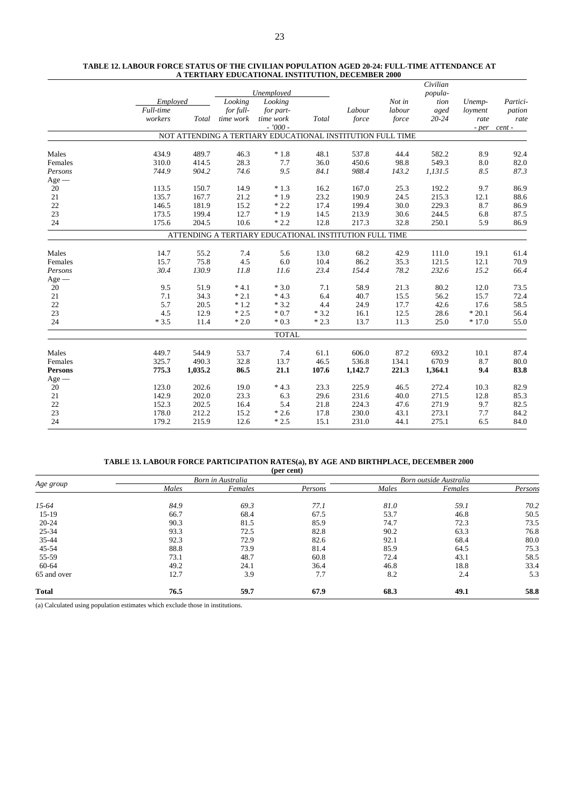|                |           |         |           |                                                            |        |         |        | Civilian  |         |          |
|----------------|-----------|---------|-----------|------------------------------------------------------------|--------|---------|--------|-----------|---------|----------|
|                |           |         |           | Unemployed                                                 |        |         |        | popula-   |         |          |
|                | Employed  |         | Looking   | Looking                                                    |        |         | Not in | tion      | Unemp-  | Partici- |
|                | Full-time |         | for full- | for part-                                                  |        | Labour  | labour | aged      | loyment | pation   |
|                | workers   | Total   | time work | time work                                                  | Total  | force   | force  | $20 - 24$ | rate    | rate     |
|                |           |         |           | $-7000 -$                                                  |        |         |        |           | - per   | cent -   |
|                |           |         |           | NOT ATTENDING A TERTIARY EDUCATIONAL INSTITUTION FULL TIME |        |         |        |           |         |          |
| Males          | 434.9     | 489.7   | 46.3      | $*1.8$                                                     | 48.1   | 537.8   | 44.4   | 582.2     | 8.9     | 92.4     |
| Females        | 310.0     | 414.5   | 28.3      | 7.7                                                        | 36.0   | 450.6   | 98.8   | 549.3     | 8.0     | 82.0     |
| Persons        | 744.9     | 904.2   | 74.6      | 9.5                                                        | 84.1   | 988.4   | 143.2  | 1,131.5   | 8.5     | 87.3     |
| $Age -$        |           |         |           |                                                            |        |         |        |           |         |          |
| 20             | 113.5     | 150.7   | 14.9      | $*1.3$                                                     | 16.2   | 167.0   | 25.3   | 192.2     | 9.7     | 86.9     |
| 21             | 135.7     | 167.7   | 21.2      | $*1.9$                                                     | 23.2   | 190.9   | 24.5   | 215.3     | 12.1    | 88.6     |
| 22             | 146.5     | 181.9   | 15.2      | $*2.2$                                                     | 17.4   | 199.4   | 30.0   | 229.3     | 8.7     | 86.9     |
| 23             | 173.5     | 199.4   | 12.7      | $*1.9$                                                     | 14.5   | 213.9   | 30.6   | 244.5     | 6.8     | 87.5     |
| 24             | 175.6     | 204.5   | 10.6      | $*2.2$                                                     | 12.8   | 217.3   | 32.8   | 250.1     | 5.9     | 86.9     |
|                |           |         |           | ATTENDING A TERTIARY EDUCATIONAL INSTITUTION FULL TIME     |        |         |        |           |         |          |
| Males          | 14.7      | 55.2    | 7.4       | 5.6                                                        | 13.0   | 68.2    | 42.9   | 111.0     | 19.1    | 61.4     |
| Females        | 15.7      | 75.8    | 4.5       | 6.0                                                        | 10.4   | 86.2    | 35.3   | 121.5     | 12.1    | 70.9     |
| Persons        | 30.4      | 130.9   | 11.8      | 11.6                                                       | 23.4   | 154.4   | 78.2   | 232.6     | 15.2    | 66.4     |
| $Age -$        |           |         |           |                                                            |        |         |        |           |         |          |
| 20             | 9.5       | 51.9    | $*4.1$    | $*3.0$                                                     | 7.1    | 58.9    | 21.3   | 80.2      | 12.0    | 73.5     |
| 21             | 7.1       | 34.3    | $*2.1$    | $*4.3$                                                     | 6.4    | 40.7    | 15.5   | 56.2      | 15.7    | 72.4     |
| 22             | 5.7       | 20.5    | $*1.2$    | $*3.2$                                                     | 4.4    | 24.9    | 17.7   | 42.6      | 17.6    | 58.5     |
| 23             | 4.5       | 12.9    | $*2.5$    | $*0.7$                                                     | $*3.2$ | 16.1    | 12.5   | 28.6      | $*20.1$ | 56.4     |
| 24             | $*3.5$    | 11.4    | $*2.0$    | $*0.3$                                                     | $*2.3$ | 13.7    | 11.3   | 25.0      | $*17.0$ | 55.0     |
|                |           |         |           | <b>TOTAL</b>                                               |        |         |        |           |         |          |
| Males          | 449.7     | 544.9   | 53.7      | 7.4                                                        | 61.1   | 606.0   | 87.2   | 693.2     | 10.1    | 87.4     |
| Females        | 325.7     | 490.3   | 32.8      | 13.7                                                       | 46.5   | 536.8   | 134.1  | 670.9     | 8.7     | 80.0     |
| <b>Persons</b> | 775.3     | 1,035.2 | 86.5      | 21.1                                                       | 107.6  | 1,142.7 | 221.3  | 1,364.1   | 9.4     | 83.8     |
| $Age -$        |           |         |           |                                                            |        |         |        |           |         |          |
| 20             | 123.0     | 202.6   | 19.0      | $*4.3$                                                     | 23.3   | 225.9   | 46.5   | 272.4     | 10.3    | 82.9     |
| 21             | 142.9     | 202.0   | 23.3      | 6.3                                                        | 29.6   | 231.6   | 40.0   | 271.5     | 12.8    | 85.3     |
| 22             | 152.3     | 202.5   | 16.4      | 5.4                                                        | 21.8   | 224.3   | 47.6   | 271.9     | 9.7     | 82.5     |
| 23             | 178.0     | 212.2   | 15.2      | $*2.6$                                                     | 17.8   | 230.0   | 43.1   | 273.1     | 7.7     | 84.2     |
| 24             | 179.2     | 215.9   | 12.6      | $*2.5$                                                     | 15.1   | 231.0   | 44.1   | 275.1     | 6.5     | 84.0     |
|                |           |         |           |                                                            |        |         |        |           |         |          |

#### **TABLE 12. LABOUR FORCE STATUS OF THE CIVILIAN POPULATION AGED 20-24: FULL-TIME ATTENDANCE AT A TERTIARY EDUCATIONAL INSTITUTION, DECEMBER 2000**

#### **TABLE 13. LABOUR FORCE PARTICIPATION RATES(a), BY AGE AND BIRTHPLACE, DECEMBER 2000**

|              |       |                   | (per cent) |                        |         |         |  |  |
|--------------|-------|-------------------|------------|------------------------|---------|---------|--|--|
|              |       | Born in Australia |            | Born outside Australia |         |         |  |  |
| Age group    | Males | Females           | Persons    | Males                  | Females | Persons |  |  |
| $15-64$      | 84.9  | 69.3              | 77.1       | 81.0                   | 59.1    | 70.2    |  |  |
| $15-19$      | 66.7  | 68.4              | 67.5       | 53.7                   | 46.8    | 50.5    |  |  |
| $20 - 24$    | 90.3  | 81.5              | 85.9       | 74.7                   | 72.3    | 73.5    |  |  |
| 25-34        | 93.3  | 72.5              | 82.8       | 90.2                   | 63.3    | 76.8    |  |  |
| 35-44        | 92.3  | 72.9              | 82.6       | 92.1                   | 68.4    | 80.0    |  |  |
| 45-54        | 88.8  | 73.9              | 81.4       | 85.9                   | 64.5    | 75.3    |  |  |
| 55-59        | 73.1  | 48.7              | 60.8       | 72.4                   | 43.1    | 58.5    |  |  |
| 60-64        | 49.2  | 24.1              | 36.4       | 46.8                   | 18.8    | 33.4    |  |  |
| 65 and over  | 12.7  | 3.9               | 7.7        | 8.2                    | 2.4     | 5.3     |  |  |
| <b>Total</b> | 76.5  | 59.7              | 67.9       | 68.3                   | 49.1    | 58.8    |  |  |

(a) Calculated using population estimates which exclude those in institutions.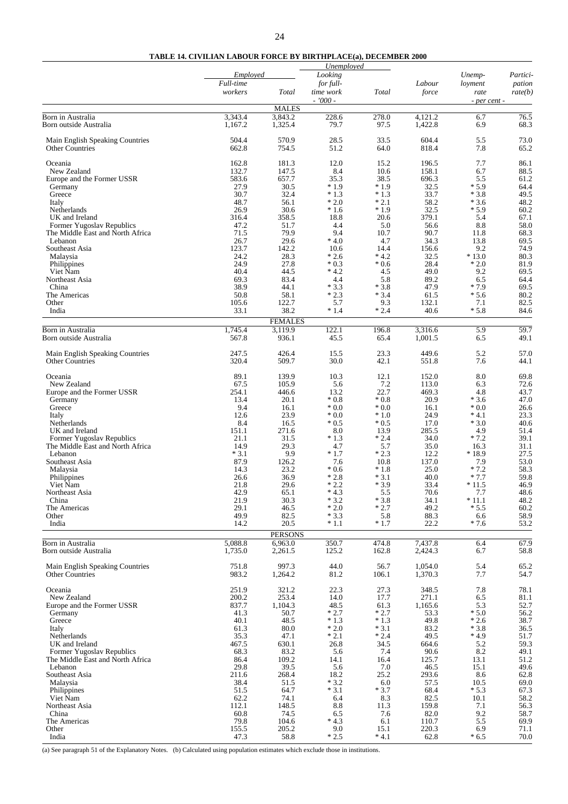#### **TABLE 14. CIVILIAN LABOUR FORCE BY BIRTHPLACE(a), DECEMBER 2000**

|                                                               |                      |                        | Unemployed             |                  |                    |                  |                   |
|---------------------------------------------------------------|----------------------|------------------------|------------------------|------------------|--------------------|------------------|-------------------|
|                                                               | Employed             |                        | Looking                |                  |                    | Unemp-           | Partici-          |
|                                                               | Full-time<br>workers | Total                  | for full-<br>time work | Total            | Labour<br>force    | loyment<br>rate  | pation<br>rate(b) |
|                                                               |                      | <b>MALES</b>           | $-7000 -$              |                  |                    | - per cent -     |                   |
| Born in Australia                                             | 3,343.4              | 3,843.2                | 228.6                  | 278.0            | 4,121.2            | 6.7              | 76.5              |
| Born outside Australia                                        | 1,167.2              | 1,325.4                | 79.7                   | 97.5             | 1,422.8            | 6.9              | 68.3              |
| Main English Speaking Countries<br><b>Other Countries</b>     | 504.4<br>662.8       | 570.9<br>754.5         | 28.5<br>51.2           | 33.5<br>64.0     | 604.4<br>818.4     | 5.5<br>7.8       | 73.0<br>65.2      |
| Oceania                                                       | 162.8                | 181.3                  | 12.0                   | 15.2             | 196.5              | 7.7              | 86.1              |
| New Zealand                                                   | 132.7                | 147.5                  | 8.4                    | 10.6             | 158.1              | 6.7              | 88.5              |
| Europe and the Former USSR<br>Germany                         | 583.6<br>27.9        | 657.7<br>30.5          | 35.3<br>$*1.9$         | 38.5<br>$*1.9$   | 696.3<br>32.5      | 5.5<br>$*5.9$    | 61.2<br>64.4      |
| Greece                                                        | 30.7                 | 32.4                   | $*1.3$                 | $*1.3$           | 33.7               | $*3.8$           | 49.5              |
| Italy                                                         | 48.7                 | 56.1                   | $*2.0$                 | $*2.1$           | 58.2               | $*3.6$           | 48.2              |
| Netherlands                                                   | 26.9                 | 30.6                   | $*1.6$                 | $*1.9$           | 32.5               | $*5.9$           | 60.2              |
| UK and Ireland                                                | 316.4<br>47.2        | 358.5                  | 18.8<br>4.4            | 20.6             | 379.1              | 5.4              | 67.1<br>58.0      |
| Former Yugoslav Republics<br>The Middle East and North Africa | 71.5                 | 51.7<br>79.9           | 9.4                    | 5.0<br>10.7      | 56.6<br>90.7       | 8.8<br>11.8      | 68.3              |
| Lebanon                                                       | 26.7                 | 29.6                   | $*4.0$                 | 4.7              | 34.3               | 13.8             | 69.5              |
| Southeast Asia                                                | 123.7                | 142.2                  | 10.6                   | 14.4             | 156.6              | 9.2              | 74.9              |
| Malaysia                                                      | 24.2                 | 28.3                   | $*2.6$                 | $* 4.2$          | 32.5               | $*13.0$          | 80.3              |
| Philippines<br>Viet Nam                                       | 24.9<br>40.4         | 27.8<br>44.5           | $*0.3$<br>$*4.2$       | $*0.6$<br>4.5    | 28.4<br>49.0       | $*2.0$<br>9.2    | 81.9<br>69.5      |
| Northeast Asia                                                | 69.3                 | 83.4                   | 4.4                    | 5.8              | 89.2               | 6.5              | 64.4              |
| China                                                         | 38.9                 | 44.1                   | $*3.3$                 | $*3.8$           | 47.9               | $*7.9$           | 69.5              |
| The Americas                                                  | 50.8                 | 58.1                   | $*2.3$                 | $*3.4$           | 61.5               | $*5.6$           | 80.2              |
| Other                                                         | 105.6                | 122.7                  | 5.7                    | 9.3              | 132.1              | 7.1              | 82.5              |
| India                                                         | 33.1                 | 38.2<br><b>FEMALES</b> | $*1.4$                 | $*2.4$           | 40.6               | $*5.8$           | 84.6              |
| Born in Australia                                             | 1,745.4              | 3,119.9                | 122.1                  | 196.8            | 3,316.6            | 5.9              | 59.7              |
| Born outside Australia                                        | 567.8                | 936.1                  | 45.5                   | 65.4             | 1,001.5            | 6.5              | 49.1              |
| Main English Speaking Countries<br><b>Other Countries</b>     | 247.5<br>320.4       | 426.4<br>509.7         | 15.5<br>30.0           | 23.3<br>42.1     | 449.6<br>551.8     | 5.2<br>7.6       | 57.0<br>44.1      |
| Oceania                                                       | 89.1                 | 139.9                  | 10.3                   | 12.1             | 152.0              | 8.0              | 69.8              |
| New Zealand                                                   | 67.5<br>254.1        | 105.9                  | 5.6                    | 7.2              | 113.0              | 6.3              | 72.6              |
| Europe and the Former USSR<br>Germany                         | 13.4                 | 446.6<br>20.1          | 13.2<br>$*0.8$         | 22.7<br>$*0.8$   | 469.3<br>20.9      | 4.8<br>$*3.6$    | 43.7<br>47.0      |
| Greece                                                        | 9.4                  | 16.1                   | $*0.0$                 | $*0.0$           | 16.1               | $*0.0$           | 26.6              |
| Italy                                                         | 12.6                 | 23.9                   | $*0.0$                 | $*1.0$           | 24.9               | $*4.1$           | 23.3              |
| Netherlands                                                   | 8.4                  | 16.5                   | $*0.5$                 | $*0.5$           | 17.0               | $*3.0$           | 40.6              |
| UK and Ireland<br>Former Yugoslav Republics                   | 151.1<br>21.1        | 271.6<br>31.5          | 8.0<br>$*1.3$          | 13.9<br>$*2.4$   | 285.5<br>34.0      | 4.9<br>$*7.2$    | 51.4<br>39.1      |
| The Middle East and North Africa                              | 14.9                 | 29.3                   | 4.7                    | 5.7              | 35.0               | 16.3             | 31.1              |
| Lebanon                                                       | $*3.1$               | 9.9                    | $*1.7$                 | $*2.3$           | 12.2               | $*18.9$          | 27.5              |
| Southeast Asia                                                | 87.9                 | 126.2                  | 7.6                    | 10.8             | 137.0              | 7.9              | 53.0              |
| Malaysia<br>Philippines                                       | 14.3<br>26.6         | 23.2<br>36.9           | $*0.6$<br>$*2.8$       | $*1.8$<br>$*3.1$ | 25.0<br>40.0       | $*7.2$<br>$*7.7$ | 58.3<br>59.8      |
| Viet Nam                                                      | 21.8                 | 29.6                   | $*2.2$                 | $*3.9$           | 33.4               | $*11.5$          | 46.9              |
| Northeast Asia                                                | 42.9                 | 65.1                   | $*4.3$                 | 5.5              | 70.6               | 7.7              | 48.6              |
| China                                                         | 21.9                 | 30.3                   | $*3.2$                 | $*3.8$           | 34.1               | $*11.1$          | 48.2              |
| The Americas                                                  | 29.1<br>49.9         | 46.5<br>82.5           | $*2.0$<br>$*3.3$       | $*2.7$<br>5.8    | 49.2<br>88.3       | $*5.5$           | 60.2              |
| Other<br>India                                                | 14.2                 | 20.5                   | $*1.1$                 | $*1.7$           | 22.2               | 6.6<br>$*7.6$    | 58.9<br>53.2      |
|                                                               |                      | <b>PERSONS</b>         |                        |                  |                    |                  |                   |
| Born in Australia                                             | 5,088.8              | 6.963.0                | 350.7                  | 474.8            | 7,437.8            | 6.4              | 67.9              |
| Born outside Australia                                        | 1,735.0              | 2,261.5                | 125.2                  | 162.8            | 2,424.3            | 6.7              | 58.8              |
| Main English Speaking Countries<br><b>Other Countries</b>     | 751.8<br>983.2       | 997.3<br>1,264.2       | 44.0<br>81.2           | 56.7<br>106.1    | 1,054.0<br>1,370.3 | 5.4<br>7.7       | 65.2<br>54.7      |
| Oceania<br>New Zealand                                        | 251.9<br>200.2       | 321.2<br>253.4         | 22.3<br>14.0           | 27.3<br>17.7     | 348.5<br>271.1     | 7.8<br>6.5       | 78.1<br>$81.1\,$  |
| Europe and the Former USSR                                    | 837.7                | 1,104.3                | 48.5                   | 61.3             | 1,165.6            | 5.3              | 52.7              |
| Germany                                                       | 41.3                 | 50.7                   | $*2.7$                 | $*2.7$           | 53.3               | $*5.0$           | 56.2              |
| Greece                                                        | 40.1                 | 48.5                   | $*1.3$                 | $*1.3$           | 49.8               | $*2.6$           | 38.7              |
| Italy                                                         | 61.3<br>35.3         | 80.0                   | $^\ast$ 2.0            | $*3.1$<br>$*2.4$ | 83.2               | $*3.8$           | 36.5<br>51.7      |
| Netherlands<br>UK and Ireland                                 | 467.5                | 47.1<br>630.1          | $*2.1$<br>26.8         | 34.5             | 49.5<br>664.6      | $*4.9$<br>5.2    | 59.3              |
| Former Yugoslav Republics                                     | 68.3                 | 83.2                   | 5.6                    | 7.4              | 90.6               | 8.2              | 49.1              |
| The Middle East and North Africa                              | 86.4                 | 109.2                  | 14.1                   | 16.4             | 125.7              | 13.1             | 51.2              |
| Lebanon                                                       | 29.8                 | 39.5                   | 5.6                    | 7.0              | 46.5               | 15.1             | 49.6              |
| Southeast Asia<br>Malaysia                                    | 211.6<br>38.4        | 268.4<br>51.5          | 18.2<br>$*3.2$         | 25.2<br>6.0      | 293.6<br>57.5      | 8.6<br>10.5      | 62.8<br>69.0      |
| Philippines                                                   | 51.5                 | 64.7                   | $*3.1$                 | $*3.7$           | 68.4               | $*5.3$           | 67.3              |
| Viet Nam                                                      | 62.2                 | 74.1                   | 6.4                    | 8.3              | 82.5               | 10.1             | 58.2              |
| Northeast Asia                                                | 112.1                | 148.5                  | 8.8                    | 11.3             | 159.8              | 7.1              | 56.3              |
| China<br>The Americas                                         | 60.8<br>79.8         | 74.5<br>104.6          | 6.5<br>$*4.3$          | 7.6<br>6.1       | 82.0<br>110.7      | 9.2<br>5.5       | 58.7<br>69.9      |
| Other                                                         | 155.5                | 205.2                  | 9.0                    | 15.1             | 220.3              | 6.9              | 71.1              |
| India                                                         | 47.3                 | 58.8                   | $*2.5$                 | $* 4.1$          | 62.8               | $*6.5$           | 70.0              |

(a) See paragraph 51 of the Explanatory Notes. (b) Calculated using population estimates which exclude those in institutions.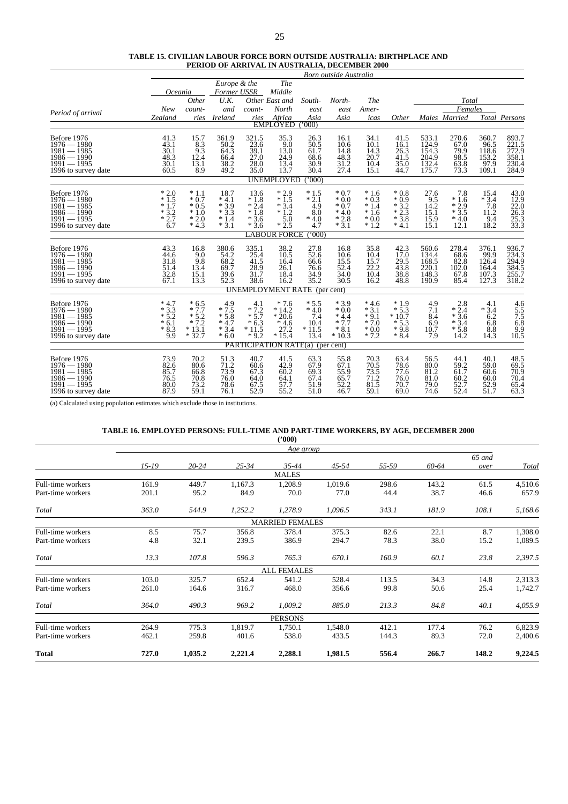| <b>TABLE 15. CIVILIAN LABOUR FORCE BORN OUTSIDE AUSTRALIA: BIRTHPLACE AND</b> |
|-------------------------------------------------------------------------------|
| <b>PERIOD OF ARRIVAL IN AUSTRALIA, DECEMBER 2000</b>                          |
| Rom outside Australia                                                         |

|                                      |                  |                     |                      |                     |                                     |                 | Born outside Australia |                   |                                      |                    |                  |                    |                                              |
|--------------------------------------|------------------|---------------------|----------------------|---------------------|-------------------------------------|-----------------|------------------------|-------------------|--------------------------------------|--------------------|------------------|--------------------|----------------------------------------------|
|                                      |                  |                     | Europe & the         |                     | <b>The</b>                          |                 |                        |                   |                                      |                    |                  |                    |                                              |
|                                      | Oceania          |                     |                      | Former USSR         | Middle                              |                 |                        |                   |                                      |                    |                  |                    |                                              |
|                                      |                  | Other               | U.K.                 |                     | Other East and                      | South-          | North-                 | <b>The</b>        |                                      |                    | Total            |                    |                                              |
| Period of arrival                    | New              | count-              | and                  | count-              | North                               | east            | east                   | Amer-             |                                      |                    | Females          |                    |                                              |
|                                      | Zealand          | ries                | Ireland              | ries                | Africa                              | Asia            | Asia                   | icas              | Other                                |                    | Males Married    |                    | Total Persons                                |
|                                      |                  |                     |                      |                     | <b>EMPLOYED</b>                     | 000             |                        |                   |                                      |                    |                  |                    |                                              |
| Before 1976                          | 41.3             | 15.7                | 361.9                | 321.5               | 35.3                                | 26.3            | 16.1                   | 34.1              | 41.5                                 | 533.1              | 270.6            | 360.7              |                                              |
| $1976 - 1980$                        | 43.1             | $8.3$<br>9.3        | $\frac{50.2}{64.3}$  | $\frac{23.6}{39.1}$ | 9.0                                 | 50.5            | 10.6                   | 10.1              | 16.1                                 | 124.9              | 67.0             | 96.5               | 893.7<br>221.5<br>272.9<br>358.1<br>230.4    |
| $1981 - 1985$<br>$1986 - 1990$       | 30.1<br>48.3     |                     |                      |                     | 13.0                                | 61.7            | 14.8                   | 14.3              | 26.3                                 | 154.3              | 79.9             | 118.6              |                                              |
| $1991 - 1995$                        | 30.1             | $\frac{12.4}{13.1}$ |                      | 27.0<br>28.0        | 24.9<br>13.4                        | 68.6<br>30.9    | 48.3<br>31.2           | 20.7<br>10.4      | 41.5<br>35.0                         | 204.9<br>132.4     | 98.5<br>63.8     | 153.2<br>97.9      |                                              |
| 1996 to survey date                  | 60.5             | 8.9                 | 66.4<br>38.2<br>49.2 | 35.0                | 13.7                                | 30.4            | 27.4                   | 15.1              | 44.7                                 | 175.7              | 73.3             | 109.1              | 284.9                                        |
|                                      |                  |                     |                      |                     | <b>UNEMPLOYED</b>                   | '000            |                        |                   |                                      |                    |                  |                    |                                              |
| Before 1976                          | $*2.0$           | $*1.1$              | 18.7                 | 13.6                |                                     | $*1.5$          | $*0.7$                 | $*1.6$            | $*0.8$                               | 27.6               | 7.8              | 15.4               |                                              |
| $\frac{1976 - 1980}{1981 - 1985}$    | $*1.5$           | $*0.7$              | $*4.1$               | $*1.8$              | $*2.9$<br>$*1.5$                    | $*2.1$          | $*0.0$                 | $*0.3$            | $*0.9$<br>$*3.2$<br>$*2.3$<br>$*3.8$ | $\frac{9.5}{14.2}$ | *.<br>1.6        | $*3.4$             |                                              |
|                                      | $*1.7$           | $*0.5$              | $*3.9$               | $*2.4$              | $*3.4$                              | 4.9             | $*0.7$                 | $*1.4$            |                                      |                    | $*2.9$           | $\frac{7.8}{11.2}$ |                                              |
| $\frac{1986-1990}{1991-1995}$        | $*3.2$<br>$*2.7$ | $*1.0$<br>$*2.0$    | $*3.3$<br>$*1.4$     | $*1.8$<br>$*3.6$    | $*1.2$<br>5.0                       | 8.0<br>$*4.0$   | $*4.0$<br>$*2.8$       | $*1.6$<br>$*0.0*$ |                                      | 15.1<br>15.9       | $*3.5$<br>$*4.0$ |                    |                                              |
| 1996 to survey date                  | 6.7              | $*4.3$              | $*3.1$               | $*3.6$              | $*2.5$                              | 4.7             | $*3.1$                 | $*1.2$            | $*4.1$                               | 15.1               | 12.1             | 18.2               | 43.0<br>12.9<br>22.0<br>26.3<br>25.3<br>33.3 |
|                                      |                  |                     |                      |                     | <b>LABOUR FORCE</b>                 | (000)           |                        |                   |                                      |                    |                  |                    |                                              |
| Before 1976                          | 43.3             | 16.8                | 380.6                | 335.1               |                                     | 27.8            | 16.8                   | 35.8              |                                      | 560.6              | 278.4            | 376.1              |                                              |
| $1976 - 1980$                        | 44.6             | 9.0                 | 54.2                 | 25.4                | $\frac{38.2}{10.5}$                 | 52.6            | 10.6                   | 10.4              | $^{42.3}_{17.0}$                     | 134.4              | 68.6             | 99.9               | 936.7<br>234.3                               |
| $1981 - 1985$                        | 31.8             | 9.8                 | 68.2                 | 41.5                | 16.4                                | 66.6            | 15.5                   | 15.7              | $^{29.5}_{43.8}$                     | 168.5              | 82.8             | 126.4              | 294.9<br>384.5                               |
| $1986 - 1990$<br>$1991 - 1995$       | 51.4<br>32.8     | 13.4                | 69.7<br>39.6         | 28.9<br>31.7        | 26.1<br>18.4                        | 76.6<br>34.9    | 52.4<br>34.0           | 22.2<br>10.4      | 38.8                                 | 220.1<br>148.3     | 102.0<br>67.8    | 164.4<br>107.3     |                                              |
| 1996 to survey date                  | 67.1             | 15.1<br>13.3        | 52.3                 | 38.6                | 16.2                                | 35.2            | 30.5                   | 16.2              | 48.8                                 | 190.9              | 85.4             | 127.3              | 255.7<br>318.2                               |
|                                      |                  |                     |                      |                     | <b>UNEMPLOYMENT RATE</b> (per cent) |                 |                        |                   |                                      |                    |                  |                    |                                              |
| Before 1976                          |                  |                     | 4.9                  | 4.1                 | $*7.6$                              | $*5.5$          | $*3.9$                 | $*4.6$            |                                      | 4.9                | 2.8              | 4.1                |                                              |
| $1976 - 1980$                        | $*4.7$<br>$*3.3$ | $* 6.5$<br>$* 7.7$  | $*7.5$               | $*7.2$              | $*14.2$                             | $*4.0$          | $*0.0$                 | $*3.1$            | $*1.9$<br>$*5.3$                     | 7.1                | $*2.4$           | $*3.4$             |                                              |
| $1981 - 1985$                        | $*5.2$           | $*5.2$<br>$*7.2$    | $*5.8$               | $*5.7$              | $*20.6$<br>$*4.6$                   | 7.4             | $*4.4$                 | $*9.1$            | $*10.7$                              | 8.4                | $*3.6$           | 6.2                | $4.6$<br>5.5<br>7.5<br>6.8<br>9.9            |
| $1986 - 1990$<br>$1991 - 1995$       | $*6.1$<br>$*8.3$ |                     | $*4.7$<br>$*3.4$     | $*6.3$<br>$*11.5$   | 27.2                                | 10.4<br>$*11.5$ | $*7.7$<br>$*8.1$       | $*7.0$<br>$*0.0$  | $*5.3$<br>$*9.8$                     | 6.9<br>10.7        | $*3.4$<br>$*5.8$ | 6.8<br>8.8         |                                              |
| 1996 to survey date                  | 9.9              | $*32.7$             | $*6.0$               | $*9.2$              | $*15.4$                             | 13.4            | $*10.3$                | $*7.2$            | $*8.4$                               | 7.9                | 14.2             | 14.3               | 10.5                                         |
|                                      |                  |                     |                      |                     | PARTICIPATION RATE(a) (per cent)    |                 |                        |                   |                                      |                    |                  |                    |                                              |
| Before 1976                          | 73.9             | 70.2                | 51.3                 | 40.7                | 41.5                                | 63.3            | 55.8                   | 70.3              | 63.4                                 | 56.5               | 44.1             | 40.1               |                                              |
| $1976 - 1980$                        | 82.6             | 80.6                | 71.2                 | 60.6                | 42.9                                | 67.9            | 67.1                   | 70.5              | 78.6                                 | 80.0               | 59.2             | 59.0               | 48.5<br>69.5                                 |
| $1981 - 1985$                        | 85.7             | 66.8                | 73.9                 | 67.3                | 60.2                                | 69.3            | 55.9                   | 73.5              | 77.6                                 | 81.2               | 61.7             | 60.6               | 70.9                                         |
| $1986 - 1990$                        | 76.5             | 70.8                | 76.0                 | 64.0                | 64.1                                | 67.4            | 65.7                   | 71.2              | 76.0                                 | 81.0               | 60.2             | 60.0               | 70.4                                         |
| $1991 - 1995$<br>1996 to survey date | 80.0<br>87.9     | 73.2<br>59.1        | 78.6<br>76.1         | 67.5<br>52.9        | 57.7<br>55.2                        | 51.9<br>51.0    | 52.2<br>46.7           | 81.5<br>59.1      | 70.7<br>69.0                         | 79.0<br>74.6       | 52.7<br>52.4     | 52.9<br>51.7       | $65.4$<br>$63.3$                             |
|                                      |                  |                     |                      |                     |                                     |                 |                        |                   |                                      |                    |                  |                    |                                              |

(a) Calculated using population estimates which exclude those in institutions.

#### **TABLE 16. EMPLOYED PERSONS: FULL-TIME AND PART-TIME WORKERS, BY AGE, DECEMBER 2000**

|                   |           |         |           | (2000)                 |           |       |       |                |         |
|-------------------|-----------|---------|-----------|------------------------|-----------|-------|-------|----------------|---------|
|                   |           |         |           | Age group              |           |       |       |                |         |
|                   | $15 - 19$ | 20-24   | $25 - 34$ | 35-44                  | $45 - 54$ | 55-59 | 60-64 | 65 and<br>over | Total   |
|                   |           |         |           | <b>MALES</b>           |           |       |       |                |         |
| Full-time workers | 161.9     | 449.7   | 1,167.3   | 1,208.9                | 1,019.6   | 298.6 | 143.2 | 61.5           | 4,510.6 |
| Part-time workers | 201.1     | 95.2    | 84.9      | 70.0                   | 77.0      | 44.4  | 38.7  | 46.6           | 657.9   |
| Total             | 363.0     | 544.9   | 1,252.2   | 1,278.9                | 1,096.5   | 343.1 | 181.9 | 108.1          | 5,168.6 |
|                   |           |         |           | <b>MARRIED FEMALES</b> |           |       |       |                |         |
| Full-time workers | 8.5       | 75.7    | 356.8     | 378.4                  | 375.3     | 82.6  | 22.1  | 8.7            | 1,308.0 |
| Part-time workers | 4.8       | 32.1    | 239.5     | 386.9                  | 294.7     | 78.3  | 38.0  | 15.2           | 1,089.5 |
| Total             | 13.3      | 107.8   | 596.3     | 765.3                  | 670.1     | 160.9 | 60.1  | 23.8           | 2,397.5 |
|                   |           |         |           | <b>ALL FEMALES</b>     |           |       |       |                |         |
| Full-time workers | 103.0     | 325.7   | 652.4     | 541.2                  | 528.4     | 113.5 | 34.3  | 14.8           | 2,313.3 |
| Part-time workers | 261.0     | 164.6   | 316.7     | 468.0                  | 356.6     | 99.8  | 50.6  | 25.4           | 1,742.7 |
| Total             | 364.0     | 490.3   | 969.2     | 1,009.2                | 885.0     | 213.3 | 84.8  | 40.1           | 4,055.9 |
|                   |           |         |           | <b>PERSONS</b>         |           |       |       |                |         |
| Full-time workers | 264.9     | 775.3   | 1,819.7   | 1,750.1                | 1,548.0   | 412.1 | 177.4 | 76.2           | 6,823.9 |
| Part-time workers | 462.1     | 259.8   | 401.6     | 538.0                  | 433.5     | 144.3 | 89.3  | 72.0           | 2,400.6 |
| <b>Total</b>      | 727.0     | 1,035.2 | 2,221.4   | 2,288.1                | 1,981.5   | 556.4 | 266.7 | 148.2          | 9,224.5 |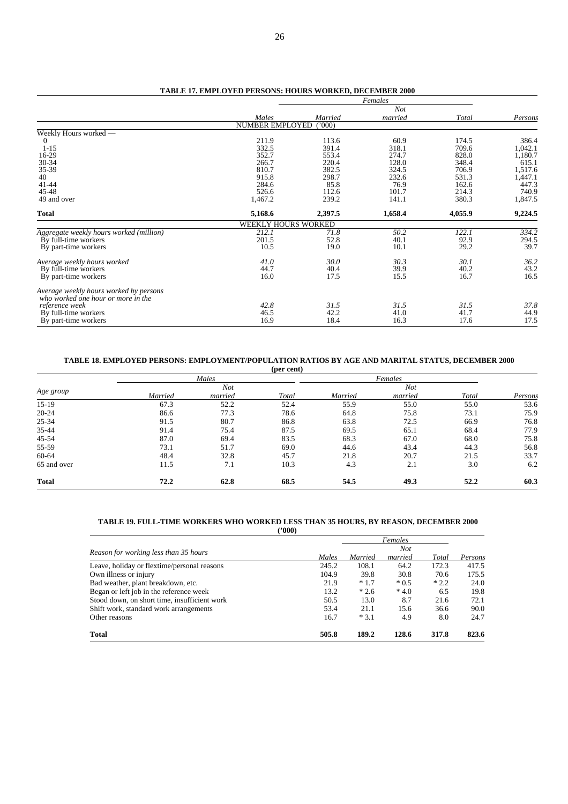|                                                                              |                        |         | Females    |         |         |
|------------------------------------------------------------------------------|------------------------|---------|------------|---------|---------|
|                                                                              |                        |         | <b>Not</b> |         |         |
|                                                                              | Males                  | Married | married    | Total   | Persons |
|                                                                              | <b>NUMBER EMPLOYED</b> | (1000)  |            |         |         |
| Weekly Hours worked -                                                        |                        |         |            |         |         |
| $\theta$                                                                     | 211.9                  | 113.6   | 60.9       | 174.5   | 386.4   |
| $1 - 15$                                                                     | 332.5                  | 391.4   | 318.1      | 709.6   | 1,042.1 |
| 16-29                                                                        | 352.7                  | 553.4   | 274.7      | 828.0   | 1,180.7 |
| 30-34                                                                        | 266.7                  | 220.4   | 128.0      | 348.4   | 615.1   |
| 35-39                                                                        | 810.7                  | 382.5   | 324.5      | 706.9   | 1,517.6 |
| 40                                                                           | 915.8                  | 298.7   | 232.6      | 531.3   | 1,447.1 |
| $41 - 44$                                                                    | 284.6                  | 85.8    | 76.9       | 162.6   | 447.3   |
| 45-48                                                                        | 526.6                  | 112.6   | 101.7      | 214.3   | 740.9   |
| 49 and over                                                                  | 1,467.2                | 239.2   | 141.1      | 380.3   | 1,847.5 |
| <b>Total</b>                                                                 | 5,168.6                | 2,397.5 | 1,658.4    | 4,055.9 | 9,224.5 |
|                                                                              | WEEKLY HOURS WORKED    |         |            |         |         |
| Aggregate weekly hours worked (million)                                      | 212.1                  | 71.8    | 50.2       | 122.1   | 334.2   |
| By full-time workers                                                         | 201.5                  | 52.8    | 40.1       | 92.9    | 294.5   |
| By part-time workers                                                         | 10.5                   | 19.0    | 10.1       | 29.2    | 39.7    |
| Average weekly hours worked                                                  | 41.0                   | 30.0    | 30.3       | 30.1    | 36.2    |
| By full-time workers                                                         | 44.7                   | 40.4    | 39.9       | 40.2    | 43.2    |
| By part-time workers                                                         | 16.0                   | 17.5    | 15.5       | 16.7    | 16.5    |
| Average weekly hours worked by persons<br>who worked one hour or more in the |                        |         |            |         |         |
| reference week                                                               | 42.8                   | 31.5    | 31.5       | 31.5    | 37.8    |
| By full-time workers                                                         | 46.5                   | 42.2    | 41.0       | 41.7    | 44.9    |
| By part-time workers                                                         | 16.9                   | 18.4    | 16.3       | 17.6    | 17.5    |
|                                                                              |                        |         |            |         |         |

#### **TABLE 17. EMPLOYED PERSONS: HOURS WORKED, DECEMBER 2000**

#### **TABLE 18. EMPLOYED PERSONS: EMPLOYMENT/POPULATION RATIOS BY AGE AND MARITAL STATUS, DECEMBER 2000**

|              |         |            | (per cent) |         |         |       |         |
|--------------|---------|------------|------------|---------|---------|-------|---------|
|              |         | Males      |            |         | Females |       |         |
| Age group    |         | <b>Not</b> |            |         | Not     |       |         |
|              | Married | married    | Total      | Married | married | Total | Persons |
| $15-19$      | 67.3    | 52.2       | 52.4       | 55.9    | 55.0    | 55.0  | 53.6    |
| $20 - 24$    | 86.6    | 77.3       | 78.6       | 64.8    | 75.8    | 73.1  | 75.9    |
| 25-34        | 91.5    | 80.7       | 86.8       | 63.8    | 72.5    | 66.9  | 76.8    |
| 35-44        | 91.4    | 75.4       | 87.5       | 69.5    | 65.1    | 68.4  | 77.9    |
| 45-54        | 87.0    | 69.4       | 83.5       | 68.3    | 67.0    | 68.0  | 75.8    |
| 55-59        | 73.1    | 51.7       | 69.0       | 44.6    | 43.4    | 44.3  | 56.8    |
| 60-64        | 48.4    | 32.8       | 45.7       | 21.8    | 20.7    | 21.5  | 33.7    |
| 65 and over  | 11.5    | 7.1        | 10.3       | 4.3     | 2.1     | 3.0   | 6.2     |
| <b>Total</b> | 72.2    | 62.8       | 68.5       | 54.5    | 49.3    | 52.2  | 60.3    |

#### **TABLE 19. FULL-TIME WORKERS WHO WORKED LESS THAN 35 HOURS, BY REASON, DECEMBER 2000 ('000)**

|                                              |       |         | Females |        |         |
|----------------------------------------------|-------|---------|---------|--------|---------|
| Reason for working less than 35 hours        |       |         | Not     |        |         |
|                                              | Males | Married | married | Total  | Persons |
| Leave, holiday or flextime/personal reasons  | 245.2 | 108.1   | 64.2    | 172.3  | 417.5   |
| Own illness or injury                        | 104.9 | 39.8    | 30.8    | 70.6   | 175.5   |
| Bad weather, plant breakdown, etc.           | 21.9  | $*1.7$  | $*0.5$  | $*2.2$ | 24.0    |
| Began or left job in the reference week      | 13.2  | $*2.6$  | $*4.0$  | 6.5    | 19.8    |
| Stood down, on short time, insufficient work | 50.5  | 13.0    | 8.7     | 21.6   | 72.1    |
| Shift work, standard work arrangements       | 53.4  | 21.1    | 15.6    | 36.6   | 90.0    |
| Other reasons                                | 16.7  | $*3.1$  | 4.9     | 8.0    | 24.7    |
| <b>Total</b>                                 | 505.8 | 189.2   | 128.6   | 317.8  | 823.6   |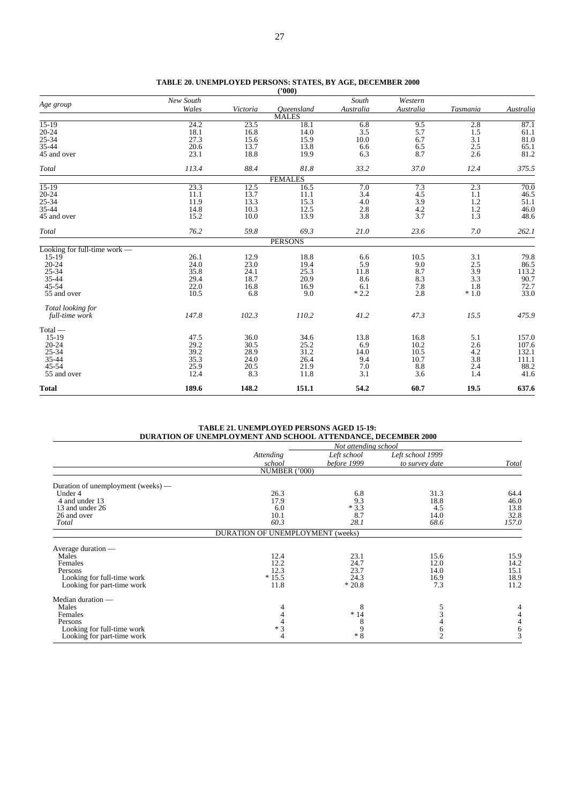| <b>Total</b>                 | 189.6        | 148.2       | 151.1          | 54.2       | 60.7       | 19.5       | 637.6         |
|------------------------------|--------------|-------------|----------------|------------|------------|------------|---------------|
|                              |              |             |                |            |            |            |               |
| 55 and over                  | 25.9<br>12.4 | 20.5<br>8.3 | 21.9<br>11.8   | 7.0<br>3.1 | 8.8<br>3.6 | 2.4<br>1.4 | 41.6          |
| 35-44<br>$45 - 54$           | 35.3         | 24.0        | 26.4           | 9.4        | 10.7       | 3.8        | 111.1<br>88.2 |
| $25 - 34$                    | 39.2         | 28.9        | 31.2           | 14.0       | 10.5       | 4.2        | 132.1         |
| $20 - 24$                    | 29.2         | 30.5        | 25.2           | 6.9        | 10.2       | 2.6        | 107.6         |
| $15-19$                      | 47.5         | 36.0        | 34.6           | 13.8       | 16.8       | 5.1        | 157.0         |
| $Total -$                    |              |             |                |            |            |            |               |
| full-time work               | 147.8        | 102.3       | 110.2          | 41.2       | 47.3       | 15.5       | 475.9         |
| Total looking for            |              |             |                |            |            |            |               |
| 55 and over                  | 10.5         | 6.8         | 9.0            | $*2.2$     | 2.8        | $*1.0$     | 33.0          |
| $45 - 54$                    | 22.0         | 16.8        | 16.9           | 6.1        | 7.8        | 1.8        | 72.7          |
| $35 - 44$                    | 29.4         | 18.7        | 20.9           | 8.6        | 8.3        | 3.3        | 90.7          |
| $25 - 34$                    | 35.8         | 24.1        | 25.3           | 11.8       | 8.7        | 3.9        | 113.2         |
| $20 - 24$                    | 24.0         | 23.0        | 19.4           | 5.9        | 9.0        | 2.5        | 86.5          |
| $15-19$                      | 26.1         | 12.9        | 18.8           | 6.6        | 10.5       | 3.1        | 79.8          |
| Looking for full-time work - |              |             |                |            |            |            |               |
|                              |              |             | <b>PERSONS</b> |            |            |            |               |
| Total                        | 76.2         | 59.8        | 69.3           | 21.0       | 23.6       | 7.0        | 262.1         |
| 45 and over                  | 15.2         | 10.0        | 13.9           | 3.8        | 3.7        | 1.3        | 48.6          |
| 35-44                        | 14.8         | 10.3        | 12.5           | 2.8        | 4.2        | 1.2        | 46.0          |
| 25-34                        | 11.9         | 13.3        | 15.3           | 4.0        | 3.9        | 1.2        | 51.1          |
| $20 - 24$                    | 11.1         | 13.7        | 11.1           | 3.4        | 4.5        | 1.1        | 46.5          |
| $15-19$                      | 23.3         | 12.5        | 16.5           | 7.0        | 7.3        | 2.3        | 70.0          |
|                              |              |             | <b>FEMALES</b> |            |            |            |               |
| Total                        | 113.4        | 88.4        | 81.8           | 33.2       | 37.0       | 12.4       | 375.5         |
| 45 and over                  | 23.1         | 18.8        | 19.9           | 6.3        | 8.7        | 2.6        | 81.2          |
| 35-44                        | 20.6         | 13.7        | 13.8           | 6.6        | 6.5        | 2.5        | 65.1          |
| 25-34                        | 27.3         | 15.6        | 15.9           | 10.0       | 6.7        | 3.1        | 81.0          |
| $20 - 24$                    | 18.1         | 16.8        | 14.0           | 3.5        | 5.7        | 1.5        | 61.1          |
| $15-19$                      | 24.2         | 23.5        | 18.1           | 6.8        | 9.5        | 2.8        | 87.1          |
|                              |              |             | <b>MALES</b>   |            |            |            |               |
| Age group                    | Wales        | Victoria    | Oueensland     | Australia  | Australia  | Tasmania   | Australia     |
|                              |              |             |                |            |            |            |               |

|  | TABLE 20. UNEMPLOYED PERSONS: STATES, BY AGE, DECEMBER 2000 |  |  |  |
|--|-------------------------------------------------------------|--|--|--|
|  | (2000)                                                      |  |  |  |

**TABLE 21. UNEMPLOYED PERSONS AGED 15-19: DURATION OF UNEMPLOYMENT AND SCHOOL ATTENDANCE, DECEMBER 2000**

|                                    |                                  | Not attending school |                  |       |
|------------------------------------|----------------------------------|----------------------|------------------|-------|
|                                    | Attending                        | Left school          | Left school 1999 |       |
|                                    | school                           | before 1999          | to survey date   | Total |
|                                    | NUMBER ('000)                    |                      |                  |       |
| Duration of unemployment (weeks) — |                                  |                      |                  |       |
| Under 4                            | 26.3                             | 6.8                  | 31.3             | 64.4  |
| 4 and under 13                     | 17.9                             | 9.3                  | 18.8             | 46.0  |
| 13 and under 26                    | 6.0                              | $*3.3$               | 4.5              | 13.8  |
| 26 and over                        | 10.1                             | 8.7                  | 14.0             | 32.8  |
| Total                              | 60.3                             | 28.1                 | 68.6             | 157.0 |
|                                    | DURATION OF UNEMPLOYMENT (weeks) |                      |                  |       |
| Average duration —                 |                                  |                      |                  |       |
| Males                              | 12.4                             | 23.1                 | 15.6             | 15.9  |
| Females                            | 12.2                             | 24.7                 | 12.0             | 14.2  |
| Persons                            | 12.3                             | 23.7                 | 14.0             | 15.1  |
| Looking for full-time work         | $*15.5$                          | 24.3                 | 16.9             | 18.9  |
| Looking for part-time work         | 11.8                             | $*20.8$              | 7.3              | 11.2  |
| Median duration —                  |                                  |                      |                  |       |
| Males                              | 4                                | 8                    | 5                | 4     |
| Females                            |                                  | $*14$                | 3                |       |
| Persons                            |                                  |                      |                  |       |
| Looking for full-time work         | $*3$                             | 9                    | 6                | 6     |
| Looking for part-time work         | 4                                | $*8$                 | $\overline{2}$   | 3     |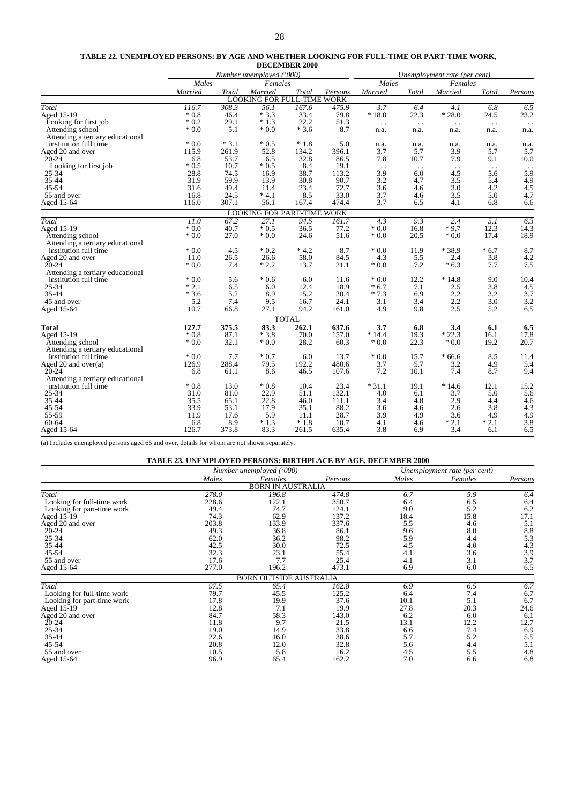#### **TABLE 22. UNEMPLOYED PERSONS: BY AGE AND WHETHER LOOKING FOR FULL-TIME OR PART-TIME WORK,**

|                                  |                   |        |                                   | <b>DECEMBER 2000</b> |         |                      |                              |                        |                      |                  |
|----------------------------------|-------------------|--------|-----------------------------------|----------------------|---------|----------------------|------------------------------|------------------------|----------------------|------------------|
|                                  |                   |        | Number unemployed ('000)          |                      |         |                      | Unemployment rate (per cent) |                        |                      |                  |
|                                  | Males             |        | Females                           |                      |         | Males                |                              | Females                |                      |                  |
|                                  | Married           | Total  | Married                           | Total                | Persons | Married              | Total                        | Married                | Total                | Persons          |
|                                  |                   |        | <b>LOOKING FOR FULL-TIME WORK</b> |                      |         |                      |                              |                        |                      |                  |
| Total                            | 116.7             | 308.3  | 56.1                              | 167.6                | 475.9   | 3.7                  | 6.4                          | 4.1                    | 6.8                  | $\overline{6.5}$ |
| Aged 15-19                       | $*0.8$            | 46.4   | $*3.3$                            | 33.4                 | 79.8    | $*18.0$              | 22.3                         | $*28.0$                | 24.5                 | 23.2             |
| Looking for first job            | $*0.2$            | 29.1   | $*1.3$                            | 22.2                 | 51.3    | $\ddot{\phantom{0}}$ | $\sim$ .                     | $\ddot{\phantom{1}}$ . | $\sim$ $\sim$        |                  |
| Attending school                 | $*0.0$            | 5.1    | $*0.0$                            | $*3.6$               | 8.7     | n.a.                 | n.a.                         | n.a.                   | n.a.                 | n.a.             |
| Attending a tertiary educational |                   |        |                                   |                      |         |                      |                              |                        |                      |                  |
| institution full time            | $*0.0$            | $*3.1$ | $*0.5$                            | $*1.8$               | 5.0     | n.a.                 | n.a.                         | n.a.                   | n.a.                 | n.a.             |
| Aged 20 and over                 | 115.9             | 261.9  | 52.8                              | 134.2                | 396.1   | 3.7                  | 5.7                          | 3.9                    | 5.7                  | 5.7              |
| $20 - 24$                        | 6.8               | 53.7   | 6.5                               | 32.8                 | 86.5    | 7.8                  | 10.7                         | 7.9                    | 9.1                  | 10.0             |
| Looking for first job            | $*0.5$            | 10.7   | $*0.5$                            | 8.4                  | 19.1    | $\sim$ .             | $\ddot{\phantom{0}}$         | $\ddot{\phantom{1}}$ . | $\ddot{\phantom{a}}$ | $\sim$ $\sim$    |
| 25-34                            | 28.8              | 74.5   | 16.9                              | 38.7                 | 113.2   | 3.9                  | 6.0                          | 4.5                    | 5.6                  | 5.9              |
| 35-44                            | 31.9              | 59.9   | 13.9                              | 30.8                 | 90.7    | 3.2                  | 4.7                          | 3.5                    | 5.4                  | 4.9              |
| 45-54                            | 31.6              | 49.4   | 11.4                              | 23.4                 | 72.7    | 3.6                  | 4.6                          | 3.0                    | 4.2                  | 4.5              |
| 55 and over                      | 16.8              | 24.5   | $*4.1$                            | 8.5                  | 33.0    | 3.7                  | 4.6                          | 3.5                    | 5.0                  | 4.7              |
| Aged 15-64                       | 116.0             | 307.1  | 56.1                              | 167.4                | 474.4   | 3.7                  | 6.5                          | 4.1                    | 6.8                  | 6.6              |
|                                  |                   |        | <b>LOOKING FOR PART-TIME WORK</b> |                      |         |                      |                              |                        |                      |                  |
| <b>Total</b>                     | $\overline{11.0}$ | 67.2   | $\overline{27.1}$                 | 94.5                 | 161.7   | $\overline{4.3}$     | 9.3                          | $\overline{2.4}$       | $\overline{5.1}$     | 6.3              |
| Aged 15-19                       | $*0.0$            | 40.7   | $*0.5$                            | 36.5                 | 77.2    | $*0.0$               | 16.8                         | $*9.7$                 | 12.3                 | 14.3             |
| Attending school                 | $*0.0$            | 27.0   | $*0.0$                            | 24.6                 | 51.6    | $*0.0$               | 20.5                         | $*0.0$                 | 17.4                 | 18.9             |
| Attending a tertiary educational |                   |        |                                   |                      |         |                      |                              |                        |                      |                  |
| institution full time            | $*0.0$            | 4.5    | $*0.2$                            | $*4.2$               | 8.7     | $*0.0$               | 11.9                         | $*38.9$                | $*6.7$               | 8.7              |
| Aged 20 and over                 | 11.0              | 26.5   | 26.6                              | 58.0                 | 84.5    | 4.3                  | 5.5                          | 2.4                    | 3.8                  | 4.2              |
| $20 - 24$                        | $*0.0$            | 7.4    | $*2.2$                            | 13.7                 | 21.1    | $*0.0$               | 7.2                          | $*6.3$                 | 7.7                  | 7.5              |
| Attending a tertiary educational |                   |        |                                   |                      |         |                      |                              |                        |                      |                  |
| institution full time            | $*0.0$            | 5.6    | $*0.6$                            | 6.0                  | 11.6    | $*0.0$               | 12.2                         | $*14.8$                | 9.0                  | 10.4             |
| 25-34                            | $*2.1$            | 6.5    | 6.0                               | 12.4                 | 18.9    | $*6.7$               | 7.1                          | 2.5                    | 3.8                  | 4.5              |
| 35-44                            | $*3.6$            | 5.2    | 8.9                               | 15.2                 | 20.4    | $*7.3$               | 6.9                          | 2.2                    | 3.2                  | 3.7              |
| 45 and over                      | 5.2               | 7.4    | 9.5                               | 16.7                 | 24.1    | 3.1                  | 3.4                          | 2.2                    | 3.0                  | 3.2              |
| Aged 15-64                       | 10.7              | 66.8   | 27.1                              | 94.2                 | 161.0   | 4.9                  | 9.8                          | 2.5                    | 5.2                  | 6.5              |
|                                  |                   |        |                                   | <b>TOTAL</b>         |         |                      |                              |                        |                      |                  |
| <b>Total</b>                     | 127.7             | 375.5  | 83.3                              | 262.1                | 637.6   | $\overline{3.7}$     | 6.8                          | $\overline{3.4}$       | 6.1                  | 6.5              |
| Aged 15-19                       | $*0.8$            | 87.1   | $*3.8$                            | 70.0                 | 157.0   | $*14.4$              | 19.3                         | $*22.3$                | 16.1                 | 17.8             |
| Attending school                 | $*0.0$            | 32.1   | $*0.0$                            | 28.2                 | 60.3    | $*0.0$               | 22.3                         | $*0.0$                 | 19.2                 | 20.7             |
| Attending a tertiary educational |                   |        |                                   |                      |         |                      |                              |                        |                      |                  |
| institution full time            | $*0.0$            | 7.7    | $*0.7$                            | 6.0                  | 13.7    | $*0.0$               | 15.7                         | $*66.6$                | 8.5                  | 11.4             |
| Aged 20 and over(a)              | 126.9             | 288.4  | 79.5                              | 192.2                | 480.6   | 3.7                  | 5.7                          | 3.2                    | 4.9                  | 5.4              |
| $20 - 24$                        | 6.8               | 61.1   | 8.6                               | 46.5                 | 107.6   | 7.2                  | 10.1                         | 7.4                    | 8.7                  | 9.4              |
| Attending a tertiary educational |                   |        |                                   |                      |         |                      |                              |                        |                      |                  |
| institution full time            | $*0.8$            | 13.0   | $*0.8$                            | 10.4                 | 23.4    | $*31.1$              | 19.1                         | $*14.6$                | 12.1                 | 15.2             |
| 25-34                            | 31.0              | 81.0   | 22.9                              | 51.1                 | 132.1   | 4.0                  | 6.1                          | 3.7                    | 5.0                  | 5.6              |
| 35-44                            | 35.5              | 65.1   | 22.8                              | 46.0                 | 111.1   | 3.4                  | 4.8                          | 2.9                    | 4.4                  | 4.6              |
| 45-54                            | 33.9              | 53.1   | 17.9                              | 35.1                 | 88.2    | 3.6                  | 4.6                          | 2.6                    | 3.8                  | 4.3              |
| 55-59                            | 11.9              | 17.6   | 5.9                               | 11.1                 | 28.7    | 3.9                  | 4.9                          | 3.6                    | 4.9                  | 4.9              |
| 60-64                            | 6.8               | 8.9    | $*1.3$                            | $*1.8$               | 10.7    | 4.1                  | 4.6                          | $*2.1$                 | $*2.1$               | 3.8              |
| Aged 15-64                       | 126.7             | 373.8  | 83.3                              | 261.5                | 635.4   | 3.8                  | 6.9                          | 3.4                    | 6.1                  | 6.5              |

(a) Includes unemployed persons aged 65 and over, details for whom are not shown separately.

|                            |       | Number unemployed ('000)      |         |       | Unemployment rate (per cent) |         |
|----------------------------|-------|-------------------------------|---------|-------|------------------------------|---------|
|                            | Males | Females                       | Persons | Males | Females                      | Persons |
|                            |       | <b>BORN IN AUSTRALIA</b>      |         |       |                              |         |
| Total                      | 278.0 | 196.8                         | 474.8   | 6.7   | 5.9                          | 6.4     |
| Looking for full-time work | 228.6 | 122.1                         | 350.7   | 6.4   | 6.5                          | 6.4     |
| Looking for part-time work | 49.4  | 74.7                          | 124.1   | 9.0   | 5.2                          | 6.2     |
| Aged 15-19                 | 74.3  | 62.9                          | 137.2   | 18.4  | 15.8                         | 17.1    |
| Aged 20 and over           | 203.8 | 133.9                         | 337.6   | 5.5   | 4.6                          | 5.1     |
| $20 - 24$                  | 49.3  | 36.8                          | 86.1    | 9.6   | 8.0                          | 8.8     |
| $25 - 34$                  | 62.0  | 36.2                          | 98.2    | 5.9   | 4.4                          | 5.3     |
| 35-44                      | 42.5  | 30.0                          | 72.5    | 4.5   | 4.0                          | 4.3     |
| 45-54                      | 32.3  | 23.1                          | 55.4    | 4.1   | 3.6                          | 3.9     |
| 55 and over                | 17.6  | 7.7                           | 25.4    | 4.1   | 3.1                          | 3.7     |
| Aged 15-64                 | 277.0 | 196.2                         | 473.1   | 6.9   | 6.0                          | 6.5     |
|                            |       | <b>BORN OUTSIDE AUSTRALIA</b> |         |       |                              |         |
| Total                      | 97.5  | 65.4                          | 162.8   | 6.9   | 6.5                          | 6.7     |
| Looking for full-time work | 79.7  | 45.5                          | 125.2   | 6.4   | 7.4                          | 6.7     |
| Looking for part-time work | 17.8  | 19.9                          | 37.6    | 10.1  | 5.1                          | 6.7     |
| Aged 15-19                 | 12.8  | 7.1                           | 19.9    | 27.8  | 20.3                         | 24.6    |
| Aged 20 and over           | 84.7  | 58.3                          | 143.0   | 6.2   | 6.0                          | 6.1     |
| $20 - 24$                  | 11.8  | 9.7                           | 21.5    | 13.1  | 12.2                         | 12.7    |
| $25 - 34$                  | 19.0  | 14.9                          | 33.8    | 6.6   | 7.4                          | 6.9     |
| 35-44                      | 22.6  | 16.0                          | 38.6    | 5.7   | 5.2                          | 5.5     |
| 45-54                      | 20.8  | 12.0                          | 32.8    | 5.6   | 4.4                          | 5.1     |
| 55 and over                | 10.5  | 5.8                           | 16.2    | 4.5   | 5.5                          | 4.8     |
| Aged 15-64                 | 96.9  | 65.4                          | 162.2   | 7.0   | 6.6                          | 6.8     |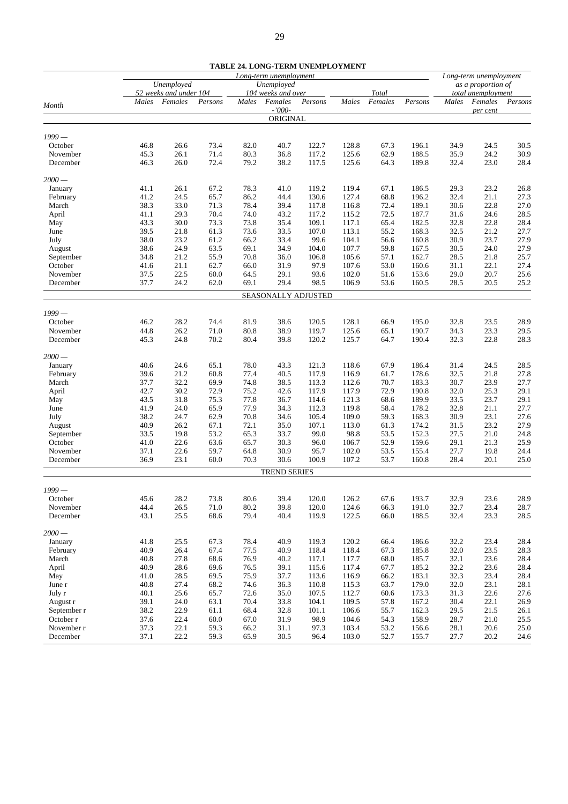| Unemployed<br>Unemployed<br>as a proportion of<br>52 weeks and under 104<br>Total<br>104 weeks and over<br>total unemployment<br>Females<br>Males<br>Females<br>Persons<br>Males<br>Females<br>Persons<br>Males<br>Females<br>Males<br>Persons<br>Persons<br>Month<br>$-7000-$<br>per cent<br>ORIGINAL<br>$1999-$<br>October<br>128.8<br>46.8<br>26.6<br>73.4<br>82.0<br>40.7<br>122.7<br>67.3<br>196.1<br>34.9<br>24.5<br>30.5<br>26.1<br>71.4<br>36.8<br>117.2<br>125.6<br>62.9<br>188.5<br>35.9<br>24.2<br>30.9<br>November<br>45.3<br>80.3<br>26.0<br>72.4<br>79.2<br>38.2<br>117.5<br>125.6<br>189.8<br>32.4<br>23.0<br>December<br>46.3<br>64.3<br>28.4<br>$2000-$<br>41.1<br>26.1<br>67.2<br>78.3<br>41.0<br>119.2<br>119.4<br>67.1<br>186.5<br>29.3<br>23.2<br>26.8<br>January<br>32.4<br>24.5<br>65.7<br>44.4<br>130.6<br>127.4<br>21.1<br>27.3<br>February<br>41.2<br>86.2<br>68.8<br>196.2<br>33.0<br>39.4<br>72.4<br>30.6<br>22.8<br>27.0<br>March<br>38.3<br>71.3<br>78.4<br>117.8<br>116.8<br>189.1<br>29.3<br>70.4<br>74.0<br>43.2<br>31.6<br>28.5<br>41.1<br>117.2<br>115.2<br>72.5<br>187.7<br>24.6<br>April<br>30.0<br>73.3<br>117.1<br>32.8<br>22.8<br>28.4<br>43.3<br>73.8<br>35.4<br>109.1<br>65.4<br>182.5<br>May<br>21.8<br>33.5<br>113.1<br>32.5<br>27.7<br>39.5<br>61.3<br>73.6<br>107.0<br>55.2<br>168.3<br>21.2<br>June<br>23.2<br>33.4<br>104.1<br>30.9<br>23.7<br>27.9<br>July<br>38.0<br>61.2<br>66.2<br>99.6<br>56.6<br>160.8<br>30.5<br>24.9<br>34.9<br>107.7<br>27.9<br>38.6<br>63.5<br>69.1<br>104.0<br>59.8<br>167.5<br>24.0<br>August<br>21.2<br>55.9<br>36.0<br>105.6<br>28.5<br>25.7<br>34.8<br>70.8<br>106.8<br>57.1<br>162.7<br>21.8<br>September<br>21.1<br>31.9<br>107.6<br>31.1<br>27.4<br>October<br>41.6<br>62.7<br>66.0<br>97.9<br>53.0<br>160.6<br>22.1<br>22.5<br>29.1<br>102.0<br>29.0<br>November<br>37.5<br>60.0<br>64.5<br>93.6<br>51.6<br>153.6<br>20.7<br>25.6<br>24.2<br>29.4<br>98.5<br>28.5<br>December<br>37.7<br>62.0<br>69.1<br>106.9<br>53.6<br>160.5<br>20.5<br>25.2<br>SEASONALLY ADJUSTED<br>$1999-$<br>46.2<br>28.2<br>74.4<br>38.6<br>120.5<br>128.1<br>32.8<br>23.5<br>28.9<br>October<br>81.9<br>66.9<br>195.0<br>26.2<br>71.0<br>80.8<br>38.9<br>125.6<br>190.7<br>34.3<br>23.3<br>29.5<br>November<br>44.8<br>119.7<br>65.1<br>24.8<br>70.2<br>39.8<br>120.2<br>125.7<br>190.4<br>32.3<br>22.8<br>28.3<br>December<br>45.3<br>80.4<br>64.7<br>$2000 -$<br>78.0<br>43.3<br>186.4<br>28.5<br>40.6<br>24.6<br>65.1<br>121.3<br>118.6<br>67.9<br>31.4<br>24.5<br>January<br>32.5<br>21.2<br>60.8<br>77.4<br>40.5<br>178.6<br>21.8<br>27.8<br>February<br>39.6<br>117.9<br>116.9<br>61.7<br>32.2<br>69.9<br>74.8<br>38.5<br>70.7<br>30.7<br>23.9<br>27.7<br>March<br>37.7<br>113.3<br>112.6<br>183.3<br>42.7<br>30.2<br>72.9<br>42.6<br>117.9<br>72.9<br>32.0<br>29.1<br>75.2<br>117.9<br>190.8<br>25.3<br>April<br>31.8<br>77.8<br>68.6<br>189.9<br>33.5<br>23.7<br>29.1<br>43.5<br>75.3<br>36.7<br>114.6<br>121.3<br>May<br>24.0<br>77.9<br>34.3<br>112.3<br>119.8<br>178.2<br>32.8<br>41.9<br>65.9<br>58.4<br>21.1<br>27.7<br>June<br>24.7<br>62.9<br>70.8<br>34.6<br>109.0<br>59.3<br>168.3<br>30.9<br>23.1<br>27.6<br>38.2<br>105.4<br>July<br>26.2<br>72.1<br>35.0<br>113.0<br>174.2<br>31.5<br>23.2<br>40.9<br>67.1<br>107.1<br>61.3<br>27.9<br>August<br>19.8<br>53.2<br>33.7<br>98.8<br>53.5<br>152.3<br>27.5<br>33.5<br>65.3<br>99.0<br>21.0<br>24.8<br>September<br>22.6<br>63.6<br>30.3<br>52.9<br>29.1<br>October<br>41.0<br>65.7<br>96.0<br>106.7<br>159.6<br>21.3<br>25.9<br>22.6<br>30.9<br>102.0<br>53.5<br>27.7<br>November<br>37.1<br>59.7<br>64.8<br>95.7<br>155.4<br>19.8<br>24.4<br>36.9<br>23.1<br>60.0<br>70.3<br>30.6<br>100.9<br>107.2<br>53.7<br>28.4<br>December<br>160.8<br>20.1<br>25.0<br><b>TREND SERIES</b><br>$1999-$<br>28.2<br>73.8<br>80.6<br>39.4<br>120.0<br>126.2<br>193.7<br>32.9<br>23.6<br>28.9<br>45.6<br>67.6<br>October<br>28.7<br>November<br>44.4<br>26.5<br>71.0<br>80.2<br>39.8<br>120.0<br>124.6<br>191.0<br>32.7<br>23.4<br>66.3<br>25.5<br>122.5<br>32.4<br>23.3<br>December<br>43.1<br>68.6<br>79.4<br>40.4<br>119.9<br>66.0<br>188.5<br>$2000 -$<br>25.5<br>78.4<br>40.9<br>120.2<br>32.2<br>41.8<br>67.3<br>119.3<br>66.4<br>186.6<br>23.4<br>28.4<br>January<br>26.4<br>40.9<br>32.0<br>23.5<br>February<br>40.9<br>67.4<br>77.5<br>118.4<br>118.4<br>67.3<br>185.8<br>28.3<br>March<br>40.8<br>27.8<br>68.6<br>76.9<br>40.2<br>117.7<br>68.0<br>185.7<br>32.1<br>23.6<br>28.4<br>117.1<br>32.2<br>April<br>40.9<br>28.6<br>69.6<br>39.1<br>115.6<br>117.4<br>67.7<br>185.2<br>23.6<br>28.4<br>76.5<br>32.3<br>23.4<br>May<br>41.0<br>28.5<br>69.5<br>75.9<br>37.7<br>116.9<br>183.1<br>28.4<br>113.6<br>66.2<br>27.4<br>32.0<br>23.1<br>40.8<br>68.2<br>36.3<br>110.8<br>115.3<br>179.0<br>28.1<br>June r<br>74.6<br>63.7<br>40.1<br>25.6<br>65.7<br>72.6<br>35.0<br>107.5<br>112.7<br>60.6<br>173.3<br>31.3<br>22.6<br>27.6<br>July r<br>30.4<br>39.1<br>24.0<br>63.1<br>70.4<br>33.8<br>104.1<br>109.5<br>57.8<br>167.2<br>22.1<br>26.9<br>August r<br>38.2<br>September r<br>22.9<br>61.1<br>68.4<br>32.8<br>101.1<br>106.6<br>55.7<br>162.3<br>29.5<br>21.5<br>26.1<br>22.4<br>98.9<br>October r<br>37.6<br>60.0<br>67.0<br>31.9<br>104.6<br>54.3<br>158.9<br>28.7<br>21.0<br>25.5<br>25.0<br>November r<br>37.3<br>22.1<br>59.3<br>66.2<br>31.1<br>97.3<br>103.4<br>53.2<br>28.1<br>20.6<br>156.6<br>22.2<br>59.3<br>30.5<br>27.7<br>20.2<br>December<br>37.1<br>65.9<br>96.4<br>103.0<br>52.7<br>155.7<br>24.6 |  |  |  | Long-term unemployment |  |  |  |  |  | Long-term unemployment |      |  |
|-------------------------------------------------------------------------------------------------------------------------------------------------------------------------------------------------------------------------------------------------------------------------------------------------------------------------------------------------------------------------------------------------------------------------------------------------------------------------------------------------------------------------------------------------------------------------------------------------------------------------------------------------------------------------------------------------------------------------------------------------------------------------------------------------------------------------------------------------------------------------------------------------------------------------------------------------------------------------------------------------------------------------------------------------------------------------------------------------------------------------------------------------------------------------------------------------------------------------------------------------------------------------------------------------------------------------------------------------------------------------------------------------------------------------------------------------------------------------------------------------------------------------------------------------------------------------------------------------------------------------------------------------------------------------------------------------------------------------------------------------------------------------------------------------------------------------------------------------------------------------------------------------------------------------------------------------------------------------------------------------------------------------------------------------------------------------------------------------------------------------------------------------------------------------------------------------------------------------------------------------------------------------------------------------------------------------------------------------------------------------------------------------------------------------------------------------------------------------------------------------------------------------------------------------------------------------------------------------------------------------------------------------------------------------------------------------------------------------------------------------------------------------------------------------------------------------------------------------------------------------------------------------------------------------------------------------------------------------------------------------------------------------------------------------------------------------------------------------------------------------------------------------------------------------------------------------------------------------------------------------------------------------------------------------------------------------------------------------------------------------------------------------------------------------------------------------------------------------------------------------------------------------------------------------------------------------------------------------------------------------------------------------------------------------------------------------------------------------------------------------------------------------------------------------------------------------------------------------------------------------------------------------------------------------------------------------------------------------------------------------------------------------------------------------------------------------------------------------------------------------------------------------------------------------------------------------------------------------------------------------------------------------------------------------------------------------------------------------------------------------------------------------------------------------------------------------------------------------------------------------------------------------------------------------------------------------------------------------------------------------------------------------------------------------------------------------------------------------------------------------------------------------------------------------------------------------------------------------------------------------------------------------------------------------------------------------------------------------------------------------------------------------------------------------------------------------------------------------------------------------------------------------------------------------------------------------------------------------------------------------------------------------------------------------------------------------------------------------------------------------------------------------------------------------------------------------------------------------------------------------------------------------------------------------|--|--|--|------------------------|--|--|--|--|--|------------------------|------|--|
|                                                                                                                                                                                                                                                                                                                                                                                                                                                                                                                                                                                                                                                                                                                                                                                                                                                                                                                                                                                                                                                                                                                                                                                                                                                                                                                                                                                                                                                                                                                                                                                                                                                                                                                                                                                                                                                                                                                                                                                                                                                                                                                                                                                                                                                                                                                                                                                                                                                                                                                                                                                                                                                                                                                                                                                                                                                                                                                                                                                                                                                                                                                                                                                                                                                                                                                                                                                                                                                                                                                                                                                                                                                                                                                                                                                                                                                                                                                                                                                                                                                                                                                                                                                                                                                                                                                                                                                                                                                                                                                                                                                                                                                                                                                                                                                                                                                                                                                                                                                                                                                                                                                                                                                                                                                                                                                                                                                                                                                                                                                                                 |  |  |  |                        |  |  |  |  |  |                        |      |  |
|                                                                                                                                                                                                                                                                                                                                                                                                                                                                                                                                                                                                                                                                                                                                                                                                                                                                                                                                                                                                                                                                                                                                                                                                                                                                                                                                                                                                                                                                                                                                                                                                                                                                                                                                                                                                                                                                                                                                                                                                                                                                                                                                                                                                                                                                                                                                                                                                                                                                                                                                                                                                                                                                                                                                                                                                                                                                                                                                                                                                                                                                                                                                                                                                                                                                                                                                                                                                                                                                                                                                                                                                                                                                                                                                                                                                                                                                                                                                                                                                                                                                                                                                                                                                                                                                                                                                                                                                                                                                                                                                                                                                                                                                                                                                                                                                                                                                                                                                                                                                                                                                                                                                                                                                                                                                                                                                                                                                                                                                                                                                                 |  |  |  |                        |  |  |  |  |  |                        |      |  |
|                                                                                                                                                                                                                                                                                                                                                                                                                                                                                                                                                                                                                                                                                                                                                                                                                                                                                                                                                                                                                                                                                                                                                                                                                                                                                                                                                                                                                                                                                                                                                                                                                                                                                                                                                                                                                                                                                                                                                                                                                                                                                                                                                                                                                                                                                                                                                                                                                                                                                                                                                                                                                                                                                                                                                                                                                                                                                                                                                                                                                                                                                                                                                                                                                                                                                                                                                                                                                                                                                                                                                                                                                                                                                                                                                                                                                                                                                                                                                                                                                                                                                                                                                                                                                                                                                                                                                                                                                                                                                                                                                                                                                                                                                                                                                                                                                                                                                                                                                                                                                                                                                                                                                                                                                                                                                                                                                                                                                                                                                                                                                 |  |  |  |                        |  |  |  |  |  |                        |      |  |
|                                                                                                                                                                                                                                                                                                                                                                                                                                                                                                                                                                                                                                                                                                                                                                                                                                                                                                                                                                                                                                                                                                                                                                                                                                                                                                                                                                                                                                                                                                                                                                                                                                                                                                                                                                                                                                                                                                                                                                                                                                                                                                                                                                                                                                                                                                                                                                                                                                                                                                                                                                                                                                                                                                                                                                                                                                                                                                                                                                                                                                                                                                                                                                                                                                                                                                                                                                                                                                                                                                                                                                                                                                                                                                                                                                                                                                                                                                                                                                                                                                                                                                                                                                                                                                                                                                                                                                                                                                                                                                                                                                                                                                                                                                                                                                                                                                                                                                                                                                                                                                                                                                                                                                                                                                                                                                                                                                                                                                                                                                                                                 |  |  |  |                        |  |  |  |  |  |                        |      |  |
|                                                                                                                                                                                                                                                                                                                                                                                                                                                                                                                                                                                                                                                                                                                                                                                                                                                                                                                                                                                                                                                                                                                                                                                                                                                                                                                                                                                                                                                                                                                                                                                                                                                                                                                                                                                                                                                                                                                                                                                                                                                                                                                                                                                                                                                                                                                                                                                                                                                                                                                                                                                                                                                                                                                                                                                                                                                                                                                                                                                                                                                                                                                                                                                                                                                                                                                                                                                                                                                                                                                                                                                                                                                                                                                                                                                                                                                                                                                                                                                                                                                                                                                                                                                                                                                                                                                                                                                                                                                                                                                                                                                                                                                                                                                                                                                                                                                                                                                                                                                                                                                                                                                                                                                                                                                                                                                                                                                                                                                                                                                                                 |  |  |  |                        |  |  |  |  |  |                        |      |  |
|                                                                                                                                                                                                                                                                                                                                                                                                                                                                                                                                                                                                                                                                                                                                                                                                                                                                                                                                                                                                                                                                                                                                                                                                                                                                                                                                                                                                                                                                                                                                                                                                                                                                                                                                                                                                                                                                                                                                                                                                                                                                                                                                                                                                                                                                                                                                                                                                                                                                                                                                                                                                                                                                                                                                                                                                                                                                                                                                                                                                                                                                                                                                                                                                                                                                                                                                                                                                                                                                                                                                                                                                                                                                                                                                                                                                                                                                                                                                                                                                                                                                                                                                                                                                                                                                                                                                                                                                                                                                                                                                                                                                                                                                                                                                                                                                                                                                                                                                                                                                                                                                                                                                                                                                                                                                                                                                                                                                                                                                                                                                                 |  |  |  |                        |  |  |  |  |  |                        |      |  |
|                                                                                                                                                                                                                                                                                                                                                                                                                                                                                                                                                                                                                                                                                                                                                                                                                                                                                                                                                                                                                                                                                                                                                                                                                                                                                                                                                                                                                                                                                                                                                                                                                                                                                                                                                                                                                                                                                                                                                                                                                                                                                                                                                                                                                                                                                                                                                                                                                                                                                                                                                                                                                                                                                                                                                                                                                                                                                                                                                                                                                                                                                                                                                                                                                                                                                                                                                                                                                                                                                                                                                                                                                                                                                                                                                                                                                                                                                                                                                                                                                                                                                                                                                                                                                                                                                                                                                                                                                                                                                                                                                                                                                                                                                                                                                                                                                                                                                                                                                                                                                                                                                                                                                                                                                                                                                                                                                                                                                                                                                                                                                 |  |  |  |                        |  |  |  |  |  |                        |      |  |
|                                                                                                                                                                                                                                                                                                                                                                                                                                                                                                                                                                                                                                                                                                                                                                                                                                                                                                                                                                                                                                                                                                                                                                                                                                                                                                                                                                                                                                                                                                                                                                                                                                                                                                                                                                                                                                                                                                                                                                                                                                                                                                                                                                                                                                                                                                                                                                                                                                                                                                                                                                                                                                                                                                                                                                                                                                                                                                                                                                                                                                                                                                                                                                                                                                                                                                                                                                                                                                                                                                                                                                                                                                                                                                                                                                                                                                                                                                                                                                                                                                                                                                                                                                                                                                                                                                                                                                                                                                                                                                                                                                                                                                                                                                                                                                                                                                                                                                                                                                                                                                                                                                                                                                                                                                                                                                                                                                                                                                                                                                                                                 |  |  |  |                        |  |  |  |  |  |                        |      |  |
|                                                                                                                                                                                                                                                                                                                                                                                                                                                                                                                                                                                                                                                                                                                                                                                                                                                                                                                                                                                                                                                                                                                                                                                                                                                                                                                                                                                                                                                                                                                                                                                                                                                                                                                                                                                                                                                                                                                                                                                                                                                                                                                                                                                                                                                                                                                                                                                                                                                                                                                                                                                                                                                                                                                                                                                                                                                                                                                                                                                                                                                                                                                                                                                                                                                                                                                                                                                                                                                                                                                                                                                                                                                                                                                                                                                                                                                                                                                                                                                                                                                                                                                                                                                                                                                                                                                                                                                                                                                                                                                                                                                                                                                                                                                                                                                                                                                                                                                                                                                                                                                                                                                                                                                                                                                                                                                                                                                                                                                                                                                                                 |  |  |  |                        |  |  |  |  |  |                        |      |  |
|                                                                                                                                                                                                                                                                                                                                                                                                                                                                                                                                                                                                                                                                                                                                                                                                                                                                                                                                                                                                                                                                                                                                                                                                                                                                                                                                                                                                                                                                                                                                                                                                                                                                                                                                                                                                                                                                                                                                                                                                                                                                                                                                                                                                                                                                                                                                                                                                                                                                                                                                                                                                                                                                                                                                                                                                                                                                                                                                                                                                                                                                                                                                                                                                                                                                                                                                                                                                                                                                                                                                                                                                                                                                                                                                                                                                                                                                                                                                                                                                                                                                                                                                                                                                                                                                                                                                                                                                                                                                                                                                                                                                                                                                                                                                                                                                                                                                                                                                                                                                                                                                                                                                                                                                                                                                                                                                                                                                                                                                                                                                                 |  |  |  |                        |  |  |  |  |  |                        |      |  |
|                                                                                                                                                                                                                                                                                                                                                                                                                                                                                                                                                                                                                                                                                                                                                                                                                                                                                                                                                                                                                                                                                                                                                                                                                                                                                                                                                                                                                                                                                                                                                                                                                                                                                                                                                                                                                                                                                                                                                                                                                                                                                                                                                                                                                                                                                                                                                                                                                                                                                                                                                                                                                                                                                                                                                                                                                                                                                                                                                                                                                                                                                                                                                                                                                                                                                                                                                                                                                                                                                                                                                                                                                                                                                                                                                                                                                                                                                                                                                                                                                                                                                                                                                                                                                                                                                                                                                                                                                                                                                                                                                                                                                                                                                                                                                                                                                                                                                                                                                                                                                                                                                                                                                                                                                                                                                                                                                                                                                                                                                                                                                 |  |  |  |                        |  |  |  |  |  |                        |      |  |
|                                                                                                                                                                                                                                                                                                                                                                                                                                                                                                                                                                                                                                                                                                                                                                                                                                                                                                                                                                                                                                                                                                                                                                                                                                                                                                                                                                                                                                                                                                                                                                                                                                                                                                                                                                                                                                                                                                                                                                                                                                                                                                                                                                                                                                                                                                                                                                                                                                                                                                                                                                                                                                                                                                                                                                                                                                                                                                                                                                                                                                                                                                                                                                                                                                                                                                                                                                                                                                                                                                                                                                                                                                                                                                                                                                                                                                                                                                                                                                                                                                                                                                                                                                                                                                                                                                                                                                                                                                                                                                                                                                                                                                                                                                                                                                                                                                                                                                                                                                                                                                                                                                                                                                                                                                                                                                                                                                                                                                                                                                                                                 |  |  |  |                        |  |  |  |  |  |                        |      |  |
|                                                                                                                                                                                                                                                                                                                                                                                                                                                                                                                                                                                                                                                                                                                                                                                                                                                                                                                                                                                                                                                                                                                                                                                                                                                                                                                                                                                                                                                                                                                                                                                                                                                                                                                                                                                                                                                                                                                                                                                                                                                                                                                                                                                                                                                                                                                                                                                                                                                                                                                                                                                                                                                                                                                                                                                                                                                                                                                                                                                                                                                                                                                                                                                                                                                                                                                                                                                                                                                                                                                                                                                                                                                                                                                                                                                                                                                                                                                                                                                                                                                                                                                                                                                                                                                                                                                                                                                                                                                                                                                                                                                                                                                                                                                                                                                                                                                                                                                                                                                                                                                                                                                                                                                                                                                                                                                                                                                                                                                                                                                                                 |  |  |  |                        |  |  |  |  |  |                        |      |  |
|                                                                                                                                                                                                                                                                                                                                                                                                                                                                                                                                                                                                                                                                                                                                                                                                                                                                                                                                                                                                                                                                                                                                                                                                                                                                                                                                                                                                                                                                                                                                                                                                                                                                                                                                                                                                                                                                                                                                                                                                                                                                                                                                                                                                                                                                                                                                                                                                                                                                                                                                                                                                                                                                                                                                                                                                                                                                                                                                                                                                                                                                                                                                                                                                                                                                                                                                                                                                                                                                                                                                                                                                                                                                                                                                                                                                                                                                                                                                                                                                                                                                                                                                                                                                                                                                                                                                                                                                                                                                                                                                                                                                                                                                                                                                                                                                                                                                                                                                                                                                                                                                                                                                                                                                                                                                                                                                                                                                                                                                                                                                                 |  |  |  |                        |  |  |  |  |  |                        |      |  |
|                                                                                                                                                                                                                                                                                                                                                                                                                                                                                                                                                                                                                                                                                                                                                                                                                                                                                                                                                                                                                                                                                                                                                                                                                                                                                                                                                                                                                                                                                                                                                                                                                                                                                                                                                                                                                                                                                                                                                                                                                                                                                                                                                                                                                                                                                                                                                                                                                                                                                                                                                                                                                                                                                                                                                                                                                                                                                                                                                                                                                                                                                                                                                                                                                                                                                                                                                                                                                                                                                                                                                                                                                                                                                                                                                                                                                                                                                                                                                                                                                                                                                                                                                                                                                                                                                                                                                                                                                                                                                                                                                                                                                                                                                                                                                                                                                                                                                                                                                                                                                                                                                                                                                                                                                                                                                                                                                                                                                                                                                                                                                 |  |  |  |                        |  |  |  |  |  |                        |      |  |
|                                                                                                                                                                                                                                                                                                                                                                                                                                                                                                                                                                                                                                                                                                                                                                                                                                                                                                                                                                                                                                                                                                                                                                                                                                                                                                                                                                                                                                                                                                                                                                                                                                                                                                                                                                                                                                                                                                                                                                                                                                                                                                                                                                                                                                                                                                                                                                                                                                                                                                                                                                                                                                                                                                                                                                                                                                                                                                                                                                                                                                                                                                                                                                                                                                                                                                                                                                                                                                                                                                                                                                                                                                                                                                                                                                                                                                                                                                                                                                                                                                                                                                                                                                                                                                                                                                                                                                                                                                                                                                                                                                                                                                                                                                                                                                                                                                                                                                                                                                                                                                                                                                                                                                                                                                                                                                                                                                                                                                                                                                                                                 |  |  |  |                        |  |  |  |  |  |                        |      |  |
|                                                                                                                                                                                                                                                                                                                                                                                                                                                                                                                                                                                                                                                                                                                                                                                                                                                                                                                                                                                                                                                                                                                                                                                                                                                                                                                                                                                                                                                                                                                                                                                                                                                                                                                                                                                                                                                                                                                                                                                                                                                                                                                                                                                                                                                                                                                                                                                                                                                                                                                                                                                                                                                                                                                                                                                                                                                                                                                                                                                                                                                                                                                                                                                                                                                                                                                                                                                                                                                                                                                                                                                                                                                                                                                                                                                                                                                                                                                                                                                                                                                                                                                                                                                                                                                                                                                                                                                                                                                                                                                                                                                                                                                                                                                                                                                                                                                                                                                                                                                                                                                                                                                                                                                                                                                                                                                                                                                                                                                                                                                                                 |  |  |  |                        |  |  |  |  |  |                        |      |  |
|                                                                                                                                                                                                                                                                                                                                                                                                                                                                                                                                                                                                                                                                                                                                                                                                                                                                                                                                                                                                                                                                                                                                                                                                                                                                                                                                                                                                                                                                                                                                                                                                                                                                                                                                                                                                                                                                                                                                                                                                                                                                                                                                                                                                                                                                                                                                                                                                                                                                                                                                                                                                                                                                                                                                                                                                                                                                                                                                                                                                                                                                                                                                                                                                                                                                                                                                                                                                                                                                                                                                                                                                                                                                                                                                                                                                                                                                                                                                                                                                                                                                                                                                                                                                                                                                                                                                                                                                                                                                                                                                                                                                                                                                                                                                                                                                                                                                                                                                                                                                                                                                                                                                                                                                                                                                                                                                                                                                                                                                                                                                                 |  |  |  |                        |  |  |  |  |  |                        |      |  |
|                                                                                                                                                                                                                                                                                                                                                                                                                                                                                                                                                                                                                                                                                                                                                                                                                                                                                                                                                                                                                                                                                                                                                                                                                                                                                                                                                                                                                                                                                                                                                                                                                                                                                                                                                                                                                                                                                                                                                                                                                                                                                                                                                                                                                                                                                                                                                                                                                                                                                                                                                                                                                                                                                                                                                                                                                                                                                                                                                                                                                                                                                                                                                                                                                                                                                                                                                                                                                                                                                                                                                                                                                                                                                                                                                                                                                                                                                                                                                                                                                                                                                                                                                                                                                                                                                                                                                                                                                                                                                                                                                                                                                                                                                                                                                                                                                                                                                                                                                                                                                                                                                                                                                                                                                                                                                                                                                                                                                                                                                                                                                 |  |  |  |                        |  |  |  |  |  |                        |      |  |
|                                                                                                                                                                                                                                                                                                                                                                                                                                                                                                                                                                                                                                                                                                                                                                                                                                                                                                                                                                                                                                                                                                                                                                                                                                                                                                                                                                                                                                                                                                                                                                                                                                                                                                                                                                                                                                                                                                                                                                                                                                                                                                                                                                                                                                                                                                                                                                                                                                                                                                                                                                                                                                                                                                                                                                                                                                                                                                                                                                                                                                                                                                                                                                                                                                                                                                                                                                                                                                                                                                                                                                                                                                                                                                                                                                                                                                                                                                                                                                                                                                                                                                                                                                                                                                                                                                                                                                                                                                                                                                                                                                                                                                                                                                                                                                                                                                                                                                                                                                                                                                                                                                                                                                                                                                                                                                                                                                                                                                                                                                                                                 |  |  |  |                        |  |  |  |  |  |                        |      |  |
|                                                                                                                                                                                                                                                                                                                                                                                                                                                                                                                                                                                                                                                                                                                                                                                                                                                                                                                                                                                                                                                                                                                                                                                                                                                                                                                                                                                                                                                                                                                                                                                                                                                                                                                                                                                                                                                                                                                                                                                                                                                                                                                                                                                                                                                                                                                                                                                                                                                                                                                                                                                                                                                                                                                                                                                                                                                                                                                                                                                                                                                                                                                                                                                                                                                                                                                                                                                                                                                                                                                                                                                                                                                                                                                                                                                                                                                                                                                                                                                                                                                                                                                                                                                                                                                                                                                                                                                                                                                                                                                                                                                                                                                                                                                                                                                                                                                                                                                                                                                                                                                                                                                                                                                                                                                                                                                                                                                                                                                                                                                                                 |  |  |  |                        |  |  |  |  |  |                        |      |  |
|                                                                                                                                                                                                                                                                                                                                                                                                                                                                                                                                                                                                                                                                                                                                                                                                                                                                                                                                                                                                                                                                                                                                                                                                                                                                                                                                                                                                                                                                                                                                                                                                                                                                                                                                                                                                                                                                                                                                                                                                                                                                                                                                                                                                                                                                                                                                                                                                                                                                                                                                                                                                                                                                                                                                                                                                                                                                                                                                                                                                                                                                                                                                                                                                                                                                                                                                                                                                                                                                                                                                                                                                                                                                                                                                                                                                                                                                                                                                                                                                                                                                                                                                                                                                                                                                                                                                                                                                                                                                                                                                                                                                                                                                                                                                                                                                                                                                                                                                                                                                                                                                                                                                                                                                                                                                                                                                                                                                                                                                                                                                                 |  |  |  |                        |  |  |  |  |  |                        |      |  |
|                                                                                                                                                                                                                                                                                                                                                                                                                                                                                                                                                                                                                                                                                                                                                                                                                                                                                                                                                                                                                                                                                                                                                                                                                                                                                                                                                                                                                                                                                                                                                                                                                                                                                                                                                                                                                                                                                                                                                                                                                                                                                                                                                                                                                                                                                                                                                                                                                                                                                                                                                                                                                                                                                                                                                                                                                                                                                                                                                                                                                                                                                                                                                                                                                                                                                                                                                                                                                                                                                                                                                                                                                                                                                                                                                                                                                                                                                                                                                                                                                                                                                                                                                                                                                                                                                                                                                                                                                                                                                                                                                                                                                                                                                                                                                                                                                                                                                                                                                                                                                                                                                                                                                                                                                                                                                                                                                                                                                                                                                                                                                 |  |  |  |                        |  |  |  |  |  |                        |      |  |
|                                                                                                                                                                                                                                                                                                                                                                                                                                                                                                                                                                                                                                                                                                                                                                                                                                                                                                                                                                                                                                                                                                                                                                                                                                                                                                                                                                                                                                                                                                                                                                                                                                                                                                                                                                                                                                                                                                                                                                                                                                                                                                                                                                                                                                                                                                                                                                                                                                                                                                                                                                                                                                                                                                                                                                                                                                                                                                                                                                                                                                                                                                                                                                                                                                                                                                                                                                                                                                                                                                                                                                                                                                                                                                                                                                                                                                                                                                                                                                                                                                                                                                                                                                                                                                                                                                                                                                                                                                                                                                                                                                                                                                                                                                                                                                                                                                                                                                                                                                                                                                                                                                                                                                                                                                                                                                                                                                                                                                                                                                                                                 |  |  |  |                        |  |  |  |  |  |                        |      |  |
|                                                                                                                                                                                                                                                                                                                                                                                                                                                                                                                                                                                                                                                                                                                                                                                                                                                                                                                                                                                                                                                                                                                                                                                                                                                                                                                                                                                                                                                                                                                                                                                                                                                                                                                                                                                                                                                                                                                                                                                                                                                                                                                                                                                                                                                                                                                                                                                                                                                                                                                                                                                                                                                                                                                                                                                                                                                                                                                                                                                                                                                                                                                                                                                                                                                                                                                                                                                                                                                                                                                                                                                                                                                                                                                                                                                                                                                                                                                                                                                                                                                                                                                                                                                                                                                                                                                                                                                                                                                                                                                                                                                                                                                                                                                                                                                                                                                                                                                                                                                                                                                                                                                                                                                                                                                                                                                                                                                                                                                                                                                                                 |  |  |  |                        |  |  |  |  |  |                        |      |  |
|                                                                                                                                                                                                                                                                                                                                                                                                                                                                                                                                                                                                                                                                                                                                                                                                                                                                                                                                                                                                                                                                                                                                                                                                                                                                                                                                                                                                                                                                                                                                                                                                                                                                                                                                                                                                                                                                                                                                                                                                                                                                                                                                                                                                                                                                                                                                                                                                                                                                                                                                                                                                                                                                                                                                                                                                                                                                                                                                                                                                                                                                                                                                                                                                                                                                                                                                                                                                                                                                                                                                                                                                                                                                                                                                                                                                                                                                                                                                                                                                                                                                                                                                                                                                                                                                                                                                                                                                                                                                                                                                                                                                                                                                                                                                                                                                                                                                                                                                                                                                                                                                                                                                                                                                                                                                                                                                                                                                                                                                                                                                                 |  |  |  |                        |  |  |  |  |  |                        |      |  |
|                                                                                                                                                                                                                                                                                                                                                                                                                                                                                                                                                                                                                                                                                                                                                                                                                                                                                                                                                                                                                                                                                                                                                                                                                                                                                                                                                                                                                                                                                                                                                                                                                                                                                                                                                                                                                                                                                                                                                                                                                                                                                                                                                                                                                                                                                                                                                                                                                                                                                                                                                                                                                                                                                                                                                                                                                                                                                                                                                                                                                                                                                                                                                                                                                                                                                                                                                                                                                                                                                                                                                                                                                                                                                                                                                                                                                                                                                                                                                                                                                                                                                                                                                                                                                                                                                                                                                                                                                                                                                                                                                                                                                                                                                                                                                                                                                                                                                                                                                                                                                                                                                                                                                                                                                                                                                                                                                                                                                                                                                                                                                 |  |  |  |                        |  |  |  |  |  |                        |      |  |
|                                                                                                                                                                                                                                                                                                                                                                                                                                                                                                                                                                                                                                                                                                                                                                                                                                                                                                                                                                                                                                                                                                                                                                                                                                                                                                                                                                                                                                                                                                                                                                                                                                                                                                                                                                                                                                                                                                                                                                                                                                                                                                                                                                                                                                                                                                                                                                                                                                                                                                                                                                                                                                                                                                                                                                                                                                                                                                                                                                                                                                                                                                                                                                                                                                                                                                                                                                                                                                                                                                                                                                                                                                                                                                                                                                                                                                                                                                                                                                                                                                                                                                                                                                                                                                                                                                                                                                                                                                                                                                                                                                                                                                                                                                                                                                                                                                                                                                                                                                                                                                                                                                                                                                                                                                                                                                                                                                                                                                                                                                                                                 |  |  |  |                        |  |  |  |  |  |                        |      |  |
|                                                                                                                                                                                                                                                                                                                                                                                                                                                                                                                                                                                                                                                                                                                                                                                                                                                                                                                                                                                                                                                                                                                                                                                                                                                                                                                                                                                                                                                                                                                                                                                                                                                                                                                                                                                                                                                                                                                                                                                                                                                                                                                                                                                                                                                                                                                                                                                                                                                                                                                                                                                                                                                                                                                                                                                                                                                                                                                                                                                                                                                                                                                                                                                                                                                                                                                                                                                                                                                                                                                                                                                                                                                                                                                                                                                                                                                                                                                                                                                                                                                                                                                                                                                                                                                                                                                                                                                                                                                                                                                                                                                                                                                                                                                                                                                                                                                                                                                                                                                                                                                                                                                                                                                                                                                                                                                                                                                                                                                                                                                                                 |  |  |  |                        |  |  |  |  |  |                        |      |  |
|                                                                                                                                                                                                                                                                                                                                                                                                                                                                                                                                                                                                                                                                                                                                                                                                                                                                                                                                                                                                                                                                                                                                                                                                                                                                                                                                                                                                                                                                                                                                                                                                                                                                                                                                                                                                                                                                                                                                                                                                                                                                                                                                                                                                                                                                                                                                                                                                                                                                                                                                                                                                                                                                                                                                                                                                                                                                                                                                                                                                                                                                                                                                                                                                                                                                                                                                                                                                                                                                                                                                                                                                                                                                                                                                                                                                                                                                                                                                                                                                                                                                                                                                                                                                                                                                                                                                                                                                                                                                                                                                                                                                                                                                                                                                                                                                                                                                                                                                                                                                                                                                                                                                                                                                                                                                                                                                                                                                                                                                                                                                                 |  |  |  |                        |  |  |  |  |  |                        |      |  |
|                                                                                                                                                                                                                                                                                                                                                                                                                                                                                                                                                                                                                                                                                                                                                                                                                                                                                                                                                                                                                                                                                                                                                                                                                                                                                                                                                                                                                                                                                                                                                                                                                                                                                                                                                                                                                                                                                                                                                                                                                                                                                                                                                                                                                                                                                                                                                                                                                                                                                                                                                                                                                                                                                                                                                                                                                                                                                                                                                                                                                                                                                                                                                                                                                                                                                                                                                                                                                                                                                                                                                                                                                                                                                                                                                                                                                                                                                                                                                                                                                                                                                                                                                                                                                                                                                                                                                                                                                                                                                                                                                                                                                                                                                                                                                                                                                                                                                                                                                                                                                                                                                                                                                                                                                                                                                                                                                                                                                                                                                                                                                 |  |  |  |                        |  |  |  |  |  |                        |      |  |
|                                                                                                                                                                                                                                                                                                                                                                                                                                                                                                                                                                                                                                                                                                                                                                                                                                                                                                                                                                                                                                                                                                                                                                                                                                                                                                                                                                                                                                                                                                                                                                                                                                                                                                                                                                                                                                                                                                                                                                                                                                                                                                                                                                                                                                                                                                                                                                                                                                                                                                                                                                                                                                                                                                                                                                                                                                                                                                                                                                                                                                                                                                                                                                                                                                                                                                                                                                                                                                                                                                                                                                                                                                                                                                                                                                                                                                                                                                                                                                                                                                                                                                                                                                                                                                                                                                                                                                                                                                                                                                                                                                                                                                                                                                                                                                                                                                                                                                                                                                                                                                                                                                                                                                                                                                                                                                                                                                                                                                                                                                                                                 |  |  |  |                        |  |  |  |  |  |                        |      |  |
|                                                                                                                                                                                                                                                                                                                                                                                                                                                                                                                                                                                                                                                                                                                                                                                                                                                                                                                                                                                                                                                                                                                                                                                                                                                                                                                                                                                                                                                                                                                                                                                                                                                                                                                                                                                                                                                                                                                                                                                                                                                                                                                                                                                                                                                                                                                                                                                                                                                                                                                                                                                                                                                                                                                                                                                                                                                                                                                                                                                                                                                                                                                                                                                                                                                                                                                                                                                                                                                                                                                                                                                                                                                                                                                                                                                                                                                                                                                                                                                                                                                                                                                                                                                                                                                                                                                                                                                                                                                                                                                                                                                                                                                                                                                                                                                                                                                                                                                                                                                                                                                                                                                                                                                                                                                                                                                                                                                                                                                                                                                                                 |  |  |  |                        |  |  |  |  |  |                        |      |  |
|                                                                                                                                                                                                                                                                                                                                                                                                                                                                                                                                                                                                                                                                                                                                                                                                                                                                                                                                                                                                                                                                                                                                                                                                                                                                                                                                                                                                                                                                                                                                                                                                                                                                                                                                                                                                                                                                                                                                                                                                                                                                                                                                                                                                                                                                                                                                                                                                                                                                                                                                                                                                                                                                                                                                                                                                                                                                                                                                                                                                                                                                                                                                                                                                                                                                                                                                                                                                                                                                                                                                                                                                                                                                                                                                                                                                                                                                                                                                                                                                                                                                                                                                                                                                                                                                                                                                                                                                                                                                                                                                                                                                                                                                                                                                                                                                                                                                                                                                                                                                                                                                                                                                                                                                                                                                                                                                                                                                                                                                                                                                                 |  |  |  |                        |  |  |  |  |  |                        |      |  |
|                                                                                                                                                                                                                                                                                                                                                                                                                                                                                                                                                                                                                                                                                                                                                                                                                                                                                                                                                                                                                                                                                                                                                                                                                                                                                                                                                                                                                                                                                                                                                                                                                                                                                                                                                                                                                                                                                                                                                                                                                                                                                                                                                                                                                                                                                                                                                                                                                                                                                                                                                                                                                                                                                                                                                                                                                                                                                                                                                                                                                                                                                                                                                                                                                                                                                                                                                                                                                                                                                                                                                                                                                                                                                                                                                                                                                                                                                                                                                                                                                                                                                                                                                                                                                                                                                                                                                                                                                                                                                                                                                                                                                                                                                                                                                                                                                                                                                                                                                                                                                                                                                                                                                                                                                                                                                                                                                                                                                                                                                                                                                 |  |  |  |                        |  |  |  |  |  |                        |      |  |
|                                                                                                                                                                                                                                                                                                                                                                                                                                                                                                                                                                                                                                                                                                                                                                                                                                                                                                                                                                                                                                                                                                                                                                                                                                                                                                                                                                                                                                                                                                                                                                                                                                                                                                                                                                                                                                                                                                                                                                                                                                                                                                                                                                                                                                                                                                                                                                                                                                                                                                                                                                                                                                                                                                                                                                                                                                                                                                                                                                                                                                                                                                                                                                                                                                                                                                                                                                                                                                                                                                                                                                                                                                                                                                                                                                                                                                                                                                                                                                                                                                                                                                                                                                                                                                                                                                                                                                                                                                                                                                                                                                                                                                                                                                                                                                                                                                                                                                                                                                                                                                                                                                                                                                                                                                                                                                                                                                                                                                                                                                                                                 |  |  |  |                        |  |  |  |  |  |                        |      |  |
|                                                                                                                                                                                                                                                                                                                                                                                                                                                                                                                                                                                                                                                                                                                                                                                                                                                                                                                                                                                                                                                                                                                                                                                                                                                                                                                                                                                                                                                                                                                                                                                                                                                                                                                                                                                                                                                                                                                                                                                                                                                                                                                                                                                                                                                                                                                                                                                                                                                                                                                                                                                                                                                                                                                                                                                                                                                                                                                                                                                                                                                                                                                                                                                                                                                                                                                                                                                                                                                                                                                                                                                                                                                                                                                                                                                                                                                                                                                                                                                                                                                                                                                                                                                                                                                                                                                                                                                                                                                                                                                                                                                                                                                                                                                                                                                                                                                                                                                                                                                                                                                                                                                                                                                                                                                                                                                                                                                                                                                                                                                                                 |  |  |  |                        |  |  |  |  |  |                        |      |  |
|                                                                                                                                                                                                                                                                                                                                                                                                                                                                                                                                                                                                                                                                                                                                                                                                                                                                                                                                                                                                                                                                                                                                                                                                                                                                                                                                                                                                                                                                                                                                                                                                                                                                                                                                                                                                                                                                                                                                                                                                                                                                                                                                                                                                                                                                                                                                                                                                                                                                                                                                                                                                                                                                                                                                                                                                                                                                                                                                                                                                                                                                                                                                                                                                                                                                                                                                                                                                                                                                                                                                                                                                                                                                                                                                                                                                                                                                                                                                                                                                                                                                                                                                                                                                                                                                                                                                                                                                                                                                                                                                                                                                                                                                                                                                                                                                                                                                                                                                                                                                                                                                                                                                                                                                                                                                                                                                                                                                                                                                                                                                                 |  |  |  |                        |  |  |  |  |  |                        |      |  |
|                                                                                                                                                                                                                                                                                                                                                                                                                                                                                                                                                                                                                                                                                                                                                                                                                                                                                                                                                                                                                                                                                                                                                                                                                                                                                                                                                                                                                                                                                                                                                                                                                                                                                                                                                                                                                                                                                                                                                                                                                                                                                                                                                                                                                                                                                                                                                                                                                                                                                                                                                                                                                                                                                                                                                                                                                                                                                                                                                                                                                                                                                                                                                                                                                                                                                                                                                                                                                                                                                                                                                                                                                                                                                                                                                                                                                                                                                                                                                                                                                                                                                                                                                                                                                                                                                                                                                                                                                                                                                                                                                                                                                                                                                                                                                                                                                                                                                                                                                                                                                                                                                                                                                                                                                                                                                                                                                                                                                                                                                                                                                 |  |  |  |                        |  |  |  |  |  |                        |      |  |
|                                                                                                                                                                                                                                                                                                                                                                                                                                                                                                                                                                                                                                                                                                                                                                                                                                                                                                                                                                                                                                                                                                                                                                                                                                                                                                                                                                                                                                                                                                                                                                                                                                                                                                                                                                                                                                                                                                                                                                                                                                                                                                                                                                                                                                                                                                                                                                                                                                                                                                                                                                                                                                                                                                                                                                                                                                                                                                                                                                                                                                                                                                                                                                                                                                                                                                                                                                                                                                                                                                                                                                                                                                                                                                                                                                                                                                                                                                                                                                                                                                                                                                                                                                                                                                                                                                                                                                                                                                                                                                                                                                                                                                                                                                                                                                                                                                                                                                                                                                                                                                                                                                                                                                                                                                                                                                                                                                                                                                                                                                                                                 |  |  |  |                        |  |  |  |  |  |                        |      |  |
|                                                                                                                                                                                                                                                                                                                                                                                                                                                                                                                                                                                                                                                                                                                                                                                                                                                                                                                                                                                                                                                                                                                                                                                                                                                                                                                                                                                                                                                                                                                                                                                                                                                                                                                                                                                                                                                                                                                                                                                                                                                                                                                                                                                                                                                                                                                                                                                                                                                                                                                                                                                                                                                                                                                                                                                                                                                                                                                                                                                                                                                                                                                                                                                                                                                                                                                                                                                                                                                                                                                                                                                                                                                                                                                                                                                                                                                                                                                                                                                                                                                                                                                                                                                                                                                                                                                                                                                                                                                                                                                                                                                                                                                                                                                                                                                                                                                                                                                                                                                                                                                                                                                                                                                                                                                                                                                                                                                                                                                                                                                                                 |  |  |  |                        |  |  |  |  |  |                        |      |  |
|                                                                                                                                                                                                                                                                                                                                                                                                                                                                                                                                                                                                                                                                                                                                                                                                                                                                                                                                                                                                                                                                                                                                                                                                                                                                                                                                                                                                                                                                                                                                                                                                                                                                                                                                                                                                                                                                                                                                                                                                                                                                                                                                                                                                                                                                                                                                                                                                                                                                                                                                                                                                                                                                                                                                                                                                                                                                                                                                                                                                                                                                                                                                                                                                                                                                                                                                                                                                                                                                                                                                                                                                                                                                                                                                                                                                                                                                                                                                                                                                                                                                                                                                                                                                                                                                                                                                                                                                                                                                                                                                                                                                                                                                                                                                                                                                                                                                                                                                                                                                                                                                                                                                                                                                                                                                                                                                                                                                                                                                                                                                                 |  |  |  |                        |  |  |  |  |  |                        |      |  |
|                                                                                                                                                                                                                                                                                                                                                                                                                                                                                                                                                                                                                                                                                                                                                                                                                                                                                                                                                                                                                                                                                                                                                                                                                                                                                                                                                                                                                                                                                                                                                                                                                                                                                                                                                                                                                                                                                                                                                                                                                                                                                                                                                                                                                                                                                                                                                                                                                                                                                                                                                                                                                                                                                                                                                                                                                                                                                                                                                                                                                                                                                                                                                                                                                                                                                                                                                                                                                                                                                                                                                                                                                                                                                                                                                                                                                                                                                                                                                                                                                                                                                                                                                                                                                                                                                                                                                                                                                                                                                                                                                                                                                                                                                                                                                                                                                                                                                                                                                                                                                                                                                                                                                                                                                                                                                                                                                                                                                                                                                                                                                 |  |  |  |                        |  |  |  |  |  |                        |      |  |
|                                                                                                                                                                                                                                                                                                                                                                                                                                                                                                                                                                                                                                                                                                                                                                                                                                                                                                                                                                                                                                                                                                                                                                                                                                                                                                                                                                                                                                                                                                                                                                                                                                                                                                                                                                                                                                                                                                                                                                                                                                                                                                                                                                                                                                                                                                                                                                                                                                                                                                                                                                                                                                                                                                                                                                                                                                                                                                                                                                                                                                                                                                                                                                                                                                                                                                                                                                                                                                                                                                                                                                                                                                                                                                                                                                                                                                                                                                                                                                                                                                                                                                                                                                                                                                                                                                                                                                                                                                                                                                                                                                                                                                                                                                                                                                                                                                                                                                                                                                                                                                                                                                                                                                                                                                                                                                                                                                                                                                                                                                                                                 |  |  |  |                        |  |  |  |  |  |                        |      |  |
|                                                                                                                                                                                                                                                                                                                                                                                                                                                                                                                                                                                                                                                                                                                                                                                                                                                                                                                                                                                                                                                                                                                                                                                                                                                                                                                                                                                                                                                                                                                                                                                                                                                                                                                                                                                                                                                                                                                                                                                                                                                                                                                                                                                                                                                                                                                                                                                                                                                                                                                                                                                                                                                                                                                                                                                                                                                                                                                                                                                                                                                                                                                                                                                                                                                                                                                                                                                                                                                                                                                                                                                                                                                                                                                                                                                                                                                                                                                                                                                                                                                                                                                                                                                                                                                                                                                                                                                                                                                                                                                                                                                                                                                                                                                                                                                                                                                                                                                                                                                                                                                                                                                                                                                                                                                                                                                                                                                                                                                                                                                                                 |  |  |  |                        |  |  |  |  |  |                        |      |  |
|                                                                                                                                                                                                                                                                                                                                                                                                                                                                                                                                                                                                                                                                                                                                                                                                                                                                                                                                                                                                                                                                                                                                                                                                                                                                                                                                                                                                                                                                                                                                                                                                                                                                                                                                                                                                                                                                                                                                                                                                                                                                                                                                                                                                                                                                                                                                                                                                                                                                                                                                                                                                                                                                                                                                                                                                                                                                                                                                                                                                                                                                                                                                                                                                                                                                                                                                                                                                                                                                                                                                                                                                                                                                                                                                                                                                                                                                                                                                                                                                                                                                                                                                                                                                                                                                                                                                                                                                                                                                                                                                                                                                                                                                                                                                                                                                                                                                                                                                                                                                                                                                                                                                                                                                                                                                                                                                                                                                                                                                                                                                                 |  |  |  |                        |  |  |  |  |  |                        |      |  |
|                                                                                                                                                                                                                                                                                                                                                                                                                                                                                                                                                                                                                                                                                                                                                                                                                                                                                                                                                                                                                                                                                                                                                                                                                                                                                                                                                                                                                                                                                                                                                                                                                                                                                                                                                                                                                                                                                                                                                                                                                                                                                                                                                                                                                                                                                                                                                                                                                                                                                                                                                                                                                                                                                                                                                                                                                                                                                                                                                                                                                                                                                                                                                                                                                                                                                                                                                                                                                                                                                                                                                                                                                                                                                                                                                                                                                                                                                                                                                                                                                                                                                                                                                                                                                                                                                                                                                                                                                                                                                                                                                                                                                                                                                                                                                                                                                                                                                                                                                                                                                                                                                                                                                                                                                                                                                                                                                                                                                                                                                                                                                 |  |  |  |                        |  |  |  |  |  |                        | 28.5 |  |
|                                                                                                                                                                                                                                                                                                                                                                                                                                                                                                                                                                                                                                                                                                                                                                                                                                                                                                                                                                                                                                                                                                                                                                                                                                                                                                                                                                                                                                                                                                                                                                                                                                                                                                                                                                                                                                                                                                                                                                                                                                                                                                                                                                                                                                                                                                                                                                                                                                                                                                                                                                                                                                                                                                                                                                                                                                                                                                                                                                                                                                                                                                                                                                                                                                                                                                                                                                                                                                                                                                                                                                                                                                                                                                                                                                                                                                                                                                                                                                                                                                                                                                                                                                                                                                                                                                                                                                                                                                                                                                                                                                                                                                                                                                                                                                                                                                                                                                                                                                                                                                                                                                                                                                                                                                                                                                                                                                                                                                                                                                                                                 |  |  |  |                        |  |  |  |  |  |                        |      |  |
|                                                                                                                                                                                                                                                                                                                                                                                                                                                                                                                                                                                                                                                                                                                                                                                                                                                                                                                                                                                                                                                                                                                                                                                                                                                                                                                                                                                                                                                                                                                                                                                                                                                                                                                                                                                                                                                                                                                                                                                                                                                                                                                                                                                                                                                                                                                                                                                                                                                                                                                                                                                                                                                                                                                                                                                                                                                                                                                                                                                                                                                                                                                                                                                                                                                                                                                                                                                                                                                                                                                                                                                                                                                                                                                                                                                                                                                                                                                                                                                                                                                                                                                                                                                                                                                                                                                                                                                                                                                                                                                                                                                                                                                                                                                                                                                                                                                                                                                                                                                                                                                                                                                                                                                                                                                                                                                                                                                                                                                                                                                                                 |  |  |  |                        |  |  |  |  |  |                        |      |  |
|                                                                                                                                                                                                                                                                                                                                                                                                                                                                                                                                                                                                                                                                                                                                                                                                                                                                                                                                                                                                                                                                                                                                                                                                                                                                                                                                                                                                                                                                                                                                                                                                                                                                                                                                                                                                                                                                                                                                                                                                                                                                                                                                                                                                                                                                                                                                                                                                                                                                                                                                                                                                                                                                                                                                                                                                                                                                                                                                                                                                                                                                                                                                                                                                                                                                                                                                                                                                                                                                                                                                                                                                                                                                                                                                                                                                                                                                                                                                                                                                                                                                                                                                                                                                                                                                                                                                                                                                                                                                                                                                                                                                                                                                                                                                                                                                                                                                                                                                                                                                                                                                                                                                                                                                                                                                                                                                                                                                                                                                                                                                                 |  |  |  |                        |  |  |  |  |  |                        |      |  |
|                                                                                                                                                                                                                                                                                                                                                                                                                                                                                                                                                                                                                                                                                                                                                                                                                                                                                                                                                                                                                                                                                                                                                                                                                                                                                                                                                                                                                                                                                                                                                                                                                                                                                                                                                                                                                                                                                                                                                                                                                                                                                                                                                                                                                                                                                                                                                                                                                                                                                                                                                                                                                                                                                                                                                                                                                                                                                                                                                                                                                                                                                                                                                                                                                                                                                                                                                                                                                                                                                                                                                                                                                                                                                                                                                                                                                                                                                                                                                                                                                                                                                                                                                                                                                                                                                                                                                                                                                                                                                                                                                                                                                                                                                                                                                                                                                                                                                                                                                                                                                                                                                                                                                                                                                                                                                                                                                                                                                                                                                                                                                 |  |  |  |                        |  |  |  |  |  |                        |      |  |
|                                                                                                                                                                                                                                                                                                                                                                                                                                                                                                                                                                                                                                                                                                                                                                                                                                                                                                                                                                                                                                                                                                                                                                                                                                                                                                                                                                                                                                                                                                                                                                                                                                                                                                                                                                                                                                                                                                                                                                                                                                                                                                                                                                                                                                                                                                                                                                                                                                                                                                                                                                                                                                                                                                                                                                                                                                                                                                                                                                                                                                                                                                                                                                                                                                                                                                                                                                                                                                                                                                                                                                                                                                                                                                                                                                                                                                                                                                                                                                                                                                                                                                                                                                                                                                                                                                                                                                                                                                                                                                                                                                                                                                                                                                                                                                                                                                                                                                                                                                                                                                                                                                                                                                                                                                                                                                                                                                                                                                                                                                                                                 |  |  |  |                        |  |  |  |  |  |                        |      |  |
|                                                                                                                                                                                                                                                                                                                                                                                                                                                                                                                                                                                                                                                                                                                                                                                                                                                                                                                                                                                                                                                                                                                                                                                                                                                                                                                                                                                                                                                                                                                                                                                                                                                                                                                                                                                                                                                                                                                                                                                                                                                                                                                                                                                                                                                                                                                                                                                                                                                                                                                                                                                                                                                                                                                                                                                                                                                                                                                                                                                                                                                                                                                                                                                                                                                                                                                                                                                                                                                                                                                                                                                                                                                                                                                                                                                                                                                                                                                                                                                                                                                                                                                                                                                                                                                                                                                                                                                                                                                                                                                                                                                                                                                                                                                                                                                                                                                                                                                                                                                                                                                                                                                                                                                                                                                                                                                                                                                                                                                                                                                                                 |  |  |  |                        |  |  |  |  |  |                        |      |  |
|                                                                                                                                                                                                                                                                                                                                                                                                                                                                                                                                                                                                                                                                                                                                                                                                                                                                                                                                                                                                                                                                                                                                                                                                                                                                                                                                                                                                                                                                                                                                                                                                                                                                                                                                                                                                                                                                                                                                                                                                                                                                                                                                                                                                                                                                                                                                                                                                                                                                                                                                                                                                                                                                                                                                                                                                                                                                                                                                                                                                                                                                                                                                                                                                                                                                                                                                                                                                                                                                                                                                                                                                                                                                                                                                                                                                                                                                                                                                                                                                                                                                                                                                                                                                                                                                                                                                                                                                                                                                                                                                                                                                                                                                                                                                                                                                                                                                                                                                                                                                                                                                                                                                                                                                                                                                                                                                                                                                                                                                                                                                                 |  |  |  |                        |  |  |  |  |  |                        |      |  |
|                                                                                                                                                                                                                                                                                                                                                                                                                                                                                                                                                                                                                                                                                                                                                                                                                                                                                                                                                                                                                                                                                                                                                                                                                                                                                                                                                                                                                                                                                                                                                                                                                                                                                                                                                                                                                                                                                                                                                                                                                                                                                                                                                                                                                                                                                                                                                                                                                                                                                                                                                                                                                                                                                                                                                                                                                                                                                                                                                                                                                                                                                                                                                                                                                                                                                                                                                                                                                                                                                                                                                                                                                                                                                                                                                                                                                                                                                                                                                                                                                                                                                                                                                                                                                                                                                                                                                                                                                                                                                                                                                                                                                                                                                                                                                                                                                                                                                                                                                                                                                                                                                                                                                                                                                                                                                                                                                                                                                                                                                                                                                 |  |  |  |                        |  |  |  |  |  |                        |      |  |
|                                                                                                                                                                                                                                                                                                                                                                                                                                                                                                                                                                                                                                                                                                                                                                                                                                                                                                                                                                                                                                                                                                                                                                                                                                                                                                                                                                                                                                                                                                                                                                                                                                                                                                                                                                                                                                                                                                                                                                                                                                                                                                                                                                                                                                                                                                                                                                                                                                                                                                                                                                                                                                                                                                                                                                                                                                                                                                                                                                                                                                                                                                                                                                                                                                                                                                                                                                                                                                                                                                                                                                                                                                                                                                                                                                                                                                                                                                                                                                                                                                                                                                                                                                                                                                                                                                                                                                                                                                                                                                                                                                                                                                                                                                                                                                                                                                                                                                                                                                                                                                                                                                                                                                                                                                                                                                                                                                                                                                                                                                                                                 |  |  |  |                        |  |  |  |  |  |                        |      |  |
|                                                                                                                                                                                                                                                                                                                                                                                                                                                                                                                                                                                                                                                                                                                                                                                                                                                                                                                                                                                                                                                                                                                                                                                                                                                                                                                                                                                                                                                                                                                                                                                                                                                                                                                                                                                                                                                                                                                                                                                                                                                                                                                                                                                                                                                                                                                                                                                                                                                                                                                                                                                                                                                                                                                                                                                                                                                                                                                                                                                                                                                                                                                                                                                                                                                                                                                                                                                                                                                                                                                                                                                                                                                                                                                                                                                                                                                                                                                                                                                                                                                                                                                                                                                                                                                                                                                                                                                                                                                                                                                                                                                                                                                                                                                                                                                                                                                                                                                                                                                                                                                                                                                                                                                                                                                                                                                                                                                                                                                                                                                                                 |  |  |  |                        |  |  |  |  |  |                        |      |  |
|                                                                                                                                                                                                                                                                                                                                                                                                                                                                                                                                                                                                                                                                                                                                                                                                                                                                                                                                                                                                                                                                                                                                                                                                                                                                                                                                                                                                                                                                                                                                                                                                                                                                                                                                                                                                                                                                                                                                                                                                                                                                                                                                                                                                                                                                                                                                                                                                                                                                                                                                                                                                                                                                                                                                                                                                                                                                                                                                                                                                                                                                                                                                                                                                                                                                                                                                                                                                                                                                                                                                                                                                                                                                                                                                                                                                                                                                                                                                                                                                                                                                                                                                                                                                                                                                                                                                                                                                                                                                                                                                                                                                                                                                                                                                                                                                                                                                                                                                                                                                                                                                                                                                                                                                                                                                                                                                                                                                                                                                                                                                                 |  |  |  |                        |  |  |  |  |  |                        |      |  |
|                                                                                                                                                                                                                                                                                                                                                                                                                                                                                                                                                                                                                                                                                                                                                                                                                                                                                                                                                                                                                                                                                                                                                                                                                                                                                                                                                                                                                                                                                                                                                                                                                                                                                                                                                                                                                                                                                                                                                                                                                                                                                                                                                                                                                                                                                                                                                                                                                                                                                                                                                                                                                                                                                                                                                                                                                                                                                                                                                                                                                                                                                                                                                                                                                                                                                                                                                                                                                                                                                                                                                                                                                                                                                                                                                                                                                                                                                                                                                                                                                                                                                                                                                                                                                                                                                                                                                                                                                                                                                                                                                                                                                                                                                                                                                                                                                                                                                                                                                                                                                                                                                                                                                                                                                                                                                                                                                                                                                                                                                                                                                 |  |  |  |                        |  |  |  |  |  |                        |      |  |
|                                                                                                                                                                                                                                                                                                                                                                                                                                                                                                                                                                                                                                                                                                                                                                                                                                                                                                                                                                                                                                                                                                                                                                                                                                                                                                                                                                                                                                                                                                                                                                                                                                                                                                                                                                                                                                                                                                                                                                                                                                                                                                                                                                                                                                                                                                                                                                                                                                                                                                                                                                                                                                                                                                                                                                                                                                                                                                                                                                                                                                                                                                                                                                                                                                                                                                                                                                                                                                                                                                                                                                                                                                                                                                                                                                                                                                                                                                                                                                                                                                                                                                                                                                                                                                                                                                                                                                                                                                                                                                                                                                                                                                                                                                                                                                                                                                                                                                                                                                                                                                                                                                                                                                                                                                                                                                                                                                                                                                                                                                                                                 |  |  |  |                        |  |  |  |  |  |                        |      |  |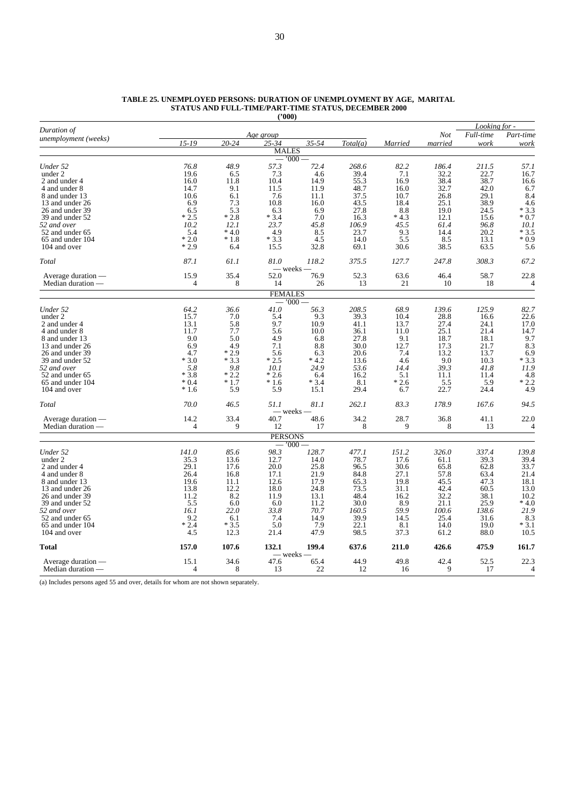| Full-time<br>Not<br><u>Age group</u><br>unemployment (weeks)<br>$15 - 19$<br>$20 - 24$<br>$25 - 34$<br>35-54<br>Total(a)<br>married<br>work<br>Married<br><b>MALES</b><br>$-000$<br>48.9<br>57.3<br>72.4<br>Under 52<br>76.8<br>268.6<br>82.2<br>186.4<br>211.5<br>57.1<br>under 2<br>19.6<br>6.5<br>7.3<br>4.6<br>39.4<br>7.1<br>32.2<br>22.7<br>16.7<br>38.4<br>38.7<br>55.3<br>16.0<br>11.8<br>10.4<br>14.9<br>16.9<br>16.6<br>2 and under 4<br>9.1<br>48.7<br>32.7<br>42.0<br>6.7<br>4 and under 8<br>14.7<br>11.5<br>11.9<br>16.0<br>10.6<br>6.1<br>37.5<br>26.8<br>29.1<br>8 and under 13<br>7.6<br>11.1<br>10.7<br>6.9<br>7.3<br>10.8<br>16.0<br>43.5<br>25.1<br>38.9<br>13 and under 26<br>18.4<br>19.0<br>6.5<br>5.3<br>6.3<br>6.9<br>27.8<br>8.8<br>24.5<br>26 and under 39<br>$*2.5$<br>$*2.8$<br>$*3.4$<br>7.0<br>$*4.3$<br>12.1<br>39 and under 52<br>16.3<br>15.6<br>12.1<br>23.7<br>61.4<br>96.8<br>52 and over<br>10.2<br>45.8<br>106.9<br>45.5<br>$*3.5$<br>5.4<br>$*4.0$<br>4.9<br>8.5<br>23.7<br>9.3<br>14.4<br>20.2<br>52 and under 65<br>$*2.0$<br>$*1.8$<br>$*3.3$<br>4.5<br>14.0<br>5.5<br>8.5<br>13.1<br>65 and under 104<br>$*2.9$<br>32.8<br>69.1<br>30.6<br>38.5<br>63.5<br>104 and over<br>6.4<br>15.5<br>87.1<br>61.1<br>81.0<br>118.2<br>375.5<br>127.7<br>247.8<br>308.3<br>Total<br>— weeks —<br>76.9<br>15.9<br>35.4<br>52.0<br>52.3<br>63.6<br>46.4<br>58.7<br>22.8<br>Average duration —<br>$\overline{4}$<br>14<br>10<br>Median duration —<br>8<br>26<br>13<br>21<br>18<br>4<br><b>FEMALES</b><br>$000^{\circ}$<br>Under 52<br>64.2<br>36.6<br>41.0<br>56.3<br>208.5<br>68.9<br>139.6<br>125.9<br>15.7<br>under 2<br>7.0<br>5.4<br>9.3<br>39.3<br>10.4<br>28.8<br>16.6<br>22.6<br>9.7<br>10.9<br>27.4<br>13.1<br>5.8<br>41.1<br>24.1<br>2 and under 4<br>13.7<br>7.7<br>25.1<br>11.7<br>5.6<br>10.0<br>36.1<br>11.0<br>21.4<br>14.7<br>4 and under 8<br>9.0<br>5.0<br>4.9<br>6.8<br>27.8<br>9.1<br>18.7<br>18.1<br>8 and under 13<br>6.9<br>4.9<br>7.1<br>8.8<br>30.0<br>12.7<br>17.3<br>21.7<br>13 and under 26<br>$*2.9$<br>4.7<br>20.6<br>7.4<br>13.2<br>13.7<br>26 and under 39<br>5.6<br>6.3<br>$*4.2$<br>9.0<br>$*3.0$<br>$*3.3$<br>$*2.5$<br>39 and under 52<br>13.6<br>4.6<br>10.3<br>39.3<br>52 and over<br>5.8<br>9.8<br>10.1<br>24.9<br>53.6<br>14.4<br>41.8<br>$*3.8$<br>$*2.2$<br>$*2.6$<br>6.4<br>16.2<br>5.1<br>11.1<br>11.4<br>52 and under 65<br>$*3.4$<br>65 and under 104<br>$*0.4$<br>$*1.7$<br>$*1.6$<br>8.1<br>$*2.6$<br>5.5<br>5.9<br>$*1.6$<br>5.9<br>5.9<br>15.1<br>29.4<br>22.7<br>24.4<br>104 and over<br>6.7<br>178.9<br>70.0<br>46.5<br>51.1<br>81.1<br>262.1<br>83.3<br>167.6<br>Total<br>– weeks -<br>14.2<br>33.4<br>40.7<br>48.6<br>34.2<br>28.7<br>36.8<br>41.1<br>22.0<br>Average duration —<br>Median duration —<br>$\overline{4}$<br>9<br>12<br>17<br>8<br>9<br>13<br>8<br><b>PERSONS</b><br>$-1000-$<br>85.6<br>98.3<br>477.1<br>151.2<br>326.0<br>337.4<br>Under 52<br>141.0<br>128.7<br>39.4<br>under 2<br>35.3<br>13.6<br>12.7<br>14.0<br>78.7<br>17.6<br>61.1<br>39.3<br>29.1<br>25.8<br>33.7<br>17.6<br>20.0<br>30.6<br>65.8<br>62.8<br>2 and under 4<br>96.5<br>26.4<br>16.8<br>17.1<br>21.9<br>84.8<br>27.1<br>57.8<br>63.4<br>21.4<br>4 and under 8<br>19.6<br>11.1<br>12.6<br>17.9<br>65.3<br>19.8<br>45.5<br>47.3<br>18.1<br>8 and under 13<br>24.8<br>42.4<br>13.8<br>12.2<br>18.0<br>73.5<br>31.1<br>60.5<br>13.0<br>13 and under 26<br>32.2<br>26 and under 39<br>11.2<br>8.2<br>11.9<br>13.1<br>48.4<br>16.2<br>38.1<br>10.2<br>5.5<br>$*4.0$<br>6.0<br>6.0<br>11.2<br>30.0<br>8.9<br>21.1<br>25.9<br>39 and under 52<br>59.9<br>16.1<br>22.0<br>33.8<br>70.7<br>160.5<br>100.6<br>138.6<br>21.9<br>52 and over<br>39.9<br>9.2<br>6.1<br>7.4<br>14.9<br>14.5<br>25.4<br>31.6<br>8.3<br>52 and under 65<br>$*2.4$<br>$*3.5$<br>22.1<br>$*3.1$<br>5.0<br>7.9<br>8.1<br>14.0<br>19.0<br>65 and under 104<br>4.5<br>12.3<br>21.4<br>47.9<br>98.5<br>37.3<br>61.2<br>88.0<br>104 and over<br>157.0<br>107.6<br>199.4<br>637.6<br>132.1<br>211.0<br>426.6<br>475.9<br>Total<br>— weeks —<br>15.1<br>34.6<br>47.6<br>65.4<br>44.9<br>49.8<br>42.4<br>52.5<br>22.3<br>Average duration —<br>13<br>22<br>12<br>9<br>17<br>Median duration —<br>$\overline{4}$<br>8<br>16 | Duration of |  |  |  | Looking for - |                |
|---------------------------------------------------------------------------------------------------------------------------------------------------------------------------------------------------------------------------------------------------------------------------------------------------------------------------------------------------------------------------------------------------------------------------------------------------------------------------------------------------------------------------------------------------------------------------------------------------------------------------------------------------------------------------------------------------------------------------------------------------------------------------------------------------------------------------------------------------------------------------------------------------------------------------------------------------------------------------------------------------------------------------------------------------------------------------------------------------------------------------------------------------------------------------------------------------------------------------------------------------------------------------------------------------------------------------------------------------------------------------------------------------------------------------------------------------------------------------------------------------------------------------------------------------------------------------------------------------------------------------------------------------------------------------------------------------------------------------------------------------------------------------------------------------------------------------------------------------------------------------------------------------------------------------------------------------------------------------------------------------------------------------------------------------------------------------------------------------------------------------------------------------------------------------------------------------------------------------------------------------------------------------------------------------------------------------------------------------------------------------------------------------------------------------------------------------------------------------------------------------------------------------------------------------------------------------------------------------------------------------------------------------------------------------------------------------------------------------------------------------------------------------------------------------------------------------------------------------------------------------------------------------------------------------------------------------------------------------------------------------------------------------------------------------------------------------------------------------------------------------------------------------------------------------------------------------------------------------------------------------------------------------------------------------------------------------------------------------------------------------------------------------------------------------------------------------------------------------------------------------------------------------------------------------------------------------------------------------------------------------------------------------------------------------------------------------------------------------------------------------------------------------------------------------------------------------------------------------------------------------------------------------------------------------------------------------------------------------------------------------------------------------------------------------------------------------------------------------------------------------------------------------------------------------------------------------------------------------------------------------------|-------------|--|--|--|---------------|----------------|
|                                                                                                                                                                                                                                                                                                                                                                                                                                                                                                                                                                                                                                                                                                                                                                                                                                                                                                                                                                                                                                                                                                                                                                                                                                                                                                                                                                                                                                                                                                                                                                                                                                                                                                                                                                                                                                                                                                                                                                                                                                                                                                                                                                                                                                                                                                                                                                                                                                                                                                                                                                                                                                                                                                                                                                                                                                                                                                                                                                                                                                                                                                                                                                                                                                                                                                                                                                                                                                                                                                                                                                                                                                                                                                                                                                                                                                                                                                                                                                                                                                                                                                                                                                                                                                                         |             |  |  |  |               | Part-time      |
|                                                                                                                                                                                                                                                                                                                                                                                                                                                                                                                                                                                                                                                                                                                                                                                                                                                                                                                                                                                                                                                                                                                                                                                                                                                                                                                                                                                                                                                                                                                                                                                                                                                                                                                                                                                                                                                                                                                                                                                                                                                                                                                                                                                                                                                                                                                                                                                                                                                                                                                                                                                                                                                                                                                                                                                                                                                                                                                                                                                                                                                                                                                                                                                                                                                                                                                                                                                                                                                                                                                                                                                                                                                                                                                                                                                                                                                                                                                                                                                                                                                                                                                                                                                                                                                         |             |  |  |  |               | work           |
|                                                                                                                                                                                                                                                                                                                                                                                                                                                                                                                                                                                                                                                                                                                                                                                                                                                                                                                                                                                                                                                                                                                                                                                                                                                                                                                                                                                                                                                                                                                                                                                                                                                                                                                                                                                                                                                                                                                                                                                                                                                                                                                                                                                                                                                                                                                                                                                                                                                                                                                                                                                                                                                                                                                                                                                                                                                                                                                                                                                                                                                                                                                                                                                                                                                                                                                                                                                                                                                                                                                                                                                                                                                                                                                                                                                                                                                                                                                                                                                                                                                                                                                                                                                                                                                         |             |  |  |  |               |                |
|                                                                                                                                                                                                                                                                                                                                                                                                                                                                                                                                                                                                                                                                                                                                                                                                                                                                                                                                                                                                                                                                                                                                                                                                                                                                                                                                                                                                                                                                                                                                                                                                                                                                                                                                                                                                                                                                                                                                                                                                                                                                                                                                                                                                                                                                                                                                                                                                                                                                                                                                                                                                                                                                                                                                                                                                                                                                                                                                                                                                                                                                                                                                                                                                                                                                                                                                                                                                                                                                                                                                                                                                                                                                                                                                                                                                                                                                                                                                                                                                                                                                                                                                                                                                                                                         |             |  |  |  |               |                |
|                                                                                                                                                                                                                                                                                                                                                                                                                                                                                                                                                                                                                                                                                                                                                                                                                                                                                                                                                                                                                                                                                                                                                                                                                                                                                                                                                                                                                                                                                                                                                                                                                                                                                                                                                                                                                                                                                                                                                                                                                                                                                                                                                                                                                                                                                                                                                                                                                                                                                                                                                                                                                                                                                                                                                                                                                                                                                                                                                                                                                                                                                                                                                                                                                                                                                                                                                                                                                                                                                                                                                                                                                                                                                                                                                                                                                                                                                                                                                                                                                                                                                                                                                                                                                                                         |             |  |  |  |               |                |
|                                                                                                                                                                                                                                                                                                                                                                                                                                                                                                                                                                                                                                                                                                                                                                                                                                                                                                                                                                                                                                                                                                                                                                                                                                                                                                                                                                                                                                                                                                                                                                                                                                                                                                                                                                                                                                                                                                                                                                                                                                                                                                                                                                                                                                                                                                                                                                                                                                                                                                                                                                                                                                                                                                                                                                                                                                                                                                                                                                                                                                                                                                                                                                                                                                                                                                                                                                                                                                                                                                                                                                                                                                                                                                                                                                                                                                                                                                                                                                                                                                                                                                                                                                                                                                                         |             |  |  |  |               |                |
|                                                                                                                                                                                                                                                                                                                                                                                                                                                                                                                                                                                                                                                                                                                                                                                                                                                                                                                                                                                                                                                                                                                                                                                                                                                                                                                                                                                                                                                                                                                                                                                                                                                                                                                                                                                                                                                                                                                                                                                                                                                                                                                                                                                                                                                                                                                                                                                                                                                                                                                                                                                                                                                                                                                                                                                                                                                                                                                                                                                                                                                                                                                                                                                                                                                                                                                                                                                                                                                                                                                                                                                                                                                                                                                                                                                                                                                                                                                                                                                                                                                                                                                                                                                                                                                         |             |  |  |  |               |                |
|                                                                                                                                                                                                                                                                                                                                                                                                                                                                                                                                                                                                                                                                                                                                                                                                                                                                                                                                                                                                                                                                                                                                                                                                                                                                                                                                                                                                                                                                                                                                                                                                                                                                                                                                                                                                                                                                                                                                                                                                                                                                                                                                                                                                                                                                                                                                                                                                                                                                                                                                                                                                                                                                                                                                                                                                                                                                                                                                                                                                                                                                                                                                                                                                                                                                                                                                                                                                                                                                                                                                                                                                                                                                                                                                                                                                                                                                                                                                                                                                                                                                                                                                                                                                                                                         |             |  |  |  |               | 8.4            |
|                                                                                                                                                                                                                                                                                                                                                                                                                                                                                                                                                                                                                                                                                                                                                                                                                                                                                                                                                                                                                                                                                                                                                                                                                                                                                                                                                                                                                                                                                                                                                                                                                                                                                                                                                                                                                                                                                                                                                                                                                                                                                                                                                                                                                                                                                                                                                                                                                                                                                                                                                                                                                                                                                                                                                                                                                                                                                                                                                                                                                                                                                                                                                                                                                                                                                                                                                                                                                                                                                                                                                                                                                                                                                                                                                                                                                                                                                                                                                                                                                                                                                                                                                                                                                                                         |             |  |  |  |               | 4.6            |
|                                                                                                                                                                                                                                                                                                                                                                                                                                                                                                                                                                                                                                                                                                                                                                                                                                                                                                                                                                                                                                                                                                                                                                                                                                                                                                                                                                                                                                                                                                                                                                                                                                                                                                                                                                                                                                                                                                                                                                                                                                                                                                                                                                                                                                                                                                                                                                                                                                                                                                                                                                                                                                                                                                                                                                                                                                                                                                                                                                                                                                                                                                                                                                                                                                                                                                                                                                                                                                                                                                                                                                                                                                                                                                                                                                                                                                                                                                                                                                                                                                                                                                                                                                                                                                                         |             |  |  |  |               | $*3.3$         |
|                                                                                                                                                                                                                                                                                                                                                                                                                                                                                                                                                                                                                                                                                                                                                                                                                                                                                                                                                                                                                                                                                                                                                                                                                                                                                                                                                                                                                                                                                                                                                                                                                                                                                                                                                                                                                                                                                                                                                                                                                                                                                                                                                                                                                                                                                                                                                                                                                                                                                                                                                                                                                                                                                                                                                                                                                                                                                                                                                                                                                                                                                                                                                                                                                                                                                                                                                                                                                                                                                                                                                                                                                                                                                                                                                                                                                                                                                                                                                                                                                                                                                                                                                                                                                                                         |             |  |  |  |               | $*0.7$         |
|                                                                                                                                                                                                                                                                                                                                                                                                                                                                                                                                                                                                                                                                                                                                                                                                                                                                                                                                                                                                                                                                                                                                                                                                                                                                                                                                                                                                                                                                                                                                                                                                                                                                                                                                                                                                                                                                                                                                                                                                                                                                                                                                                                                                                                                                                                                                                                                                                                                                                                                                                                                                                                                                                                                                                                                                                                                                                                                                                                                                                                                                                                                                                                                                                                                                                                                                                                                                                                                                                                                                                                                                                                                                                                                                                                                                                                                                                                                                                                                                                                                                                                                                                                                                                                                         |             |  |  |  |               | 10.1           |
|                                                                                                                                                                                                                                                                                                                                                                                                                                                                                                                                                                                                                                                                                                                                                                                                                                                                                                                                                                                                                                                                                                                                                                                                                                                                                                                                                                                                                                                                                                                                                                                                                                                                                                                                                                                                                                                                                                                                                                                                                                                                                                                                                                                                                                                                                                                                                                                                                                                                                                                                                                                                                                                                                                                                                                                                                                                                                                                                                                                                                                                                                                                                                                                                                                                                                                                                                                                                                                                                                                                                                                                                                                                                                                                                                                                                                                                                                                                                                                                                                                                                                                                                                                                                                                                         |             |  |  |  |               |                |
|                                                                                                                                                                                                                                                                                                                                                                                                                                                                                                                                                                                                                                                                                                                                                                                                                                                                                                                                                                                                                                                                                                                                                                                                                                                                                                                                                                                                                                                                                                                                                                                                                                                                                                                                                                                                                                                                                                                                                                                                                                                                                                                                                                                                                                                                                                                                                                                                                                                                                                                                                                                                                                                                                                                                                                                                                                                                                                                                                                                                                                                                                                                                                                                                                                                                                                                                                                                                                                                                                                                                                                                                                                                                                                                                                                                                                                                                                                                                                                                                                                                                                                                                                                                                                                                         |             |  |  |  |               | $*0.9$         |
|                                                                                                                                                                                                                                                                                                                                                                                                                                                                                                                                                                                                                                                                                                                                                                                                                                                                                                                                                                                                                                                                                                                                                                                                                                                                                                                                                                                                                                                                                                                                                                                                                                                                                                                                                                                                                                                                                                                                                                                                                                                                                                                                                                                                                                                                                                                                                                                                                                                                                                                                                                                                                                                                                                                                                                                                                                                                                                                                                                                                                                                                                                                                                                                                                                                                                                                                                                                                                                                                                                                                                                                                                                                                                                                                                                                                                                                                                                                                                                                                                                                                                                                                                                                                                                                         |             |  |  |  |               | 5.6            |
|                                                                                                                                                                                                                                                                                                                                                                                                                                                                                                                                                                                                                                                                                                                                                                                                                                                                                                                                                                                                                                                                                                                                                                                                                                                                                                                                                                                                                                                                                                                                                                                                                                                                                                                                                                                                                                                                                                                                                                                                                                                                                                                                                                                                                                                                                                                                                                                                                                                                                                                                                                                                                                                                                                                                                                                                                                                                                                                                                                                                                                                                                                                                                                                                                                                                                                                                                                                                                                                                                                                                                                                                                                                                                                                                                                                                                                                                                                                                                                                                                                                                                                                                                                                                                                                         |             |  |  |  |               | 67.2           |
|                                                                                                                                                                                                                                                                                                                                                                                                                                                                                                                                                                                                                                                                                                                                                                                                                                                                                                                                                                                                                                                                                                                                                                                                                                                                                                                                                                                                                                                                                                                                                                                                                                                                                                                                                                                                                                                                                                                                                                                                                                                                                                                                                                                                                                                                                                                                                                                                                                                                                                                                                                                                                                                                                                                                                                                                                                                                                                                                                                                                                                                                                                                                                                                                                                                                                                                                                                                                                                                                                                                                                                                                                                                                                                                                                                                                                                                                                                                                                                                                                                                                                                                                                                                                                                                         |             |  |  |  |               |                |
|                                                                                                                                                                                                                                                                                                                                                                                                                                                                                                                                                                                                                                                                                                                                                                                                                                                                                                                                                                                                                                                                                                                                                                                                                                                                                                                                                                                                                                                                                                                                                                                                                                                                                                                                                                                                                                                                                                                                                                                                                                                                                                                                                                                                                                                                                                                                                                                                                                                                                                                                                                                                                                                                                                                                                                                                                                                                                                                                                                                                                                                                                                                                                                                                                                                                                                                                                                                                                                                                                                                                                                                                                                                                                                                                                                                                                                                                                                                                                                                                                                                                                                                                                                                                                                                         |             |  |  |  |               |                |
|                                                                                                                                                                                                                                                                                                                                                                                                                                                                                                                                                                                                                                                                                                                                                                                                                                                                                                                                                                                                                                                                                                                                                                                                                                                                                                                                                                                                                                                                                                                                                                                                                                                                                                                                                                                                                                                                                                                                                                                                                                                                                                                                                                                                                                                                                                                                                                                                                                                                                                                                                                                                                                                                                                                                                                                                                                                                                                                                                                                                                                                                                                                                                                                                                                                                                                                                                                                                                                                                                                                                                                                                                                                                                                                                                                                                                                                                                                                                                                                                                                                                                                                                                                                                                                                         |             |  |  |  |               |                |
|                                                                                                                                                                                                                                                                                                                                                                                                                                                                                                                                                                                                                                                                                                                                                                                                                                                                                                                                                                                                                                                                                                                                                                                                                                                                                                                                                                                                                                                                                                                                                                                                                                                                                                                                                                                                                                                                                                                                                                                                                                                                                                                                                                                                                                                                                                                                                                                                                                                                                                                                                                                                                                                                                                                                                                                                                                                                                                                                                                                                                                                                                                                                                                                                                                                                                                                                                                                                                                                                                                                                                                                                                                                                                                                                                                                                                                                                                                                                                                                                                                                                                                                                                                                                                                                         |             |  |  |  |               |                |
|                                                                                                                                                                                                                                                                                                                                                                                                                                                                                                                                                                                                                                                                                                                                                                                                                                                                                                                                                                                                                                                                                                                                                                                                                                                                                                                                                                                                                                                                                                                                                                                                                                                                                                                                                                                                                                                                                                                                                                                                                                                                                                                                                                                                                                                                                                                                                                                                                                                                                                                                                                                                                                                                                                                                                                                                                                                                                                                                                                                                                                                                                                                                                                                                                                                                                                                                                                                                                                                                                                                                                                                                                                                                                                                                                                                                                                                                                                                                                                                                                                                                                                                                                                                                                                                         |             |  |  |  |               | 82.7           |
|                                                                                                                                                                                                                                                                                                                                                                                                                                                                                                                                                                                                                                                                                                                                                                                                                                                                                                                                                                                                                                                                                                                                                                                                                                                                                                                                                                                                                                                                                                                                                                                                                                                                                                                                                                                                                                                                                                                                                                                                                                                                                                                                                                                                                                                                                                                                                                                                                                                                                                                                                                                                                                                                                                                                                                                                                                                                                                                                                                                                                                                                                                                                                                                                                                                                                                                                                                                                                                                                                                                                                                                                                                                                                                                                                                                                                                                                                                                                                                                                                                                                                                                                                                                                                                                         |             |  |  |  |               |                |
|                                                                                                                                                                                                                                                                                                                                                                                                                                                                                                                                                                                                                                                                                                                                                                                                                                                                                                                                                                                                                                                                                                                                                                                                                                                                                                                                                                                                                                                                                                                                                                                                                                                                                                                                                                                                                                                                                                                                                                                                                                                                                                                                                                                                                                                                                                                                                                                                                                                                                                                                                                                                                                                                                                                                                                                                                                                                                                                                                                                                                                                                                                                                                                                                                                                                                                                                                                                                                                                                                                                                                                                                                                                                                                                                                                                                                                                                                                                                                                                                                                                                                                                                                                                                                                                         |             |  |  |  |               | 17.0           |
|                                                                                                                                                                                                                                                                                                                                                                                                                                                                                                                                                                                                                                                                                                                                                                                                                                                                                                                                                                                                                                                                                                                                                                                                                                                                                                                                                                                                                                                                                                                                                                                                                                                                                                                                                                                                                                                                                                                                                                                                                                                                                                                                                                                                                                                                                                                                                                                                                                                                                                                                                                                                                                                                                                                                                                                                                                                                                                                                                                                                                                                                                                                                                                                                                                                                                                                                                                                                                                                                                                                                                                                                                                                                                                                                                                                                                                                                                                                                                                                                                                                                                                                                                                                                                                                         |             |  |  |  |               |                |
|                                                                                                                                                                                                                                                                                                                                                                                                                                                                                                                                                                                                                                                                                                                                                                                                                                                                                                                                                                                                                                                                                                                                                                                                                                                                                                                                                                                                                                                                                                                                                                                                                                                                                                                                                                                                                                                                                                                                                                                                                                                                                                                                                                                                                                                                                                                                                                                                                                                                                                                                                                                                                                                                                                                                                                                                                                                                                                                                                                                                                                                                                                                                                                                                                                                                                                                                                                                                                                                                                                                                                                                                                                                                                                                                                                                                                                                                                                                                                                                                                                                                                                                                                                                                                                                         |             |  |  |  |               | 9.7            |
|                                                                                                                                                                                                                                                                                                                                                                                                                                                                                                                                                                                                                                                                                                                                                                                                                                                                                                                                                                                                                                                                                                                                                                                                                                                                                                                                                                                                                                                                                                                                                                                                                                                                                                                                                                                                                                                                                                                                                                                                                                                                                                                                                                                                                                                                                                                                                                                                                                                                                                                                                                                                                                                                                                                                                                                                                                                                                                                                                                                                                                                                                                                                                                                                                                                                                                                                                                                                                                                                                                                                                                                                                                                                                                                                                                                                                                                                                                                                                                                                                                                                                                                                                                                                                                                         |             |  |  |  |               | 8.3            |
|                                                                                                                                                                                                                                                                                                                                                                                                                                                                                                                                                                                                                                                                                                                                                                                                                                                                                                                                                                                                                                                                                                                                                                                                                                                                                                                                                                                                                                                                                                                                                                                                                                                                                                                                                                                                                                                                                                                                                                                                                                                                                                                                                                                                                                                                                                                                                                                                                                                                                                                                                                                                                                                                                                                                                                                                                                                                                                                                                                                                                                                                                                                                                                                                                                                                                                                                                                                                                                                                                                                                                                                                                                                                                                                                                                                                                                                                                                                                                                                                                                                                                                                                                                                                                                                         |             |  |  |  |               | 6.9            |
|                                                                                                                                                                                                                                                                                                                                                                                                                                                                                                                                                                                                                                                                                                                                                                                                                                                                                                                                                                                                                                                                                                                                                                                                                                                                                                                                                                                                                                                                                                                                                                                                                                                                                                                                                                                                                                                                                                                                                                                                                                                                                                                                                                                                                                                                                                                                                                                                                                                                                                                                                                                                                                                                                                                                                                                                                                                                                                                                                                                                                                                                                                                                                                                                                                                                                                                                                                                                                                                                                                                                                                                                                                                                                                                                                                                                                                                                                                                                                                                                                                                                                                                                                                                                                                                         |             |  |  |  |               | $*3.3$         |
|                                                                                                                                                                                                                                                                                                                                                                                                                                                                                                                                                                                                                                                                                                                                                                                                                                                                                                                                                                                                                                                                                                                                                                                                                                                                                                                                                                                                                                                                                                                                                                                                                                                                                                                                                                                                                                                                                                                                                                                                                                                                                                                                                                                                                                                                                                                                                                                                                                                                                                                                                                                                                                                                                                                                                                                                                                                                                                                                                                                                                                                                                                                                                                                                                                                                                                                                                                                                                                                                                                                                                                                                                                                                                                                                                                                                                                                                                                                                                                                                                                                                                                                                                                                                                                                         |             |  |  |  |               | 11.9           |
|                                                                                                                                                                                                                                                                                                                                                                                                                                                                                                                                                                                                                                                                                                                                                                                                                                                                                                                                                                                                                                                                                                                                                                                                                                                                                                                                                                                                                                                                                                                                                                                                                                                                                                                                                                                                                                                                                                                                                                                                                                                                                                                                                                                                                                                                                                                                                                                                                                                                                                                                                                                                                                                                                                                                                                                                                                                                                                                                                                                                                                                                                                                                                                                                                                                                                                                                                                                                                                                                                                                                                                                                                                                                                                                                                                                                                                                                                                                                                                                                                                                                                                                                                                                                                                                         |             |  |  |  |               | 4.8            |
|                                                                                                                                                                                                                                                                                                                                                                                                                                                                                                                                                                                                                                                                                                                                                                                                                                                                                                                                                                                                                                                                                                                                                                                                                                                                                                                                                                                                                                                                                                                                                                                                                                                                                                                                                                                                                                                                                                                                                                                                                                                                                                                                                                                                                                                                                                                                                                                                                                                                                                                                                                                                                                                                                                                                                                                                                                                                                                                                                                                                                                                                                                                                                                                                                                                                                                                                                                                                                                                                                                                                                                                                                                                                                                                                                                                                                                                                                                                                                                                                                                                                                                                                                                                                                                                         |             |  |  |  |               | $*2.2$         |
|                                                                                                                                                                                                                                                                                                                                                                                                                                                                                                                                                                                                                                                                                                                                                                                                                                                                                                                                                                                                                                                                                                                                                                                                                                                                                                                                                                                                                                                                                                                                                                                                                                                                                                                                                                                                                                                                                                                                                                                                                                                                                                                                                                                                                                                                                                                                                                                                                                                                                                                                                                                                                                                                                                                                                                                                                                                                                                                                                                                                                                                                                                                                                                                                                                                                                                                                                                                                                                                                                                                                                                                                                                                                                                                                                                                                                                                                                                                                                                                                                                                                                                                                                                                                                                                         |             |  |  |  |               | 4.9            |
|                                                                                                                                                                                                                                                                                                                                                                                                                                                                                                                                                                                                                                                                                                                                                                                                                                                                                                                                                                                                                                                                                                                                                                                                                                                                                                                                                                                                                                                                                                                                                                                                                                                                                                                                                                                                                                                                                                                                                                                                                                                                                                                                                                                                                                                                                                                                                                                                                                                                                                                                                                                                                                                                                                                                                                                                                                                                                                                                                                                                                                                                                                                                                                                                                                                                                                                                                                                                                                                                                                                                                                                                                                                                                                                                                                                                                                                                                                                                                                                                                                                                                                                                                                                                                                                         |             |  |  |  |               | 94.5           |
|                                                                                                                                                                                                                                                                                                                                                                                                                                                                                                                                                                                                                                                                                                                                                                                                                                                                                                                                                                                                                                                                                                                                                                                                                                                                                                                                                                                                                                                                                                                                                                                                                                                                                                                                                                                                                                                                                                                                                                                                                                                                                                                                                                                                                                                                                                                                                                                                                                                                                                                                                                                                                                                                                                                                                                                                                                                                                                                                                                                                                                                                                                                                                                                                                                                                                                                                                                                                                                                                                                                                                                                                                                                                                                                                                                                                                                                                                                                                                                                                                                                                                                                                                                                                                                                         |             |  |  |  |               |                |
|                                                                                                                                                                                                                                                                                                                                                                                                                                                                                                                                                                                                                                                                                                                                                                                                                                                                                                                                                                                                                                                                                                                                                                                                                                                                                                                                                                                                                                                                                                                                                                                                                                                                                                                                                                                                                                                                                                                                                                                                                                                                                                                                                                                                                                                                                                                                                                                                                                                                                                                                                                                                                                                                                                                                                                                                                                                                                                                                                                                                                                                                                                                                                                                                                                                                                                                                                                                                                                                                                                                                                                                                                                                                                                                                                                                                                                                                                                                                                                                                                                                                                                                                                                                                                                                         |             |  |  |  |               | 4              |
|                                                                                                                                                                                                                                                                                                                                                                                                                                                                                                                                                                                                                                                                                                                                                                                                                                                                                                                                                                                                                                                                                                                                                                                                                                                                                                                                                                                                                                                                                                                                                                                                                                                                                                                                                                                                                                                                                                                                                                                                                                                                                                                                                                                                                                                                                                                                                                                                                                                                                                                                                                                                                                                                                                                                                                                                                                                                                                                                                                                                                                                                                                                                                                                                                                                                                                                                                                                                                                                                                                                                                                                                                                                                                                                                                                                                                                                                                                                                                                                                                                                                                                                                                                                                                                                         |             |  |  |  |               |                |
|                                                                                                                                                                                                                                                                                                                                                                                                                                                                                                                                                                                                                                                                                                                                                                                                                                                                                                                                                                                                                                                                                                                                                                                                                                                                                                                                                                                                                                                                                                                                                                                                                                                                                                                                                                                                                                                                                                                                                                                                                                                                                                                                                                                                                                                                                                                                                                                                                                                                                                                                                                                                                                                                                                                                                                                                                                                                                                                                                                                                                                                                                                                                                                                                                                                                                                                                                                                                                                                                                                                                                                                                                                                                                                                                                                                                                                                                                                                                                                                                                                                                                                                                                                                                                                                         |             |  |  |  |               |                |
|                                                                                                                                                                                                                                                                                                                                                                                                                                                                                                                                                                                                                                                                                                                                                                                                                                                                                                                                                                                                                                                                                                                                                                                                                                                                                                                                                                                                                                                                                                                                                                                                                                                                                                                                                                                                                                                                                                                                                                                                                                                                                                                                                                                                                                                                                                                                                                                                                                                                                                                                                                                                                                                                                                                                                                                                                                                                                                                                                                                                                                                                                                                                                                                                                                                                                                                                                                                                                                                                                                                                                                                                                                                                                                                                                                                                                                                                                                                                                                                                                                                                                                                                                                                                                                                         |             |  |  |  |               | 139.8          |
|                                                                                                                                                                                                                                                                                                                                                                                                                                                                                                                                                                                                                                                                                                                                                                                                                                                                                                                                                                                                                                                                                                                                                                                                                                                                                                                                                                                                                                                                                                                                                                                                                                                                                                                                                                                                                                                                                                                                                                                                                                                                                                                                                                                                                                                                                                                                                                                                                                                                                                                                                                                                                                                                                                                                                                                                                                                                                                                                                                                                                                                                                                                                                                                                                                                                                                                                                                                                                                                                                                                                                                                                                                                                                                                                                                                                                                                                                                                                                                                                                                                                                                                                                                                                                                                         |             |  |  |  |               |                |
|                                                                                                                                                                                                                                                                                                                                                                                                                                                                                                                                                                                                                                                                                                                                                                                                                                                                                                                                                                                                                                                                                                                                                                                                                                                                                                                                                                                                                                                                                                                                                                                                                                                                                                                                                                                                                                                                                                                                                                                                                                                                                                                                                                                                                                                                                                                                                                                                                                                                                                                                                                                                                                                                                                                                                                                                                                                                                                                                                                                                                                                                                                                                                                                                                                                                                                                                                                                                                                                                                                                                                                                                                                                                                                                                                                                                                                                                                                                                                                                                                                                                                                                                                                                                                                                         |             |  |  |  |               |                |
|                                                                                                                                                                                                                                                                                                                                                                                                                                                                                                                                                                                                                                                                                                                                                                                                                                                                                                                                                                                                                                                                                                                                                                                                                                                                                                                                                                                                                                                                                                                                                                                                                                                                                                                                                                                                                                                                                                                                                                                                                                                                                                                                                                                                                                                                                                                                                                                                                                                                                                                                                                                                                                                                                                                                                                                                                                                                                                                                                                                                                                                                                                                                                                                                                                                                                                                                                                                                                                                                                                                                                                                                                                                                                                                                                                                                                                                                                                                                                                                                                                                                                                                                                                                                                                                         |             |  |  |  |               |                |
|                                                                                                                                                                                                                                                                                                                                                                                                                                                                                                                                                                                                                                                                                                                                                                                                                                                                                                                                                                                                                                                                                                                                                                                                                                                                                                                                                                                                                                                                                                                                                                                                                                                                                                                                                                                                                                                                                                                                                                                                                                                                                                                                                                                                                                                                                                                                                                                                                                                                                                                                                                                                                                                                                                                                                                                                                                                                                                                                                                                                                                                                                                                                                                                                                                                                                                                                                                                                                                                                                                                                                                                                                                                                                                                                                                                                                                                                                                                                                                                                                                                                                                                                                                                                                                                         |             |  |  |  |               |                |
|                                                                                                                                                                                                                                                                                                                                                                                                                                                                                                                                                                                                                                                                                                                                                                                                                                                                                                                                                                                                                                                                                                                                                                                                                                                                                                                                                                                                                                                                                                                                                                                                                                                                                                                                                                                                                                                                                                                                                                                                                                                                                                                                                                                                                                                                                                                                                                                                                                                                                                                                                                                                                                                                                                                                                                                                                                                                                                                                                                                                                                                                                                                                                                                                                                                                                                                                                                                                                                                                                                                                                                                                                                                                                                                                                                                                                                                                                                                                                                                                                                                                                                                                                                                                                                                         |             |  |  |  |               |                |
|                                                                                                                                                                                                                                                                                                                                                                                                                                                                                                                                                                                                                                                                                                                                                                                                                                                                                                                                                                                                                                                                                                                                                                                                                                                                                                                                                                                                                                                                                                                                                                                                                                                                                                                                                                                                                                                                                                                                                                                                                                                                                                                                                                                                                                                                                                                                                                                                                                                                                                                                                                                                                                                                                                                                                                                                                                                                                                                                                                                                                                                                                                                                                                                                                                                                                                                                                                                                                                                                                                                                                                                                                                                                                                                                                                                                                                                                                                                                                                                                                                                                                                                                                                                                                                                         |             |  |  |  |               |                |
|                                                                                                                                                                                                                                                                                                                                                                                                                                                                                                                                                                                                                                                                                                                                                                                                                                                                                                                                                                                                                                                                                                                                                                                                                                                                                                                                                                                                                                                                                                                                                                                                                                                                                                                                                                                                                                                                                                                                                                                                                                                                                                                                                                                                                                                                                                                                                                                                                                                                                                                                                                                                                                                                                                                                                                                                                                                                                                                                                                                                                                                                                                                                                                                                                                                                                                                                                                                                                                                                                                                                                                                                                                                                                                                                                                                                                                                                                                                                                                                                                                                                                                                                                                                                                                                         |             |  |  |  |               |                |
|                                                                                                                                                                                                                                                                                                                                                                                                                                                                                                                                                                                                                                                                                                                                                                                                                                                                                                                                                                                                                                                                                                                                                                                                                                                                                                                                                                                                                                                                                                                                                                                                                                                                                                                                                                                                                                                                                                                                                                                                                                                                                                                                                                                                                                                                                                                                                                                                                                                                                                                                                                                                                                                                                                                                                                                                                                                                                                                                                                                                                                                                                                                                                                                                                                                                                                                                                                                                                                                                                                                                                                                                                                                                                                                                                                                                                                                                                                                                                                                                                                                                                                                                                                                                                                                         |             |  |  |  |               |                |
|                                                                                                                                                                                                                                                                                                                                                                                                                                                                                                                                                                                                                                                                                                                                                                                                                                                                                                                                                                                                                                                                                                                                                                                                                                                                                                                                                                                                                                                                                                                                                                                                                                                                                                                                                                                                                                                                                                                                                                                                                                                                                                                                                                                                                                                                                                                                                                                                                                                                                                                                                                                                                                                                                                                                                                                                                                                                                                                                                                                                                                                                                                                                                                                                                                                                                                                                                                                                                                                                                                                                                                                                                                                                                                                                                                                                                                                                                                                                                                                                                                                                                                                                                                                                                                                         |             |  |  |  |               |                |
|                                                                                                                                                                                                                                                                                                                                                                                                                                                                                                                                                                                                                                                                                                                                                                                                                                                                                                                                                                                                                                                                                                                                                                                                                                                                                                                                                                                                                                                                                                                                                                                                                                                                                                                                                                                                                                                                                                                                                                                                                                                                                                                                                                                                                                                                                                                                                                                                                                                                                                                                                                                                                                                                                                                                                                                                                                                                                                                                                                                                                                                                                                                                                                                                                                                                                                                                                                                                                                                                                                                                                                                                                                                                                                                                                                                                                                                                                                                                                                                                                                                                                                                                                                                                                                                         |             |  |  |  |               | 10.5           |
|                                                                                                                                                                                                                                                                                                                                                                                                                                                                                                                                                                                                                                                                                                                                                                                                                                                                                                                                                                                                                                                                                                                                                                                                                                                                                                                                                                                                                                                                                                                                                                                                                                                                                                                                                                                                                                                                                                                                                                                                                                                                                                                                                                                                                                                                                                                                                                                                                                                                                                                                                                                                                                                                                                                                                                                                                                                                                                                                                                                                                                                                                                                                                                                                                                                                                                                                                                                                                                                                                                                                                                                                                                                                                                                                                                                                                                                                                                                                                                                                                                                                                                                                                                                                                                                         |             |  |  |  |               | 161.7          |
|                                                                                                                                                                                                                                                                                                                                                                                                                                                                                                                                                                                                                                                                                                                                                                                                                                                                                                                                                                                                                                                                                                                                                                                                                                                                                                                                                                                                                                                                                                                                                                                                                                                                                                                                                                                                                                                                                                                                                                                                                                                                                                                                                                                                                                                                                                                                                                                                                                                                                                                                                                                                                                                                                                                                                                                                                                                                                                                                                                                                                                                                                                                                                                                                                                                                                                                                                                                                                                                                                                                                                                                                                                                                                                                                                                                                                                                                                                                                                                                                                                                                                                                                                                                                                                                         |             |  |  |  |               |                |
|                                                                                                                                                                                                                                                                                                                                                                                                                                                                                                                                                                                                                                                                                                                                                                                                                                                                                                                                                                                                                                                                                                                                                                                                                                                                                                                                                                                                                                                                                                                                                                                                                                                                                                                                                                                                                                                                                                                                                                                                                                                                                                                                                                                                                                                                                                                                                                                                                                                                                                                                                                                                                                                                                                                                                                                                                                                                                                                                                                                                                                                                                                                                                                                                                                                                                                                                                                                                                                                                                                                                                                                                                                                                                                                                                                                                                                                                                                                                                                                                                                                                                                                                                                                                                                                         |             |  |  |  |               | $\overline{4}$ |

#### **TABLE 25. UNEMPLOYED PERSONS: DURATION OF UNEMPLOYMENT BY AGE, MARITAL STATUS AND FULL-TIME/PART-TIME STATUS, DECEMBER 2000 ('000)**

(a) Includes persons aged 55 and over, details for whom are not shown separately.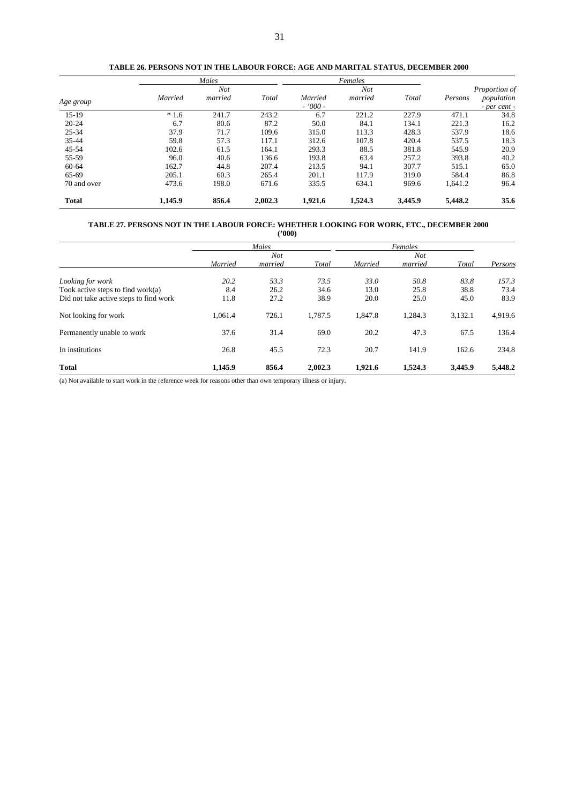|              |         | Males      |         |           | Females    |         |         |                  |
|--------------|---------|------------|---------|-----------|------------|---------|---------|------------------|
|              |         | <b>Not</b> |         |           | <b>Not</b> |         |         | Proportion of    |
| Age group    | Married | married    | Total   | Married   | married    | Total   | Persons | population       |
|              |         |            |         | $-7000 -$ |            |         |         | $-$ per cent $-$ |
| $15-19$      | $*1.6$  | 241.7      | 243.2   | 6.7       | 221.2      | 227.9   | 471.1   | 34.8             |
| $20 - 24$    | 6.7     | 80.6       | 87.2    | 50.0      | 84.1       | 134.1   | 221.3   | 16.2             |
| $25 - 34$    | 37.9    | 71.7       | 109.6   | 315.0     | 113.3      | 428.3   | 537.9   | 18.6             |
| $35 - 44$    | 59.8    | 57.3       | 117.1   | 312.6     | 107.8      | 420.4   | 537.5   | 18.3             |
| $45 - 54$    | 102.6   | 61.5       | 164.1   | 293.3     | 88.5       | 381.8   | 545.9   | 20.9             |
| 55-59        | 96.0    | 40.6       | 136.6   | 193.8     | 63.4       | 257.2   | 393.8   | 40.2             |
| 60-64        | 162.7   | 44.8       | 207.4   | 213.5     | 94.1       | 307.7   | 515.1   | 65.0             |
| 65-69        | 205.1   | 60.3       | 265.4   | 201.1     | 117.9      | 319.0   | 584.4   | 86.8             |
| 70 and over  | 473.6   | 198.0      | 671.6   | 335.5     | 634.1      | 969.6   | 1,641.2 | 96.4             |
| <b>Total</b> | 1,145.9 | 856.4      | 2,002.3 | 1,921.6   | 1,524.3    | 3,445.9 | 5,448.2 | 35.6             |

**TABLE 26. PERSONS NOT IN THE LABOUR FORCE: AGE AND MARITAL STATUS, DECEMBER 2000**

#### **TABLE 27. PERSONS NOT IN THE LABOUR FORCE: WHETHER LOOKING FOR WORK, ETC., DECEMBER 2000 ('000)**

|                                        |         | Males   |         |         |                       |         |         |
|----------------------------------------|---------|---------|---------|---------|-----------------------|---------|---------|
|                                        |         | Not     |         |         | Females<br><b>Not</b> |         |         |
|                                        | Married | married | Total   | Married | married               | Total   | Persons |
| Looking for work                       | 20.2    | 53.3    | 73.5    | 33.O    | 50.8                  | 83.8    | 157.3   |
| Took active steps to find work $(a)$   | 8.4     | 26.2    | 34.6    | 13.0    | 25.8                  | 38.8    | 73.4    |
| Did not take active steps to find work | 11.8    | 27.2    | 38.9    | 20.0    | 25.0                  | 45.0    | 83.9    |
| Not looking for work                   | 1,061.4 | 726.1   | 1.787.5 | 1.847.8 | 1,284.3               | 3,132.1 | 4,919.6 |
| Permanently unable to work             | 37.6    | 31.4    | 69.0    | 20.2    | 47.3                  | 67.5    | 136.4   |
| In institutions                        | 26.8    | 45.5    | 72.3    | 20.7    | 141.9                 | 162.6   | 234.8   |
| <b>Total</b>                           | 1,145.9 | 856.4   | 2,002.3 | 1,921.6 | 1,524.3               | 3,445.9 | 5,448.2 |

(a) Not available to start work in the reference week for reasons other than own temporary illness or injury.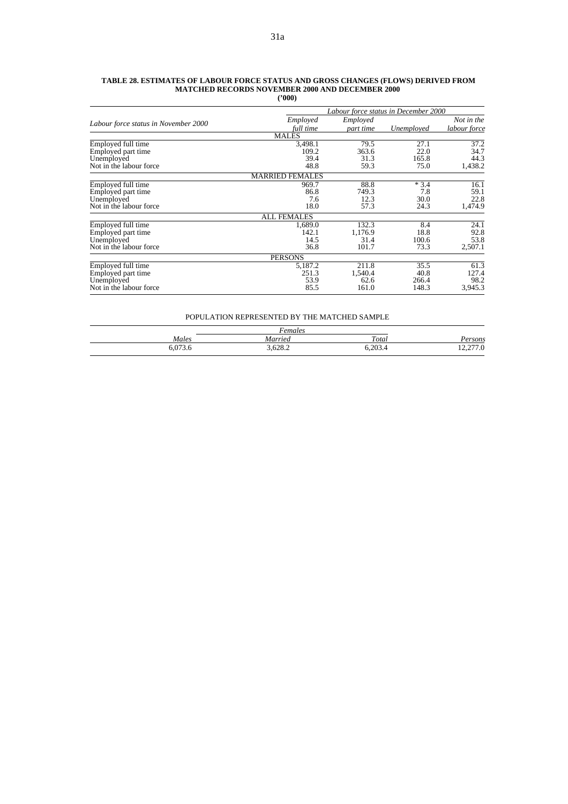|                                      |                        |           | Labour force status in December 2000 |              |
|--------------------------------------|------------------------|-----------|--------------------------------------|--------------|
|                                      | Employed               | Employed  |                                      | Not in the   |
| Labour force status in November 2000 | full time              | part time | Unemployed                           | labour force |
|                                      | <b>MALES</b>           |           |                                      |              |
| Employed full time                   | 3,498.1                | 79.5      | 27.1                                 | 37.2         |
| Employed part time                   | 109.2                  | 363.6     | 22.0                                 | 34.7         |
| Unemployed                           | 39.4                   | 31.3      | 165.8                                | 44.3         |
| Not in the labour force.             | 48.8                   | 59.3      | 75.0                                 | 1,438.2      |
|                                      | <b>MARRIED FEMALES</b> |           |                                      |              |
| Employed full time                   | 969.7                  | 88.8      | $*3.4$                               | 16.1         |
| Employed part time                   | 86.8                   | 749.3     | 7.8                                  | 59.1         |
| Unemployed                           | 7.6                    | 12.3      | 30.0                                 | 22.8         |
| Not in the labour force              | 18.0                   | 57.3      | 24.3                                 | 1,474.9      |
|                                      | <b>ALL FEMALES</b>     |           |                                      |              |
| Employed full time                   | 1,689.0                | 132.3     | 8.4                                  | 24.1         |
| Employed part time                   | 142.1                  | 1.176.9   | 18.8                                 | 92.8         |
| Unemployed                           | 14.5                   | 31.4      | 100.6                                | 53.8         |
| Not in the labour force.             | 36.8                   | 101.7     | 73.3                                 | 2,507.1      |
|                                      | <b>PERSONS</b>         |           |                                      |              |
| Employed full time                   | 5,187.2                | 211.8     | 35.5                                 | 61.3         |
| Employed part time                   | 251.3                  | 1,540.4   | 40.8                                 | 127.4        |
| Unemployed                           | 53.9                   | 62.6      | 266.4                                | 98.2         |
| Not in the labour force.             | 85.5                   | 161.0     | 148.3                                | 3,945.3      |

#### **TABLE 28. ESTIMATES OF LABOUR FORCE STATUS AND GROSS CHANGES (FLOWS) DERIVED FROM MATCHED RECORDS NOVEMBER 2000 AND DECEMBER 2000 ('000)**

#### POPULATION REPRESENTED BY THE MATCHED SAMPLE

|       | Females |         |          |
|-------|---------|---------|----------|
| Males | Married | Total   | ersons   |
|       | 3,628.2 | 6,203.4 | 12,277.0 |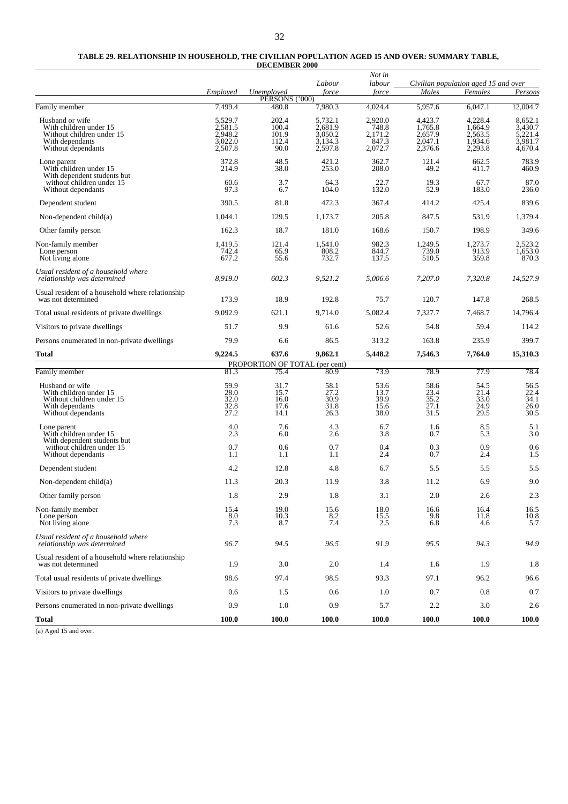| TABLE 29. RELATIONSHIP IN HOUSEHOLD. THE CIVILIAN POPULATION AGED 15 AND OVER: SUMMARY TABLE. |
|-----------------------------------------------------------------------------------------------|
| <b>DECEMBER 2000</b>                                                                          |

|                                                                                                                 | Employed                                            | Unemployed<br>PÉRSONS ('000)             | Labour<br>force                                     | Not in<br>labour<br>force                       | Males                                               | Civilian population aged 15 and over<br>Females     | Persons                                             |
|-----------------------------------------------------------------------------------------------------------------|-----------------------------------------------------|------------------------------------------|-----------------------------------------------------|-------------------------------------------------|-----------------------------------------------------|-----------------------------------------------------|-----------------------------------------------------|
| Family member                                                                                                   | 7.499.4                                             | 480.8                                    | 7,980.3                                             | 4,024.4                                         | 5,957.6                                             | 6,047.1                                             | 12,004.7                                            |
| Husband or wife<br>With children under 15<br>Without children under 15<br>With dependants<br>Without dependants | 5,529.7<br>2,581.5<br>2,948.2<br>3,022.0<br>2,507.8 | 202.4<br>100.4<br>101.9<br>112.4<br>90.0 | 5,732.1<br>2,681.9<br>3,050.2<br>3,134.3<br>2,597.8 | 2,920.0<br>748.8<br>2,171.2<br>847.3<br>2,072.7 | 4,423.7<br>1,765.8<br>2,657.9<br>2,047.1<br>2,376.6 | 4,228.4<br>1,664.9<br>2,563.5<br>1,934.6<br>2,293.8 | 8,652.1<br>3,430.7<br>5,221.4<br>3,981.7<br>4,670.4 |
| Lone parent<br>With children under 15<br>With dependent students but                                            | 372.8<br>214.9                                      | 48.5<br>38.0                             | 421.2<br>253.0                                      | 362.7<br>208.0                                  | 121.4<br>49.2                                       | 662.5<br>411.7                                      | 783.9<br>460.9                                      |
| without children under 15<br>Without dependants                                                                 | 60.6<br>97.3                                        | 3.7<br>6.7                               | 64.3<br>104.0                                       | 22.7<br>132.0                                   | 19.3<br>52.9                                        | 67.7<br>183.0                                       | 87.0<br>236.0                                       |
| Dependent student                                                                                               | 390.5                                               | 81.8                                     | 472.3                                               | 367.4                                           | 414.2                                               | 425.4                                               | 839.6                                               |
| Non-dependent $child(a)$                                                                                        | 1,044.1                                             | 129.5                                    | 1,173.7                                             | 205.8                                           | 847.5                                               | 531.9                                               | 1,379.4                                             |
| Other family person                                                                                             | 162.3                                               | 18.7                                     | 181.0                                               | 168.6                                           | 150.7                                               | 198.9                                               | 349.6                                               |
| Non-family member<br>Lone person<br>Not living alone                                                            | 1,419.5<br>742.4<br>677.2                           | 121.4<br>65.9<br>55.6                    | 1,541.0<br>808.2<br>732.7                           | 982.3<br>844.7<br>137.5                         | 1,249.5<br>739.0<br>510.5                           | 1,273.7<br>913.9<br>359.8                           | 2,523.2<br>1,653.0<br>870.3                         |
| Usual resident of a household where<br>relationship was determined                                              | 8,919.0                                             | 602.3                                    | 9,521.2                                             | 5.006.6                                         | 7.207.0                                             | 7,320.8                                             | 14,527.9                                            |
| Usual resident of a household where relationship<br>was not determined                                          | 173.9                                               | 18.9                                     | 192.8                                               | 75.7                                            | 120.7                                               | 147.8                                               | 268.5                                               |
| Total usual residents of private dwellings                                                                      | 9,092.9                                             | 621.1                                    | 9.714.0                                             | 5,082.4                                         | 7,327.7                                             | 7,468.7                                             | 14,796.4                                            |
| Visitors to private dwellings                                                                                   | 51.7                                                | 9.9                                      | 61.6                                                | 52.6                                            | 54.8                                                | 59.4                                                | 114.2                                               |
| Persons enumerated in non-private dwellings                                                                     | 79.9                                                | 6.6                                      | 86.5                                                | 313.2                                           | 163.8                                               | 235.9                                               | 399.7                                               |
| Total                                                                                                           | 9,224.5                                             | 637.6                                    | 9,862.1                                             | 5,448.2                                         | 7,546.3                                             | 7,764.0                                             | 15,310.3                                            |
| Family member                                                                                                   | 81.3                                                | PROPORTION OF TOTAL (per cent)<br>75.4   | 80.9                                                | 73.9                                            | 78.9                                                | 77.9                                                | 78.4                                                |
| Husband or wife<br>With children under 15<br>Without children under 15<br>With dependants<br>Without dependants | 59.9<br>28.0<br>32.0<br>32.8<br>27.2                | 31.7<br>15.7<br>16.0<br>17.6<br>14.1     | 58.1<br>27.2<br>30.9<br>31.8<br>26.3                | 53.6<br>13.7<br>39.9<br>15.6<br>38.0            | 58.6<br>23.4<br>35.2<br>27.1<br>31.5                | 54.5<br>21.4<br>33.0<br>24.9<br>29.5                | 56.5<br>22.4<br>34.1<br>26.0<br>30.5                |
| Lone parent<br>With children under 15<br>With dependent students but<br>without children under 15               | 4.0<br>2.3<br>0.7                                   | 7.6<br>6.0<br>0.6                        | 4.3<br>2.6<br>0.7                                   | 6.7<br>3.8<br>0.4                               | 1.6<br>0.7<br>0.3                                   | 8.5<br>5.3<br>0.9                                   | 5.1<br>3.0<br>0.6                                   |
| Without dependants                                                                                              | 1.1                                                 | 1.1                                      | 1.1                                                 | 2.4                                             | 0.7                                                 | 2.4                                                 | 1.5                                                 |
| Dependent student                                                                                               | 4.2                                                 | 12.8                                     | 4.8                                                 | 6.7                                             | 5.5                                                 | 5.5                                                 | 5.5                                                 |
| Non-dependent $child(a)$                                                                                        | 11.3                                                | 20.3                                     | 11.9                                                | 3.8                                             | 11.2                                                | 6.9                                                 | 9.0                                                 |
| Other family person                                                                                             | 1.8                                                 | 2.9                                      | 1.8                                                 | 3.1                                             | 2.0                                                 | 2.6                                                 | 2.3                                                 |
| Non-family member<br>Lone person<br>Not living alone                                                            | 15.4<br>8.0<br>7.3                                  | 19.0<br>10.3<br>8.7                      | 15.6<br>8.2<br>7.4                                  | 18.0<br>15.5<br>2.5                             | 16.6<br>9.8<br>6.8                                  | 16.4<br>11.8<br>4.6                                 | $\begin{array}{c} 16.5 \\ 10.8 \\ 5.7 \end{array}$  |
| Usual resident of a household where<br>relationship was determined                                              | 96.7                                                | 94.5                                     | 96.5                                                | 91.9                                            | 95.5                                                | 94.3                                                | 94.9                                                |
| Usual resident of a household where relationship<br>was not determined                                          | 1.9                                                 | 3.0                                      | 2.0                                                 | 1.4                                             | 1.6                                                 | 1.9                                                 | 1.8                                                 |
| Total usual residents of private dwellings                                                                      | 98.6                                                | 97.4                                     | 98.5                                                | 93.3                                            | 97.1                                                | 96.2                                                | 96.6                                                |
| Visitors to private dwellings                                                                                   | 0.6                                                 | 1.5                                      | 0.6                                                 | 1.0                                             | 0.7                                                 | 0.8                                                 | 0.7                                                 |
| Persons enumerated in non-private dwellings                                                                     | 0.9                                                 | 1.0                                      | 0.9                                                 | 5.7                                             | 2.2                                                 | 3.0                                                 | 2.6                                                 |
| Total                                                                                                           | 100.0                                               | 100.0                                    | 100.0                                               | 100.0                                           | 100.0                                               | 100.0                                               | 100.0                                               |

(a) Aged 15 and over.

 $\sim$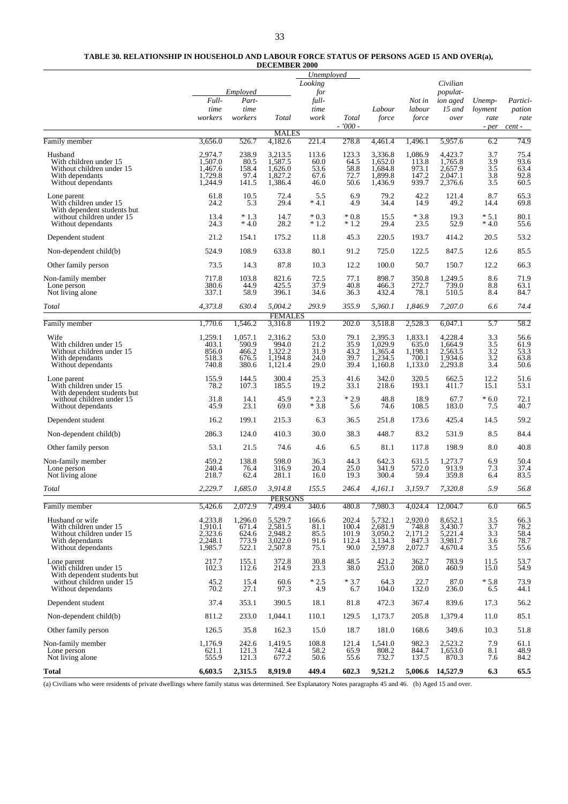#### **TABLE 30. RELATIONSHIP IN HOUSEHOLD AND LABOUR FORCE STATUS OF PERSONS AGED 15 AND OVER(a), DECEMBER 2000**

|                                                          |                    |                  |                           | Unemployed       |                    |                    |                    |                      |                          |                  |
|----------------------------------------------------------|--------------------|------------------|---------------------------|------------------|--------------------|--------------------|--------------------|----------------------|--------------------------|------------------|
|                                                          |                    | Employed         |                           | Looking<br>for   |                    |                    |                    | Civilian<br>populat- |                          |                  |
|                                                          | Full-              | Part-            |                           | full-            |                    |                    | Not in             | ion aged             | Unemp-                   | Partici-         |
|                                                          | time               | time             |                           | time             |                    | Labour             | labour             | $15$ and             | loyment                  | pation           |
|                                                          | workers            | workers          | Total                     | work             | Total<br>$-7000 -$ | force              | force              | over                 | rate<br>- per            | rate<br>cent -   |
| Family member                                            | 3,656.0            | 526.7            | <b>MALES</b><br>4,182.6   | 221.4            | 278.8              | 4,461.4            | 1,496.1            | 5,957.6              | 6.2                      | 74.9             |
| Husband                                                  | 2,974.7            | 238.9            | 3,213.5                   | 113.6            | 123.3              | 3,336.8            | 1,086.9            | 4,423.7              | 3.7                      | 75.4             |
| With children under 15<br>Without children under 15      | 1,507.0<br>1,467.6 | 80.5<br>158.4    | 1,587.5<br>1,626.0        | 60.0<br>53.6     | 64.5<br>58.8       | 1,652.0<br>1,684.8 | 113.8<br>973.1     | 1,765.8<br>2,657.9   | 3.9<br>3.5               | 93.6<br>63.4     |
| With dependants<br>Without dependants                    | 1,729.8<br>1.244.9 | 97.4<br>141.5    | 1,827.2<br>1,386.4        | 67.6<br>46.0     | 72.7<br>50.6       | 1,899.8<br>1,436.9 | 147.2<br>939.7     | 2,047.1<br>2,376.6   | 3.8<br>3.5               | 92.8<br>60.5     |
| Lone parent<br>With children under 15                    | 61.8<br>24.2       | 10.5<br>5.3      | 72.4<br>29.4              | 5.5<br>$*4.1$    | 6.9<br>4.9         | 79.2<br>34.4       | 42.2<br>14.9       | 121.4<br>49.2        | 8.7<br>14.4              | $65.3$<br>$69.8$ |
| With dependent students but<br>without children under 15 | 13.4               | $*1.3$           | 14.7                      | $*0.3$           | $*0.8$             | 15.5               | $*3.8$             | 19.3                 | $*5.1$                   | 80.1             |
| Without dependants                                       | 24.3               | $*4.0$           | 28.2                      | $*1.2$           | $*1.2$             | 29.4               | 23.5               | 52.9                 | $*4.0$                   | 55.6             |
| Dependent student                                        | 21.2               | 154.1            | 175.2                     | 11.8             | 45.3               | 220.5              | 193.7              | 414.2                | 20.5                     | 53.2             |
| Non-dependent child(b)                                   | 524.9              | 108.9            | 633.8                     | 80.1             | 91.2               | 725.0              | 122.5              | 847.5                | 12.6                     | 85.5             |
| Other family person                                      | 73.5               | 14.3             | 87.8                      | 10.3             | 12.2               | 100.0              | 50.7               | 150.7                | 12.2                     | 66.3             |
| Non-family member<br>Lone person                         | 717.8<br>380.6     | 103.8<br>44.9    | 821.6<br>425.5            | 72.5<br>37.9     | 77.1<br>40.8       | 898.7<br>466.3     | 350.8<br>272.7     | 1,249.5<br>739.0     | 8.6<br>8.8               | 71.9<br>63.1     |
| Not living alone                                         | 337.1              | 58.9             | 396.1                     | 34.6             | 36.3               | 432.4              | 78.1               | 510.5                | 8.4                      | 84.7             |
| Total                                                    | 4,373.8            | 630.4            | 5,004.2<br><b>FEMALES</b> | 293.9            | 355.9              | 5,360.1            | 1,846.9            | 7,207.0              | 6.6                      | 74.4             |
| Family member                                            | 1,770.6            | 1,546.2          | 3,316.8                   | 119.2            | 202.0              | 3,518.8            | 2,528.3            | 6,047.1              | 5.7                      | 58.2             |
| Wife<br>With children under 15                           | 1,259.1<br>403.1   | 1,057.1<br>590.9 | 2,316.2<br>994.0          | 53.0<br>21.2     | 79.1<br>35.9       | 2,395.3<br>1,029.9 | 1,833.1<br>635.0   | 4,228.4<br>1,664.9   | 3.3<br>3.5               | 56.6<br>61.9     |
| Without children under 15                                | 856.0              | 466.2            | 1,322.2                   | 31.9             | 43.2               | 1,365.4            | 1,198.1            | 2,563.5              | 3.2                      | 53.3             |
| With dependants<br>Without dependants                    | 518.3<br>740.8     | 676.5<br>380.6   | 1,194.8<br>1,121.4        | 24.0<br>29.0     | 39.7<br>39.4       | 1,234.5<br>1,160.8 | 700.1<br>1,133.0   | 1,934.6<br>2,293.8   | $\frac{3.2}{3.4}$        | 63.8<br>50.6     |
| Lone parent                                              | 155.9              | 144.5            | 300.4                     | 25.3             | 41.6               | 342.0              | 320.5              | 662.5                | 12.2                     | 51.6             |
| With children under 15<br>With dependent students but    | 78.2               | 107.3            | 185.5                     | 19.2             | 33.1               | 218.6              | 193.1              | 411.7                | 15.1                     | 53.1             |
| without children under 15<br>Without dependants          | 31.8<br>45.9       | 14.1<br>23.1     | 45.9<br>69.0              | $*2.3$<br>$*3.8$ | $*2.9$<br>5.6      | 48.8<br>74.6       | 18.9<br>108.5      | 67.7<br>183.0        | $*6.0$<br>7.5            | 72.1<br>40.7     |
| Dependent student                                        | 16.2               | 199.1            | 215.3                     | 6.3              | 36.5               | 251.8              | 173.6              | 425.4                | 14.5                     | 59.2             |
| Non-dependent child(b)                                   | 286.3              | 124.0            | 410.3                     | 30.0             | 38.3               | 448.7              | 83.2               | 531.9                | 8.5                      | 84.4             |
| Other family person                                      | 53.1               | 21.5             | 74.6                      | 4.6              | 6.5                | 81.1               | 117.8              | 198.9                | 8.0                      | 40.8             |
| Non-family member                                        | 459.2              | 138.8            | 598.0                     | 36.3             | 44.3               | 642.3              | 631.5              | 1,273.7              | 6.9                      | 50.4             |
| Lone person<br>Not living alone                          | 240.4<br>218.7     | 76.4<br>62.4     | 316.9<br>281.1            | 20.4<br>16.0     | 25.0<br>19.3       | 341.9<br>300.4     | 572.0<br>59.4      | 913.9<br>359.8       | 7.3<br>6.4               | 37.4<br>83.5     |
| Total                                                    | 2,229.7            | 1,685.0          | 3,914.8                   | 155.5            | 246.4              | 4,161.1            | 3,159.7            | 7,320.8              | 5.9                      | 56.8             |
| Family member                                            | 5,426.6            | 2,072.9          | <b>PERSONS</b><br>7,499.4 | 340.6            | 480.8              | 7,980.3            | 4,024.4            | 12,004.7             | 6.0                      | 66.5             |
| Husband or wife                                          | 4,233.8            | 1,296.0          | 5,529.7                   | 166.6            | 202.4              | 5,732.1            | 2,920.0            | 8,652.1              |                          | 66.3             |
| With children under 15                                   | 1,910.1<br>2,323.6 | 671.4            | 2,581.5<br>2,948.2        | 81.1<br>85.5     | 100.4              | 2,681.9<br>3,050.2 | $748.8$<br>2,171.2 | 3,430.7<br>5,221.4   | $\frac{3.5}{3.7}$<br>3.3 | $78.2$<br>58.4   |
| Without children under 15<br>With dependants             | 2,248.1            | 624.6<br>773.9   | 3,022.0                   | 91.6             | 101.9<br>112.4     | 3,134.3            | 847.3              | 3,981.7              | 3.6                      | 78.7             |
| Without dependants                                       | 1,985.7            | 522.1            | 2,507.8                   | 75.1             | 90.0               | 2,597.8            | 2,072.7            | 4,670.4              | 3.5                      | 55.6             |
| Lone parent<br>With children under 15                    | 217.7<br>102.3     | 155.1<br>112.6   | 372.8<br>214.9            | 30.8<br>23.3     | 48.5<br>38.0       | 421.2<br>253.0     | 362.7<br>208.0     | 783.9<br>460.9       | 11.5<br>15.0             | 53.7<br>54.9     |
| With dependent students but<br>without children under 15 | 45.2               | 15.4             | 60.6                      | $*2.5$           | $*3.7$             | 64.3               | 22.7               | 87.0                 | $*5.8$                   | 73.9             |
| Without dependants                                       | 70.2               | 27.1             | 97.3                      | 4.9              | 6.7                | 104.0              | 132.0              | 236.0                | 6.5                      | 44.1             |
| Dependent student                                        | 37.4               | 353.1            | 390.5                     | 18.1             | 81.8               | 472.3              | 367.4              | 839.6                | 17.3                     | 56.2             |
| Non-dependent child(b)                                   | 811.2              | 233.0            | 1,044.1                   | 110.1            | 129.5              | 1,173.7            | 205.8              | 1,379.4              | 11.0                     | 85.1             |
| Other family person                                      | 126.5              | 35.8             | 162.3                     | 15.0             | 18.7               | 181.0              | 168.6              | 349.6                | 10.3                     | 51.8             |
| Non-family member<br>Lone person                         | 1,176.9<br>621.1   | 242.6<br>121.3   | 1,419.5<br>742.4          | 108.8<br>58.2    | 121.4<br>65.9      | 1,541.0<br>808.2   | 982.3<br>844.7     | 2,523.2<br>1,653.0   | 7.9<br>8.1               | 61.1<br>48.9     |
| Not living alone                                         | 555.9              | 121.3            | 677.2                     | 50.6             | 55.6               | 732.7              | 137.5              | 870.3                | 7.6                      | 84.2             |
| Total                                                    | 6,603.5            | 2,315.5          | 8,919.0                   | 449.4            | 602.3              | 9,521.2            | 5,006.6            | 14,527.9             | 6.3                      | 65.5             |

(a) Civilians who were residents of private dwellings where family status was determined. See Explanatory Notes paragraphs 45 and 46. (b) Aged 15 and over.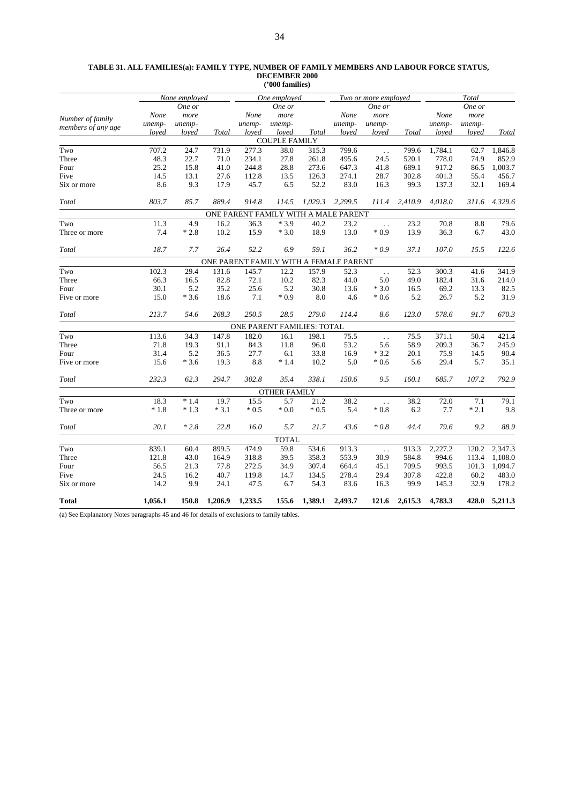| TABLE 31. ALL FAMILIES(a): FAMILY TYPE, NUMBER OF FAMILY MEMBERS AND LABOUR FORCE STATUS. |
|-------------------------------------------------------------------------------------------|
| DECEMBER 2000                                                                             |
| $^{\prime\prime}000$ families)                                                            |

|                      |         | None employed |         |         | One employed                           |         |         | Two or more employed   |              | Total   |        |         |
|----------------------|---------|---------------|---------|---------|----------------------------------------|---------|---------|------------------------|--------------|---------|--------|---------|
|                      |         | One or        |         |         | One or                                 |         |         | One or                 |              |         | One or |         |
|                      | None    | more          |         | None    | more                                   |         | None    | more                   |              | None    | more   |         |
| Number of family     | unemp-  | unemp-        |         | unemp-  | unemp-                                 |         | unemp-  | unemp-                 |              | unemp-  | unemp- |         |
| members of any age   | loved   | loved         | Total   | loved   | loved                                  | Total   | loved   | loved                  | <b>Total</b> | loved   | loved  | Total   |
|                      |         |               |         |         | <b>COUPLE FAMILY</b>                   |         |         |                        |              |         |        |         |
| Two                  | 707.2   | 24.7          | 731.9   | 277.3   | 38.0                                   | 315.3   | 799.6   | $\ddotsc$              | 799.6        | 1,784.1 | 62.7   | 1,846.8 |
| Three                | 48.3    | 22.7          | 71.0    | 234.1   | 27.8                                   | 261.8   | 495.6   | 24.5                   | 520.1        | 778.0   | 74.9   | 852.9   |
| Four                 | 25.2    | 15.8          | 41.0    | 244.8   | 28.8                                   | 273.6   | 647.3   | 41.8                   | 689.1        | 917.2   | 86.5   | 1,003.7 |
| Five                 | 14.5    | 13.1          | 27.6    | 112.8   | 13.5                                   | 126.3   | 274.1   | 28.7                   | 302.8        | 401.3   | 55.4   | 456.7   |
| Six or more          | 8.6     | 9.3           | 17.9    | 45.7    | 6.5                                    | 52.2    | 83.0    | 16.3                   | 99.3         | 137.3   | 32.1   | 169.4   |
| Total                | 803.7   | 85.7          | 889.4   | 914.8   | 114.5                                  | 1,029.3 | 2,299.5 | 111.4                  | 2,410.9      | 4,018.0 | 311.6  | 4,329.6 |
|                      |         |               |         |         | ONE PARENT FAMILY WITH A MALE PARENT   |         |         |                        |              |         |        |         |
| Two                  | 11.3    | 4.9           | 16.2    | 36.3    | $*3.9$                                 | 40.2    | 23.2    | $\ddot{\phantom{a}}$   | 23.2         | 70.8    | 8.8    | 79.6    |
| Three or more        | 7.4     | $*2.8$        | 10.2    | 15.9    | $*3.0$                                 | 18.9    | 13.0    | $*0.9$                 | 13.9         | 36.3    | 6.7    | 43.0    |
| Total                | 18.7    | 7.7           | 26.4    | 52.2    | 6.9                                    | 59.1    | 36.2    | $*0.9$                 | 37.1         | 107.0   | 15.5   | 122.6   |
|                      |         |               |         |         | ONE PARENT FAMILY WITH A FEMALE PARENT |         |         |                        |              |         |        |         |
| $\operatorname{Two}$ | 102.3   | 29.4          | 131.6   | 145.7   | 12.2                                   | 157.9   | 52.3    | $\ddotsc$              | 52.3         | 300.3   | 41.6   | 341.9   |
| Three                | 66.3    | 16.5          | 82.8    | 72.1    | 10.2                                   | 82.3    | 44.0    | 5.0                    | 49.0         | 182.4   | 31.6   | 214.0   |
| Four                 | 30.1    | 5.2           | 35.2    | 25.6    | 5.2                                    | 30.8    | 13.6    | $*3.0$                 | 16.5         | 69.2    | 13.3   | 82.5    |
| Five or more         | 15.0    | $*3.6$        | 18.6    | 7.1     | $*0.9$                                 | 8.0     | 4.6     | $*0.6$                 | 5.2          | 26.7    | 5.2    | 31.9    |
| Total                | 213.7   | 54.6          | 268.3   | 250.5   | 28.5                                   | 279.0   | 114.4   | 8.6                    | 123.0        | 578.6   | 91.7   | 670.3   |
|                      |         |               |         |         | ONE PARENT FAMILIES: TOTAL             |         |         |                        |              |         |        |         |
| Two                  | 113.6   | 34.3          | 147.8   | 182.0   | 16.1                                   | 198.1   | 75.5    | $\ddotsc$              | 75.5         | 371.1   | 50.4   | 421.4   |
| Three                | 71.8    | 19.3          | 91.1    | 84.3    | 11.8                                   | 96.0    | 53.2    | 5.6                    | 58.9         | 209.3   | 36.7   | 245.9   |
| Four                 | 31.4    | 5.2           | 36.5    | 27.7    | 6.1                                    | 33.8    | 16.9    | $*3.2$                 | 20.1         | 75.9    | 14.5   | 90.4    |
| Five or more         | 15.6    | $*3.6$        | 19.3    | 8.8     | $*1.4$                                 | 10.2    | 5.0     | $*0.6$                 | 5.6          | 29.4    | 5.7    | 35.1    |
| Total                | 232.3   | 62.3          | 294.7   | 302.8   | 35.4                                   | 338.1   | 150.6   | 9.5                    | 160.1        | 685.7   | 107.2  | 792.9   |
|                      |         |               |         |         | <b>OTHER FAMILY</b>                    |         |         |                        |              |         |        |         |
| Two                  | 18.3    | $*1.4$        | 19.7    | 15.5    | 5.7                                    | 21.2    | 38.2    | $\ddot{\phantom{1}}$ . | 38.2         | 72.0    | 7.1    | 79.1    |
| Three or more        | $*1.8$  | $*1.3$        | $*3.1$  | $* 0.5$ | $*0.0$                                 | $*0.5$  | 5.4     | $*0.8$                 | 6.2          | 7.7     | $*2.1$ | 9.8     |
| Total                | 20.1    | $*2.8$        | 22.8    | 16.0    | 5.7                                    | 21.7    | 43.6    | $*0.8$                 | 44.4         | 79.6    | 9.2    | 88.9    |
|                      |         |               |         |         | <b>TOTAL</b>                           |         |         |                        |              |         |        |         |
| Two                  | 839.1   | 60.4          | 899.5   | 474.9   | 59.8                                   | 534.6   | 913.3   | $\ddotsc$              | 913.3        | 2,227.2 | 120.2  | 2,347.3 |
| Three                | 121.8   | 43.0          | 164.9   | 318.8   | 39.5                                   | 358.3   | 553.9   | 30.9                   | 584.8        | 994.6   | 113.4  | 1,108.0 |
| Four                 | 56.5    | 21.3          | 77.8    | 272.5   | 34.9                                   | 307.4   | 664.4   | 45.1                   | 709.5        | 993.5   | 101.3  | 1,094.7 |
| Five                 | 24.5    | 16.2          | 40.7    | 119.8   | 14.7                                   | 134.5   | 278.4   | 29.4                   | 307.8        | 422.8   | 60.2   | 483.0   |
| Six or more          | 14.2    | 9.9           | 24.1    | 47.5    | 6.7                                    | 54.3    | 83.6    | 16.3                   | 99.9         | 145.3   | 32.9   | 178.2   |
| <b>Total</b>         | 1,056.1 | 150.8         | 1,206.9 | 1,233.5 | 155.6                                  | 1,389.1 | 2,493.7 | 121.6                  | 2,615.3      | 4,783.3 | 428.0  | 5,211.3 |

(a) See Explanatory Notes paragraphs 45 and 46 for details of exclusions to family tables.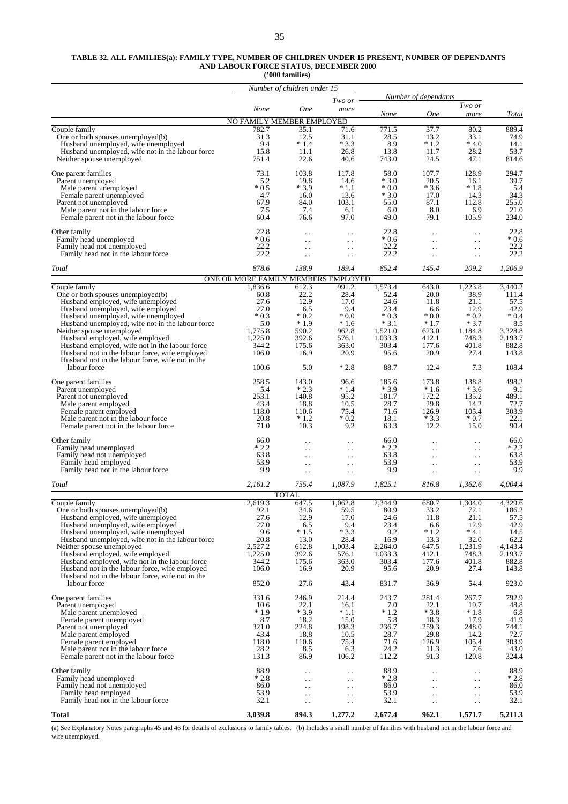#### **TABLE 32. ALL FAMILIES(a): FAMILY TYPE, NUMBER OF CHILDREN UNDER 15 PRESENT, NUMBER OF DEPENDANTS AND LABOUR FORCE STATUS, DECEMBER 2000**

**('000 families)**

|                                                                                                  |                                     | Number of children under 15                    |                                                  |                  |                                                |                                                  |                  |
|--------------------------------------------------------------------------------------------------|-------------------------------------|------------------------------------------------|--------------------------------------------------|------------------|------------------------------------------------|--------------------------------------------------|------------------|
|                                                                                                  |                                     |                                                | Two or                                           |                  | Number of dependants                           |                                                  |                  |
|                                                                                                  | None                                | <b>One</b>                                     | more                                             | None             | <b>One</b>                                     | Two or<br>more                                   | Total            |
|                                                                                                  | NO FAMILY MEMBER EMPLOYED           |                                                |                                                  |                  |                                                |                                                  |                  |
| Couple family<br>One or both spouses unemployed(b)                                               | 782.7<br>31.3                       | 35.1<br>12.5                                   | 71.6<br>31.1                                     | 771.5<br>28.5    | 37.7<br>13.2                                   | 80.2<br>33.1                                     | 889.4<br>74.9    |
| Husband unemployed, wife unemployed                                                              | 9.4                                 | $*1.4$                                         | $*3.3$                                           | 8.9              | $*1.2$                                         | $*4.0$                                           | 14.1             |
| Husband unemployed, wife not in the labour force<br>Neither spouse unemployed                    | 15.8<br>751.4                       | 11.1<br>22.6                                   | 26.8<br>40.6                                     | 13.8<br>743.0    | 11.7<br>24.5                                   | 28.2<br>47.1                                     | 53.7<br>814.6    |
| One parent families                                                                              | 73.1                                | 103.8                                          | 117.8                                            | 58.0             | 107.7                                          | 128.9                                            | 294.7            |
| Parent unemployed                                                                                | 5.2                                 | 19.8                                           | 14.6                                             | $*3.0$           | 20.5                                           | 16.1                                             | 39.7             |
| Male parent unemployed<br>Female parent unemployed                                               | $*0.5$<br>4.7                       | $*3.9$<br>16.0                                 | $*1.1$<br>13.6                                   | $*0.0$<br>$*3.0$ | $*3.6$<br>17.0                                 | $*1.8$<br>14.3                                   | 5.4<br>34.3      |
| Parent not unemployed                                                                            | 67.9                                | 84.0                                           | 103.1                                            | 55.0             | 87.1                                           | 112.8                                            | 255.0            |
| Male parent not in the labour force.<br>Female parent not in the labour force                    | 7.5<br>60.4                         | 7.4<br>76.6                                    | 6.1<br>97.0                                      | 6.0<br>49.0      | 8.0<br>79.1                                    | 6.9<br>105.9                                     | 21.0<br>234.0    |
| Other family                                                                                     | 22.8                                | $\ddot{\phantom{1}}$                           | $\ddot{\phantom{0}}$                             | 22.8             | $\ddot{\phantom{0}}$                           | $\ddot{\phantom{0}}$                             | 22.8             |
| Family head unemployed                                                                           | $*0.6$                              | $\ddot{\phantom{0}}$                           | $\ddot{\phantom{1}}$ .                           | $*0.6$           | $\ddot{\phantom{0}}$                           | $\ddot{\phantom{0}}$                             | $*0.6$           |
| Family head not unemployed<br>Family head not in the labour force                                | 22.2<br>22.2                        | $\ddot{\phantom{0}}$<br>$\ddotsc$              | $\ddot{\phantom{0}}$<br>$\ddot{\phantom{1}}$ .   | 22.2<br>22.2     | . .<br>$\ddot{\phantom{0}}$                    | $\ddot{\phantom{0}}$<br>$\ddot{\phantom{0}}$     | 22.2<br>22.2     |
| Total                                                                                            | 878.6                               | 138.9                                          | 189.4                                            | 852.4            | 145.4                                          | 209.2                                            | 1,206.9          |
|                                                                                                  | ONE OR MORE FAMILY MEMBERS EMPLOYED |                                                |                                                  |                  |                                                |                                                  |                  |
| Couple family<br>One or both spouses unemployed(b)                                               | 1,836.6<br>60.8                     | 612.3<br>22.2                                  | 991.2<br>28.4                                    | 1,573.4<br>52.4  | 643.0<br>20.0                                  | 1,223.8<br>38.9                                  | 3,440.2<br>111.4 |
| Husband employed, wife unemployed                                                                | 27.6                                | 12.9                                           | 17.0                                             | 24.6             | 11.8                                           | 21.1                                             | 57.5             |
| Husband unemployed, wife employed                                                                | 27.0<br>$*0.3$                      | 6.5<br>$*0.2$                                  | 9.4<br>$*0.0$                                    | 23.4<br>$*0.3$   | 6.6<br>$*0.0*$                                 | 12.9<br>$*0.2$                                   | 42.9<br>$*0.4$   |
| Husband unemployed, wife unemployed<br>Husband unemployed, wife not in the labour force          | 5.0                                 | $*1.9$                                         | $*1.6$                                           | $*3.1$           | $*1.7$                                         | $*3.7$                                           | 8.5              |
| Neither spouse unemployed                                                                        | 1,775.8                             | 590.2                                          | 962.8                                            | 1,521.0          | 623.0                                          | 1,184.8                                          | 3,328.8          |
| Husband employed, wife employed<br>Husband employed, wife not in the labour force                | 1,225.0<br>344.2                    | 392.6<br>175.6                                 | 576.1<br>363.0                                   | 1,033.3<br>303.4 | 412.1<br>177.6                                 | 748.3<br>401.8                                   | 2,193.7<br>882.8 |
| Husband not in the labour force, wife employed                                                   | 106.0                               | 16.9                                           | 20.9                                             | 95.6             | 20.9                                           | 27.4                                             | 143.8            |
| Husband not in the labour force, wife not in the<br>labour force                                 | 100.6                               | 5.0                                            | $*2.8$                                           | 88.7             | 12.4                                           | 7.3                                              | 108.4            |
| One parent families                                                                              | 258.5                               | 143.0                                          | 96.6                                             | 185.6            | 173.8                                          | 138.8                                            | 498.2            |
| Parent unemployed                                                                                | 5.4<br>253.1                        | $*2.3$<br>140.8                                | $*1.4$<br>95.2                                   | $*3.9$<br>181.7  | $*1.6$<br>172.2                                | $*3.6$<br>135.2                                  | 9.1<br>489.1     |
| Parent not unemployed<br>Male parent employed                                                    | 43.4                                | 18.8                                           | 10.5                                             | 28.7             | 29.8                                           | 14.2                                             | 72.7             |
| Female parent employed                                                                           | 118.0                               | 110.6                                          | 75.4                                             | 71.6             | 126.9                                          | 105.4                                            | 303.9            |
| Male parent not in the labour force<br>Female parent not in the labour force                     | 20.8<br>71.0                        | $*1.2$<br>10.3                                 | $*0.2$<br>9.2                                    | 18.1<br>63.3     | $*3.3$<br>12.2                                 | $*0.7$<br>15.0                                   | 22.1<br>90.4     |
| Other family                                                                                     | 66.0                                | $\ddotsc$                                      | $\ddot{\phantom{0}}$                             | 66.0             | $\ddot{\phantom{0}}$                           | $\ddot{\phantom{0}}$                             | 66.0             |
| Family head unemployed<br>Family head not unemployed                                             | $*2.2$<br>63.8                      | $\ddot{\phantom{1}}$                           | $\ddot{\phantom{1}}$ .                           | $*2.2$<br>63.8   | . .                                            | $\ddot{\phantom{0}}$                             | $*2.2$<br>63.8   |
| Family head employed                                                                             | 53.9                                | $\ddot{\phantom{0}}$<br>$\ddot{\phantom{0}}$ . | $\ddot{\phantom{1}}$ .<br>$\ddot{\phantom{1}}$ . | 53.9             | . .<br>$\ddotsc$                               | $\ddot{\phantom{1}}$ .<br>$\ddot{\phantom{0}}$   | 53.9             |
| Family head not in the labour force                                                              | 9.9                                 | $\ddot{\phantom{0}}$                           | $\ddot{\phantom{1}}$ .                           | 9.9              | $\ddotsc$                                      | $\ddot{\phantom{1}}$ .                           | 9.9              |
| <b>Total</b>                                                                                     | 2,161.2                             | 755.4                                          | 1,087.9                                          | 1,825.1          | 816.8                                          | 1,362.6                                          | 4,004.4          |
| Couple family                                                                                    | 2,619.3                             | <b>TOTAL</b><br>647.5                          | 1,062.8                                          | 2,344.9          | 680.7                                          | 1,304.0                                          | 4,329.6          |
| One or both spouses unemployed(b)                                                                | 92.1                                | 34.6                                           | 59.5                                             | 80.9             | 33.2                                           | 72.1                                             | 186.2            |
| Husband employed, wife unemployed<br>Husband unemployed, wife employed                           | 27.6<br>27.0                        | 12.9<br>6.5                                    | 17.0<br>9.4                                      | 24.6<br>23.4     | 11.8<br>6.6                                    | 21.1<br>12.9                                     | 57.5<br>42.9     |
| Husband unemployed, wife unemployed                                                              | 9.6                                 | $*1.5$                                         | $*3.3$                                           | 9.2              | $*1.2$                                         | $* 4.1$                                          | 14.5             |
| Husband unemployed, wife not in the labour force<br>Neither spouse unemployed                    | 20.8<br>2,527.2                     | 13.0<br>612.8                                  | 28.4<br>1,003.4                                  | 16.9<br>2.264.0  | 13.3<br>647.5                                  | 32.0<br>1,231.9                                  | 62.2<br>4,143.4  |
| Husband employed, wife employed                                                                  | 1,225.0                             | 392.6                                          | 576.1                                            | 1,033.3          | 412.1                                          | 748.3                                            | 2,193.7          |
| Husband employed, wife not in the labour force<br>Husband not in the labour force, wife employed | 344.2<br>106.0                      | 175.6<br>16.9                                  | 363.0<br>20.9                                    | 303.4<br>95.6    | 177.6<br>20.9                                  | 401.8<br>27.4                                    | 882.8<br>143.8   |
| Husband not in the labour force, wife not in the<br>labour force                                 | 852.0                               | 27.6                                           | 43.4                                             | 831.7            | 36.9                                           | 54.4                                             | 923.0            |
|                                                                                                  |                                     |                                                |                                                  |                  |                                                |                                                  |                  |
| One parent families<br>Parent unemployed                                                         | 331.6<br>10.6                       | 246.9<br>22.1                                  | 214.4<br>16.1                                    | 243.7<br>7.0     | 281.4<br>22.1                                  | 267.7<br>19.7                                    | 792.9<br>48.8    |
| Male parent unemployed                                                                           | $*1.9$                              | $*3.9$                                         | $*1.1$                                           | $*1.2$           | $*3.8$                                         | $*1.8$                                           | 6.8              |
| Female parent unemployed<br>Parent not unemployed                                                | 8.7<br>321.0                        | 18.2<br>224.8                                  | 15.0<br>198.3                                    | 5.8<br>236.7     | 18.3<br>259.3                                  | 17.9<br>248.0                                    | 41.9<br>744.1    |
| Male parent employed                                                                             | 43.4                                | 18.8                                           | 10.5                                             | 28.7             | 29.8                                           | 14.2                                             | 72.7             |
| Female parent employed<br>Male parent not in the labour force                                    | 118.0<br>28.2                       | 110.6<br>8.5                                   | 75.4<br>6.3                                      | 71.6<br>24.2     | 126.9<br>11.3                                  | 105.4<br>7.6                                     | 303.9<br>43.0    |
| Female parent not in the labour force                                                            | 131.3                               | 86.9                                           | 106.2                                            | 112.2            | 91.3                                           | 120.8                                            | 324.4            |
| Other family                                                                                     | 88.9                                | . .                                            | $\ddot{\phantom{0}}$                             | 88.9             | $\ddot{\phantom{1}}$ .                         | $\ddotsc$                                        | 88.9             |
| Family head unemployed<br>Family head not unemployed                                             | $*2.8$<br>86.0                      | $\ddot{\phantom{0}}$<br>$\ddotsc$              | $\ddot{\phantom{1}}$ .<br>$\ddot{\phantom{1}}$ . | $*2.8$<br>86.0   | $\ddot{\phantom{1}}$ .<br>$\ddot{\phantom{0}}$ | $\ddot{\phantom{1}}$ .<br>$\ddot{\phantom{1}}$ . | $*2.8$<br>86.0   |
| Family head employed                                                                             | 53.9                                | $\ddot{\phantom{0}}$                           | $\ddot{\phantom{1}}$ .                           | 53.9             | $\ddotsc$                                      | $\ddot{\phantom{1}}$ .                           | 53.9             |
| Family head not in the labour force                                                              | 32.1                                | $\ddotsc$                                      | $\ddotsc$                                        | 32.1             | $\ddot{\phantom{0}}$                           | $\ddotsc$                                        | 32.1             |
| Total                                                                                            | 3,039.8                             | 894.3                                          | 1,277.2                                          | 2,677.4          | 962.1                                          | 1,571.7                                          | 5,211.3          |

(a) See Explanatory Notes paragraphs 45 and 46 for details of exclusions to family tables. (b) Includes a small number of families with husband not in the labour force and wife unemployed.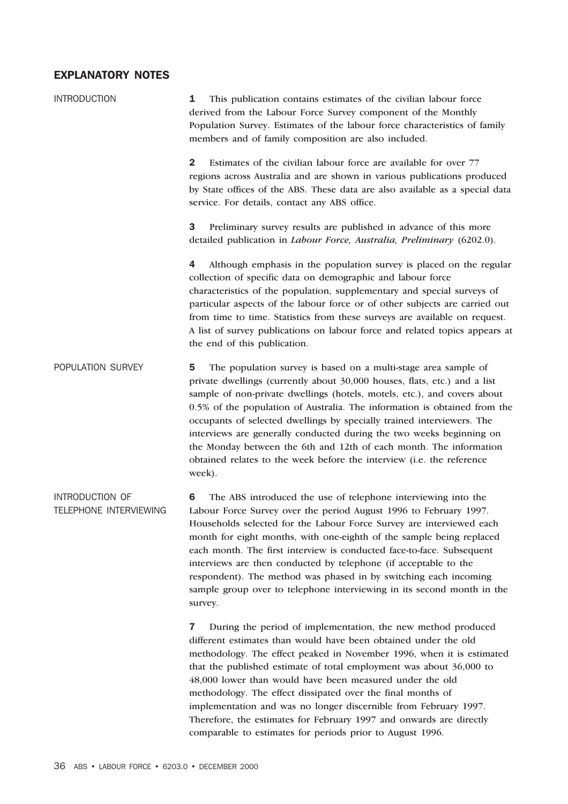## EXPLANATORY NOTES

| <b>INTRODUCTION</b>                       | This publication contains estimates of the civilian labour force<br>1<br>derived from the Labour Force Survey component of the Monthly<br>Population Survey. Estimates of the labour force characteristics of family<br>members and of family composition are also included.                                                                                                                                                                                                                                                                                                                                            |  |  |  |  |  |  |
|-------------------------------------------|-------------------------------------------------------------------------------------------------------------------------------------------------------------------------------------------------------------------------------------------------------------------------------------------------------------------------------------------------------------------------------------------------------------------------------------------------------------------------------------------------------------------------------------------------------------------------------------------------------------------------|--|--|--|--|--|--|
|                                           | $\mathbf{2}$<br>Estimates of the civilian labour force are available for over 77<br>regions across Australia and are shown in various publications produced<br>by State offices of the ABS. These data are also available as a special data<br>service. For details, contact any ABS office.                                                                                                                                                                                                                                                                                                                            |  |  |  |  |  |  |
|                                           | 3<br>Preliminary survey results are published in advance of this more<br>detailed publication in Labour Force, Australia, Preliminary (6202.0).                                                                                                                                                                                                                                                                                                                                                                                                                                                                         |  |  |  |  |  |  |
|                                           | 4<br>Although emphasis in the population survey is placed on the regular<br>collection of specific data on demographic and labour force<br>characteristics of the population, supplementary and special surveys of<br>particular aspects of the labour force or of other subjects are carried out<br>from time to time. Statistics from these surveys are available on request.<br>A list of survey publications on labour force and related topics appears at<br>the end of this publication.                                                                                                                          |  |  |  |  |  |  |
| POPULATION SURVEY                         | The population survey is based on a multi-stage area sample of<br>5<br>private dwellings (currently about 30,000 houses, flats, etc.) and a list<br>sample of non-private dwellings (hotels, motels, etc.), and covers about<br>0.5% of the population of Australia. The information is obtained from the<br>occupants of selected dwellings by specially trained interviewers. The<br>interviews are generally conducted during the two weeks beginning on<br>the Monday between the 6th and 12th of each month. The information<br>obtained relates to the week before the interview (i.e. the reference<br>week).    |  |  |  |  |  |  |
| INTRODUCTION OF<br>TELEPHONE INTERVIEWING | The ABS introduced the use of telephone interviewing into the<br>6<br>Labour Force Survey over the period August 1996 to February 1997.<br>Households selected for the Labour Force Survey are interviewed each<br>month for eight months, with one-eighth of the sample being replaced<br>each month. The first interview is conducted face-to-face. Subsequent<br>interviews are then conducted by telephone (if acceptable to the<br>respondent). The method was phased in by switching each incoming<br>sample group over to telephone interviewing in its second month in the<br>survey.                           |  |  |  |  |  |  |
|                                           | During the period of implementation, the new method produced<br>7<br>different estimates than would have been obtained under the old<br>methodology. The effect peaked in November 1996, when it is estimated<br>that the published estimate of total employment was about 36,000 to<br>48,000 lower than would have been measured under the old<br>methodology. The effect dissipated over the final months of<br>implementation and was no longer discernible from February 1997.<br>Therefore, the estimates for February 1997 and onwards are directly<br>comparable to estimates for periods prior to August 1996. |  |  |  |  |  |  |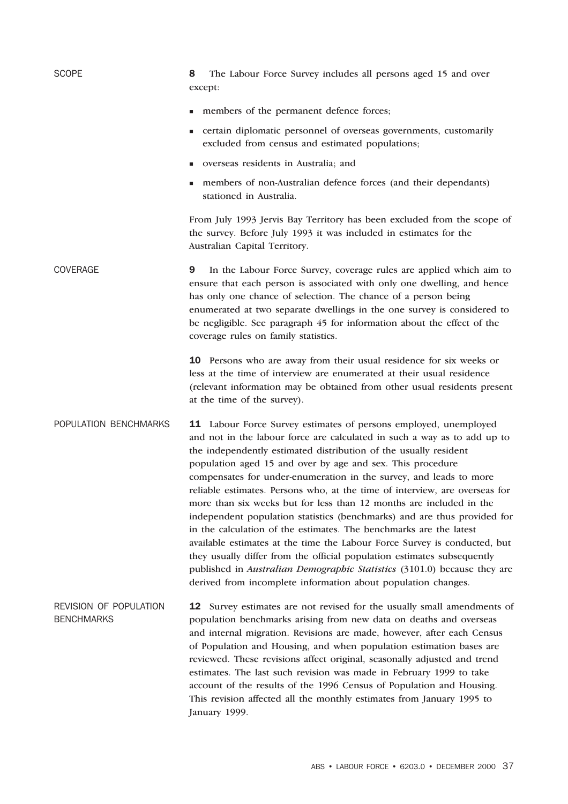| <b>SCOPE</b>                                       | The Labour Force Survey includes all persons aged 15 and over<br>8<br>except:                                                                                                                                                                                                                                                                                                                                                                                                                                                                                                                                                                                                                                                                                                                                                                                                                                                                                     |
|----------------------------------------------------|-------------------------------------------------------------------------------------------------------------------------------------------------------------------------------------------------------------------------------------------------------------------------------------------------------------------------------------------------------------------------------------------------------------------------------------------------------------------------------------------------------------------------------------------------------------------------------------------------------------------------------------------------------------------------------------------------------------------------------------------------------------------------------------------------------------------------------------------------------------------------------------------------------------------------------------------------------------------|
|                                                    | members of the permanent defence forces;<br>٠                                                                                                                                                                                                                                                                                                                                                                                                                                                                                                                                                                                                                                                                                                                                                                                                                                                                                                                     |
|                                                    | certain diplomatic personnel of overseas governments, customarily<br>excluded from census and estimated populations;                                                                                                                                                                                                                                                                                                                                                                                                                                                                                                                                                                                                                                                                                                                                                                                                                                              |
|                                                    | overseas residents in Australia; and                                                                                                                                                                                                                                                                                                                                                                                                                                                                                                                                                                                                                                                                                                                                                                                                                                                                                                                              |
|                                                    | members of non-Australian defence forces (and their dependants)<br>stationed in Australia.                                                                                                                                                                                                                                                                                                                                                                                                                                                                                                                                                                                                                                                                                                                                                                                                                                                                        |
|                                                    | From July 1993 Jervis Bay Territory has been excluded from the scope of<br>the survey. Before July 1993 it was included in estimates for the<br>Australian Capital Territory.                                                                                                                                                                                                                                                                                                                                                                                                                                                                                                                                                                                                                                                                                                                                                                                     |
| <b>COVERAGE</b>                                    | 9<br>In the Labour Force Survey, coverage rules are applied which aim to<br>ensure that each person is associated with only one dwelling, and hence<br>has only one chance of selection. The chance of a person being<br>enumerated at two separate dwellings in the one survey is considered to<br>be negligible. See paragraph 45 for information about the effect of the<br>coverage rules on family statistics.                                                                                                                                                                                                                                                                                                                                                                                                                                                                                                                                               |
|                                                    | 10 Persons who are away from their usual residence for six weeks or<br>less at the time of interview are enumerated at their usual residence<br>(relevant information may be obtained from other usual residents present<br>at the time of the survey).                                                                                                                                                                                                                                                                                                                                                                                                                                                                                                                                                                                                                                                                                                           |
| POPULATION BENCHMARKS                              | 11 Labour Force Survey estimates of persons employed, unemployed<br>and not in the labour force are calculated in such a way as to add up to<br>the independently estimated distribution of the usually resident<br>population aged 15 and over by age and sex. This procedure<br>compensates for under-enumeration in the survey, and leads to more<br>reliable estimates. Persons who, at the time of interview, are overseas for<br>more than six weeks but for less than 12 months are included in the<br>independent population statistics (benchmarks) and are thus provided for<br>in the calculation of the estimates. The benchmarks are the latest<br>available estimates at the time the Labour Force Survey is conducted, but<br>they usually differ from the official population estimates subsequently<br>published in Australian Demographic Statistics (3101.0) because they are<br>derived from incomplete information about population changes. |
| <b>REVISION OF POPULATION</b><br><b>BENCHMARKS</b> | <b>12</b> Survey estimates are not revised for the usually small amendments of<br>population benchmarks arising from new data on deaths and overseas<br>and internal migration. Revisions are made, however, after each Census<br>of Population and Housing, and when population estimation bases are<br>reviewed. These revisions affect original, seasonally adjusted and trend<br>estimates. The last such revision was made in February 1999 to take<br>account of the results of the 1996 Census of Population and Housing.<br>This revision affected all the monthly estimates from January 1995 to<br>January 1999.                                                                                                                                                                                                                                                                                                                                        |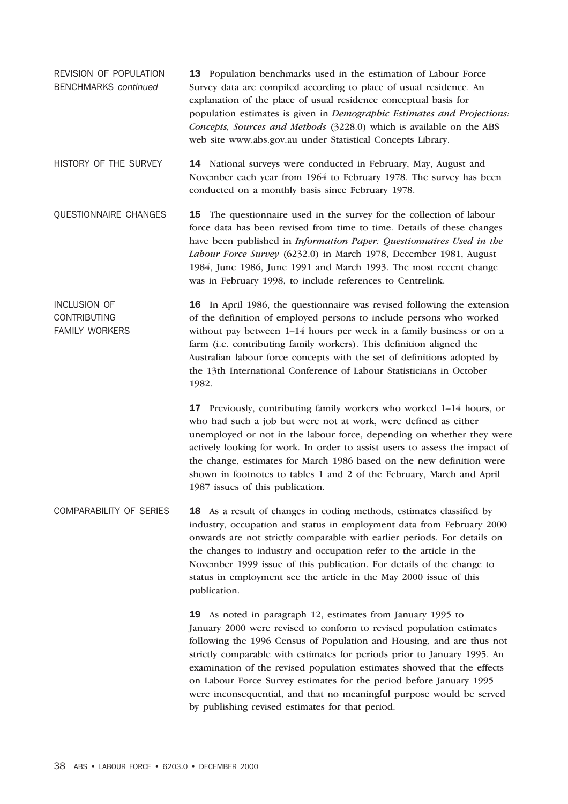- REVISION OF POPULATION BENCHMARKS *continued* 13 Population benchmarks used in the estimation of Labour Force Survey data are compiled according to place of usual residence. An explanation of the place of usual residence conceptual basis for population estimates is given in *Demographic Estimates and Projections: Concepts, Sources and Methods* (3228.0) which is available on the ABS web site www.abs.gov.au under Statistical Concepts Library.
- HISTORY OF THE SURVEY 14 National surveys were conducted in February, May, August and November each year from 1964 to February 1978. The survey has been conducted on a monthly basis since February 1978.

QUESTIONNAIRE CHANGES 15 The questionnaire used in the survey for the collection of labour force data has been revised from time to time. Details of these changes have been published in *Information Paper: Questionnaires Used in the Labour Force Survey* (6232.0) in March 1978, December 1981, August 1984, June 1986, June 1991 and March 1993. The most recent change was in February 1998, to include references to Centrelink.

INCLUSION OF CONTRIBUTING FAMILY WORKERS 16 In April 1986, the questionnaire was revised following the extension of the definition of employed persons to include persons who worked without pay between 1–14 hours per week in a family business or on a farm (i.e. contributing family workers). This definition aligned the Australian labour force concepts with the set of definitions adopted by the 13th International Conference of Labour Statisticians in October 1982.

> 17 Previously, contributing family workers who worked 1–14 hours, or who had such a job but were not at work, were defined as either unemployed or not in the labour force, depending on whether they were actively looking for work. In order to assist users to assess the impact of the change, estimates for March 1986 based on the new definition were shown in footnotes to tables 1 and 2 of the February, March and April 1987 issues of this publication.

COMPARABILITY OF SERIES 18 As a result of changes in coding methods, estimates classified by industry, occupation and status in employment data from February 2000 onwards are not strictly comparable with earlier periods. For details on the changes to industry and occupation refer to the article in the November 1999 issue of this publication. For details of the change to status in employment see the article in the May 2000 issue of this publication.

> 19 As noted in paragraph 12, estimates from January 1995 to January 2000 were revised to conform to revised population estimates following the 1996 Census of Population and Housing, and are thus not strictly comparable with estimates for periods prior to January 1995. An examination of the revised population estimates showed that the effects on Labour Force Survey estimates for the period before January 1995 were inconsequential, and that no meaningful purpose would be served by publishing revised estimates for that period.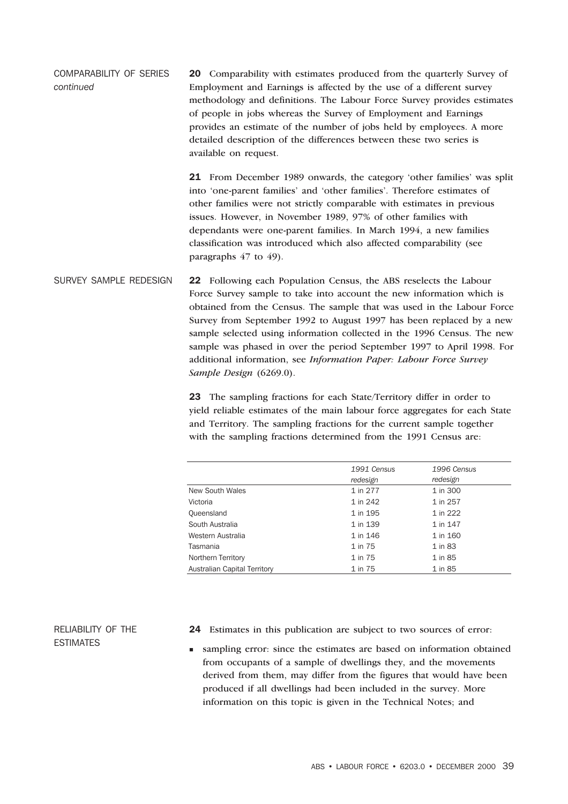COMPARABILITY OF SERIES *continued* 20 Comparability with estimates produced from the quarterly Survey of Employment and Earnings is affected by the use of a different survey methodology and definitions. The Labour Force Survey provides estimates of people in jobs whereas the Survey of Employment and Earnings provides an estimate of the number of jobs held by employees. A more detailed description of the differences between these two series is available on request.

> 21 From December 1989 onwards, the category 'other families' was split into 'one-parent families' and 'other families'. Therefore estimates of other families were not strictly comparable with estimates in previous issues. However, in November 1989, 97% of other families with dependants were one-parent families. In March 1994, a new families classification was introduced which also affected comparability (see paragraphs 47 to 49).

SURVEY SAMPLE REDESIGN 22 Following each Population Census, the ABS reselects the Labour Force Survey sample to take into account the new information which is obtained from the Census. The sample that was used in the Labour Force Survey from September 1992 to August 1997 has been replaced by a new sample selected using information collected in the 1996 Census. The new sample was phased in over the period September 1997 to April 1998. For additional information, see *Information Paper: Labour Force Survey Sample Design* (6269.0).

> 23 The sampling fractions for each State/Territory differ in order to yield reliable estimates of the main labour force aggregates for each State and Territory. The sampling fractions for the current sample together with the sampling fractions determined from the 1991 Census are:

|                              | 1991 Census<br>redesign | 1996 Census<br>redesign |
|------------------------------|-------------------------|-------------------------|
| New South Wales              | 1 in 277                | 1 in 300                |
| Victoria                     | 1 in 242                | 1 in 257                |
| Queensland                   | 1 in 195                | 1 in 222                |
| South Australia              | 1 in 139                | 1 in 147                |
| Western Australia            | 1 in 146                | 1 in 160                |
| Tasmania                     | 1 in 75                 | 1 in 83                 |
| Northern Territory           | 1 in 75                 | 1 in 85                 |
| Australian Capital Territory | 1 in 75                 | 1 in 85                 |

RELIABILITY OF THE **ESTIMATES** 

- 24 Estimates in this publication are subject to two sources of error:
- <sup>n</sup> sampling error: since the estimates are based on information obtained from occupants of a sample of dwellings they, and the movements derived from them, may differ from the figures that would have been produced if all dwellings had been included in the survey. More information on this topic is given in the Technical Notes; and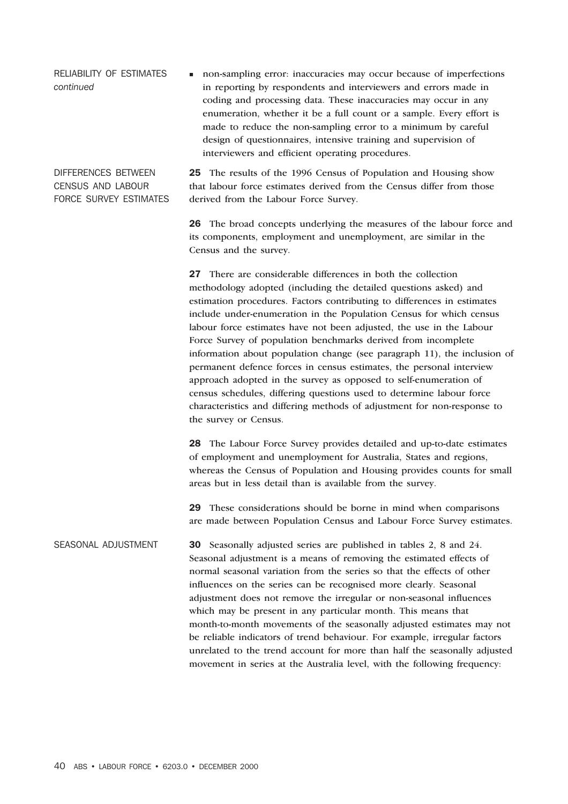RELIABILITY OF ESTIMATES *continued* non-sampling error: inaccuracies may occur because of imperfections in reporting by respondents and interviewers and errors made in coding and processing data. These inaccuracies may occur in any enumeration, whether it be a full count or a sample. Every effort is made to reduce the non-sampling error to a minimum by careful design of questionnaires, intensive training and supervision of interviewers and efficient operating procedures.

DIFFERENCES BETWEEN CENSUS AND LABOUR FORCE SURVEY ESTIMATES 25 The results of the 1996 Census of Population and Housing show that labour force estimates derived from the Census differ from those derived from the Labour Force Survey.

26 The broad concepts underlying the measures of the labour force and its components, employment and unemployment, are similar in the Census and the survey.

27 There are considerable differences in both the collection methodology adopted (including the detailed questions asked) and estimation procedures. Factors contributing to differences in estimates include under-enumeration in the Population Census for which census labour force estimates have not been adjusted, the use in the Labour Force Survey of population benchmarks derived from incomplete information about population change (see paragraph 11), the inclusion of permanent defence forces in census estimates, the personal interview approach adopted in the survey as opposed to self-enumeration of census schedules, differing questions used to determine labour force characteristics and differing methods of adjustment for non-response to the survey or Census.

28 The Labour Force Survey provides detailed and up-to-date estimates of employment and unemployment for Australia, States and regions, whereas the Census of Population and Housing provides counts for small areas but in less detail than is available from the survey.

29 These considerations should be borne in mind when comparisons are made between Population Census and Labour Force Survey estimates.

SEASONAL ADJUSTMENT 30 Seasonally adjusted series are published in tables 2, 8 and 24. Seasonal adjustment is a means of removing the estimated effects of normal seasonal variation from the series so that the effects of other influences on the series can be recognised more clearly. Seasonal adjustment does not remove the irregular or non-seasonal influences which may be present in any particular month. This means that month-to-month movements of the seasonally adjusted estimates may not be reliable indicators of trend behaviour. For example, irregular factors unrelated to the trend account for more than half the seasonally adjusted movement in series at the Australia level, with the following frequency: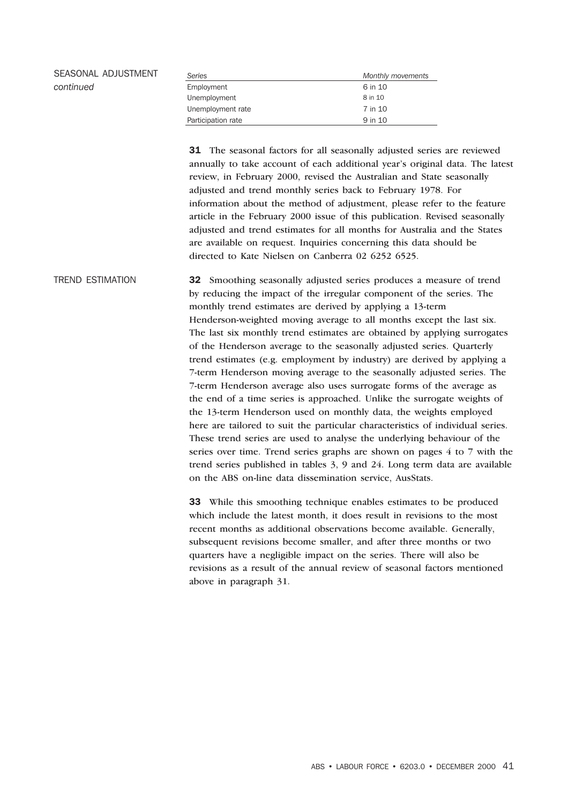| SEASONAL ADJUSTMENT | Series             | Monthly movements |  |  |
|---------------------|--------------------|-------------------|--|--|
| continued           | Employment         | 6 in 10           |  |  |
|                     | Unemployment       | 8 in 10           |  |  |
|                     | Unemployment rate  | 7 in 10           |  |  |
|                     | Participation rate | 9 in 10           |  |  |

31 The seasonal factors for all seasonally adjusted series are reviewed annually to take account of each additional year's original data. The latest review, in February 2000, revised the Australian and State seasonally adjusted and trend monthly series back to February 1978. For information about the method of adjustment, please refer to the feature article in the February 2000 issue of this publication. Revised seasonally adjusted and trend estimates for all months for Australia and the States are available on request. Inquiries concerning this data should be directed to Kate Nielsen on Canberra 02 6252 6525.

TREND ESTIMATION 32 Smoothing seasonally adjusted series produces a measure of trend by reducing the impact of the irregular component of the series. The monthly trend estimates are derived by applying a 13-term Henderson-weighted moving average to all months except the last six. The last six monthly trend estimates are obtained by applying surrogates of the Henderson average to the seasonally adjusted series. Quarterly trend estimates (e.g. employment by industry) are derived by applying a 7-term Henderson moving average to the seasonally adjusted series. The 7-term Henderson average also uses surrogate forms of the average as the end of a time series is approached. Unlike the surrogate weights of the 13-term Henderson used on monthly data, the weights employed here are tailored to suit the particular characteristics of individual series. These trend series are used to analyse the underlying behaviour of the series over time. Trend series graphs are shown on pages 4 to 7 with the trend series published in tables 3, 9 and 24. Long term data are available on the ABS on-line data dissemination service, AusStats.

> 33 While this smoothing technique enables estimates to be produced which include the latest month, it does result in revisions to the most recent months as additional observations become available. Generally, subsequent revisions become smaller, and after three months or two quarters have a negligible impact on the series. There will also be revisions as a result of the annual review of seasonal factors mentioned above in paragraph 31.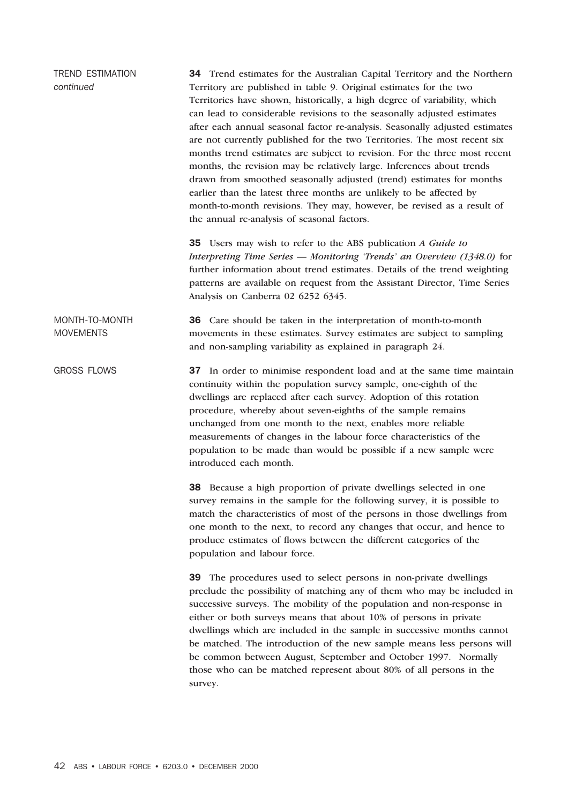| <b>TREND ESTIMATION</b><br>continued | 34 Trend estimates for the Australian Capital Territory and the Northern<br>Territory are published in table 9. Original estimates for the two<br>Territories have shown, historically, a high degree of variability, which<br>can lead to considerable revisions to the seasonally adjusted estimates<br>after each annual seasonal factor re-analysis. Seasonally adjusted estimates<br>are not currently published for the two Territories. The most recent six<br>months trend estimates are subject to revision. For the three most recent<br>months, the revision may be relatively large. Inferences about trends<br>drawn from smoothed seasonally adjusted (trend) estimates for months<br>earlier than the latest three months are unlikely to be affected by<br>month-to-month revisions. They may, however, be revised as a result of<br>the annual re-analysis of seasonal factors. |  |  |  |  |  |  |
|--------------------------------------|--------------------------------------------------------------------------------------------------------------------------------------------------------------------------------------------------------------------------------------------------------------------------------------------------------------------------------------------------------------------------------------------------------------------------------------------------------------------------------------------------------------------------------------------------------------------------------------------------------------------------------------------------------------------------------------------------------------------------------------------------------------------------------------------------------------------------------------------------------------------------------------------------|--|--|--|--|--|--|
|                                      | 35 Users may wish to refer to the ABS publication A Guide to<br>Interpreting Time Series - Monitoring 'Trends' an Overview (1348.0) for<br>further information about trend estimates. Details of the trend weighting<br>patterns are available on request from the Assistant Director, Time Series<br>Analysis on Canberra 02 6252 6345.                                                                                                                                                                                                                                                                                                                                                                                                                                                                                                                                                         |  |  |  |  |  |  |
| MONTH-TO-MONTH<br><b>MOVEMENTS</b>   | 36 Care should be taken in the interpretation of month-to-month<br>movements in these estimates. Survey estimates are subject to sampling<br>and non-sampling variability as explained in paragraph 24.                                                                                                                                                                                                                                                                                                                                                                                                                                                                                                                                                                                                                                                                                          |  |  |  |  |  |  |
| <b>GROSS FLOWS</b>                   | 37 In order to minimise respondent load and at the same time maintain<br>continuity within the population survey sample, one-eighth of the<br>dwellings are replaced after each survey. Adoption of this rotation<br>procedure, whereby about seven-eighths of the sample remains<br>unchanged from one month to the next, enables more reliable<br>measurements of changes in the labour force characteristics of the<br>population to be made than would be possible if a new sample were<br>introduced each month.                                                                                                                                                                                                                                                                                                                                                                            |  |  |  |  |  |  |
|                                      | 38 Because a high proportion of private dwellings selected in one<br>survey remains in the sample for the following survey, it is possible to<br>match the characteristics of most of the persons in those dwellings from<br>one month to the next, to record any changes that occur, and hence to<br>produce estimates of flows between the different categories of the<br>population and labour force.                                                                                                                                                                                                                                                                                                                                                                                                                                                                                         |  |  |  |  |  |  |
|                                      | 39 The procedures used to select persons in non-private dwellings<br>preclude the possibility of matching any of them who may be included in<br>successive surveys. The mobility of the population and non-response in<br>either or both surveys means that about 10% of persons in private<br>dwellings which are included in the sample in successive months cannot<br>be matched. The introduction of the new sample means less persons will<br>be common between August, September and October 1997. Normally<br>those who can be matched represent about 80% of all persons in the<br>survey.                                                                                                                                                                                                                                                                                               |  |  |  |  |  |  |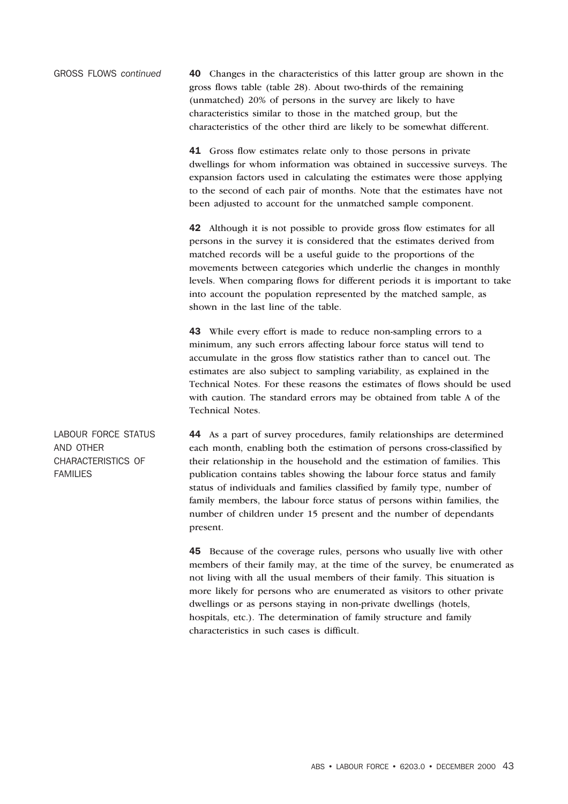GROSS FLOWS *continued* 40 Changes in the characteristics of this latter group are shown in the gross flows table (table 28). About two-thirds of the remaining (unmatched) 20% of persons in the survey are likely to have characteristics similar to those in the matched group, but the characteristics of the other third are likely to be somewhat different.

> 41 Gross flow estimates relate only to those persons in private dwellings for whom information was obtained in successive surveys. The expansion factors used in calculating the estimates were those applying to the second of each pair of months. Note that the estimates have not been adjusted to account for the unmatched sample component.

42 Although it is not possible to provide gross flow estimates for all persons in the survey it is considered that the estimates derived from matched records will be a useful guide to the proportions of the movements between categories which underlie the changes in monthly levels. When comparing flows for different periods it is important to take into account the population represented by the matched sample, as shown in the last line of the table.

43 While every effort is made to reduce non-sampling errors to a minimum, any such errors affecting labour force status will tend to accumulate in the gross flow statistics rather than to cancel out. The estimates are also subject to sampling variability, as explained in the Technical Notes. For these reasons the estimates of flows should be used with caution. The standard errors may be obtained from table A of the Technical Notes.

AND OTHER CHARACTERISTICS OF FAMILIES 44 As a part of survey procedures, family relationships are determined each month, enabling both the estimation of persons cross-classified by their relationship in the household and the estimation of families. This publication contains tables showing the labour force status and family status of individuals and families classified by family type, number of family members, the labour force status of persons within families, the number of children under 15 present and the number of dependants present.

> 45 Because of the coverage rules, persons who usually live with other members of their family may, at the time of the survey, be enumerated as not living with all the usual members of their family. This situation is more likely for persons who are enumerated as visitors to other private dwellings or as persons staying in non-private dwellings (hotels, hospitals, etc.). The determination of family structure and family characteristics in such cases is difficult.

LABOUR FORCE STATUS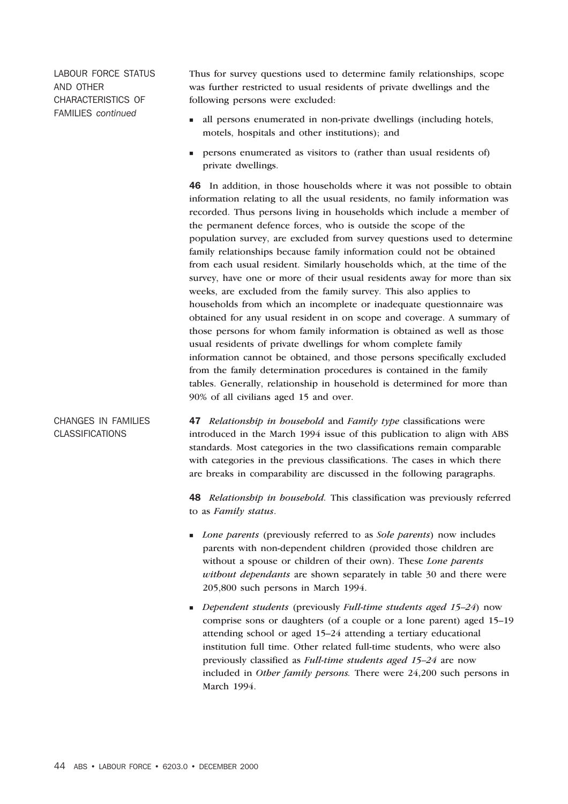LABOUR FORCE STATUS AND OTHER CHARACTERISTICS OF FAMILIES *continued*

Thus for survey questions used to determine family relationships, scope was further restricted to usual residents of private dwellings and the following persons were excluded:

- n all persons enumerated in non-private dwellings (including hotels, motels, hospitals and other institutions); and
- n persons enumerated as visitors to (rather than usual residents of) private dwellings.

46 In addition, in those households where it was not possible to obtain information relating to all the usual residents, no family information was recorded. Thus persons living in households which include a member of the permanent defence forces, who is outside the scope of the population survey, are excluded from survey questions used to determine family relationships because family information could not be obtained from each usual resident. Similarly households which, at the time of the survey, have one or more of their usual residents away for more than six weeks, are excluded from the family survey. This also applies to households from which an incomplete or inadequate questionnaire was obtained for any usual resident in on scope and coverage. A summary of those persons for whom family information is obtained as well as those usual residents of private dwellings for whom complete family information cannot be obtained, and those persons specifically excluded from the family determination procedures is contained in the family tables. Generally, relationship in household is determined for more than 90% of all civilians aged 15 and over.

CHANGES IN FAMILIES CLASSIFICATIONS 47 *Relationship in household* and *Family type* classifications were introduced in the March 1994 issue of this publication to align with ABS standards. Most categories in the two classifications remain comparable with categories in the previous classifications. The cases in which there are breaks in comparability are discussed in the following paragraphs.

> 48 *Relationship in household.* This classification was previously referred to as *Family status*.

- <sup>n</sup> *Lone parents* (previously referred to as *Sole parents*) now includes parents with non-dependent children (provided those children are without a spouse or children of their own). These *Lone parents without dependants* are shown separately in table 30 and there were 205,800 such persons in March 1994.
- <sup>n</sup> *Dependent students* (previously *Full-time students aged 15–24*) now comprise sons or daughters (of a couple or a lone parent) aged 15–19 attending school or aged 15–24 attending a tertiary educational institution full time. Other related full-time students, who were also previously classified as *Full-time students aged 15–24* are now included in *Other family persons.* There were 24,200 such persons in March 1994.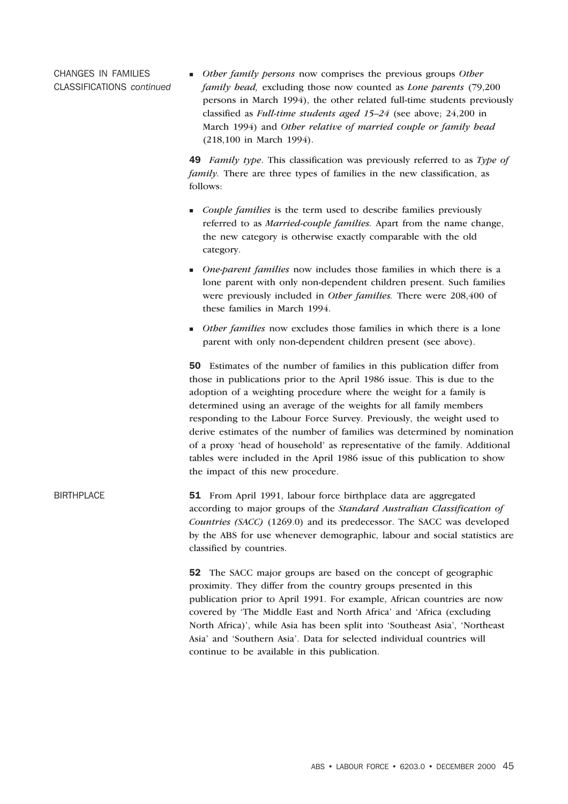CHANGES IN FAMILIES CLASSIFICATIONS *continued* <sup>n</sup> *Other family persons* now comprises the previous groups *Other family head,* excluding those now counted as *Lone parents* (79,200 persons in March 1994), the other related full-time students previously classified as *Full-time students aged 15–24* (see above; 24,200 in March 1994) and *Other relative of married couple or family head* (218,100 in March 1994).

49 *Family type*. This classification was previously referred to as *Type of family*. There are three types of families in the new classification, as follows:

- <sup>n</sup> *Couple families* is the term used to describe families previously referred to as *Married-couple families.* Apart from the name change, the new category is otherwise exactly comparable with the old category.
- <sup>n</sup> *One-parent families* now includes those families in which there is a lone parent with only non-dependent children present. Such families were previously included in *Other families.* There were 208,400 of these families in March 1994.
- <sup>n</sup> *Other families* now excludes those families in which there is a lone parent with only non-dependent children present (see above).

50 Estimates of the number of families in this publication differ from those in publications prior to the April 1986 issue. This is due to the adoption of a weighting procedure where the weight for a family is determined using an average of the weights for all family members responding to the Labour Force Survey. Previously, the weight used to derive estimates of the number of families was determined by nomination of a proxy 'head of household' as representative of the family. Additional tables were included in the April 1986 issue of this publication to show the impact of this new procedure.

BIRTHPLACE 51 From April 1991, labour force birthplace data are aggregated according to major groups of the *Standard Australian Classification of Countries (SACC)* (1269.0) and its predecessor. The SACC was developed by the ABS for use whenever demographic, labour and social statistics are classified by countries.

> 52 The SACC major groups are based on the concept of geographic proximity. They differ from the country groups presented in this publication prior to April 1991. For example, African countries are now covered by 'The Middle East and North Africa' and 'Africa (excluding North Africa)', while Asia has been split into 'Southeast Asia', 'Northeast Asia' and 'Southern Asia'. Data for selected individual countries will continue to be available in this publication.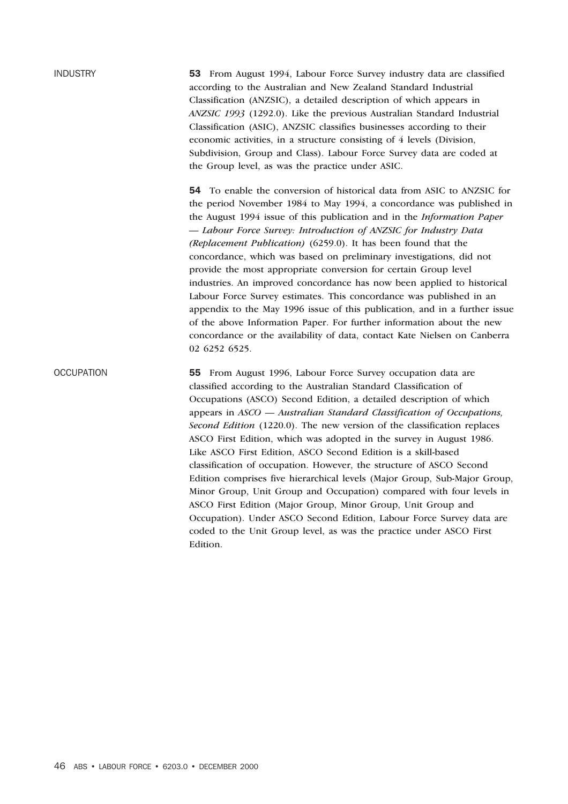INDUSTRY 53 From August 1994, Labour Force Survey industry data are classified according to the Australian and New Zealand Standard Industrial Classification (ANZSIC), a detailed description of which appears in *ANZSIC 1993* (1292.0). Like the previous Australian Standard Industrial Classification (ASIC), ANZSIC classifies businesses according to their economic activities, in a structure consisting of 4 levels (Division, Subdivision, Group and Class). Labour Force Survey data are coded at the Group level, as was the practice under ASIC.

> 54 To enable the conversion of historical data from ASIC to ANZSIC for the period November 1984 to May 1994, a concordance was published in the August 1994 issue of this publication and in the *Information Paper — Labour Force Survey: Introduction of ANZSIC for Industry Data (Replacement Publication)* (6259.0). It has been found that the concordance, which was based on preliminary investigations, did not provide the most appropriate conversion for certain Group level industries. An improved concordance has now been applied to historical Labour Force Survey estimates. This concordance was published in an appendix to the May 1996 issue of this publication, and in a further issue of the above Information Paper. For further information about the new concordance or the availability of data, contact Kate Nielsen on Canberra 02 6252 6525.

OCCUPATION 55 From August 1996, Labour Force Survey occupation data are classified according to the Australian Standard Classification of Occupations (ASCO) Second Edition, a detailed description of which appears in *ASCO — Australian Standard Classification of Occupations, Second Edition* (1220.0). The new version of the classification replaces ASCO First Edition, which was adopted in the survey in August 1986. Like ASCO First Edition, ASCO Second Edition is a skill-based classification of occupation. However, the structure of ASCO Second Edition comprises five hierarchical levels (Major Group, Sub-Major Group, Minor Group, Unit Group and Occupation) compared with four levels in ASCO First Edition (Major Group, Minor Group, Unit Group and Occupation). Under ASCO Second Edition, Labour Force Survey data are coded to the Unit Group level, as was the practice under ASCO First Edition.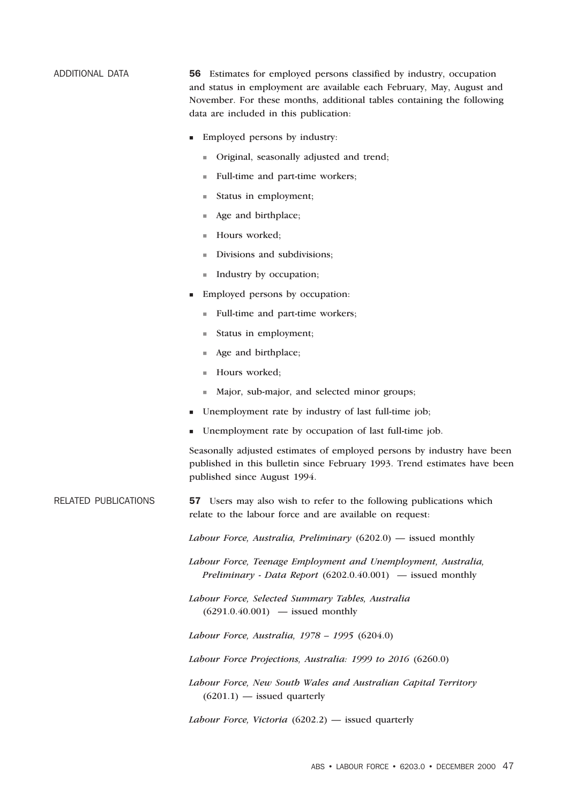ADDITIONAL DATA 56 Estimates for employed persons classified by industry, occupation and status in employment are available each February, May, August and November. For these months, additional tables containing the following data are included in this publication:

- Employed persons by industry:
	- <sup>n</sup> Original, seasonally adjusted and trend;
	- <sup>n</sup> Full-time and part-time workers;
	- $\blacksquare$  Status in employment;
	- $\blacksquare$  Age and birthplace;
	- Hours worked;
	- <sup>n</sup> Divisions and subdivisions;
	- <sup>n</sup> Industry by occupation;
- <sup>n</sup> Employed persons by occupation:
	- <sup>n</sup> Full-time and part-time workers;
	- $\blacksquare$  Status in employment:
	- Age and birthplace;
	- Hours worked;
	- <sup>n</sup> Major, sub-major, and selected minor groups;
- Unemployment rate by industry of last full-time job;
- Unemployment rate by occupation of last full-time job.

Seasonally adjusted estimates of employed persons by industry have been published in this bulletin since February 1993. Trend estimates have been published since August 1994.

RELATED PUBLICATIONS 57 Users may also wish to refer to the following publications which relate to the labour force and are available on request:

*Labour Force, Australia, Preliminary* (6202.0) — issued monthly

*Labour Force, Teenage Employment and Unemployment, Australia, Preliminary - Data Report* (6202.0.40.001) *—* issued monthly

*Labour Force, Selected Summary Tables, Australia*  $(6291.0.40.001)$  — issued monthly

*Labour Force, Australia, 1978 – 1995* (6204.0)

*Labour Force Projections, Australia: 1999 to 2016* (6260.0)

*Labour Force, New South Wales and Australian Capital Territory*  $(6201.1)$  — issued quarterly

*Labour Force, Victoria* (6202.2) — issued quarterly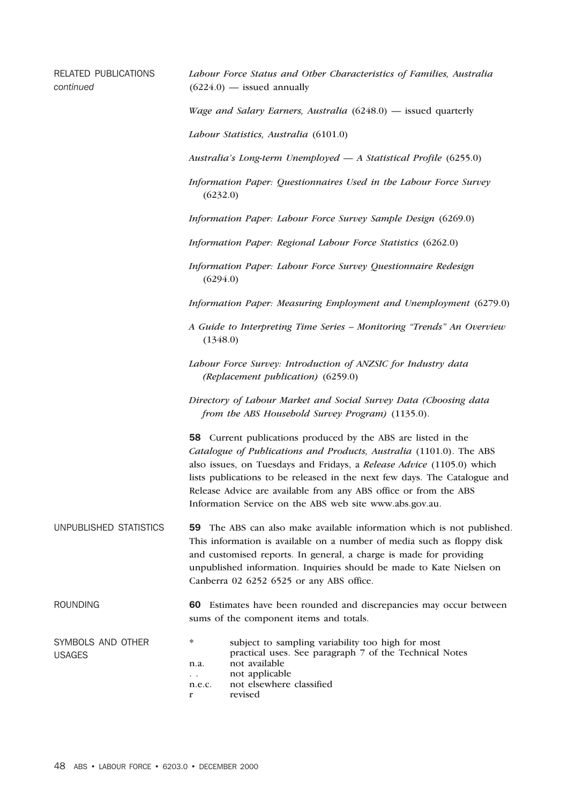| <b>RELATED PUBLICATIONS</b><br>continued | Labour Force Status and Other Characteristics of Families, Australia<br>$(6224.0)$ — issued annually                                                                                                                                                                                                                                                                                                                      |  |  |  |  |  |  |
|------------------------------------------|---------------------------------------------------------------------------------------------------------------------------------------------------------------------------------------------------------------------------------------------------------------------------------------------------------------------------------------------------------------------------------------------------------------------------|--|--|--|--|--|--|
|                                          | <i>Wage and Salary Earners, Australia</i> $(6248.0)$ — issued quarterly                                                                                                                                                                                                                                                                                                                                                   |  |  |  |  |  |  |
|                                          | Labour Statistics, Australia (6101.0)                                                                                                                                                                                                                                                                                                                                                                                     |  |  |  |  |  |  |
|                                          | Australia's Long-term Unemployed - A Statistical Profile (6255.0)                                                                                                                                                                                                                                                                                                                                                         |  |  |  |  |  |  |
|                                          | Information Paper: Questionnaires Used in the Labour Force Survey<br>(6232.0)                                                                                                                                                                                                                                                                                                                                             |  |  |  |  |  |  |
|                                          | Information Paper: Labour Force Survey Sample Design (6269.0)                                                                                                                                                                                                                                                                                                                                                             |  |  |  |  |  |  |
|                                          | Information Paper: Regional Labour Force Statistics (6262.0)                                                                                                                                                                                                                                                                                                                                                              |  |  |  |  |  |  |
|                                          | Information Paper: Labour Force Survey Questionnaire Redesign<br>(6294.0)                                                                                                                                                                                                                                                                                                                                                 |  |  |  |  |  |  |
|                                          | Information Paper: Measuring Employment and Unemployment (6279.0)                                                                                                                                                                                                                                                                                                                                                         |  |  |  |  |  |  |
|                                          | A Guide to Interpreting Time Series - Monitoring "Trends" An Overview<br>(1348.0)                                                                                                                                                                                                                                                                                                                                         |  |  |  |  |  |  |
|                                          | Labour Force Survey: Introduction of ANZSIC for Industry data<br>(Replacement publication) (6259.0)                                                                                                                                                                                                                                                                                                                       |  |  |  |  |  |  |
|                                          | Directory of Labour Market and Social Survey Data (Choosing data<br>from the ABS Household Survey Program) (1135.0).                                                                                                                                                                                                                                                                                                      |  |  |  |  |  |  |
|                                          | 58 Current publications produced by the ABS are listed in the<br>Catalogue of Publications and Products, Australia (1101.0). The ABS<br>also issues, on Tuesdays and Fridays, a Release Advice (1105.0) which<br>lists publications to be released in the next few days. The Catalogue and<br>Release Advice are available from any ABS office or from the ABS<br>Information Service on the ABS web site www.abs.gov.au. |  |  |  |  |  |  |
| UNPUBLISHED STATISTICS                   | 59 The ABS can also make available information which is not published.<br>This information is available on a number of media such as floppy disk<br>and customised reports. In general, a charge is made for providing<br>unpublished information. Inquiries should be made to Kate Nielsen on<br>Canberra 02 6252 6525 or any ABS office.                                                                                |  |  |  |  |  |  |
| <b>ROUNDING</b>                          | 60 Estimates have been rounded and discrepancies may occur between<br>sums of the component items and totals.                                                                                                                                                                                                                                                                                                             |  |  |  |  |  |  |
| SYMBOLS AND OTHER<br><b>USAGES</b>       | $\ast$<br>subject to sampling variability too high for most<br>practical uses. See paragraph 7 of the Technical Notes<br>not available<br>n.a.<br>not applicable<br>$\ddotsc$<br>not elsewhere classified<br>n.e.c.<br>revised<br>$\mathbf{r}$                                                                                                                                                                            |  |  |  |  |  |  |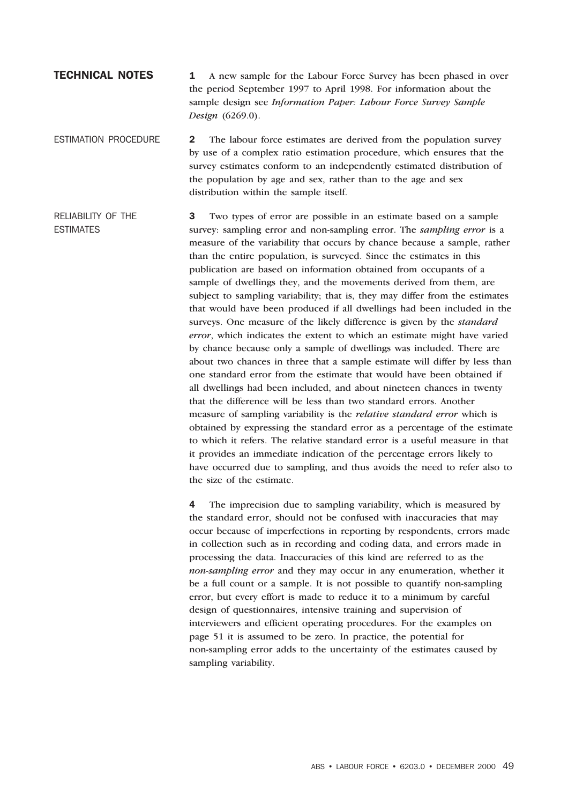### **TECHNICAL NOTES** 1 A new sample for the Labour Force Survey has been phased in over the period September 1997 to April 1998. For information about the sample design see *Information Paper: Labour Force Survey Sample Design* (6269.0).

ESTIMATION PROCEDURE 2 The labour force estimates are derived from the population survey by use of a complex ratio estimation procedure, which ensures that the survey estimates conform to an independently estimated distribution of the population by age and sex, rather than to the age and sex distribution within the sample itself.

RELIABILITY OF THE ESTIMATES 3 Two types of error are possible in an estimate based on a sample survey: sampling error and non-sampling error. The *sampling error* is a measure of the variability that occurs by chance because a sample, rather than the entire population, is surveyed. Since the estimates in this publication are based on information obtained from occupants of a sample of dwellings they, and the movements derived from them, are subject to sampling variability; that is, they may differ from the estimates that would have been produced if all dwellings had been included in the surveys. One measure of the likely difference is given by the *standard error*, which indicates the extent to which an estimate might have varied by chance because only a sample of dwellings was included. There are about two chances in three that a sample estimate will differ by less than one standard error from the estimate that would have been obtained if all dwellings had been included, and about nineteen chances in twenty that the difference will be less than two standard errors. Another measure of sampling variability is the *relative standard error* which is obtained by expressing the standard error as a percentage of the estimate to which it refers. The relative standard error is a useful measure in that it provides an immediate indication of the percentage errors likely to have occurred due to sampling, and thus avoids the need to refer also to the size of the estimate.

> 4 The imprecision due to sampling variability, which is measured by the standard error, should not be confused with inaccuracies that may occur because of imperfections in reporting by respondents, errors made in collection such as in recording and coding data, and errors made in processing the data. Inaccuracies of this kind are referred to as the *non-sampling error* and they may occur in any enumeration, whether it be a full count or a sample. It is not possible to quantify non-sampling error, but every effort is made to reduce it to a minimum by careful design of questionnaires, intensive training and supervision of interviewers and efficient operating procedures. For the examples on page 51 it is assumed to be zero. In practice, the potential for non-sampling error adds to the uncertainty of the estimates caused by sampling variability.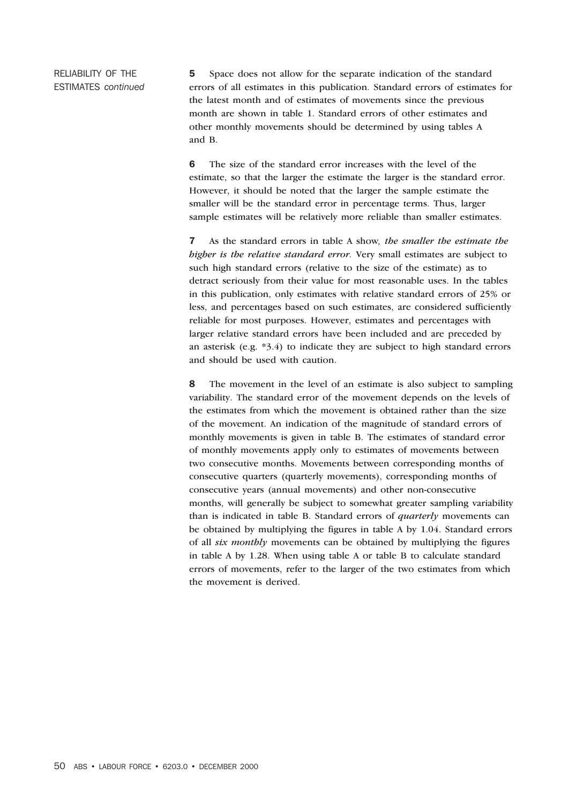RELIABILITY OF THE ESTIMATES *continued* 5 Space does not allow for the separate indication of the standard errors of all estimates in this publication. Standard errors of estimates for the latest month and of estimates of movements since the previous month are shown in table 1. Standard errors of other estimates and other monthly movements should be determined by using tables A and B.

6 The size of the standard error increases with the level of the estimate, so that the larger the estimate the larger is the standard error. However, it should be noted that the larger the sample estimate the smaller will be the standard error in percentage terms. Thus, larger sample estimates will be relatively more reliable than smaller estimates.

7 As the standard errors in table A show*, the smaller the estimate the higher is the relative standard error.* Very small estimates are subject to such high standard errors (relative to the size of the estimate) as to detract seriously from their value for most reasonable uses. In the tables in this publication, only estimates with relative standard errors of 25% or less, and percentages based on such estimates, are considered sufficiently reliable for most purposes. However, estimates and percentages with larger relative standard errors have been included and are preceded by an asterisk (e.g. \*3.4) to indicate they are subject to high standard errors and should be used with caution.

8 The movement in the level of an estimate is also subject to sampling variability. The standard error of the movement depends on the levels of the estimates from which the movement is obtained rather than the size of the movement. An indication of the magnitude of standard errors of monthly movements is given in table B. The estimates of standard error of monthly movements apply only to estimates of movements between two consecutive months. Movements between corresponding months of consecutive quarters (quarterly movements), corresponding months of consecutive years (annual movements) and other non-consecutive months, will generally be subject to somewhat greater sampling variability than is indicated in table B. Standard errors of *quarterly* movements can be obtained by multiplying the figures in table A by 1.04. Standard errors of all *six monthly* movements can be obtained by multiplying the figures in table A by 1.28. When using table A or table B to calculate standard errors of movements, refer to the larger of the two estimates from which the movement is derived.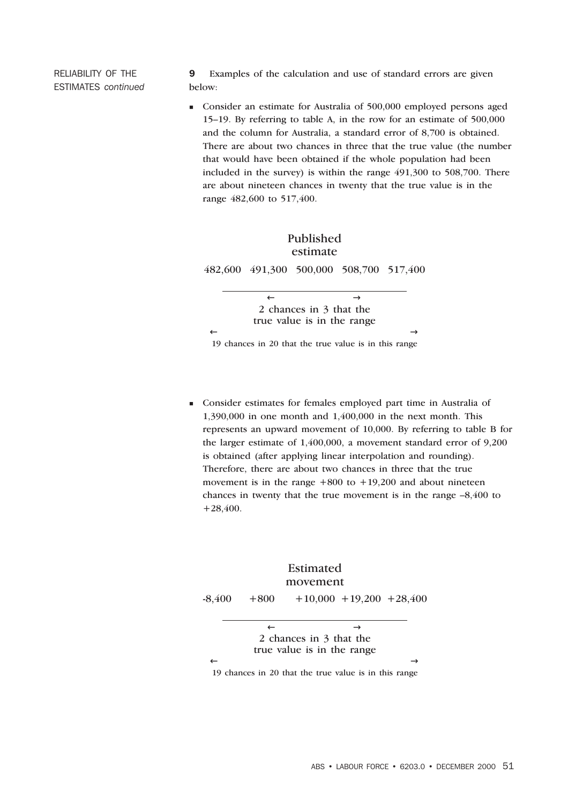RELIABILITY OF THE ESTIMATES *continued*

9 Examples of the calculation and use of standard errors are given below:

<sup>n</sup> Consider an estimate for Australia of 500,000 employed persons aged 15–19. By referring to table A, in the row for an estimate of 500,000 and the column for Australia, a standard error of 8,700 is obtained. There are about two chances in three that the true value (the number that would have been obtained if the whole population had been included in the survey) is within the range 491,300 to 508,700. There are about nineteen chances in twenty that the true value is in the range 482,600 to 517,400.



19 chances in 20 that the true value is in this range

<sup>n</sup> Consider estimates for females employed part time in Australia of 1,390,000 in one month and 1,400,000 in the next month. This represents an upward movement of 10,000. By referring to table B for the larger estimate of 1,400,000, a movement standard error of 9,200 is obtained (after applying linear interpolation and rounding). Therefore, there are about two chances in three that the true movement is in the range  $+800$  to  $+19,200$  and about nineteen chances in twenty that the true movement is in the range –8,400 to +28,400.



19 chances in 20 that the true value is in this range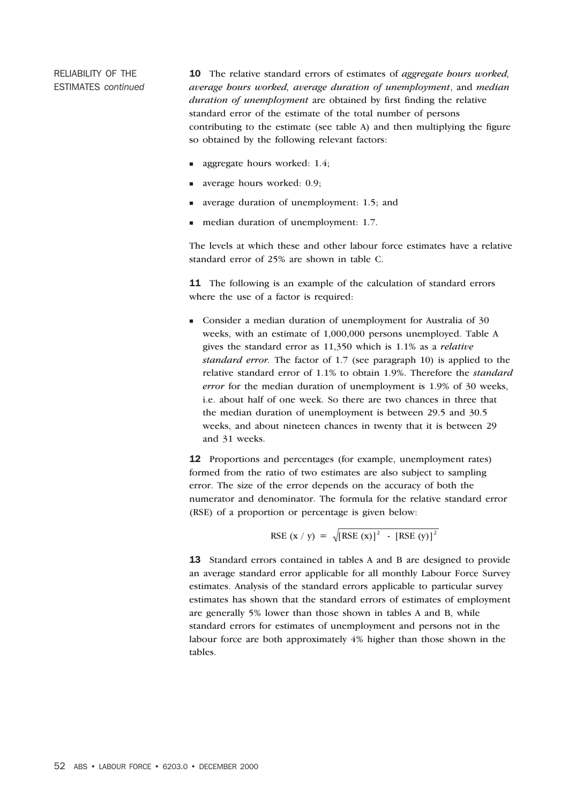RELIABILITY OF THE ESTIMATES *continued* 10 The relative standard errors of estimates of *aggregate hours worked, average hours worked, average duration of unemployment*, and *median duration of unemployment* are obtained by first finding the relative standard error of the estimate of the total number of persons contributing to the estimate (see table A) and then multiplying the figure so obtained by the following relevant factors:

- aggregate hours worked: 1.4;
- average hours worked: 0.9;
- average duration of unemployment: 1.5; and
- median duration of unemployment: 1.7.

The levels at which these and other labour force estimates have a relative standard error of 25% are shown in table C.

11 The following is an example of the calculation of standard errors where the use of a factor is required:

<sup>n</sup> Consider a median duration of unemployment for Australia of 30 weeks, with an estimate of 1,000,000 persons unemployed. Table A gives the standard error as 11,350 which is 1.1% as a *relative standard error.* The factor of 1.7 (see paragraph 10) is applied to the relative standard error of 1.1% to obtain 1.9%. Therefore the *standard error* for the median duration of unemployment is 1.9% of 30 weeks, i.e. about half of one week. So there are two chances in three that the median duration of unemployment is between 29.5 and 30.5 weeks, and about nineteen chances in twenty that it is between 29 and 31 weeks.

12 Proportions and percentages (for example, unemployment rates) formed from the ratio of two estimates are also subject to sampling error. The size of the error depends on the accuracy of both the numerator and denominator. The formula for the relative standard error (RSE) of a proportion or percentage is given below:

$$
RSE (x / y) = \sqrt{[RSE (x)]^{2} - [RSE (y)]^{2}}
$$

13 Standard errors contained in tables A and B are designed to provide an average standard error applicable for all monthly Labour Force Survey estimates. Analysis of the standard errors applicable to particular survey estimates has shown that the standard errors of estimates of employment are generally 5% lower than those shown in tables A and B, while standard errors for estimates of unemployment and persons not in the labour force are both approximately 4% higher than those shown in the tables.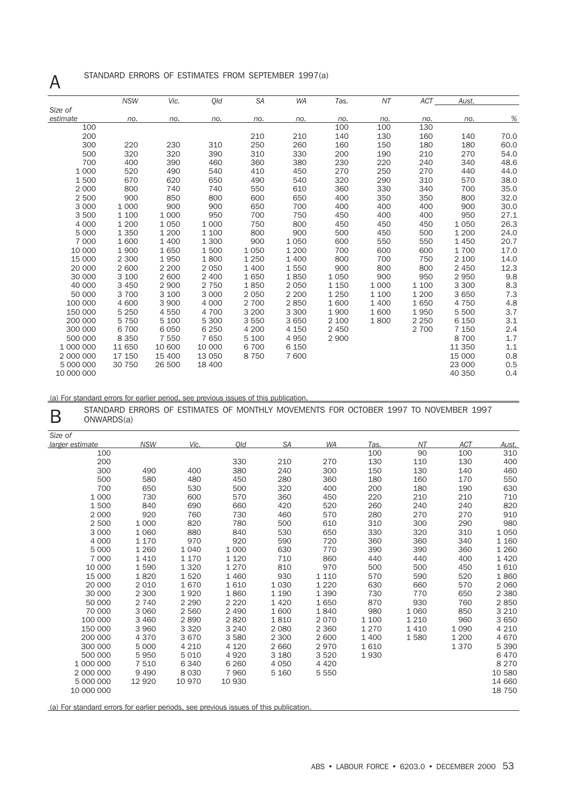# A STANDARD ERRORS OF ESTIMATES FROM SEPTEMBER 1997(a)

|            | <b>NSW</b> | Vic.    | Qld     | <b>SA</b> | <b>WA</b> | Tas.    | NT      | <b>ACT</b> | Aust.   |      |
|------------|------------|---------|---------|-----------|-----------|---------|---------|------------|---------|------|
| Size of    |            |         |         |           |           |         |         |            |         |      |
| estimate   | no.        | no.     | no.     | no.       | no.       | no.     | no.     | no.        | no.     | %    |
| 100        |            |         |         |           |           | 100     | 100     | 130        |         |      |
| 200        |            |         |         | 210       | 210       | 140     | 130     | 160        | 140     | 70.0 |
| 300        | 220        | 230     | 310     | 250       | 260       | 160     | 150     | 180        | 180     | 60.0 |
| 500        | 320        | 320     | 390     | 310       | 330       | 200     | 190     | 210        | 270     | 54.0 |
| 700        | 400        | 390     | 460     | 360       | 380       | 230     | 220     | 240        | 340     | 48.6 |
| 1 0 0 0    | 520        | 490     | 540     | 410       | 450       | 270     | 250     | 270        | 440     | 44.0 |
| 1500       | 670        | 620     | 650     | 490       | 540       | 320     | 290     | 310        | 570     | 38.0 |
| 2 0 0 0    | 800        | 740     | 740     | 550       | 610       | 360     | 330     | 340        | 700     | 35.0 |
| 2 500      | 900        | 850     | 800     | 600       | 650       | 400     | 350     | 350        | 800     | 32.0 |
| 3 0 0 0    | 1 0 0 0    | 900     | 900     | 650       | 700       | 400     | 400     | 400        | 900     | 30.0 |
| 3 500      | 1 100      | 1 0 0 0 | 950     | 700       | 750       | 450     | 400     | 400        | 950     | 27.1 |
| 4 0 0 0    | 1 200      | 1 0 5 0 | 1 0 0 0 | 750       | 800       | 450     | 450     | 450        | 1050    | 26.3 |
| 5 0 0 0    | 1 3 5 0    | 1 200   | 1 100   | 800       | 900       | 500     | 450     | 500        | 1 200   | 24.0 |
| 7 000      | 1 600      | 1 400   | 1 300   | 900       | 1 0 5 0   | 600     | 550     | 550        | 1 4 5 0 | 20.7 |
| 10 000     | 1 900      | 1650    | 1500    | 1 0 5 0   | 1 200     | 700     | 600     | 600        | 1700    | 17.0 |
| 15 000     | 2 300      | 1950    | 1800    | 1 2 5 0   | 1 400     | 800     | 700     | 750        | 2 100   | 14.0 |
| 20 000     | 2 600      | 2 2 0 0 | 2 0 5 0 | 1 400     | 1550      | 900     | 800     | 800        | 2 4 5 0 | 12.3 |
| 30 000     | 3 100      | 2 600   | 2 400   | 1650      | 1850      | 1 0 5 0 | 900     | 950        | 2950    | 9.8  |
| 40 000     | 3 4 5 0    | 2 9 0 0 | 2 7 5 0 | 1850      | 2 0 5 0   | 1 1 5 0 | 1 0 0 0 | 1 100      | 3 3 0 0 | 8.3  |
| 50 000     | 3 700      | 3 100   | 3 0 0 0 | 2050      | 2 2 0 0   | 1 2 5 0 | 1 100   | 1 200      | 3650    | 7.3  |
| 100 000    | 4 600      | 3 900   | 4 0 0 0 | 2 700     | 2850      | 1600    | 1 400   | 1650       | 4 7 5 0 | 4.8  |
| 150 000    | 5 2 5 0    | 4 5 5 0 | 4 700   | 3 2 0 0   | 3 3 0 0   | 1900    | 1600    | 1950       | 5 500   | 3.7  |
| 200 000    | 5 7 5 0    | 5 100   | 5 300   | 3550      | 3 6 5 0   | 2 100   | 1800    | 2 2 5 0    | 6 1 5 0 | 3.1  |
| 300 000    | 6 700      | 6 0 5 0 | 6 2 5 0 | 4 200     | 4 150     | 2 4 5 0 |         | 2 700      | 7 1 5 0 | 2.4  |
| 500 000    | 8 3 5 0    | 7 550   | 7 650   | 5 100     | 4950      | 2 9 0 0 |         |            | 8700    | 1.7  |
| 1 000 000  | 11 650     | 10 600  | 10 000  | 6700      | 6 150     |         |         |            | 11 350  | 1.1  |
| 2 000 000  | 17 150     | 15 400  | 13 050  | 8750      | 7 600     |         |         |            | 15 000  | 0.8  |
| 5 000 000  | 30 750     | 26 500  | 18 400  |           |           |         |         |            | 23 000  | 0.5  |
| 10 000 000 |            |         |         |           |           |         |         |            | 40 350  | 0.4  |

(a) For standard errors for earlier period, see previous issues of this publication.

STANDARD ERRORS OF ESTIMATES OF MONTHLY MOVEMENTS FOR OCTOBER 1997 TO NOVEMBER 1997 ONWARDS(a) ONWARDS(a)

| Size of         |            |         |         |           |         |         |         |            |         |
|-----------------|------------|---------|---------|-----------|---------|---------|---------|------------|---------|
| larger estimate | <b>NSW</b> | Vic.    | Old     | <b>SA</b> | WA      | Tas.    | NT      | <b>ACT</b> | Aust.   |
| 100             |            |         |         |           |         | 100     | 90      | 100        | 310     |
| 200             |            |         | 330     | 210       | 270     | 130     | 110     | 130        | 400     |
| 300             | 490        | 400     | 380     | 240       | 300     | 150     | 130     | 140        | 460     |
| 500             | 580        | 480     | 450     | 280       | 360     | 180     | 160     | 170        | 550     |
| 700             | 650        | 530     | 500     | 320       | 400     | 200     | 180     | 190        | 630     |
| 1 0 0 0         | 730        | 600     | 570     | 360       | 450     | 220     | 210     | 210        | 710     |
| 1500            | 840        | 690     | 660     | 420       | 520     | 260     | 240     | 240        | 820     |
| 2 0 0 0         | 920        | 760     | 730     | 460       | 570     | 280     | 270     | 270        | 910     |
| 2 500           | 1 0 0 0    | 820     | 780     | 500       | 610     | 310     | 300     | 290        | 980     |
| 3 0 0 0         | 1 0 6 0    | 880     | 840     | 530       | 650     | 330     | 320     | 310        | 1 0 5 0 |
| 4 0 0 0         | 1 1 7 0    | 970     | 920     | 590       | 720     | 360     | 360     | 340        | 1 1 6 0 |
| 5 0 0 0         | 1 2 6 0    | 1 0 4 0 | 1 0 0 0 | 630       | 770     | 390     | 390     | 360        | 1 2 6 0 |
| 7 0 0 0         | 1 4 1 0    | 1 1 7 0 | 1 1 2 0 | 710       | 860     | 440     | 440     | 400        | 1 4 2 0 |
| 10 000          | 1590       | 1 3 2 0 | 1 2 7 0 | 810       | 970     | 500     | 500     | 450        | 1610    |
| 15 000          | 1820       | 1520    | 1 4 6 0 | 930       | 1 1 1 0 | 570     | 590     | 520        | 1860    |
| 20 000          | 2 0 1 0    | 1670    | 1610    | 1 0 3 0   | 1 2 2 0 | 630     | 660     | 570        | 2 0 6 0 |
| 30 000          | 2 3 0 0    | 1920    | 1860    | 1 1 9 0   | 1 3 9 0 | 730     | 770     | 650        | 2 3 8 0 |
| 50 000          | 2 7 4 0    | 2 2 9 0 | 2 2 2 0 | 1 4 2 0   | 1650    | 870     | 930     | 760        | 2850    |
| 70 000          | 3 0 6 0    | 2 5 6 0 | 2 4 9 0 | 1 600     | 1840    | 980     | 1 0 6 0 | 850        | 3 2 1 0 |
| 100 000         | 3 4 6 0    | 2890    | 2820    | 1810      | 2070    | 1 100   | 1 2 1 0 | 960        | 3 6 5 0 |
| 150 000         | 3 9 6 0    | 3 3 2 0 | 3 2 4 0 | 2 0 8 0   | 2 3 6 0 | 1 2 7 0 | 1410    | 1 0 9 0    | 4 2 1 0 |
| 200 000         | 4 3 7 0    | 3670    | 3580    | 2 300     | 2 600   | 1 400   | 1580    | 1 200      | 4670    |
| 300 000         | 5 0 0 0    | 4 2 1 0 | 4 1 2 0 | 2 6 6 0   | 2970    | 1610    |         | 1370       | 5 3 9 0 |
| 500 000         | 5950       | 5010    | 4920    | 3 180     | 3520    | 1930    |         |            | 6470    |
| 1 000 000       | 7 5 1 0    | 6 3 4 0 | 6 2 6 0 | 4 0 5 0   | 4 4 2 0 |         |         |            | 8 2 7 0 |
| 2 000 000       | 9 4 9 0    | 8 0 3 0 | 7 9 6 0 | 5 1 6 0   | 5 5 5 0 |         |         |            | 10 580  |
| 5 000 000       | 12 9 20    | 10 970  | 10 930  |           |         |         |         |            | 14 660  |
| 10 000 000      |            |         |         |           |         |         |         |            | 18 750  |
|                 |            |         |         |           |         |         |         |            |         |

(a) For standard errors for earlier periods, see previous issues of this publication.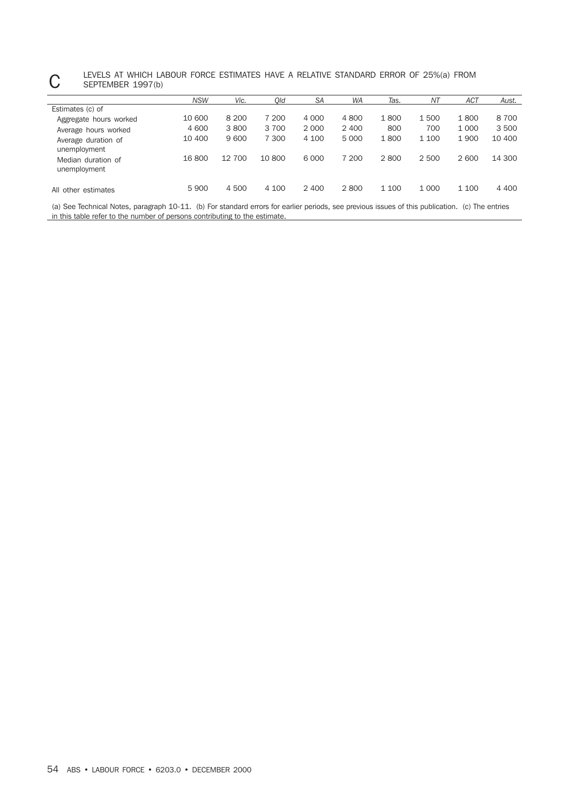#### LEVELS AT WHICH LABOUR FORCE ESTIMATES HAVE A RELATIVE STANDARD ERROR OF 25%(a) FROM<br>SEPTEMBER 1997(b) SEPTEMBER 1997(b)

|                                     | <b>NSW</b> | Vic.    | Old    | <b>SA</b> | WA      | Tas.  | ΝT      | <b>ACT</b> | Aust.   |
|-------------------------------------|------------|---------|--------|-----------|---------|-------|---------|------------|---------|
| Estimates (c) of                    |            |         |        |           |         |       |         |            |         |
| Aggregate hours worked              | 10 600     | 8 2 0 0 | 7 200  | 4 0 0 0   | 4800    | 1800  | 1500    | 1800       | 8700    |
| Average hours worked                | 4 600      | 3800    | 3 700  | 2 0 0 0   | 2 4 0 0 | 800   | 700     | 1 0 0 0    | 3500    |
| Average duration of<br>unemployment | 10 400     | 9600    | 7 300  | 4 100     | 5 0 0 0 | 1800  | 1 100   | 1900       | 10 400  |
| Median duration of<br>unemployment  | 16 800     | 12 700  | 10 800 | 6 0 0 0   | 7 200   | 2800  | 2 500   | 2 600      | 14 300  |
| All other estimates                 | 5 9 0 0    | 4 500   | 4 100  | 2 4 0 0   | 2800    | 1 100 | 1 0 0 0 | 1 100      | 4 4 0 0 |

(a) See Technical Notes, paragraph 10-11. (b) For standard errors for earlier periods, see previous issues of this publication. (c) The entries in this table refer to the number of persons contributing to the estimate.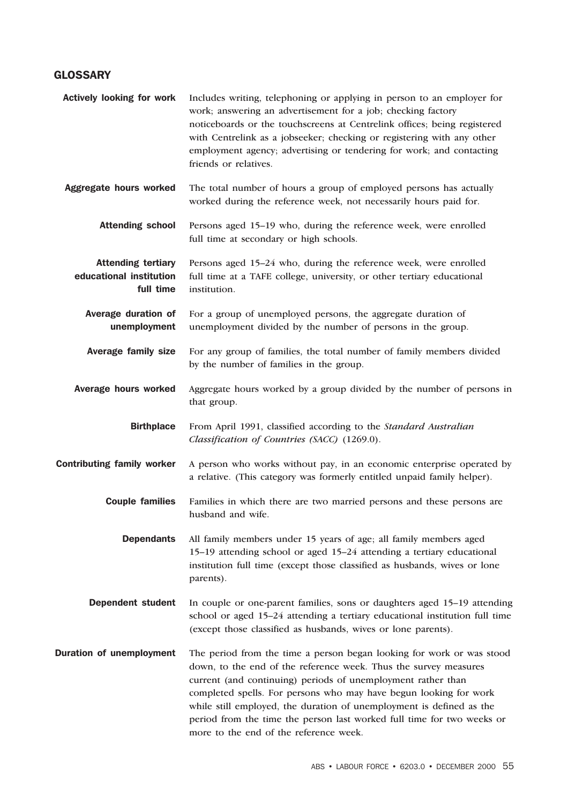### **GLOSSARY**

| <b>Actively looking for work</b>                                  | Includes writing, telephoning or applying in person to an employer for<br>work; answering an advertisement for a job; checking factory<br>noticeboards or the touchscreens at Centrelink offices; being registered<br>with Centrelink as a jobseeker; checking or registering with any other<br>employment agency; advertising or tendering for work; and contacting<br>friends or relatives.                                                                              |
|-------------------------------------------------------------------|----------------------------------------------------------------------------------------------------------------------------------------------------------------------------------------------------------------------------------------------------------------------------------------------------------------------------------------------------------------------------------------------------------------------------------------------------------------------------|
| Aggregate hours worked                                            | The total number of hours a group of employed persons has actually<br>worked during the reference week, not necessarily hours paid for.                                                                                                                                                                                                                                                                                                                                    |
| <b>Attending school</b>                                           | Persons aged 15-19 who, during the reference week, were enrolled<br>full time at secondary or high schools.                                                                                                                                                                                                                                                                                                                                                                |
| <b>Attending tertiary</b><br>educational institution<br>full time | Persons aged 15-24 who, during the reference week, were enrolled<br>full time at a TAFE college, university, or other tertiary educational<br>institution.                                                                                                                                                                                                                                                                                                                 |
| Average duration of<br>unemployment                               | For a group of unemployed persons, the aggregate duration of<br>unemployment divided by the number of persons in the group.                                                                                                                                                                                                                                                                                                                                                |
| <b>Average family size</b>                                        | For any group of families, the total number of family members divided<br>by the number of families in the group.                                                                                                                                                                                                                                                                                                                                                           |
| Average hours worked                                              | Aggregate hours worked by a group divided by the number of persons in<br>that group.                                                                                                                                                                                                                                                                                                                                                                                       |
| <b>Birthplace</b>                                                 | From April 1991, classified according to the Standard Australian<br>Classification of Countries (SACC) (1269.0).                                                                                                                                                                                                                                                                                                                                                           |
| <b>Contributing family worker</b>                                 | A person who works without pay, in an economic enterprise operated by<br>a relative. (This category was formerly entitled unpaid family helper).                                                                                                                                                                                                                                                                                                                           |
| <b>Couple families</b>                                            | Families in which there are two married persons and these persons are<br>husband and wife.                                                                                                                                                                                                                                                                                                                                                                                 |
| <b>Dependants</b>                                                 | All family members under 15 years of age; all family members aged<br>15–19 attending school or aged 15–24 attending a tertiary educational<br>institution full time (except those classified as husbands, wives or lone<br>parents).                                                                                                                                                                                                                                       |
| <b>Dependent student</b>                                          | In couple or one-parent families, sons or daughters aged 15–19 attending<br>school or aged 15-24 attending a tertiary educational institution full time<br>(except those classified as husbands, wives or lone parents).                                                                                                                                                                                                                                                   |
| <b>Duration of unemployment</b>                                   | The period from the time a person began looking for work or was stood<br>down, to the end of the reference week. Thus the survey measures<br>current (and continuing) periods of unemployment rather than<br>completed spells. For persons who may have begun looking for work<br>while still employed, the duration of unemployment is defined as the<br>period from the time the person last worked full time for two weeks or<br>more to the end of the reference week. |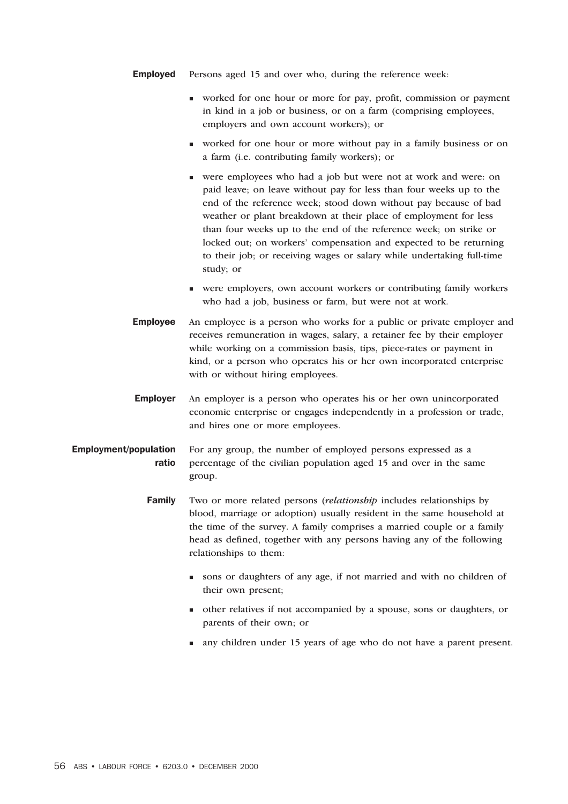- **Employed** Persons aged 15 and over who, during the reference week:
	- <sup>n</sup> worked for one hour or more for pay, profit, commission or payment in kind in a job or business, or on a farm (comprising employees, employers and own account workers); or
	- <sup>n</sup> worked for one hour or more without pay in a family business or on a farm (i.e. contributing family workers); or
	- <sup>n</sup> were employees who had a job but were not at work and were: on paid leave; on leave without pay for less than four weeks up to the end of the reference week; stood down without pay because of bad weather or plant breakdown at their place of employment for less than four weeks up to the end of the reference week; on strike or locked out; on workers' compensation and expected to be returning to their job; or receiving wages or salary while undertaking full-time study; or
	- <sup>n</sup> were employers, own account workers or contributing family workers who had a job, business or farm, but were not at work.
- Employee An employee is a person who works for a public or private employer and receives remuneration in wages, salary, a retainer fee by their employer while working on a commission basis, tips, piece-rates or payment in kind, or a person who operates his or her own incorporated enterprise with or without hiring employees.
- Employer An employer is a person who operates his or her own unincorporated economic enterprise or engages independently in a profession or trade, and hires one or more employees.
- Employment/population ratio For any group, the number of employed persons expressed as a percentage of the civilian population aged 15 and over in the same group.
	- Family Two or more related persons (*relationship* includes relationships by blood, marriage or adoption) usually resident in the same household at the time of the survey. A family comprises a married couple or a family head as defined, together with any persons having any of the following relationships to them:
		- <sup>n</sup> sons or daughters of any age, if not married and with no children of their own present;
		- <sup>n</sup> other relatives if not accompanied by a spouse, sons or daughters, or parents of their own; or
		- n any children under 15 years of age who do not have a parent present.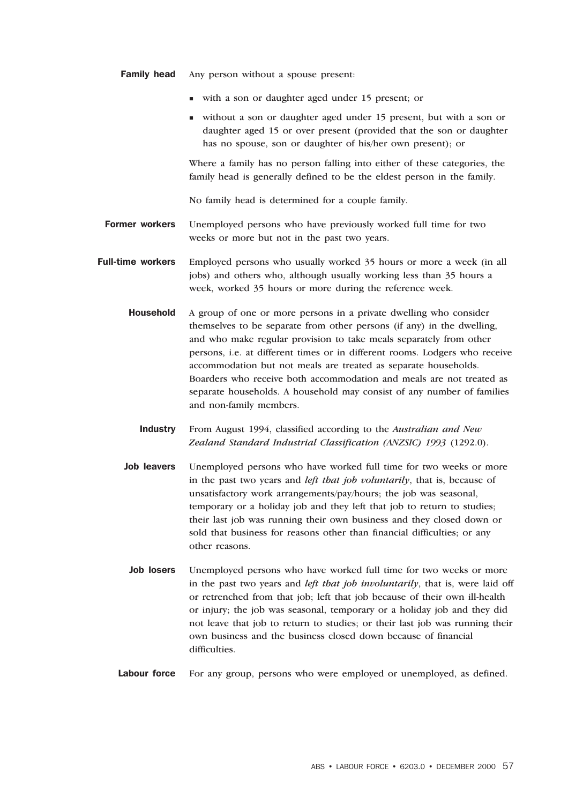- **Family head** Any person without a spouse present:
	- <sup>n</sup> with a son or daughter aged under 15 present; or
	- <sup>n</sup> without a son or daughter aged under 15 present, but with a son or daughter aged 15 or over present (provided that the son or daughter has no spouse, son or daughter of his/her own present); or

Where a family has no person falling into either of these categories, the family head is generally defined to be the eldest person in the family.

No family head is determined for a couple family.

- Former workers Unemployed persons who have previously worked full time for two weeks or more but not in the past two years.
- Full-time workers Employed persons who usually worked 35 hours or more a week (in all jobs) and others who, although usually working less than 35 hours a week, worked 35 hours or more during the reference week.
	- Household A group of one or more persons in a private dwelling who consider themselves to be separate from other persons (if any) in the dwelling, and who make regular provision to take meals separately from other persons, i.e. at different times or in different rooms. Lodgers who receive accommodation but not meals are treated as separate households. Boarders who receive both accommodation and meals are not treated as separate households. A household may consist of any number of families and non-family members.
		- Industry From August 1994, classified according to the *Australian and New Zealand Standard Industrial Classification (ANZSIC) 1993* (1292.0).
	- Job leavers Unemployed persons who have worked full time for two weeks or more in the past two years and *left that job voluntarily*, that is, because of unsatisfactory work arrangements/pay/hours; the job was seasonal, temporary or a holiday job and they left that job to return to studies; their last job was running their own business and they closed down or sold that business for reasons other than financial difficulties; or any other reasons.
	- Job losers Unemployed persons who have worked full time for two weeks or more in the past two years and *left that job involuntarily*, that is, were laid off or retrenched from that job; left that job because of their own ill-health or injury; the job was seasonal, temporary or a holiday job and they did not leave that job to return to studies; or their last job was running their own business and the business closed down because of financial difficulties.
	- Labour force For any group, persons who were employed or unemployed, as defined.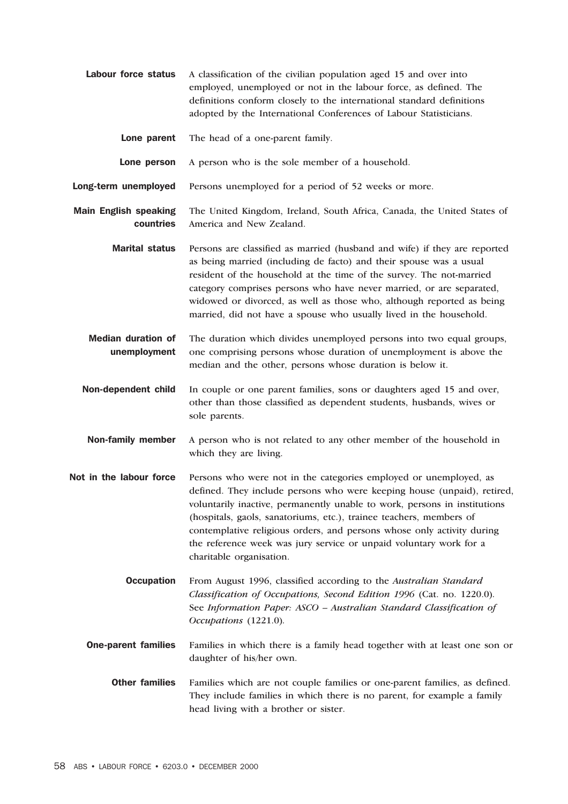- Labour force status A classification of the civilian population aged 15 and over into employed, unemployed or not in the labour force, as defined. The definitions conform closely to the international standard definitions adopted by the International Conferences of Labour Statisticians.
	- Lone parent The head of a one-parent family.
	- Lone person A person who is the sole member of a household.
- Long-term unemployed Persons unemployed for a period of 52 weeks or more.
- Main English speaking countries The United Kingdom, Ireland, South Africa, Canada, the United States of America and New Zealand.
	- Marital status Persons are classified as married (husband and wife) if they are reported as being married (including de facto) and their spouse was a usual resident of the household at the time of the survey. The not-married category comprises persons who have never married, or are separated, widowed or divorced, as well as those who, although reported as being married, did not have a spouse who usually lived in the household.
	- Median duration of unemployment The duration which divides unemployed persons into two equal groups, one comprising persons whose duration of unemployment is above the median and the other, persons whose duration is below it.
	- Non-dependent child In couple or one parent families, sons or daughters aged 15 and over, other than those classified as dependent students, husbands, wives or sole parents.
	- Non-family member A person who is not related to any other member of the household in which they are living.
- Not in the labour force Persons who were not in the categories employed or unemployed, as defined. They include persons who were keeping house (unpaid), retired, voluntarily inactive, permanently unable to work, persons in institutions (hospitals, gaols, sanatoriums, etc.), trainee teachers, members of contemplative religious orders, and persons whose only activity during the reference week was jury service or unpaid voluntary work for a charitable organisation.
	- Occupation From August 1996, classified according to the *Australian Standard Classification of Occupations, Second Edition 1996* (Cat. no. 1220.0)*.* See *Information Paper: ASCO – Australian Standard Classification of Occupations* (1221.0)*.*
	- **One-parent families** Families in which there is a family head together with at least one son or daughter of his/her own.
		- Other families Families which are not couple families or one-parent families, as defined. They include families in which there is no parent, for example a family head living with a brother or sister.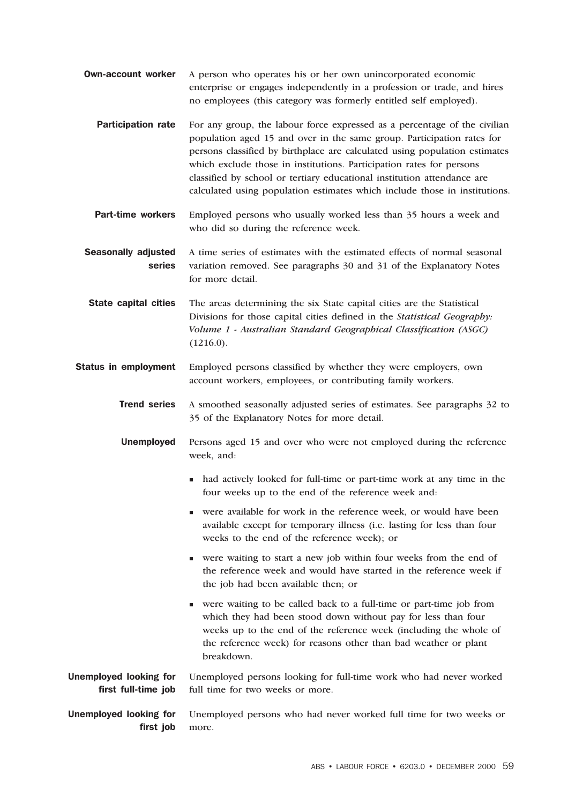- **Own-account worker** A person who operates his or her own unincorporated economic enterprise or engages independently in a profession or trade, and hires no employees (this category was formerly entitled self employed).
	- Participation rate For any group, the labour force expressed as a percentage of the civilian population aged 15 and over in the same group. Participation rates for persons classified by birthplace are calculated using population estimates which exclude those in institutions. Participation rates for persons classified by school or tertiary educational institution attendance are calculated using population estimates which include those in institutions.
	- Part-time workers Employed persons who usually worked less than 35 hours a week and who did so during the reference week.
- Seasonally adjusted series A time series of estimates with the estimated effects of normal seasonal variation removed. See paragraphs 30 and 31 of the Explanatory Notes for more detail.

**State capital cities** The areas determining the six State capital cities are the Statistical Divisions for those capital cities defined in the *Statistical Geography: Volume 1 - Australian Standard Geographical Classification (ASGC)*  $(1216.0).$ 

Status in employment Employed persons classified by whether they were employers, own account workers, employees, or contributing family workers.

Trend series A smoothed seasonally adjusted series of estimates. See paragraphs 32 to 35 of the Explanatory Notes for more detail.

- Unemployed Persons aged 15 and over who were not employed during the reference week, and:
	- had actively looked for full-time or part-time work at any time in the four weeks up to the end of the reference week and:
	- <sup>n</sup> were available for work in the reference week, or would have been available except for temporary illness (i.e. lasting for less than four weeks to the end of the reference week); or
	- <sup>n</sup> were waiting to start a new job within four weeks from the end of the reference week and would have started in the reference week if the job had been available then; or
	- <sup>n</sup> were waiting to be called back to a full-time or part-time job from which they had been stood down without pay for less than four weeks up to the end of the reference week (including the whole of the reference week) for reasons other than bad weather or plant breakdown.

Unemployed looking for first full-time job Unemployed persons looking for full-time work who had never worked full time for two weeks or more.

Unemployed looking for first job Unemployed persons who had never worked full time for two weeks or more.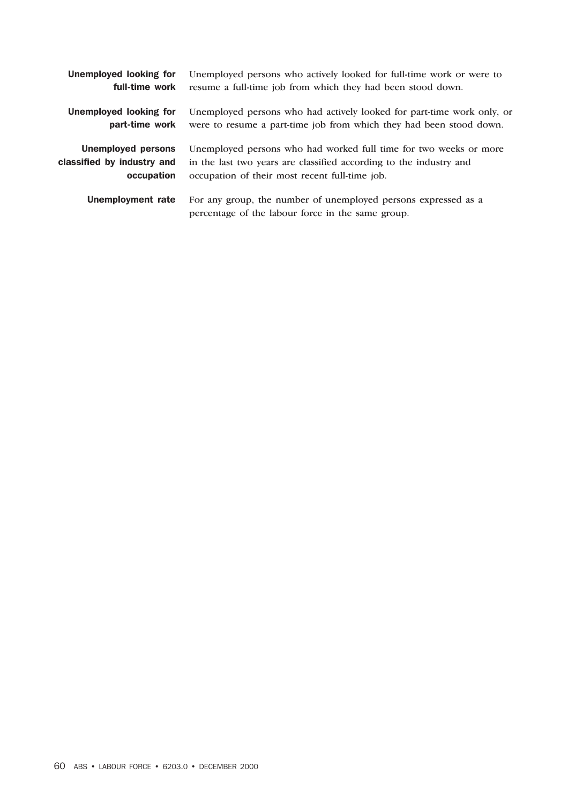| Unemployed looking for     | Unemployed persons who actively looked for full-time work or were to                                                |
|----------------------------|---------------------------------------------------------------------------------------------------------------------|
| full-time work             | resume a full-time job from which they had been stood down.                                                         |
| Unemployed looking for     | Unemployed persons who had actively looked for part-time work only, or                                              |
| part-time work             | were to resume a part-time job from which they had been stood down.                                                 |
| <b>Unemployed persons</b>  | Unemployed persons who had worked full time for two weeks or more                                                   |
| classified by industry and | in the last two years are classified according to the industry and                                                  |
| occupation                 | occupation of their most recent full-time job.                                                                      |
| Unemployment rate          | For any group, the number of unemployed persons expressed as a<br>percentage of the labour force in the same group. |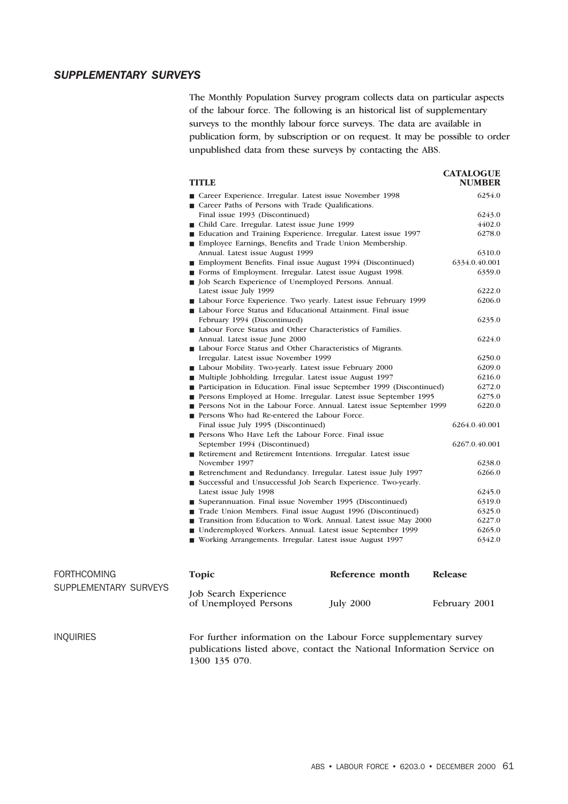#### *SUPPLEMENTARY SURVEYS*

The Monthly Population Survey program collects data on particular aspects of the labour force. The following is an historical list of supplementary surveys to the monthly labour force surveys. The data are available in publication form, by subscription or on request. It may be possible to order unpublished data from these surveys by contacting the ABS.

| <b>TITLE</b>                                                                                                                       | <b>CATALOGUE</b><br><b>NUMBER</b> |
|------------------------------------------------------------------------------------------------------------------------------------|-----------------------------------|
| ■ Career Experience. Irregular. Latest issue November 1998                                                                         | 6254.0                            |
| Career Paths of Persons with Trade Qualifications.                                                                                 |                                   |
| Final issue 1993 (Discontinued)                                                                                                    | 6243.0                            |
| ■ Child Care. Irregular. Latest issue June 1999                                                                                    | 4402.0                            |
| ■ Education and Training Experience. Irregular. Latest issue 1997                                                                  | 6278.0                            |
| ■ Employee Earnings, Benefits and Trade Union Membership.                                                                          |                                   |
| Annual. Latest issue August 1999                                                                                                   | 6310.0                            |
| ■ Employment Benefits. Final issue August 1994 (Discontinued)                                                                      | 6334.0.40.001                     |
| Forms of Employment. Irregular. Latest issue August 1998.                                                                          | 6359.0                            |
| ■ Job Search Experience of Unemployed Persons. Annual.                                                                             |                                   |
| Latest issue July 1999                                                                                                             | 6222.0                            |
| Labour Force Experience. Two yearly. Latest issue February 1999                                                                    | 6206.0                            |
| ■ Labour Force Status and Educational Attainment. Final issue                                                                      |                                   |
| February 1994 (Discontinued)                                                                                                       | 6235.0                            |
| Labour Force Status and Other Characteristics of Families.                                                                         |                                   |
| Annual. Latest issue June 2000                                                                                                     | 6224.0                            |
| ■ Labour Force Status and Other Characteristics of Migrants.                                                                       |                                   |
| Irregular. Latest issue November 1999                                                                                              | 6250.0                            |
| Labour Mobility. Two-yearly. Latest issue February 2000                                                                            | 6209.0                            |
| ■ Multiple Jobholding. Irregular. Latest issue August 1997                                                                         | 6216.0                            |
| ■ Participation in Education. Final issue September 1999 (Discontinued)                                                            | 6272.0                            |
| <b>Persons Employed at Home. Irregular. Latest issue September 1995</b>                                                            | 6275.0                            |
| Persons Not in the Labour Force. Annual. Latest issue September 1999                                                               | 6220.0                            |
| Persons Who had Re-entered the Labour Force.                                                                                       |                                   |
| Final issue July 1995 (Discontinued)                                                                                               | 6264.0.40.001                     |
| Persons Who Have Left the Labour Force. Final issue                                                                                |                                   |
| September 1994 (Discontinued)                                                                                                      | 6267.0.40.001                     |
| Retirement and Retirement Intentions. Irregular. Latest issue                                                                      |                                   |
| November 1997                                                                                                                      | 6238.0                            |
| Retrenchment and Redundancy. Irregular. Latest issue July 1997<br>■ Successful and Unsuccessful Job Search Experience. Two-yearly. | 6266.0                            |
| Latest issue July 1998                                                                                                             | 6245.0                            |
| ■ Superannuation. Final issue November 1995 (Discontinued)                                                                         | 6319.0                            |
| Trade Union Members. Final issue August 1996 (Discontinued)                                                                        | 6325.0                            |
| Transition from Education to Work. Annual. Latest issue May 2000                                                                   | 6227.0                            |
| ■ Underemployed Workers. Annual. Latest issue September 1999                                                                       | 6265.0                            |
| ■ Working Arrangements. Irregular. Latest issue August 1997                                                                        | 6342.0                            |
| Reference month<br><b>Topic</b>                                                                                                    | <b>Release</b>                    |
| Iola Cognole Drugado                                                                                                               |                                   |

| <b>FORTHCOMING</b>    | <b>Topic</b>                                          | Reference month  | <b>Release</b> |
|-----------------------|-------------------------------------------------------|------------------|----------------|
| SUPPLEMENTARY SURVEYS | <b>Job Search Experience</b><br>of Unemployed Persons | <b>July 2000</b> | February 2001  |

INQUIRIES For further information on the Labour Force supplementary survey publications listed above, contact the National Information Service on 1300 135 070.